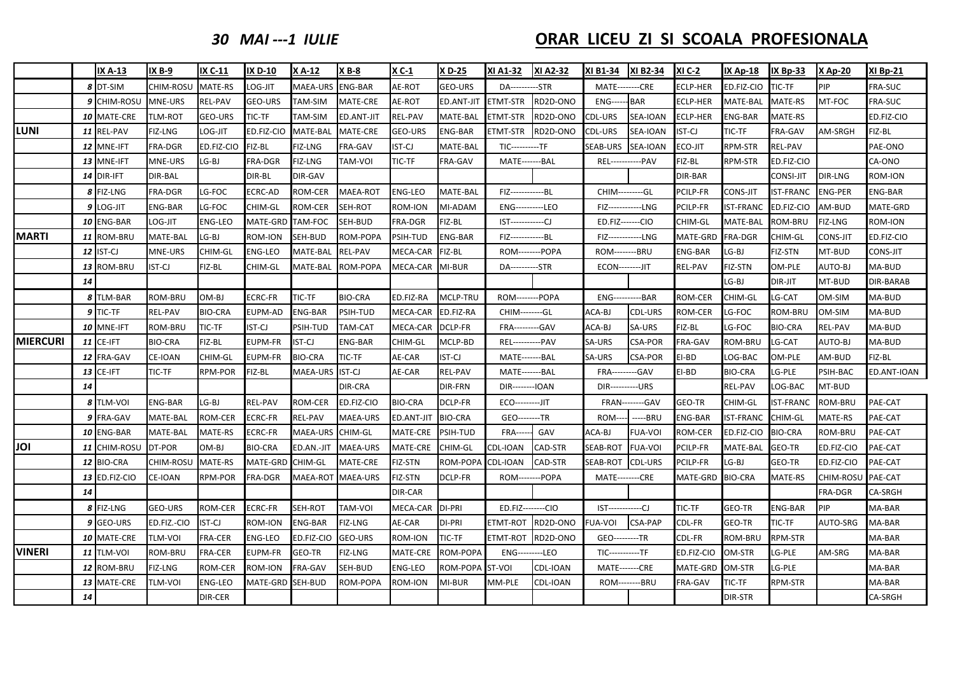*30 MAI ‐‐‐1 IULIE* **ORAR**

### **LICEU ZI SI SCOALA PROFESIONALA**

|                 |    | <b>IX A-13</b>       | <b>IX B-9</b>  | IX C-11        | <b>IX D-10</b> | X A-12         | X B-8             | X C-1          | X D-25         | XI A1-32               | XI A2-32 | XI B1-34                | <b>XI B2-34</b>        | <b>XI C-2</b>   | <b>IX Ap-18</b>  | <b>IX Bp-33</b>  | <b>X</b> Ap-20 | <b>XI Bp-21</b> |
|-----------------|----|----------------------|----------------|----------------|----------------|----------------|-------------------|----------------|----------------|------------------------|----------|-------------------------|------------------------|-----------------|------------------|------------------|----------------|-----------------|
|                 |    | 8 DT-SIM             | CHIM-ROSU      | <b>MATE-RS</b> | LOG-JIT        | MAEA-URS       | <b>ENG-BAR</b>    | AE-ROT         | GEO-URS        | DA----------STR        |          | <b>MATE--------CRE</b>  |                        | <b>ECLP-HER</b> | ED.FIZ-CIO       | TIC-TF           | PIP            | FRA-SUC         |
|                 |    | 9 CHIM-ROSL          | MNE-URS        | <b>REL-PAV</b> | <b>GEO-URS</b> | TAM-SIM        | <b>MATE-CRE</b>   | AE-ROT         | ED.ANT-JIT     | <b>ETMT-STR</b>        | RD2D-ONO | ENG-                    | <b>BAR</b>             | <b>ECLP-HER</b> | MATE-BAL         | MATE-RS          | MT-FOC         | FRA-SUC         |
|                 |    | 10 MATE-CRE          | <b>TLM-ROT</b> | <b>GEO-URS</b> | TIC-TF         | TAM-SIM        | <b>ED.ANT-JIT</b> | REL-PAV        | MATE-BAL       | ETMT-STR               | RD2D-ONO | CDL-URS                 | SEA-IOAN               | <b>ECLP-HER</b> | <b>ENG-BAR</b>   | MATE-RS          |                | ED.FIZ-CIO      |
| <b>LUNI</b>     |    | 11 REL-PAV           | FIZ-LNG        | LOG-JIT        | ED.FIZ-CIO     | MATE-BAL       | MATE-CRE          | GEO-URS        | ENG-BAR        | ETMT-STR               | RD2D-ONO | CDL-URS                 | SEA-IOAN               | <b>IST-CJ</b>   | TIC-TF           | FRA-GAV          | AM-SRGH        | FIZ-BL          |
|                 |    | 12 MNE-IFT           | <b>FRA-DGR</b> | ED.FIZ-CIO     | FIZ-BL         | FIZ-LNG        | FRA-GAV           | IST-CJ         | MATE-BAL       | $TIC---$               | --TF     | SEAB-URS                | SEA-IOAN               | <b>ECO-JIT</b>  | <b>RPM-STR</b>   | <b>REL-PAV</b>   |                | PAE-ONO         |
|                 |    | 13 MNE-IFT           | MNE-URS        | LG-BJ          | FRA-DGR        | FIZ-LNG        | TAM-VOI           | TIC-TF         | FRA-GAV        | MATE-------BAL         |          | <b>REL----</b>          | ---PAV                 | FIZ-BL          | RPM-STR          | ED.FIZ-CIO       |                | CA-ONO          |
|                 |    | 14 DIR-IFT           | DIR-BAL        |                | DIR-BL         | DIR-GAV        |                   |                |                |                        |          |                         |                        | DIR-BAR         |                  | CONSI-JIT        | <b>DIR-LNG</b> | ROM-ION         |
|                 |    | 8 FIZ-LNG            | FRA-DGR        | LG-FOC         | ECRC-AD        | ROM-CER        | MAEA-ROT          | <b>ENG-LEO</b> | MATE-BAL       | FIZ-------------BL     |          | CHIM---------GL         |                        | PCILP-FR        | <b>CONS-JIT</b>  | IST-FRANC        | <b>ENG-PER</b> | <b>ENG-BAR</b>  |
|                 |    | 9 LOG-JIT            | ENG-BAR        | LG-FOC         | CHIM-GL        | ROM-CER        | SEH-ROT           | ROM-ION        | MI-ADAM        | ENG----------LEO       |          | FIZ------------LNG      |                        | PCILP-FR        | <b>IST-FRANC</b> | ED.FIZ-CIO       | AM-BUD         | MATE-GRD        |
|                 |    | 10 ENG-BAR           | LOG-JIT        | <b>ENG-LEO</b> | MATE-GRD       | TAM-FOC        | SEH-BUD           | FRA-DGR        | FIZ-BL         | IST------------CJ      |          | ED.FIZ-------CIO        |                        | CHIM-GL         | <b>MATE-BAL</b>  | ROM-BRU          | <b>FIZ-LNG</b> | ROM-ION         |
| <b>MARTI</b>    |    | 11 ROM-BRU           | MATE-BAL       | LG-BJ          | ROM-ION        | SEH-BUD        | ROM-POPA          | PSIH-TUD       | <b>ENG-BAR</b> | FIZ-------------BL     |          | FIZ------------LNG      |                        | MATE-GRD        | <b>FRA-DGR</b>   | CHIM-GL          | CONS-JIT       | ED.FIZ-CIO      |
|                 |    | 12 IST-CJ            | MNE-URS        | CHIM-GL        | <b>ENG-LEO</b> | MATE-BAL       | REL-PAV           | MECA-CAR       | FIZ-BL         | <b>ROM--------POPA</b> |          | <b>ROM--------BRU</b>   |                        | ENG-BAR         | LG-BJ            | FIZ-STN          | MT-BUD         | CONS-JIT        |
|                 |    | 13 ROM-BRU           | <b>IST-CJ</b>  | FIZ-BL         | CHIM-GL        | MATE-BAL       | ROM-POPA          | MECA-CAR       | MI-BUR         | DA-----------STR       |          | <b>ECON--------JIT</b>  |                        | REL-PAV         | <b>FIZ-STN</b>   | OM-PLE           | AUTO-BJ        | MA-BUD          |
|                 | 14 |                      |                |                |                |                |                   |                |                |                        |          |                         |                        |                 | LG-BJ            | DIR-JIT          | MT-BUD         | DIR-BARAB       |
|                 |    | 8 TLM-BAR            | <b>ROM-BRU</b> | OM-BJ          | ECRC-FR        | TIC-TF         | <b>BIO-CRA</b>    | ED.FIZ-RA      | MCLP-TRU       | <b>ROM--------POPA</b> |          | ENG-----------BAR       |                        | ROM-CER         | CHIM-GL          | LG-CAT           | OM-SIM         | MA-BUD          |
|                 |    | 9 TIC-TF             | REL-PAV        | <b>BIO-CRA</b> | EUPM-AD        | <b>ENG-BAR</b> | PSIH-TUD          | MECA-CAR       | ED.FIZ-RA      | CHIM--------GL         |          | ACA-BJ                  | CDL-URS                | ROM-CER         | LG-FOC           | ROM-BRU          | OM-SIM         | MA-BUD          |
|                 |    | 10 MNE-IFT           | ROM-BRU        | TIC-TF         | <b>IST-CJ</b>  | PSIH-TUD       | TAM-CAT           | MECA-CAR       | DCLP-FR        | FRA---------GAV        |          | ACA-BJ                  | SA-URS                 | FIZ-BL          | LG-FOC           | <b>BIO-CRA</b>   | <b>REL-PAV</b> | MA-BUD          |
| <b>MIERCURI</b> |    | $11$ CE-IFT          | <b>BIO-CRA</b> | FIZ-BL         | EUPM-FR        | IST-CJ         | <b>ENG-BAR</b>    | CHIM-GL        | MCLP-BD        | <b>REL-----</b>        | --PAV    | SA-URS                  | <b>CSA-POR</b>         | FRA-GAV         | <b>ROM-BRU</b>   | LG-CAT           | AUTO-BJ        | MA-BUD          |
|                 |    | 12 FRA-GAV           | <b>CE-IOAN</b> | CHIM-GL        | <b>EUPM-FR</b> | <b>BIO-CRA</b> | TIC-TF            | AE-CAR         | <b>IST-CJ</b>  | MATE-------BAL         |          | SA-URS                  | <b>CSA-POR</b>         | EI-BD           | LOG-BAC          | OM-PLE           | AM-BUD         | FIZ-BL          |
|                 |    | <b>13 CE-IFT</b>     | TIC-TF         | <b>RPM-POR</b> | FIZ-BL         | MAEA-URS       | <b>IST-CJ</b>     | AE-CAR         | REL-PAV        | MATE-------BAL         |          | <b>FRA---------GAV</b>  |                        | EI-BD           | <b>BIO-CRA</b>   | LG-PLE           | PSIH-BAC       | ED.ANT-IOAN     |
|                 | 14 |                      |                |                |                |                | <b>DIR-CRA</b>    |                | DIR-FRN        | <b>DIR------</b>       | -IOAN    | $DIR--$                 | -URS                   |                 | REL-PAV          | LOG-BAC          | MT-BUD         |                 |
|                 |    | 8 TLM-VOI            | <b>ENG-BAR</b> | LG-BJ          | <b>REL-PAV</b> | ROM-CER        | ED.FIZ-CIO        | BIO-CRA        | <b>DCLP-FR</b> | ECO---------JIT        |          |                         | <b>FRAN--------GAV</b> | GEO-TR          | CHIM-GL          | <b>IST-FRANC</b> | ROM-BRU        | PAE-CAT         |
|                 |    | 9 FRA-GAV            | MATE-BAL       | <b>ROM-CER</b> | <b>ECRC-FR</b> | REL-PAV        | <b>MAEA-URS</b>   | ED.ANT-JIT     | <b>BIO-CRA</b> | GEO--------TR          |          | <b>ROM---</b>           | ----BRU                | <b>ENG-BAR</b>  | <b>IST-FRANC</b> | CHIM-GL          | <b>MATE-RS</b> | PAE-CAT         |
|                 |    | 10 ENG-BAR           | MATE-BAL       | MATE-RS        | <b>ECRC-FR</b> | MAEA-URS       | CHIM-GL           | MATE-CRE       | PSIH-TUD       | <b>FRA---</b>          | GAV      | ACA-BJ                  | <b>FUA-VOI</b>         | ROM-CER         | ED.FIZ-CIO       | <b>BIO-CRA</b>   | ROM-BRU        | PAE-CAT         |
| JOI             |    | 11 CHIM-ROSL         | DT-POR         | OM-BJ          | <b>BIO-CRA</b> | ED.AN.-JIT     | <b>MAEA-URS</b>   | MATE-CRE       | CHIM-GL        | CDL-IOAN               | CAD-STR  | SEAB-ROT                | <b>FUA-VOI</b>         | PCILP-FR        | MATE-BAL         | <b>GEO-TR</b>    | ED.FIZ-CIO     | PAE-CAT         |
|                 |    | 12 BIO-CRA           | CHIM-ROSU      | MATE-RS        | MATE-GRD       | CHIM-GL        | MATE-CRE          | FIZ-STN        | ROM-POPA       | CDL-IOAN               | CAD-STR  | SEAB-ROT                | CDL-URS                | PCILP-FR        | LG-BJ            | GEO-TR           | ED.FIZ-CIO     | PAE-CAT         |
|                 |    | <b>13 ED.FIZ-CIO</b> | CE-IOAN        | RPM-POR        | FRA-DGR        | MAEA-ROT       | <b>MAEA-URS</b>   | FIZ-STN        | DCLP-FR        | <b>ROM---</b>          | --POPA   | <b>MATE--------CRE</b>  |                        | MATE-GRD        | <b>BIO-CRA</b>   | <b>MATE-RS</b>   | CHIM-ROSU      | PAE-CAT         |
|                 | 14 |                      |                |                |                |                |                   | DIR-CAR        |                |                        |          |                         |                        |                 |                  |                  | FRA-DGR        | CA-SRGH         |
|                 |    | 8 FIZ-LNG            | <b>GEO-URS</b> | ROM-CER        | ECRC-FR        | SEH-ROT        | TAM-VOI           | MECA-CAR       | DI-PRI         | ED.FIZ--------CIO      |          | IST------------CJ       |                        | TIC-TF          | <b>GEO-TR</b>    | <b>ENG-BAR</b>   | PIP            | MA-BAR          |
|                 |    | 9 GEO-URS            | ED.FIZ.-CIO    | <b>IST-CJ</b>  | ROM-ION        | <b>ENG-BAR</b> | <b>FIZ-LNG</b>    | AE-CAR         | DI-PRI         | ETMT-ROT               | RD2D-ONO | FUA-VOI                 | CSA-PAP                | CDL-FR          | <b>GEO-TR</b>    | TIC-TF           | AUTO-SRG       | MA-BAR          |
|                 |    | 10 MATE-CRE          | <b>TLM-VOI</b> | <b>FRA-CER</b> | <b>ENG-LEO</b> | ED.FIZ-CIO     | GEO-URS           | ROM-ION        | TIC-TF         | ETMT-ROT               | RD2D-ONO | GEO---------TR          |                        | CDL-FR          | ROM-BRU          | RPM-STR          |                | MA-BAR          |
| <b>VINERI</b>   |    | <b>11 TLM-VOI</b>    | ROM-BRU        | <b>FRA-CER</b> | <b>EUPM-FR</b> | GEO-TR         | <b>FIZ-LNG</b>    | MATE-CRE       | ROM-POPA       | <b>ENG---------LEO</b> |          | <b>TIC-----------TF</b> |                        | ED.FIZ-CIO      | OM-STR           | LG-PLE           | AM-SRG         | MA-BAR          |
|                 |    | 12 ROM-BRU           | FIZ-LNG        | <b>ROM-CER</b> | ROM-ION        | FRA-GAV        | SEH-BUD           | ENG-LEO        | ROM-POPA       | ST-VOI                 | CDL-IOAN | MATE-------CRE          |                        | MATE-GRD        | OM-STR           | LG-PLE           |                | MA-BAR          |
|                 |    | 13 MATE-CRE          | TLM-VOI        | <b>ENG-LEO</b> | MATE-GRD       | SEH-BUD        | ROM-POPA          | ROM-ION        | MI-BUR         | MM-PLE                 | CDL-IOAN | <b>ROM--------BRU</b>   |                        | FRA-GAV         | <b>TIC-TF</b>    | RPM-STR          |                | MA-BAR          |
|                 | 14 |                      |                | <b>DIR-CER</b> |                |                |                   |                |                |                        |          |                         |                        |                 | DIR-STR          |                  |                | CA-SRGH         |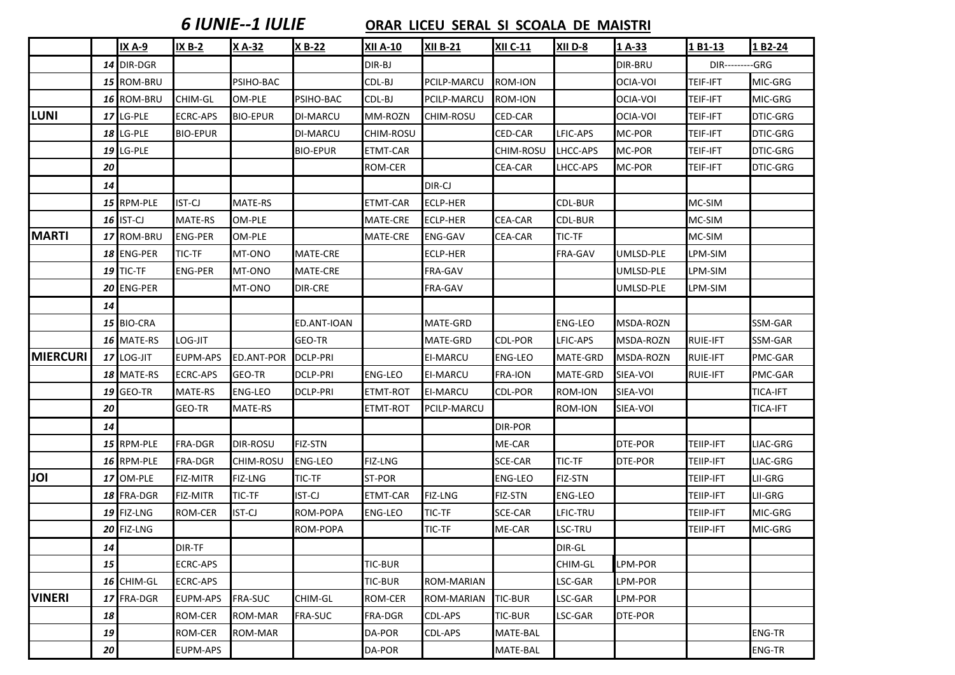### *6 IUNIE‐‐1 IULIE* **ORAR LICEU SERAL SI SCOALA DE MAISTRI**

|                 |           | <b>IX A-9</b>    | <b>IX B-2</b>   | X A-32          | <b>X B-22</b>   | <b>XII A-10</b>  | <b>XII B-21</b> | <b>XII C-11</b> | XII D-8        | 1A-33          | 1 B1-13                | 1 B2-24         |
|-----------------|-----------|------------------|-----------------|-----------------|-----------------|------------------|-----------------|-----------------|----------------|----------------|------------------------|-----------------|
|                 |           | 14 DIR-DGR       |                 |                 |                 | DIR-BJ           |                 |                 |                | DIR-BRU        | <b>DIR---------GRG</b> |                 |
|                 |           | 15 ROM-BRU       |                 | PSIHO-BAC       |                 | CDL-BJ           | PCILP-MARCU     | ROM-ION         |                | OCIA-VOI       | <b>TEIF-IFT</b>        | MIC-GRG         |
|                 |           | 16 ROM-BRU       | CHIM-GL         | OM-PLE          | PSIHO-BAC       | CDL-BJ           | PCILP-MARCU     | <b>ROM-ION</b>  |                | OCIA-VOI       | <b>TEIF-IFT</b>        | MIC-GRG         |
| <b>LUNI</b>     |           | 17 LG-PLE        | <b>ECRC-APS</b> | <b>BIO-EPUR</b> | <b>DI-MARCU</b> | MM-ROZN          | CHIM-ROSU       | <b>CED-CAR</b>  |                | OCIA-VOI       | <b>TEIF-IFT</b>        | DTIC-GRG        |
|                 |           | <b>18 LG-PLE</b> | <b>BIO-EPUR</b> |                 | <b>DI-MARCU</b> | <b>CHIM-ROSU</b> |                 | CED-CAR         | LFIC-APS       | MC-POR         | <b>TEIF-IFT</b>        | DTIC-GRG        |
|                 | 19        | LG-PLE           |                 |                 | <b>BIO-EPUR</b> | ETMT-CAR         |                 | CHIM-ROSU       | LHCC-APS       | MC-POR         | <b>TEIF-IFT</b>        | DTIC-GRG        |
|                 | 20        |                  |                 |                 |                 | ROM-CER          |                 | <b>CEA-CAR</b>  | LHCC-APS       | MC-POR         | <b>TEIF-IFT</b>        | DTIC-GRG        |
|                 | 14        |                  |                 |                 |                 |                  | DIR-CJ          |                 |                |                |                        |                 |
|                 |           | 15 RPM-PLE       | <b>IST-CJ</b>   | MATE-RS         |                 | ETMT-CAR         | ECLP-HER        |                 | CDL-BUR        |                | MC-SIM                 |                 |
|                 |           | 16 IST-CJ        | <b>MATE-RS</b>  | OM-PLE          |                 | MATE-CRE         | ECLP-HER        | CEA-CAR         | <b>CDL-BUR</b> |                | MC-SIM                 |                 |
| <b>MARTI</b>    |           | 17 ROM-BRU       | <b>ENG-PER</b>  | OM-PLE          |                 | MATE-CRE         | <b>ENG-GAV</b>  | CEA-CAR         | TIC-TF         |                | MC-SIM                 |                 |
|                 |           | 18 ENG-PER       | <b>TIC-TF</b>   | MT-ONO          | MATE-CRE        |                  | <b>ECLP-HER</b> |                 | FRA-GAV        | UMLSD-PLE      | LPM-SIM                |                 |
|                 | 19        | TIC-TF           | <b>ENG-PER</b>  | MT-ONO          | MATE-CRE        |                  | FRA-GAV         |                 |                | UMLSD-PLE      | LPM-SIM                |                 |
|                 | 20        | <b>ENG-PER</b>   |                 | MT-ONO          | DIR-CRE         |                  | FRA-GAV         |                 |                | UMLSD-PLE      | LPM-SIM                |                 |
|                 | 14        |                  |                 |                 |                 |                  |                 |                 |                |                |                        |                 |
|                 |           | 15 BIO-CRA       |                 |                 | ED.ANT-IOAN     |                  | MATE-GRD        |                 | <b>ENG-LEO</b> | MSDA-ROZN      |                        | SSM-GAR         |
|                 |           | 16 MATE-RS       | LOG-JIT         |                 | GEO-TR          |                  | MATE-GRD        | CDL-POR         | LFIC-APS       | MSDA-ROZN      | <b>RUIE-IFT</b>        | SSM-GAR         |
| <b>MIERCURI</b> |           | 17 LOG-JIT       | <b>EUPM-APS</b> | ED.ANT-POR      | <b>DCLP-PRI</b> |                  | <b>EI-MARCU</b> | <b>ENG-LEO</b>  | MATE-GRD       | MSDA-ROZN      | <b>RUIE-IFT</b>        | PMC-GAR         |
|                 |           | 18 MATE-RS       | <b>ECRC-APS</b> | GEO-TR          | <b>DCLP-PRI</b> | <b>ENG-LEO</b>   | EI-MARCU        | <b>FRA-ION</b>  | MATE-GRD       | SIEA-VOI       | <b>RUIE-IFT</b>        | PMC-GAR         |
|                 |           | <b>19 GEO-TR</b> | <b>MATE-RS</b>  | <b>ENG-LEO</b>  | <b>DCLP-PRI</b> | <b>ETMT-ROT</b>  | <b>EI-MARCU</b> | <b>CDL-POR</b>  | ROM-ION        | SIEA-VOI       |                        | <b>TICA-IFT</b> |
|                 | 20        |                  | GEO-TR          | <b>MATE-RS</b>  |                 | <b>ETMT-ROT</b>  | PCILP-MARCU     |                 | ROM-ION        | SIEA-VOI       |                        | <b>TICA-IFT</b> |
|                 | 14        |                  |                 |                 |                 |                  |                 | <b>DIR-POR</b>  |                |                |                        |                 |
|                 |           | 15 RPM-PLE       | FRA-DGR         | <b>DIR-ROSU</b> | <b>FIZ-STN</b>  |                  |                 | ME-CAR          |                | DTE-POR        | <b>TEIIP-IFT</b>       | LIAC-GRG        |
|                 |           | 16 RPM-PLE       | FRA-DGR         | CHIM-ROSU       | <b>ENG-LEO</b>  | FIZ-LNG          |                 | SCE-CAR         | TIC-TF         | <b>DTE-POR</b> | <b>TEIIP-IFT</b>       | LIAC-GRG        |
| JOI             |           | 17 OM-PLE        | <b>FIZ-MITR</b> | <b>FIZ-LNG</b>  | <b>TIC-TF</b>   | ST-POR           |                 | <b>ENG-LEO</b>  | <b>FIZ-STN</b> |                | TEIIP-IFT              | LII-GRG         |
|                 | 18        | <b>FRA-DGR</b>   | FIZ-MITR        | TIC-TF          | IST-CJ          | <b>ETMT-CAR</b>  | FIZ-LNG         | FIZ-STN         | ENG-LEO        |                | TEIIP-IFT              | LII-GRG         |
|                 |           | 19 FIZ-LNG       | <b>ROM-CER</b>  | IST-CJ          | ROM-POPA        | <b>ENG-LEO</b>   | TIC-TF          | SCE-CAR         | LFIC-TRU       |                | TEIIP-IFT              | MIC-GRG         |
|                 |           | 20 FIZ-LNG       |                 |                 | ROM-POPA        |                  | TIC-TF          | ME-CAR          | LSC-TRU        |                | TEIIP-IFT              | MIC-GRG         |
|                 | 14        |                  | DIR-TF          |                 |                 |                  |                 |                 | DIR-GL         |                |                        |                 |
|                 | 15        |                  | <b>ECRC-APS</b> |                 |                 | TIC-BUR          |                 |                 | CHIM-GL        | LPM-POR        |                        |                 |
|                 |           | 16 CHIM-GL       | <b>ECRC-APS</b> |                 |                 | <b>TIC-BUR</b>   | ROM-MARIAN      |                 | LSC-GAR        | LPM-POR        |                        |                 |
| <b>VINERI</b>   |           | 17 FRA-DGR       | <b>EUPM-APS</b> | <b>FRA-SUC</b>  | CHIM-GL         | <b>ROM-CER</b>   | ROM-MARIAN      | <b>TIC-BUR</b>  | LSC-GAR        | LPM-POR        |                        |                 |
|                 | 18        |                  | ROM-CER         | <b>ROM-MAR</b>  | <b>FRA-SUC</b>  | FRA-DGR          | CDL-APS         | TIC-BUR         | LSC-GAR        | DTE-POR        |                        |                 |
|                 | $\bf{19}$ |                  | ROM-CER         | ROM-MAR         |                 | DA-POR           | <b>CDL-APS</b>  | MATE-BAL        |                |                |                        | <b>ENG-TR</b>   |
|                 | 20        |                  | <b>EUPM-APS</b> |                 |                 | DA-POR           |                 | MATE-BAL        |                |                |                        | <b>ENG-TR</b>   |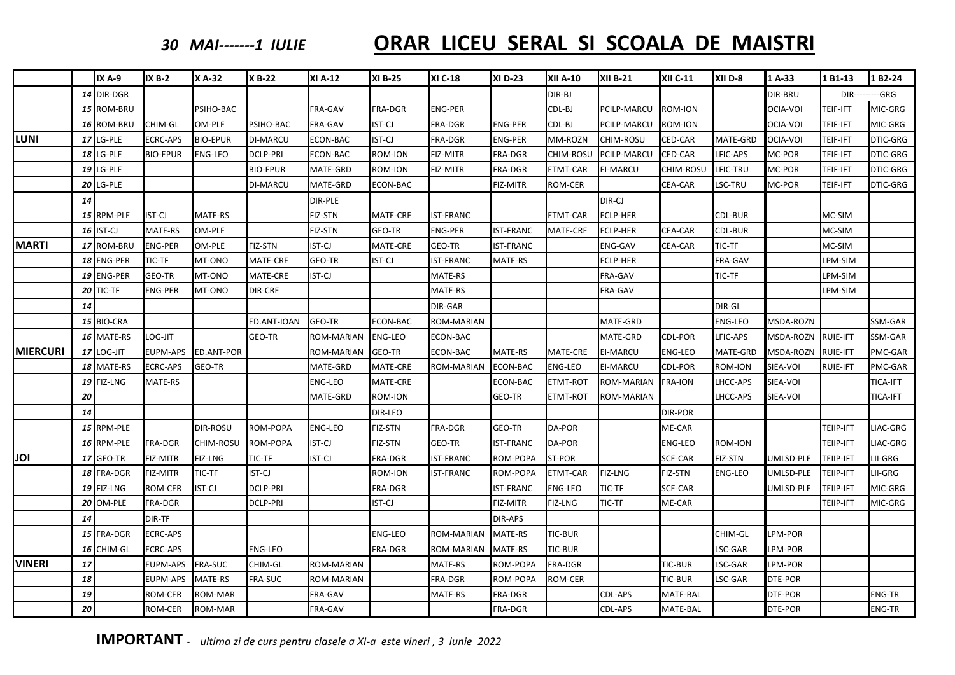### *30*

## *MAI‐‐‐‐‐‐‐<sup>1</sup> IULIE* **ORAR LICEU SERAL SI SCOALA DE MAISTRI**

|                 |    | <b>IX A-9</b>    | <b>IX B-2</b>   | X A-32          | X B-22          | XI A-12           | <b>XI B-25</b> | XI C-18          | <b>XID-23</b>    | <b>XII A-10</b> | <b>XII B-21</b> | <b>XII C-11</b> | XII D-8        | 1A-33            | L B1-13          | 1 B2-24                 |
|-----------------|----|------------------|-----------------|-----------------|-----------------|-------------------|----------------|------------------|------------------|-----------------|-----------------|-----------------|----------------|------------------|------------------|-------------------------|
|                 |    | 14 DIR-DGR       |                 |                 |                 |                   |                |                  |                  | DIR-BJ          |                 |                 |                | <b>DIR-BRU</b>   |                  | <b>DIR----------GRG</b> |
|                 |    | 15 ROM-BRU       |                 | PSIHO-BAC       |                 | FRA-GAV           | FRA-DGR        | <b>ENG-PER</b>   |                  | CDL-BJ          | PCILP-MARCU     | ROM-ION         |                | OCIA-VOI         | TEIF-IFT         | MIC-GRG                 |
|                 |    | 16 ROM-BRU       | CHIM-GL         | OM-PLE          | PSIHO-BAC       | FRA-GAV           | IST-CJ         | FRA-DGR          | <b>ENG-PER</b>   | CDL-BJ          | PCILP-MARCU     | ROM-ION         |                | OCIA-VOI         | TEIF-IFT         | MIC-GRG                 |
| <b>LUNI</b>     |    | 17 LG-PLE        | <b>ECRC-APS</b> | <b>BIO-EPUR</b> | <b>DI-MARCU</b> | ECON-BAC          | IST-CJ         | FRA-DGR          | <b>ENG-PER</b>   | MM-ROZN         | CHIM-ROSU       | CED-CAR         | MATE-GRD       | OCIA-VOI         | TEIF-IFT         | DTIC-GRG                |
|                 |    | <b>18 LG-PLE</b> | <b>BIO-EPUR</b> | <b>ENG-LEO</b>  | <b>DCLP-PRI</b> | ECON-BAC          | ROM-ION        | FIZ-MITR         | FRA-DGR          | CHIM-ROSU       | PCILP-MARCU     | CED-CAR         | LFIC-APS       | MC-POR           | TEIF-IFT         | DTIC-GRG                |
|                 |    | <b>19 LG-PLE</b> |                 |                 | <b>BIO-EPUR</b> | MATE-GRD          | ROM-ION        | FIZ-MITR         | FRA-DGR          | <b>ETMT-CAR</b> | EI-MARCU        | CHIM-ROSU       | LFIC-TRU       | MC-POR           | TEIF-IFT         | DTIC-GRG                |
|                 |    | <b>20 LG-PLE</b> |                 |                 | <b>DI-MARCU</b> | MATE-GRD          | ECON-BAC       |                  | FIZ-MITR         | ROM-CER         |                 | <b>CEA-CAR</b>  | LSC-TRU        | MC-POR           | TEIF-IFT         | <b>DTIC-GRG</b>         |
|                 | 14 |                  |                 |                 |                 | DIR-PLE           |                |                  |                  |                 | DIR-CJ          |                 |                |                  |                  |                         |
|                 |    | 15 RPM-PLE       | IST-CJ          | MATE-RS         |                 | FIZ-STN           | MATE-CRE       | <b>IST-FRANC</b> |                  | <b>ETMT-CAR</b> | <b>ECLP-HER</b> |                 | CDL-BUR        |                  | MC-SIM           |                         |
|                 |    | 16 IST-CJ        | MATE-RS         | OM-PLE          |                 | FIZ-STN           | GEO-TR         | <b>ENG-PER</b>   | <b>IST-FRANC</b> | MATE-CRE        | <b>ECLP-HER</b> | <b>CEA-CAR</b>  | CDL-BUR        |                  | MC-SIM           |                         |
| <b>MARTI</b>    |    | 17 ROM-BRU       | <b>ENG-PER</b>  | OM-PLE          | FIZ-STN         | <b>IST-CJ</b>     | MATE-CRE       | GEO-TR           | <b>IST-FRANC</b> |                 | ENG-GAV         | <b>CEA-CAR</b>  | TIC-TF         |                  | MC-SIM           |                         |
|                 |    | 18 ENG-PER       | TIC-TF          | MT-ONO          | MATE-CRE        | GEO-TR            | IST-CJ         | <b>IST-FRANC</b> | MATE-RS          |                 | ECLP-HER        |                 | FRA-GAV        |                  | LPM-SIM          |                         |
|                 |    | 19 ENG-PER       | GEO-TR          | MT-ONO          | MATE-CRE        | IST-CJ            |                | MATE-RS          |                  |                 | FRA-GAV         |                 | TIC-TF         |                  | LPM-SIM          |                         |
|                 |    | $20$ TIC-TF      | ENG-PER         | MT-ONO          | <b>DIR-CRE</b>  |                   |                | MATE-RS          |                  |                 | FRA-GAV         |                 |                |                  | LPM-SIM          |                         |
|                 | 14 |                  |                 |                 |                 |                   |                | DIR-GAR          |                  |                 |                 |                 | DIR-GL         |                  |                  |                         |
|                 |    | 15 BIO-CRA       |                 |                 | ED.ANT-IOAN     | GEO-TR            | ECON-BAC       | ROM-MARIAN       |                  |                 | MATE-GRD        |                 | <b>ENG-LEO</b> | <b>MSDA-ROZN</b> |                  | SSM-GAR                 |
|                 |    | 16 MATE-RS       | LOG-JIT         |                 | GEO-TR          | ROM-MARIAN        | <b>ENG-LEO</b> | ECON-BAC         |                  |                 | MATE-GRD        | <b>CDL-POR</b>  | LFIC-APS       | MSDA-ROZN        | <b>RUIE-IFT</b>  | SSM-GAR                 |
| <b>MIERCURI</b> |    | 17 LOG-JIT       | EUPM-APS        | ED.ANT-POR      |                 | ROM-MARIAN        | GEO-TR         | ECON-BAC         | MATE-RS          | <b>MATE-CRE</b> | EI-MARCU        | <b>ENG-LEO</b>  | MATE-GRD       | MSDA-ROZN        | <b>RUIE-IFT</b>  | PMC-GAR                 |
|                 |    | 18 MATE-RS       | <b>ECRC-APS</b> | GEO-TR          |                 | MATE-GRD          | MATE-CRE       | ROM-MARIAN       | <b>ECON-BAC</b>  | <b>ENG-LEO</b>  | EI-MARCU        | <b>CDL-POR</b>  | ROM-ION        | SIEA-VOI         | <b>RUIE-IFT</b>  | PMC-GAR                 |
|                 |    | 19 FIZ-LNG       | MATE-RS         |                 |                 | ENG-LEO           | MATE-CRE       |                  | ECON-BAC         | ETMT-ROT        | ROM-MARIAN      | <b>FRA-ION</b>  | LHCC-APS       | SIEA-VOI         |                  | TICA-IFT                |
|                 | 20 |                  |                 |                 |                 | MATE-GRD          | ROM-ION        |                  | GEO-TR           | <b>ETMT-ROT</b> | ROM-MARIAN      |                 | LHCC-APS       | SIEA-VOI         |                  | <b>TICA-IFT</b>         |
|                 | 14 |                  |                 |                 |                 |                   | DIR-LEO        |                  |                  |                 |                 | <b>DIR-POR</b>  |                |                  |                  |                         |
|                 |    | 15 RPM-PLE       |                 | <b>DIR-ROSU</b> | ROM-POPA        | <b>ENG-LEO</b>    | FIZ-STN        | FRA-DGR          | GEO-TR           | DA-POR          |                 | ME-CAR          |                |                  | TEIIP-IFT        | LIAC-GRG                |
|                 |    | 16 RPM-PLE       | <b>FRA-DGR</b>  | CHIM-ROSU       | ROM-POPA        | <b>IST-CJ</b>     | FIZ-STN        | GEO-TR           | <b>IST-FRANC</b> | DA-POR          |                 | <b>ENG-LEO</b>  | ROM-ION        |                  | TEIIP-IFT        | LIAC-GRG                |
| JOI             |    | <b>17 GEO-TR</b> | FIZ-MITR        | FIZ-LNG         | TIC-TF          | IST-CJ            | FRA-DGR        | <b>IST-FRANC</b> | ROM-POPA         | ST-POR          |                 | SCE-CAR         | FIZ-STN        | UMLSD-PLE        | <b>TEIIP-IFT</b> | LII-GRG                 |
|                 |    | 18 FRA-DGR       | FIZ-MITR        | TIC-TF          | <b>IST-CJ</b>   |                   | ROM-ION        | <b>IST-FRANC</b> | ROM-POPA         | ETMT-CAR        | FIZ-LNG         | FIZ-STN         | ENG-LEO        | UMLSD-PLE        | <b>TEIIP-IFT</b> | LII-GRG                 |
|                 |    | 19 FIZ-LNG       | ROM-CER         | <b>IST-CJ</b>   | <b>DCLP-PRI</b> |                   | FRA-DGR        |                  | <b>IST-FRANC</b> | <b>ENG-LEO</b>  | TIC-TF          | SCE-CAR         |                | UMLSD-PLE        | TEIIP-IFT        | MIC-GRG                 |
|                 |    | <b>20 OM-PLE</b> | FRA-DGR         |                 | <b>DCLP-PRI</b> |                   | <b>IST-CJ</b>  |                  | FIZ-MITR         | <b>FIZ-LNG</b>  | TIC-TF          | ME-CAR          |                |                  | TEIIP-IFT        | MIC-GRG                 |
|                 | 14 |                  | DIR-TF          |                 |                 |                   |                |                  | DIR-APS          |                 |                 |                 |                |                  |                  |                         |
|                 |    | 15 FRA-DGR       | <b>ECRC-APS</b> |                 |                 |                   | ENG-LEO        | ROM-MARIAN       | MATE-RS          | TIC-BUR         |                 |                 | CHIM-GL        | LPM-POR          |                  |                         |
|                 |    | 16 CHIM-GL       | ECRC-APS        |                 | ENG-LEO         |                   | FRA-DGR        | ROM-MARIAN       | MATE-RS          | TIC-BUR         |                 |                 | LSC-GAR        | LPM-POR          |                  |                         |
| <b>VINERI</b>   | 17 |                  | EUPM-APS        | FRA-SUC         | CHIM-GL         | <b>ROM-MARIAN</b> |                | MATE-RS          | ROM-POPA         | <b>FRA-DGR</b>  |                 | <b>TIC-BUR</b>  | LSC-GAR        | LPM-POR          |                  |                         |
|                 | 18 |                  | EUPM-APS        | MATE-RS         | FRA-SUC         | ROM-MARIAN        |                | FRA-DGR          | ROM-POPA         | ROM-CER         |                 | <b>TIC-BUR</b>  | LSC-GAR        | DTE-POR          |                  |                         |
|                 | 19 |                  | ROM-CER         | ROM-MAR         |                 | FRA-GAV           |                | MATE-RS          | FRA-DGR          |                 | CDL-APS         | MATE-BAL        |                | DTE-POR          |                  | <b>ENG-TR</b>           |
|                 | 20 |                  | ROM-CER         | ROM-MAR         |                 | FRA-GAV           |                |                  | FRA-DGR          |                 | CDL-APS         | MATE-BAL        |                | DTE-POR          |                  | <b>ENG-TR</b>           |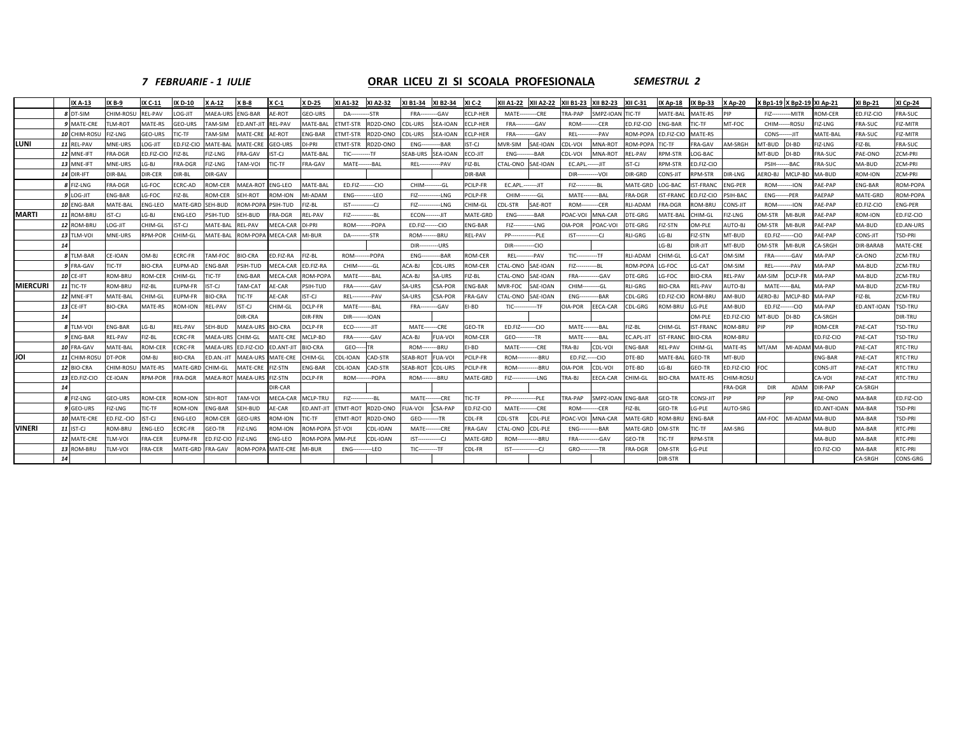### *7 FEBRUARIE ‐ 1 IULIE*

### **ORAR LICEU ZI SI SCOALA PROFESIONALA** *SEMESTRUL 2*

| CHIM-ROSU<br>REL-PAV<br>ENG-BAR<br>AE-ROT<br>FRA-SUC<br>8 DT-SIM<br>TIL-DO.<br>MAEA-URS<br><b>GEO-URS</b><br>-GAV<br>ECLP-HER<br>--CRE<br><b>TRA-PAP</b><br>SMPZ-IOAN<br>TIC-TF<br>MATE-BAL<br><b>AATE-RS</b><br><b>ROM-CER</b><br>D.FIZ-CIO<br><b>DA-</b><br>-STR<br>FRA--<br><b>MATE------</b><br><b>FIZ------------MITR</b><br>9 MATE-CRE<br>LM-ROT<br>MATE-RS<br><b>GEO-URS</b><br>TAM-SIM<br><b>REL-PAV</b><br>ETMT-STR<br>RD2D-ONO<br>SEA-IOAN<br>ED.FIZ-CIO<br><b>ENG-BAR</b><br>MT-FOC<br><b>RA-SUC</b><br>FIZ-MITR<br>ED.ANT-JI<br>MATE-BAL<br>CDL-URS<br><b>ECLP-HER</b><br><b>FRA----</b><br>-GAV<br>-CER<br>IC-TF<br>CHIM------ROSU<br>IZ-LNG<br>$ROM--$<br>10 CHIM-ROSL<br>GEO-URS<br>ROM-POPA<br><b>ATE-RS</b><br>FRA-SUC<br>FIZ-MITR<br>FIZ-LNG<br>TIC-TF<br>TAM-SIM<br>MATE-CRE<br>AE-ROT<br><b>NG-BAR</b><br><b>ETMT-STR</b><br>RD2D-ONO<br>CDL-URS<br>SEA-IOAN<br>ECLP-HER<br>-GAV<br>--PAV<br>ED.FIZ-CIO<br><b>CONS-------JIT</b><br>MATE-BAL<br>FRA---<br><b>REL----</b><br>LUNI<br>AM-SRGH<br>11 REL-PAV<br>OG-JIT<br><b>MATE-CRE</b><br>SAE-IOAN<br>ROM-POPA<br>RA-GAV<br>MT-BUD<br>IZ-BL<br>FRA-SUC<br>MNE-URS<br>ED.FIZ-CIO<br>MATE-BAL<br><b>GEO-URS</b><br>DI-PRI<br><b>TMT-STR</b><br>RD2D-ONO<br>--BAR<br>IST-CJ<br>MVR-SIM<br>CDL-VOI<br>MNA-ROT<br><b>FIC-TF</b><br>DI-BD<br><b>IZ-LNG</b><br><b>ENG---</b><br>12 MNE-IFT<br>FRA-DGR<br>ED.FIZ-CIO<br>FIZ-BL<br>RA-GAV<br>IST-CJ<br><b>TIC----------TF</b><br>SEAB-URS SEA-IOAN<br>ECO-JIT<br>$-BAR$<br>MNA-ROT<br><b>REL-PAV</b><br><b>RPM-STR</b><br>OG-BAC<br>MT-BUD<br>DI-BD<br><b>RA-SUC</b><br>PAE-ONO<br>ZCM-PRI<br>FIZ-LNG<br>MATE-BAL<br><b>ENG----</b><br>CDL-VOI<br>13 MNE-IFT<br>LG-BJ<br><b>AM-VOI</b><br>CTAL-ONO SAE-IOAN<br><b>RPM-STR</b><br><b>FRA-SUC</b><br>MA-BUD<br>ZCM-PRI<br>MNE-URS<br>FRA-DGR<br>FIZ-LNG<br>TIC-TF<br><b>RA-GAV</b><br>MATE--------BAL<br><b>REL-----------PAV</b><br>FIZ-BL<br>EC.APL .------ JIT<br>IST-CJ<br>D.FIZ-CIO<br><b>PSIH-------BAC</b><br>14 DIR-IFT<br>DIR-CER<br>DIR-BAR<br>DIR-GRD<br>MCLP-BD<br>MA-BUD<br><b>ROM-ION</b><br>ZCM-PRI<br>DIR-BAL<br>DIR-BL<br>DIR-GAV<br>DIR-----------VOI<br>CONS-JI<br>PM-STR<br>DIR-LNG<br>AERO-BJ<br>LG-FOC<br><b>ROM-CER</b><br><b>MAEA-ROT</b><br><b>ENG-LEO</b><br>PCILP-FR<br>EC.APL.-------JIT<br>MATE-GRD<br>8 FIZ-LNG<br>FRA-DGR<br>ECRC-AD<br>MATF-BAI<br>ED.FIZ--------CIO<br>CHIM----------GL<br>LOG-BAC<br><b>ST-FRANC</b><br><b>ENG-PER</b><br>PAE-PAP<br><b>ENG-BAR</b><br>FIZ--------------BL<br><b>ROM--------ION</b><br>9 LOG-JIT<br>ENG-BAR<br>LG-FOC<br>FIZ-BL<br>MI-ADAM<br>PCILP-FR<br>MATE-GRD<br><b>ROM-CER</b><br><b>EH-ROT</b><br><b>ROM-ION</b><br><b>ENG---------LEO</b><br>FIZ------------LNG<br>CHIM---------GL<br>MATE---------BAL<br>FRA-DGR<br><b>IST-FRANC</b><br>D.FIZ-CIO<br>PSIH-BAC<br><b>ENG-------PER</b><br>PAEPAP<br>SAE-ROT<br>10 ENG-BAR<br>MATE-BAL<br>ENG-LEO<br><b>ROM-POP</b><br>PSIH-TUD<br>CHIM-GL<br>CDL-STR<br><b>ROM---------CER</b><br><b>RLI-ADAM</b><br>FRA-DGR<br>ONS-JIT<br><b>AE-PAP</b><br>ED.FIZ-CIO<br><b>ENG-PER</b><br>MATE-GRD SEH-BUD<br>-iz-bl<br>FIZ-------------LNG<br>:OM-BRL<br><b>ROM--------ION</b><br><b>MARTI</b><br>11 ROM-BRL<br>ST-CJ<br>LG-BJ<br>EH-BUD<br><b>REL-PAV</b><br>--BAR<br>MNA-CAR<br>MATE-BAL<br>HIM-GL<br><b>M-STR</b><br>MI-BUR<br>AE-PAP<br>ROM-ION<br>ENG-LEO<br>PSIH-TUD<br>RA-DGR<br>FIZ----------------BL<br><b>ECON---------JIT</b><br>MATE-GRD<br>POAC-VOI<br>DTE-GRG<br>IZ-LNG<br><b>ENG---</b><br>OG-JIT<br>DI-PRI<br>ROM-------POPA<br>AUTO-BJ<br>12 ROM-BRL<br>CHIM-GL<br>ST-CJ<br>MATE-BAL<br><b>REL-PAV</b><br><b>AECA-CAR</b><br>ED.FIZ-------CIO<br><b>ENG-BAR</b><br>--LNG<br><b>DIA-POR</b><br>POAC-VOI<br><b>TE-GRG</b><br><b>IZ-STN</b><br>M-PLE<br><b>M-STR</b><br>MI-BUR<br>AE-PAP<br>MA-BUD<br>FIZ-------<br><b>RPM-POR</b><br><b>RLI-GRG</b><br>MT-BUD<br><b>TSD-PRI</b><br>13 TLM-VOI<br>MNE-URS<br>CHIM-GL<br>MATE-BAL<br>ROM-POPA MECA-CAR<br>MI-BUR<br>DA-----------STR<br><b>ROM--------BRU</b><br><b>REL-PAV</b><br>--PLE<br>LG-BJ<br>IZ-STN<br>AE-PAP<br>CONS-JIT<br><b>PP-</b> ------<br>ED.FIZ-------CIO<br>--CIO<br>LG-BJ<br><b>JIR-JIT</b><br>MT-BUD<br>)M-STR<br>MI-BUR<br>A-SRGH<br>DIR-BARAB<br><b>DIR-----------URS</b><br>DIR<br>8 TLM-BAR<br>CE-IOAN<br>OM-BJ<br>CRC-FR<br>TAM-FOC<br><b>BIO-CRA</b><br>D.FIZ-RA<br>IZ-BL<br>ROM--------POPA<br>--BAR<br><b>ROM-CER</b><br>RII-ADAM<br>G-CAT<br>OM-SIM<br>ZCM-TRU<br><b>REL-----</b><br>--PAV<br>$TIC$ -----------TF<br>CHIM-GL<br><b>FRA----------GAV</b><br>MA-PAP<br>CA-ONO<br><b>ENG----</b><br><b>BIO-CRA</b><br>PSIH-TUD<br><b>MECA-CAR</b><br>LG-FOC<br>ZCM-TRU<br>9 FRA-GAV<br>IC-TF<br>UPM-AD<br><b>ENG-BAR</b><br>ED.FIZ-RA<br>CHIM---------GL<br>ACA-BI<br>CDL-URS<br><b>ROM-CER</b><br>CTAL-ONO<br>SAE-IOAN<br>ROM-POPA<br>G-CAT<br>OM-SIM<br><b>REL---------PAV</b><br>MA-PAP<br>MA-BUD<br>FIZ---------------BL<br>DCLP-FR<br>ZCM-TRU<br><b>10 CE-IFT</b><br>ROM-BRU<br><b>ROM-CER</b><br>TIC-TF<br><b>ENG-BAR</b><br><b>MECA-CAR</b><br>ROM-POP/<br>ACA-BJ<br>SA-URS<br>FIZ-BL<br><b>CTAL-ONO</b><br>SAE-IOAN<br><b>FRA--------------GAV</b><br>DTE-GRG<br>LG-FOC<br><b>BIO-CRA</b><br>REL-PAV<br><b>M-SIM</b><br>MA-PAP<br>MA-BUD<br>HIM-GL<br>MATE-------BAL<br><b>MIERCURI</b><br>MVR-FOC<br>TIC-TF<br>ROM-BRU<br>-IZ-BL<br>IST-CJ<br>AM-CAT<br><b>AE-CAR</b><br><b>FRA----------GAV</b><br><b>CSA-POR</b><br><b>ENG-BAR</b><br>SAE-IOAN<br>CHIM---------GL<br><b>RLI-GRG</b><br><b>BIO-CRA</b><br><b>REL-PAV</b><br>AUTO-BJ<br>MATE------BAL<br>MA-PAP<br>MA-BUD<br>ZCM-TRU<br>EUPM-FR<br>PSIH-TUD<br>SA-URS<br>12 MNE-IFT<br>MATE-BAL<br>CHIM-GL<br><b>BIO-CRA</b><br>IC-TF<br>AE-CAR<br>IST-CJ<br><b>REL----------PAV</b><br>SA-URS<br><b>CSA-POR</b><br>FRA-GAV<br>TAL-ONO<br>SAE-IOAN<br>$-BAR$<br>CDL-GRG<br>OM-BRI<br>AM-BUD<br><b>AERO-BJ</b><br>MCLP-BD<br>MA-PAP<br>-IZ-BL<br>ZCM-TRU<br>UPM-FR<br><b>ENG-</b><br>D.FIZ-CIO<br>13 CE-IFT<br><b>BIO-CRA</b><br>MATE-RS<br>IST-CJ<br>CHIM-GL<br>DCLP-FR<br>MATE--------BAL<br>-GAV<br>EI-BD<br>EECA-CAR<br>CDL-GRG<br>ROM-BRU<br>AM-BUD<br>MA-PAP<br>D.ANT-IOAM<br>TSD-TRU<br><b>OM-ION</b><br>FRA<br>$TIC$ --------<br>---TF<br><b>DIA-POR</b><br>G-PLE<br>ED.FIZ-------CIO<br><b>REL-PAV</b><br>DIR-CRA<br>DIR-FRN<br>$-IOAN$<br><b>M-PLE</b><br>ED.FIZ-CIO<br>MT-BUD<br>DI-BD<br>CA-SRGH<br>DIR-TRU<br>$DIR$ ----<br>8 TLM-VOI<br>ENG-BAR<br>LG-BJ<br>REL-PAV<br>SEH-BUD<br>MAEA-URS<br><b>BIO-CRA</b><br>MATE-------CRE<br>GEO-TR<br>FIZ-BL<br><b>CHIM-GL</b><br><b>ST-FRANC</b><br>ROM-BRU<br>PIP<br><b>ROM-CER</b><br>AE-CAT<br><b>TSD-TRU</b><br>DCLP-FR<br>ECO---------JIT<br>ED.FIZ--------CIO<br>MATE---------BAL<br><b>PIP</b><br>9 ENG-BAR<br>REL-PAV<br>FIZ-BL<br>ECRC-FR<br>MAEA-URS<br>CHIM-GL<br>MATE-CRE<br>MCLP-BD<br><b>FRA----------GAV</b><br>ACA-BJ<br><b>FUA-VOI</b><br><b>ROM-CER</b><br>GEO----------TR<br>MATE---------BAL<br>EC.APL-JIT<br><b>IST-FRANC</b><br><b>BIO-CRA</b><br><b>ROM-BRU</b><br>ED.FIZ-CIO<br>PAE-CAT<br>TSD-TRU<br>RTC-TRU<br>10 FRA-GAV<br>MATE-BAL<br><b>ROM-CER</b><br>CRC-FR<br>MAEA-URS<br>ED.FIZ-CIO<br>ED.ANT-JIT<br><b>BIO-CRA</b><br>$GEO-$<br><b>ROM--------BRU</b><br>EI-BD<br><b>MATE---------CRE</b><br><b>TRA-BJ</b><br>CDL-VOI<br><b>ENG-BAR</b><br>REL-PAV<br>:HIM-GL<br>MATE-RS<br>MT/AM<br>MI-ADAM MA-BUD<br>PAE-CAT<br>-ITR<br>JOI<br>11 CHIM-ROSU<br>DT-POR<br><b>BIO-CRA</b><br>CDL-IOAN<br>CAD-STR<br>SEAB-ROT<br><b>FUA-VOI</b><br>PCILP-FR<br>DTE-BD<br>MATE-BAL<br>GEO-TR<br>MT-BUD<br>PAE-CAT<br>RTC-TRU<br>OM-BJ<br>ED.AN.-JIT<br>MAEA-URS<br><b>MATE-CRE</b><br>CHIM-GL<br>ROM-<br>--BRU<br>ED.FIZ.-----CIO<br><b>ENG-BAR</b><br>DTE-BD<br>12 BIO-CRA<br>MATE-RS<br><b>ENG-BAR</b><br>CAD-STR<br>PCILP-FR<br>--BRU<br>OIA-POR<br>LG-BJ<br>ED.FIZ-CIO<br>FOC<br>PAE-CAT<br>RTC-TRU<br>CHIM-ROSU<br><b>MATE-GRD</b><br>CHIM-GL<br><b>MATE-CRE</b><br>IZ-STN<br>CDL-IOAN<br>SEAB-ROT<br><b>CDL-URS</b><br><b>ROM------</b><br>CDL-VOI<br>GEO-TR<br>CONS-JIT<br>MAEA-URS<br>FIZ-STN<br>DCLP-FR<br>MATE-GRD<br>PAE-CAT<br>RTC-TRU<br>13 ED.FIZ-CIO<br>CE-IOAN<br>RPM-POR<br><b>RA-DGR</b><br>MAEA-ROT<br>ROM--------POPA<br><b>ROM--------BRU</b><br>FIZ-------------LNG<br>[RA-BJ<br>EECA-CAR<br>CHIM-GL<br><b>BIO-CRA</b><br>MATE-RS<br>CHIM-ROSL<br>CA-VOI<br>DIR-CAR<br>FRA-DGR<br>ADAM<br>DIR-PAP<br>CA-SRGH<br><b>DIR</b><br>GEO-URS<br>SFH-ROT<br>AM-VOI<br>MCLP-TRU<br><b>MATE--------CRE</b><br><b>TIC-TF</b><br>SMPZ-IOAN ENG-BAR<br>ONSI-JIT<br><b>PIP</b><br>PIP<br>MA-BAR<br>8 FIZ-LNG<br>ROM-CER<br><b>OM-ION</b><br><b>MECA-CAR</b><br>FIZ<br>$--B1$<br><b>PP-</b><br>-PLE<br><b>TRA-PAP</b><br>GEO-TR<br>PAE-ONO<br>9 GEO-URS<br>AE-CAR<br>ETMT-ROT<br>CSA-PAP<br>$-CRE$<br>FIZ-BL<br>GEO-TR<br>AUTO-SRG<br>FIZ-LNG<br>TIC-TF<br>ROM-ION<br><b>ENG-BAR</b><br>SEH-BUD<br>ED.ANT-JIT<br>RD2D-ONO<br>ED.FIZ-CIO<br>MATE---<br>--CER<br>G-PLE<br>ED.ANT-IOAN<br>MA-BAR<br><b>TSD-PRI</b><br>UA-VOI<br><b>ROM---</b><br>ED.FIZ.-CIO<br>IST-CJ<br>GEO-URS<br>CDL-PLE<br>AM-FOC<br>10 MATE-CRE<br>ENG-LEO<br><b>ROM-CER</b><br><b>ROM-ION</b><br><b>TIC-TF</b><br>ETMT-ROT<br>RD2D-ONO<br>GEO---------TR<br>CDL-FR<br>POAC-VOL<br>MNA-CAR<br><b>MATE-GRD</b><br><b>ROM-BRL</b><br>NG-BAR<br>MI-ADAM MA-BUD<br>MA-BAR<br><b>TSD-PRI</b><br>CDL-STR<br><b>VINERI</b><br>11 IST-CJ<br><b>OM-BRU</b><br>ENG-LEO<br>CRC-FR<br>GEO-TR<br>FIZ-LNG<br><b>ROM-ION</b><br>ROM-POPA<br>ST-VOI<br>CDL-IOAN<br>TAL-ONO CDL-PLE<br>OM-STR<br>IC-TF<br>AM-SRG<br>MA-BUD<br>MA-BAR<br>RTC-PRI<br>MATE--------CRE<br><b>RA-GAV</b><br><b>ENG-----------BAR</b><br>MATE-GRD<br>12 MATE-CRE<br>LM-VOI<br>FRA-CER<br><b>FIZ-LNG</b><br>NG-LEO<br>CDL-IOAN<br>RTC-PRI<br>UPM-FR<br>ED.FIZ-CIO<br>ROM-POPA<br>MM-PLE<br>$IST$ $CI$<br>MATE-GRD<br><b>ROM---</b><br>-BRU<br><b>FRA-------------GAV</b><br>GEO-TR<br>IC-TF<br>PM-STR<br>MA-BUD<br>MA-BAR<br>13 ROM-BRU<br>RTC-PRI<br>LM-VOI<br><b>RA-CER</b><br><b>MATE-GRD FRA-GAV</b><br>OM-POPA MATE-CRE<br>MI-BUR<br>-LEO<br>CDL-FR<br><b>RA-DGR</b><br><b>DM-STR</b><br>G-PLE<br>ED.FIZ-CIO<br>MA-BAR<br><b>ENG---</b><br>$TIC$ ----------TF<br>IST<br>--CJ<br>GRO----------TR |  | <b>IX A-13</b> | IX B-9 | IX C-11 | IX D-10 | XA-12 | $X B - 8$ | $X C-1$ | XD-25 | XI A1-32 | XI A2-32 | XI B1-34 | XI B2-34 | XI C-2 | XII A1-22   XII A2-22 | <b>XII B1-23</b> | XII B2-23 | <b>XII C-31</b> | <b>IX Ap-18</b> | IX Bp-33 | <b>XAp-20</b> | K Bp1-19 X Bp2-19 XI Ap-21 | <b>XI Bp-21</b> | XI Cp-24   |
|-----------------------------------------------------------------------------------------------------------------------------------------------------------------------------------------------------------------------------------------------------------------------------------------------------------------------------------------------------------------------------------------------------------------------------------------------------------------------------------------------------------------------------------------------------------------------------------------------------------------------------------------------------------------------------------------------------------------------------------------------------------------------------------------------------------------------------------------------------------------------------------------------------------------------------------------------------------------------------------------------------------------------------------------------------------------------------------------------------------------------------------------------------------------------------------------------------------------------------------------------------------------------------------------------------------------------------------------------------------------------------------------------------------------------------------------------------------------------------------------------------------------------------------------------------------------------------------------------------------------------------------------------------------------------------------------------------------------------------------------------------------------------------------------------------------------------------------------------------------------------------------------------------------------------------------------------------------------------------------------------------------------------------------------------------------------------------------------------------------------------------------------------------------------------------------------------------------------------------------------------------------------------------------------------------------------------------------------------------------------------------------------------------------------------------------------------------------------------------------------------------------------------------------------------------------------------------------------------------------------------------------------------------------------------------------------------------------------------------------------------------------------------------------------------------------------------------------------------------------------------------------------------------------------------------------------------------------------------------------------------------------------------------------------------------------------------------------------------------------------------------------------------------------------------------------------------------------------------------------------------------------------------------------------------------------------------------------------------------------------------------------------------------------------------------------------------------------------------------------------------------------------------------------------------------------------------------------------------------------------------------------------------------------------------------------------------------------------------------------------------------------------------------------------------------------------------------------------------------------------------------------------------------------------------------------------------------------------------------------------------------------------------------------------------------------------------------------------------------------------------------------------------------------------------------------------------------------------------------------------------------------------------------------------------------------------------------------------------------------------------------------------------------------------------------------------------------------------------------------------------------------------------------------------------------------------------------------------------------------------------------------------------------------------------------------------------------------------------------------------------------------------------------------------------------------------------------------------------------------------------------------------------------------------------------------------------------------------------------------------------------------------------------------------------------------------------------------------------------------------------------------------------------------------------------------------------------------------------------------------------------------------------------------------------------------------------------------------------------------------------------------------------------------------------------------------------------------------------------------------------------------------------------------------------------------------------------------------------------------------------------------------------------------------------------------------------------------------------------------------------------------------------------------------------------------------------------------------------------------------------------------------------------------------------------------------------------------------------------------------------------------------------------------------------------------------------------------------------------------------------------------------------------------------------------------------------------------------------------------------------------------------------------------------------------------------------------------------------------------------------------------------------------------------------------------------------------------------------------------------------------------------------------------------------------------------------------------------------------------------------------------------------------------------------------------------------------------------------------------------------------------------------------------------------------------------------------------------------------------------------------------------------------------------------------------------------------------------------------------------------------------------------------------------------------------------------------------------------------------------------------------------------------------------------------------------------------------------------------------------------------------------------------------------------------------------------------------------------------------------------------------------------------------------------------------------------------------------------------------------------------------------------------------------------------------------------------------------------------------------------------------------------------------------------------------------------------------------------------------------------------------------------------------------------------------------------------------------------------------------------------------------------------------------------------------------------------------------------------------------------------------------------------------------------------------------------------------------------------------------------------------------------------------------------------------------------------------------------------------------------------------------------------------------------------------------------------------------------------------------------------------------------------------------------------------------------------------------------------------------------------------------------------------------------------------------------------------------------------------------------------------------------------------------------------------------------------------------------------------------------------------------------------------------------------------------------------------------------------------------------------------------------------------------------------------------------------------------------------------------------------------------------------------------------------------------------------------------------------------------------------------------------------------------------------------------------------------------------------------------------------------------------------------------------------------------------------------------------------------------------------------------------------------------------------------------------------------------------------------------------------------------------------------------------------------------------------------------------------------------------------------------------------------------------------------------------------------------------------------------------------------------------------------------------------------------------------------------------------------------------------------------------------------------------------------------------------------------------------------------------------------------------------------------------------------------------------------------------------------------------------------|--|----------------|--------|---------|---------|-------|-----------|---------|-------|----------|----------|----------|----------|--------|-----------------------|------------------|-----------|-----------------|-----------------|----------|---------------|----------------------------|-----------------|------------|
|                                                                                                                                                                                                                                                                                                                                                                                                                                                                                                                                                                                                                                                                                                                                                                                                                                                                                                                                                                                                                                                                                                                                                                                                                                                                                                                                                                                                                                                                                                                                                                                                                                                                                                                                                                                                                                                                                                                                                                                                                                                                                                                                                                                                                                                                                                                                                                                                                                                                                                                                                                                                                                                                                                                                                                                                                                                                                                                                                                                                                                                                                                                                                                                                                                                                                                                                                                                                                                                                                                                                                                                                                                                                                                                                                                                                                                                                                                                                                                                                                                                                                                                                                                                                                                                                                                                                                                                                                                                                                                                                                                                                                                                                                                                                                                                                                                                                                                                                                                                                                                                                                                                                                                                                                                                                                                                                                                                                                                                                                                                                                                                                                                                                                                                                                                                                                                                                                                                                                                                                                                                                                                                                                                                                                                                                                                                                                                                                                                                                                                                                                                                                                                                                                                                                                                                                                                                                                                                                                                                                                                                                                                                                                                                                                                                                                                                                                                                                                                                                                                                                                                                                                                                                                                                                                                                                                                                                                                                                                                                                                                                                                                                                                                                                                                                                                                                                                                                                                                                                                                                                                                                                                                                                                                                                                                                                                                                                                                                                                                                                                                                                                                                                                                                                                                                                                                                                                                                                                                                                                                                                                                                                                                                                                                                                                                                                                                                                                                                                                                                                                                                                                                                                   |  |                |        |         |         |       |           |         |       |          |          |          |          |        |                       |                  |           |                 |                 |          |               |                            |                 |            |
|                                                                                                                                                                                                                                                                                                                                                                                                                                                                                                                                                                                                                                                                                                                                                                                                                                                                                                                                                                                                                                                                                                                                                                                                                                                                                                                                                                                                                                                                                                                                                                                                                                                                                                                                                                                                                                                                                                                                                                                                                                                                                                                                                                                                                                                                                                                                                                                                                                                                                                                                                                                                                                                                                                                                                                                                                                                                                                                                                                                                                                                                                                                                                                                                                                                                                                                                                                                                                                                                                                                                                                                                                                                                                                                                                                                                                                                                                                                                                                                                                                                                                                                                                                                                                                                                                                                                                                                                                                                                                                                                                                                                                                                                                                                                                                                                                                                                                                                                                                                                                                                                                                                                                                                                                                                                                                                                                                                                                                                                                                                                                                                                                                                                                                                                                                                                                                                                                                                                                                                                                                                                                                                                                                                                                                                                                                                                                                                                                                                                                                                                                                                                                                                                                                                                                                                                                                                                                                                                                                                                                                                                                                                                                                                                                                                                                                                                                                                                                                                                                                                                                                                                                                                                                                                                                                                                                                                                                                                                                                                                                                                                                                                                                                                                                                                                                                                                                                                                                                                                                                                                                                                                                                                                                                                                                                                                                                                                                                                                                                                                                                                                                                                                                                                                                                                                                                                                                                                                                                                                                                                                                                                                                                                                                                                                                                                                                                                                                                                                                                                                                                                                                                                                   |  |                |        |         |         |       |           |         |       |          |          |          |          |        |                       |                  |           |                 |                 |          |               |                            |                 |            |
|                                                                                                                                                                                                                                                                                                                                                                                                                                                                                                                                                                                                                                                                                                                                                                                                                                                                                                                                                                                                                                                                                                                                                                                                                                                                                                                                                                                                                                                                                                                                                                                                                                                                                                                                                                                                                                                                                                                                                                                                                                                                                                                                                                                                                                                                                                                                                                                                                                                                                                                                                                                                                                                                                                                                                                                                                                                                                                                                                                                                                                                                                                                                                                                                                                                                                                                                                                                                                                                                                                                                                                                                                                                                                                                                                                                                                                                                                                                                                                                                                                                                                                                                                                                                                                                                                                                                                                                                                                                                                                                                                                                                                                                                                                                                                                                                                                                                                                                                                                                                                                                                                                                                                                                                                                                                                                                                                                                                                                                                                                                                                                                                                                                                                                                                                                                                                                                                                                                                                                                                                                                                                                                                                                                                                                                                                                                                                                                                                                                                                                                                                                                                                                                                                                                                                                                                                                                                                                                                                                                                                                                                                                                                                                                                                                                                                                                                                                                                                                                                                                                                                                                                                                                                                                                                                                                                                                                                                                                                                                                                                                                                                                                                                                                                                                                                                                                                                                                                                                                                                                                                                                                                                                                                                                                                                                                                                                                                                                                                                                                                                                                                                                                                                                                                                                                                                                                                                                                                                                                                                                                                                                                                                                                                                                                                                                                                                                                                                                                                                                                                                                                                                                                                   |  |                |        |         |         |       |           |         |       |          |          |          |          |        |                       |                  |           |                 |                 |          |               |                            |                 |            |
|                                                                                                                                                                                                                                                                                                                                                                                                                                                                                                                                                                                                                                                                                                                                                                                                                                                                                                                                                                                                                                                                                                                                                                                                                                                                                                                                                                                                                                                                                                                                                                                                                                                                                                                                                                                                                                                                                                                                                                                                                                                                                                                                                                                                                                                                                                                                                                                                                                                                                                                                                                                                                                                                                                                                                                                                                                                                                                                                                                                                                                                                                                                                                                                                                                                                                                                                                                                                                                                                                                                                                                                                                                                                                                                                                                                                                                                                                                                                                                                                                                                                                                                                                                                                                                                                                                                                                                                                                                                                                                                                                                                                                                                                                                                                                                                                                                                                                                                                                                                                                                                                                                                                                                                                                                                                                                                                                                                                                                                                                                                                                                                                                                                                                                                                                                                                                                                                                                                                                                                                                                                                                                                                                                                                                                                                                                                                                                                                                                                                                                                                                                                                                                                                                                                                                                                                                                                                                                                                                                                                                                                                                                                                                                                                                                                                                                                                                                                                                                                                                                                                                                                                                                                                                                                                                                                                                                                                                                                                                                                                                                                                                                                                                                                                                                                                                                                                                                                                                                                                                                                                                                                                                                                                                                                                                                                                                                                                                                                                                                                                                                                                                                                                                                                                                                                                                                                                                                                                                                                                                                                                                                                                                                                                                                                                                                                                                                                                                                                                                                                                                                                                                                                                   |  |                |        |         |         |       |           |         |       |          |          |          |          |        |                       |                  |           |                 |                 |          |               |                            |                 |            |
|                                                                                                                                                                                                                                                                                                                                                                                                                                                                                                                                                                                                                                                                                                                                                                                                                                                                                                                                                                                                                                                                                                                                                                                                                                                                                                                                                                                                                                                                                                                                                                                                                                                                                                                                                                                                                                                                                                                                                                                                                                                                                                                                                                                                                                                                                                                                                                                                                                                                                                                                                                                                                                                                                                                                                                                                                                                                                                                                                                                                                                                                                                                                                                                                                                                                                                                                                                                                                                                                                                                                                                                                                                                                                                                                                                                                                                                                                                                                                                                                                                                                                                                                                                                                                                                                                                                                                                                                                                                                                                                                                                                                                                                                                                                                                                                                                                                                                                                                                                                                                                                                                                                                                                                                                                                                                                                                                                                                                                                                                                                                                                                                                                                                                                                                                                                                                                                                                                                                                                                                                                                                                                                                                                                                                                                                                                                                                                                                                                                                                                                                                                                                                                                                                                                                                                                                                                                                                                                                                                                                                                                                                                                                                                                                                                                                                                                                                                                                                                                                                                                                                                                                                                                                                                                                                                                                                                                                                                                                                                                                                                                                                                                                                                                                                                                                                                                                                                                                                                                                                                                                                                                                                                                                                                                                                                                                                                                                                                                                                                                                                                                                                                                                                                                                                                                                                                                                                                                                                                                                                                                                                                                                                                                                                                                                                                                                                                                                                                                                                                                                                                                                                                                                   |  |                |        |         |         |       |           |         |       |          |          |          |          |        |                       |                  |           |                 |                 |          |               |                            |                 |            |
|                                                                                                                                                                                                                                                                                                                                                                                                                                                                                                                                                                                                                                                                                                                                                                                                                                                                                                                                                                                                                                                                                                                                                                                                                                                                                                                                                                                                                                                                                                                                                                                                                                                                                                                                                                                                                                                                                                                                                                                                                                                                                                                                                                                                                                                                                                                                                                                                                                                                                                                                                                                                                                                                                                                                                                                                                                                                                                                                                                                                                                                                                                                                                                                                                                                                                                                                                                                                                                                                                                                                                                                                                                                                                                                                                                                                                                                                                                                                                                                                                                                                                                                                                                                                                                                                                                                                                                                                                                                                                                                                                                                                                                                                                                                                                                                                                                                                                                                                                                                                                                                                                                                                                                                                                                                                                                                                                                                                                                                                                                                                                                                                                                                                                                                                                                                                                                                                                                                                                                                                                                                                                                                                                                                                                                                                                                                                                                                                                                                                                                                                                                                                                                                                                                                                                                                                                                                                                                                                                                                                                                                                                                                                                                                                                                                                                                                                                                                                                                                                                                                                                                                                                                                                                                                                                                                                                                                                                                                                                                                                                                                                                                                                                                                                                                                                                                                                                                                                                                                                                                                                                                                                                                                                                                                                                                                                                                                                                                                                                                                                                                                                                                                                                                                                                                                                                                                                                                                                                                                                                                                                                                                                                                                                                                                                                                                                                                                                                                                                                                                                                                                                                                                                   |  |                |        |         |         |       |           |         |       |          |          |          |          |        |                       |                  |           |                 |                 |          |               |                            |                 |            |
|                                                                                                                                                                                                                                                                                                                                                                                                                                                                                                                                                                                                                                                                                                                                                                                                                                                                                                                                                                                                                                                                                                                                                                                                                                                                                                                                                                                                                                                                                                                                                                                                                                                                                                                                                                                                                                                                                                                                                                                                                                                                                                                                                                                                                                                                                                                                                                                                                                                                                                                                                                                                                                                                                                                                                                                                                                                                                                                                                                                                                                                                                                                                                                                                                                                                                                                                                                                                                                                                                                                                                                                                                                                                                                                                                                                                                                                                                                                                                                                                                                                                                                                                                                                                                                                                                                                                                                                                                                                                                                                                                                                                                                                                                                                                                                                                                                                                                                                                                                                                                                                                                                                                                                                                                                                                                                                                                                                                                                                                                                                                                                                                                                                                                                                                                                                                                                                                                                                                                                                                                                                                                                                                                                                                                                                                                                                                                                                                                                                                                                                                                                                                                                                                                                                                                                                                                                                                                                                                                                                                                                                                                                                                                                                                                                                                                                                                                                                                                                                                                                                                                                                                                                                                                                                                                                                                                                                                                                                                                                                                                                                                                                                                                                                                                                                                                                                                                                                                                                                                                                                                                                                                                                                                                                                                                                                                                                                                                                                                                                                                                                                                                                                                                                                                                                                                                                                                                                                                                                                                                                                                                                                                                                                                                                                                                                                                                                                                                                                                                                                                                                                                                                                                   |  |                |        |         |         |       |           |         |       |          |          |          |          |        |                       |                  |           |                 |                 |          |               |                            |                 |            |
|                                                                                                                                                                                                                                                                                                                                                                                                                                                                                                                                                                                                                                                                                                                                                                                                                                                                                                                                                                                                                                                                                                                                                                                                                                                                                                                                                                                                                                                                                                                                                                                                                                                                                                                                                                                                                                                                                                                                                                                                                                                                                                                                                                                                                                                                                                                                                                                                                                                                                                                                                                                                                                                                                                                                                                                                                                                                                                                                                                                                                                                                                                                                                                                                                                                                                                                                                                                                                                                                                                                                                                                                                                                                                                                                                                                                                                                                                                                                                                                                                                                                                                                                                                                                                                                                                                                                                                                                                                                                                                                                                                                                                                                                                                                                                                                                                                                                                                                                                                                                                                                                                                                                                                                                                                                                                                                                                                                                                                                                                                                                                                                                                                                                                                                                                                                                                                                                                                                                                                                                                                                                                                                                                                                                                                                                                                                                                                                                                                                                                                                                                                                                                                                                                                                                                                                                                                                                                                                                                                                                                                                                                                                                                                                                                                                                                                                                                                                                                                                                                                                                                                                                                                                                                                                                                                                                                                                                                                                                                                                                                                                                                                                                                                                                                                                                                                                                                                                                                                                                                                                                                                                                                                                                                                                                                                                                                                                                                                                                                                                                                                                                                                                                                                                                                                                                                                                                                                                                                                                                                                                                                                                                                                                                                                                                                                                                                                                                                                                                                                                                                                                                                                                                   |  |                |        |         |         |       |           |         |       |          |          |          |          |        |                       |                  |           |                 |                 |          |               |                            |                 | ROM-POPA   |
|                                                                                                                                                                                                                                                                                                                                                                                                                                                                                                                                                                                                                                                                                                                                                                                                                                                                                                                                                                                                                                                                                                                                                                                                                                                                                                                                                                                                                                                                                                                                                                                                                                                                                                                                                                                                                                                                                                                                                                                                                                                                                                                                                                                                                                                                                                                                                                                                                                                                                                                                                                                                                                                                                                                                                                                                                                                                                                                                                                                                                                                                                                                                                                                                                                                                                                                                                                                                                                                                                                                                                                                                                                                                                                                                                                                                                                                                                                                                                                                                                                                                                                                                                                                                                                                                                                                                                                                                                                                                                                                                                                                                                                                                                                                                                                                                                                                                                                                                                                                                                                                                                                                                                                                                                                                                                                                                                                                                                                                                                                                                                                                                                                                                                                                                                                                                                                                                                                                                                                                                                                                                                                                                                                                                                                                                                                                                                                                                                                                                                                                                                                                                                                                                                                                                                                                                                                                                                                                                                                                                                                                                                                                                                                                                                                                                                                                                                                                                                                                                                                                                                                                                                                                                                                                                                                                                                                                                                                                                                                                                                                                                                                                                                                                                                                                                                                                                                                                                                                                                                                                                                                                                                                                                                                                                                                                                                                                                                                                                                                                                                                                                                                                                                                                                                                                                                                                                                                                                                                                                                                                                                                                                                                                                                                                                                                                                                                                                                                                                                                                                                                                                                                                                   |  |                |        |         |         |       |           |         |       |          |          |          |          |        |                       |                  |           |                 |                 |          |               |                            |                 | ROM-POPA   |
|                                                                                                                                                                                                                                                                                                                                                                                                                                                                                                                                                                                                                                                                                                                                                                                                                                                                                                                                                                                                                                                                                                                                                                                                                                                                                                                                                                                                                                                                                                                                                                                                                                                                                                                                                                                                                                                                                                                                                                                                                                                                                                                                                                                                                                                                                                                                                                                                                                                                                                                                                                                                                                                                                                                                                                                                                                                                                                                                                                                                                                                                                                                                                                                                                                                                                                                                                                                                                                                                                                                                                                                                                                                                                                                                                                                                                                                                                                                                                                                                                                                                                                                                                                                                                                                                                                                                                                                                                                                                                                                                                                                                                                                                                                                                                                                                                                                                                                                                                                                                                                                                                                                                                                                                                                                                                                                                                                                                                                                                                                                                                                                                                                                                                                                                                                                                                                                                                                                                                                                                                                                                                                                                                                                                                                                                                                                                                                                                                                                                                                                                                                                                                                                                                                                                                                                                                                                                                                                                                                                                                                                                                                                                                                                                                                                                                                                                                                                                                                                                                                                                                                                                                                                                                                                                                                                                                                                                                                                                                                                                                                                                                                                                                                                                                                                                                                                                                                                                                                                                                                                                                                                                                                                                                                                                                                                                                                                                                                                                                                                                                                                                                                                                                                                                                                                                                                                                                                                                                                                                                                                                                                                                                                                                                                                                                                                                                                                                                                                                                                                                                                                                                                                                   |  |                |        |         |         |       |           |         |       |          |          |          |          |        |                       |                  |           |                 |                 |          |               |                            |                 |            |
|                                                                                                                                                                                                                                                                                                                                                                                                                                                                                                                                                                                                                                                                                                                                                                                                                                                                                                                                                                                                                                                                                                                                                                                                                                                                                                                                                                                                                                                                                                                                                                                                                                                                                                                                                                                                                                                                                                                                                                                                                                                                                                                                                                                                                                                                                                                                                                                                                                                                                                                                                                                                                                                                                                                                                                                                                                                                                                                                                                                                                                                                                                                                                                                                                                                                                                                                                                                                                                                                                                                                                                                                                                                                                                                                                                                                                                                                                                                                                                                                                                                                                                                                                                                                                                                                                                                                                                                                                                                                                                                                                                                                                                                                                                                                                                                                                                                                                                                                                                                                                                                                                                                                                                                                                                                                                                                                                                                                                                                                                                                                                                                                                                                                                                                                                                                                                                                                                                                                                                                                                                                                                                                                                                                                                                                                                                                                                                                                                                                                                                                                                                                                                                                                                                                                                                                                                                                                                                                                                                                                                                                                                                                                                                                                                                                                                                                                                                                                                                                                                                                                                                                                                                                                                                                                                                                                                                                                                                                                                                                                                                                                                                                                                                                                                                                                                                                                                                                                                                                                                                                                                                                                                                                                                                                                                                                                                                                                                                                                                                                                                                                                                                                                                                                                                                                                                                                                                                                                                                                                                                                                                                                                                                                                                                                                                                                                                                                                                                                                                                                                                                                                                                                                   |  |                |        |         |         |       |           |         |       |          |          |          |          |        |                       |                  |           |                 |                 |          |               |                            |                 | ED.FIZ-CIO |
|                                                                                                                                                                                                                                                                                                                                                                                                                                                                                                                                                                                                                                                                                                                                                                                                                                                                                                                                                                                                                                                                                                                                                                                                                                                                                                                                                                                                                                                                                                                                                                                                                                                                                                                                                                                                                                                                                                                                                                                                                                                                                                                                                                                                                                                                                                                                                                                                                                                                                                                                                                                                                                                                                                                                                                                                                                                                                                                                                                                                                                                                                                                                                                                                                                                                                                                                                                                                                                                                                                                                                                                                                                                                                                                                                                                                                                                                                                                                                                                                                                                                                                                                                                                                                                                                                                                                                                                                                                                                                                                                                                                                                                                                                                                                                                                                                                                                                                                                                                                                                                                                                                                                                                                                                                                                                                                                                                                                                                                                                                                                                                                                                                                                                                                                                                                                                                                                                                                                                                                                                                                                                                                                                                                                                                                                                                                                                                                                                                                                                                                                                                                                                                                                                                                                                                                                                                                                                                                                                                                                                                                                                                                                                                                                                                                                                                                                                                                                                                                                                                                                                                                                                                                                                                                                                                                                                                                                                                                                                                                                                                                                                                                                                                                                                                                                                                                                                                                                                                                                                                                                                                                                                                                                                                                                                                                                                                                                                                                                                                                                                                                                                                                                                                                                                                                                                                                                                                                                                                                                                                                                                                                                                                                                                                                                                                                                                                                                                                                                                                                                                                                                                                                                   |  |                |        |         |         |       |           |         |       |          |          |          |          |        |                       |                  |           |                 |                 |          |               |                            |                 | ED.AN-URS  |
|                                                                                                                                                                                                                                                                                                                                                                                                                                                                                                                                                                                                                                                                                                                                                                                                                                                                                                                                                                                                                                                                                                                                                                                                                                                                                                                                                                                                                                                                                                                                                                                                                                                                                                                                                                                                                                                                                                                                                                                                                                                                                                                                                                                                                                                                                                                                                                                                                                                                                                                                                                                                                                                                                                                                                                                                                                                                                                                                                                                                                                                                                                                                                                                                                                                                                                                                                                                                                                                                                                                                                                                                                                                                                                                                                                                                                                                                                                                                                                                                                                                                                                                                                                                                                                                                                                                                                                                                                                                                                                                                                                                                                                                                                                                                                                                                                                                                                                                                                                                                                                                                                                                                                                                                                                                                                                                                                                                                                                                                                                                                                                                                                                                                                                                                                                                                                                                                                                                                                                                                                                                                                                                                                                                                                                                                                                                                                                                                                                                                                                                                                                                                                                                                                                                                                                                                                                                                                                                                                                                                                                                                                                                                                                                                                                                                                                                                                                                                                                                                                                                                                                                                                                                                                                                                                                                                                                                                                                                                                                                                                                                                                                                                                                                                                                                                                                                                                                                                                                                                                                                                                                                                                                                                                                                                                                                                                                                                                                                                                                                                                                                                                                                                                                                                                                                                                                                                                                                                                                                                                                                                                                                                                                                                                                                                                                                                                                                                                                                                                                                                                                                                                                                                   |  |                |        |         |         |       |           |         |       |          |          |          |          |        |                       |                  |           |                 |                 |          |               |                            |                 |            |
|                                                                                                                                                                                                                                                                                                                                                                                                                                                                                                                                                                                                                                                                                                                                                                                                                                                                                                                                                                                                                                                                                                                                                                                                                                                                                                                                                                                                                                                                                                                                                                                                                                                                                                                                                                                                                                                                                                                                                                                                                                                                                                                                                                                                                                                                                                                                                                                                                                                                                                                                                                                                                                                                                                                                                                                                                                                                                                                                                                                                                                                                                                                                                                                                                                                                                                                                                                                                                                                                                                                                                                                                                                                                                                                                                                                                                                                                                                                                                                                                                                                                                                                                                                                                                                                                                                                                                                                                                                                                                                                                                                                                                                                                                                                                                                                                                                                                                                                                                                                                                                                                                                                                                                                                                                                                                                                                                                                                                                                                                                                                                                                                                                                                                                                                                                                                                                                                                                                                                                                                                                                                                                                                                                                                                                                                                                                                                                                                                                                                                                                                                                                                                                                                                                                                                                                                                                                                                                                                                                                                                                                                                                                                                                                                                                                                                                                                                                                                                                                                                                                                                                                                                                                                                                                                                                                                                                                                                                                                                                                                                                                                                                                                                                                                                                                                                                                                                                                                                                                                                                                                                                                                                                                                                                                                                                                                                                                                                                                                                                                                                                                                                                                                                                                                                                                                                                                                                                                                                                                                                                                                                                                                                                                                                                                                                                                                                                                                                                                                                                                                                                                                                                                                   |  |                |        |         |         |       |           |         |       |          |          |          |          |        |                       |                  |           |                 |                 |          |               |                            |                 | MATE-CRE   |
|                                                                                                                                                                                                                                                                                                                                                                                                                                                                                                                                                                                                                                                                                                                                                                                                                                                                                                                                                                                                                                                                                                                                                                                                                                                                                                                                                                                                                                                                                                                                                                                                                                                                                                                                                                                                                                                                                                                                                                                                                                                                                                                                                                                                                                                                                                                                                                                                                                                                                                                                                                                                                                                                                                                                                                                                                                                                                                                                                                                                                                                                                                                                                                                                                                                                                                                                                                                                                                                                                                                                                                                                                                                                                                                                                                                                                                                                                                                                                                                                                                                                                                                                                                                                                                                                                                                                                                                                                                                                                                                                                                                                                                                                                                                                                                                                                                                                                                                                                                                                                                                                                                                                                                                                                                                                                                                                                                                                                                                                                                                                                                                                                                                                                                                                                                                                                                                                                                                                                                                                                                                                                                                                                                                                                                                                                                                                                                                                                                                                                                                                                                                                                                                                                                                                                                                                                                                                                                                                                                                                                                                                                                                                                                                                                                                                                                                                                                                                                                                                                                                                                                                                                                                                                                                                                                                                                                                                                                                                                                                                                                                                                                                                                                                                                                                                                                                                                                                                                                                                                                                                                                                                                                                                                                                                                                                                                                                                                                                                                                                                                                                                                                                                                                                                                                                                                                                                                                                                                                                                                                                                                                                                                                                                                                                                                                                                                                                                                                                                                                                                                                                                                                                                   |  |                |        |         |         |       |           |         |       |          |          |          |          |        |                       |                  |           |                 |                 |          |               |                            |                 |            |
|                                                                                                                                                                                                                                                                                                                                                                                                                                                                                                                                                                                                                                                                                                                                                                                                                                                                                                                                                                                                                                                                                                                                                                                                                                                                                                                                                                                                                                                                                                                                                                                                                                                                                                                                                                                                                                                                                                                                                                                                                                                                                                                                                                                                                                                                                                                                                                                                                                                                                                                                                                                                                                                                                                                                                                                                                                                                                                                                                                                                                                                                                                                                                                                                                                                                                                                                                                                                                                                                                                                                                                                                                                                                                                                                                                                                                                                                                                                                                                                                                                                                                                                                                                                                                                                                                                                                                                                                                                                                                                                                                                                                                                                                                                                                                                                                                                                                                                                                                                                                                                                                                                                                                                                                                                                                                                                                                                                                                                                                                                                                                                                                                                                                                                                                                                                                                                                                                                                                                                                                                                                                                                                                                                                                                                                                                                                                                                                                                                                                                                                                                                                                                                                                                                                                                                                                                                                                                                                                                                                                                                                                                                                                                                                                                                                                                                                                                                                                                                                                                                                                                                                                                                                                                                                                                                                                                                                                                                                                                                                                                                                                                                                                                                                                                                                                                                                                                                                                                                                                                                                                                                                                                                                                                                                                                                                                                                                                                                                                                                                                                                                                                                                                                                                                                                                                                                                                                                                                                                                                                                                                                                                                                                                                                                                                                                                                                                                                                                                                                                                                                                                                                                                                   |  |                |        |         |         |       |           |         |       |          |          |          |          |        |                       |                  |           |                 |                 |          |               |                            |                 |            |
|                                                                                                                                                                                                                                                                                                                                                                                                                                                                                                                                                                                                                                                                                                                                                                                                                                                                                                                                                                                                                                                                                                                                                                                                                                                                                                                                                                                                                                                                                                                                                                                                                                                                                                                                                                                                                                                                                                                                                                                                                                                                                                                                                                                                                                                                                                                                                                                                                                                                                                                                                                                                                                                                                                                                                                                                                                                                                                                                                                                                                                                                                                                                                                                                                                                                                                                                                                                                                                                                                                                                                                                                                                                                                                                                                                                                                                                                                                                                                                                                                                                                                                                                                                                                                                                                                                                                                                                                                                                                                                                                                                                                                                                                                                                                                                                                                                                                                                                                                                                                                                                                                                                                                                                                                                                                                                                                                                                                                                                                                                                                                                                                                                                                                                                                                                                                                                                                                                                                                                                                                                                                                                                                                                                                                                                                                                                                                                                                                                                                                                                                                                                                                                                                                                                                                                                                                                                                                                                                                                                                                                                                                                                                                                                                                                                                                                                                                                                                                                                                                                                                                                                                                                                                                                                                                                                                                                                                                                                                                                                                                                                                                                                                                                                                                                                                                                                                                                                                                                                                                                                                                                                                                                                                                                                                                                                                                                                                                                                                                                                                                                                                                                                                                                                                                                                                                                                                                                                                                                                                                                                                                                                                                                                                                                                                                                                                                                                                                                                                                                                                                                                                                                                                   |  |                |        |         |         |       |           |         |       |          |          |          |          |        |                       |                  |           |                 |                 |          |               |                            |                 |            |
|                                                                                                                                                                                                                                                                                                                                                                                                                                                                                                                                                                                                                                                                                                                                                                                                                                                                                                                                                                                                                                                                                                                                                                                                                                                                                                                                                                                                                                                                                                                                                                                                                                                                                                                                                                                                                                                                                                                                                                                                                                                                                                                                                                                                                                                                                                                                                                                                                                                                                                                                                                                                                                                                                                                                                                                                                                                                                                                                                                                                                                                                                                                                                                                                                                                                                                                                                                                                                                                                                                                                                                                                                                                                                                                                                                                                                                                                                                                                                                                                                                                                                                                                                                                                                                                                                                                                                                                                                                                                                                                                                                                                                                                                                                                                                                                                                                                                                                                                                                                                                                                                                                                                                                                                                                                                                                                                                                                                                                                                                                                                                                                                                                                                                                                                                                                                                                                                                                                                                                                                                                                                                                                                                                                                                                                                                                                                                                                                                                                                                                                                                                                                                                                                                                                                                                                                                                                                                                                                                                                                                                                                                                                                                                                                                                                                                                                                                                                                                                                                                                                                                                                                                                                                                                                                                                                                                                                                                                                                                                                                                                                                                                                                                                                                                                                                                                                                                                                                                                                                                                                                                                                                                                                                                                                                                                                                                                                                                                                                                                                                                                                                                                                                                                                                                                                                                                                                                                                                                                                                                                                                                                                                                                                                                                                                                                                                                                                                                                                                                                                                                                                                                                                                   |  |                |        |         |         |       |           |         |       |          |          |          |          |        |                       |                  |           |                 |                 |          |               |                            |                 |            |
|                                                                                                                                                                                                                                                                                                                                                                                                                                                                                                                                                                                                                                                                                                                                                                                                                                                                                                                                                                                                                                                                                                                                                                                                                                                                                                                                                                                                                                                                                                                                                                                                                                                                                                                                                                                                                                                                                                                                                                                                                                                                                                                                                                                                                                                                                                                                                                                                                                                                                                                                                                                                                                                                                                                                                                                                                                                                                                                                                                                                                                                                                                                                                                                                                                                                                                                                                                                                                                                                                                                                                                                                                                                                                                                                                                                                                                                                                                                                                                                                                                                                                                                                                                                                                                                                                                                                                                                                                                                                                                                                                                                                                                                                                                                                                                                                                                                                                                                                                                                                                                                                                                                                                                                                                                                                                                                                                                                                                                                                                                                                                                                                                                                                                                                                                                                                                                                                                                                                                                                                                                                                                                                                                                                                                                                                                                                                                                                                                                                                                                                                                                                                                                                                                                                                                                                                                                                                                                                                                                                                                                                                                                                                                                                                                                                                                                                                                                                                                                                                                                                                                                                                                                                                                                                                                                                                                                                                                                                                                                                                                                                                                                                                                                                                                                                                                                                                                                                                                                                                                                                                                                                                                                                                                                                                                                                                                                                                                                                                                                                                                                                                                                                                                                                                                                                                                                                                                                                                                                                                                                                                                                                                                                                                                                                                                                                                                                                                                                                                                                                                                                                                                                                                   |  |                |        |         |         |       |           |         |       |          |          |          |          |        |                       |                  |           |                 |                 |          |               |                            |                 |            |
|                                                                                                                                                                                                                                                                                                                                                                                                                                                                                                                                                                                                                                                                                                                                                                                                                                                                                                                                                                                                                                                                                                                                                                                                                                                                                                                                                                                                                                                                                                                                                                                                                                                                                                                                                                                                                                                                                                                                                                                                                                                                                                                                                                                                                                                                                                                                                                                                                                                                                                                                                                                                                                                                                                                                                                                                                                                                                                                                                                                                                                                                                                                                                                                                                                                                                                                                                                                                                                                                                                                                                                                                                                                                                                                                                                                                                                                                                                                                                                                                                                                                                                                                                                                                                                                                                                                                                                                                                                                                                                                                                                                                                                                                                                                                                                                                                                                                                                                                                                                                                                                                                                                                                                                                                                                                                                                                                                                                                                                                                                                                                                                                                                                                                                                                                                                                                                                                                                                                                                                                                                                                                                                                                                                                                                                                                                                                                                                                                                                                                                                                                                                                                                                                                                                                                                                                                                                                                                                                                                                                                                                                                                                                                                                                                                                                                                                                                                                                                                                                                                                                                                                                                                                                                                                                                                                                                                                                                                                                                                                                                                                                                                                                                                                                                                                                                                                                                                                                                                                                                                                                                                                                                                                                                                                                                                                                                                                                                                                                                                                                                                                                                                                                                                                                                                                                                                                                                                                                                                                                                                                                                                                                                                                                                                                                                                                                                                                                                                                                                                                                                                                                                                                                   |  |                |        |         |         |       |           |         |       |          |          |          |          |        |                       |                  |           |                 |                 |          |               |                            |                 |            |
|                                                                                                                                                                                                                                                                                                                                                                                                                                                                                                                                                                                                                                                                                                                                                                                                                                                                                                                                                                                                                                                                                                                                                                                                                                                                                                                                                                                                                                                                                                                                                                                                                                                                                                                                                                                                                                                                                                                                                                                                                                                                                                                                                                                                                                                                                                                                                                                                                                                                                                                                                                                                                                                                                                                                                                                                                                                                                                                                                                                                                                                                                                                                                                                                                                                                                                                                                                                                                                                                                                                                                                                                                                                                                                                                                                                                                                                                                                                                                                                                                                                                                                                                                                                                                                                                                                                                                                                                                                                                                                                                                                                                                                                                                                                                                                                                                                                                                                                                                                                                                                                                                                                                                                                                                                                                                                                                                                                                                                                                                                                                                                                                                                                                                                                                                                                                                                                                                                                                                                                                                                                                                                                                                                                                                                                                                                                                                                                                                                                                                                                                                                                                                                                                                                                                                                                                                                                                                                                                                                                                                                                                                                                                                                                                                                                                                                                                                                                                                                                                                                                                                                                                                                                                                                                                                                                                                                                                                                                                                                                                                                                                                                                                                                                                                                                                                                                                                                                                                                                                                                                                                                                                                                                                                                                                                                                                                                                                                                                                                                                                                                                                                                                                                                                                                                                                                                                                                                                                                                                                                                                                                                                                                                                                                                                                                                                                                                                                                                                                                                                                                                                                                                                                   |  |                |        |         |         |       |           |         |       |          |          |          |          |        |                       |                  |           |                 |                 |          |               |                            |                 |            |
|                                                                                                                                                                                                                                                                                                                                                                                                                                                                                                                                                                                                                                                                                                                                                                                                                                                                                                                                                                                                                                                                                                                                                                                                                                                                                                                                                                                                                                                                                                                                                                                                                                                                                                                                                                                                                                                                                                                                                                                                                                                                                                                                                                                                                                                                                                                                                                                                                                                                                                                                                                                                                                                                                                                                                                                                                                                                                                                                                                                                                                                                                                                                                                                                                                                                                                                                                                                                                                                                                                                                                                                                                                                                                                                                                                                                                                                                                                                                                                                                                                                                                                                                                                                                                                                                                                                                                                                                                                                                                                                                                                                                                                                                                                                                                                                                                                                                                                                                                                                                                                                                                                                                                                                                                                                                                                                                                                                                                                                                                                                                                                                                                                                                                                                                                                                                                                                                                                                                                                                                                                                                                                                                                                                                                                                                                                                                                                                                                                                                                                                                                                                                                                                                                                                                                                                                                                                                                                                                                                                                                                                                                                                                                                                                                                                                                                                                                                                                                                                                                                                                                                                                                                                                                                                                                                                                                                                                                                                                                                                                                                                                                                                                                                                                                                                                                                                                                                                                                                                                                                                                                                                                                                                                                                                                                                                                                                                                                                                                                                                                                                                                                                                                                                                                                                                                                                                                                                                                                                                                                                                                                                                                                                                                                                                                                                                                                                                                                                                                                                                                                                                                                                                                   |  |                |        |         |         |       |           |         |       |          |          |          |          |        |                       |                  |           |                 |                 |          |               |                            |                 |            |
|                                                                                                                                                                                                                                                                                                                                                                                                                                                                                                                                                                                                                                                                                                                                                                                                                                                                                                                                                                                                                                                                                                                                                                                                                                                                                                                                                                                                                                                                                                                                                                                                                                                                                                                                                                                                                                                                                                                                                                                                                                                                                                                                                                                                                                                                                                                                                                                                                                                                                                                                                                                                                                                                                                                                                                                                                                                                                                                                                                                                                                                                                                                                                                                                                                                                                                                                                                                                                                                                                                                                                                                                                                                                                                                                                                                                                                                                                                                                                                                                                                                                                                                                                                                                                                                                                                                                                                                                                                                                                                                                                                                                                                                                                                                                                                                                                                                                                                                                                                                                                                                                                                                                                                                                                                                                                                                                                                                                                                                                                                                                                                                                                                                                                                                                                                                                                                                                                                                                                                                                                                                                                                                                                                                                                                                                                                                                                                                                                                                                                                                                                                                                                                                                                                                                                                                                                                                                                                                                                                                                                                                                                                                                                                                                                                                                                                                                                                                                                                                                                                                                                                                                                                                                                                                                                                                                                                                                                                                                                                                                                                                                                                                                                                                                                                                                                                                                                                                                                                                                                                                                                                                                                                                                                                                                                                                                                                                                                                                                                                                                                                                                                                                                                                                                                                                                                                                                                                                                                                                                                                                                                                                                                                                                                                                                                                                                                                                                                                                                                                                                                                                                                                                                   |  |                |        |         |         |       |           |         |       |          |          |          |          |        |                       |                  |           |                 |                 |          |               |                            |                 |            |
|                                                                                                                                                                                                                                                                                                                                                                                                                                                                                                                                                                                                                                                                                                                                                                                                                                                                                                                                                                                                                                                                                                                                                                                                                                                                                                                                                                                                                                                                                                                                                                                                                                                                                                                                                                                                                                                                                                                                                                                                                                                                                                                                                                                                                                                                                                                                                                                                                                                                                                                                                                                                                                                                                                                                                                                                                                                                                                                                                                                                                                                                                                                                                                                                                                                                                                                                                                                                                                                                                                                                                                                                                                                                                                                                                                                                                                                                                                                                                                                                                                                                                                                                                                                                                                                                                                                                                                                                                                                                                                                                                                                                                                                                                                                                                                                                                                                                                                                                                                                                                                                                                                                                                                                                                                                                                                                                                                                                                                                                                                                                                                                                                                                                                                                                                                                                                                                                                                                                                                                                                                                                                                                                                                                                                                                                                                                                                                                                                                                                                                                                                                                                                                                                                                                                                                                                                                                                                                                                                                                                                                                                                                                                                                                                                                                                                                                                                                                                                                                                                                                                                                                                                                                                                                                                                                                                                                                                                                                                                                                                                                                                                                                                                                                                                                                                                                                                                                                                                                                                                                                                                                                                                                                                                                                                                                                                                                                                                                                                                                                                                                                                                                                                                                                                                                                                                                                                                                                                                                                                                                                                                                                                                                                                                                                                                                                                                                                                                                                                                                                                                                                                                                                                   |  |                |        |         |         |       |           |         |       |          |          |          |          |        |                       |                  |           |                 |                 |          |               |                            |                 |            |
|                                                                                                                                                                                                                                                                                                                                                                                                                                                                                                                                                                                                                                                                                                                                                                                                                                                                                                                                                                                                                                                                                                                                                                                                                                                                                                                                                                                                                                                                                                                                                                                                                                                                                                                                                                                                                                                                                                                                                                                                                                                                                                                                                                                                                                                                                                                                                                                                                                                                                                                                                                                                                                                                                                                                                                                                                                                                                                                                                                                                                                                                                                                                                                                                                                                                                                                                                                                                                                                                                                                                                                                                                                                                                                                                                                                                                                                                                                                                                                                                                                                                                                                                                                                                                                                                                                                                                                                                                                                                                                                                                                                                                                                                                                                                                                                                                                                                                                                                                                                                                                                                                                                                                                                                                                                                                                                                                                                                                                                                                                                                                                                                                                                                                                                                                                                                                                                                                                                                                                                                                                                                                                                                                                                                                                                                                                                                                                                                                                                                                                                                                                                                                                                                                                                                                                                                                                                                                                                                                                                                                                                                                                                                                                                                                                                                                                                                                                                                                                                                                                                                                                                                                                                                                                                                                                                                                                                                                                                                                                                                                                                                                                                                                                                                                                                                                                                                                                                                                                                                                                                                                                                                                                                                                                                                                                                                                                                                                                                                                                                                                                                                                                                                                                                                                                                                                                                                                                                                                                                                                                                                                                                                                                                                                                                                                                                                                                                                                                                                                                                                                                                                                                                                   |  |                |        |         |         |       |           |         |       |          |          |          |          |        |                       |                  |           |                 |                 |          |               |                            |                 |            |
|                                                                                                                                                                                                                                                                                                                                                                                                                                                                                                                                                                                                                                                                                                                                                                                                                                                                                                                                                                                                                                                                                                                                                                                                                                                                                                                                                                                                                                                                                                                                                                                                                                                                                                                                                                                                                                                                                                                                                                                                                                                                                                                                                                                                                                                                                                                                                                                                                                                                                                                                                                                                                                                                                                                                                                                                                                                                                                                                                                                                                                                                                                                                                                                                                                                                                                                                                                                                                                                                                                                                                                                                                                                                                                                                                                                                                                                                                                                                                                                                                                                                                                                                                                                                                                                                                                                                                                                                                                                                                                                                                                                                                                                                                                                                                                                                                                                                                                                                                                                                                                                                                                                                                                                                                                                                                                                                                                                                                                                                                                                                                                                                                                                                                                                                                                                                                                                                                                                                                                                                                                                                                                                                                                                                                                                                                                                                                                                                                                                                                                                                                                                                                                                                                                                                                                                                                                                                                                                                                                                                                                                                                                                                                                                                                                                                                                                                                                                                                                                                                                                                                                                                                                                                                                                                                                                                                                                                                                                                                                                                                                                                                                                                                                                                                                                                                                                                                                                                                                                                                                                                                                                                                                                                                                                                                                                                                                                                                                                                                                                                                                                                                                                                                                                                                                                                                                                                                                                                                                                                                                                                                                                                                                                                                                                                                                                                                                                                                                                                                                                                                                                                                                                                   |  |                |        |         |         |       |           |         |       |          |          |          |          |        |                       |                  |           |                 |                 |          |               |                            |                 |            |
|                                                                                                                                                                                                                                                                                                                                                                                                                                                                                                                                                                                                                                                                                                                                                                                                                                                                                                                                                                                                                                                                                                                                                                                                                                                                                                                                                                                                                                                                                                                                                                                                                                                                                                                                                                                                                                                                                                                                                                                                                                                                                                                                                                                                                                                                                                                                                                                                                                                                                                                                                                                                                                                                                                                                                                                                                                                                                                                                                                                                                                                                                                                                                                                                                                                                                                                                                                                                                                                                                                                                                                                                                                                                                                                                                                                                                                                                                                                                                                                                                                                                                                                                                                                                                                                                                                                                                                                                                                                                                                                                                                                                                                                                                                                                                                                                                                                                                                                                                                                                                                                                                                                                                                                                                                                                                                                                                                                                                                                                                                                                                                                                                                                                                                                                                                                                                                                                                                                                                                                                                                                                                                                                                                                                                                                                                                                                                                                                                                                                                                                                                                                                                                                                                                                                                                                                                                                                                                                                                                                                                                                                                                                                                                                                                                                                                                                                                                                                                                                                                                                                                                                                                                                                                                                                                                                                                                                                                                                                                                                                                                                                                                                                                                                                                                                                                                                                                                                                                                                                                                                                                                                                                                                                                                                                                                                                                                                                                                                                                                                                                                                                                                                                                                                                                                                                                                                                                                                                                                                                                                                                                                                                                                                                                                                                                                                                                                                                                                                                                                                                                                                                                                                                   |  |                |        |         |         |       |           |         |       |          |          |          |          |        |                       |                  |           |                 |                 |          |               |                            |                 |            |
|                                                                                                                                                                                                                                                                                                                                                                                                                                                                                                                                                                                                                                                                                                                                                                                                                                                                                                                                                                                                                                                                                                                                                                                                                                                                                                                                                                                                                                                                                                                                                                                                                                                                                                                                                                                                                                                                                                                                                                                                                                                                                                                                                                                                                                                                                                                                                                                                                                                                                                                                                                                                                                                                                                                                                                                                                                                                                                                                                                                                                                                                                                                                                                                                                                                                                                                                                                                                                                                                                                                                                                                                                                                                                                                                                                                                                                                                                                                                                                                                                                                                                                                                                                                                                                                                                                                                                                                                                                                                                                                                                                                                                                                                                                                                                                                                                                                                                                                                                                                                                                                                                                                                                                                                                                                                                                                                                                                                                                                                                                                                                                                                                                                                                                                                                                                                                                                                                                                                                                                                                                                                                                                                                                                                                                                                                                                                                                                                                                                                                                                                                                                                                                                                                                                                                                                                                                                                                                                                                                                                                                                                                                                                                                                                                                                                                                                                                                                                                                                                                                                                                                                                                                                                                                                                                                                                                                                                                                                                                                                                                                                                                                                                                                                                                                                                                                                                                                                                                                                                                                                                                                                                                                                                                                                                                                                                                                                                                                                                                                                                                                                                                                                                                                                                                                                                                                                                                                                                                                                                                                                                                                                                                                                                                                                                                                                                                                                                                                                                                                                                                                                                                                                                   |  |                |        |         |         |       |           |         |       |          |          |          |          |        |                       |                  |           |                 |                 |          |               |                            |                 |            |
|                                                                                                                                                                                                                                                                                                                                                                                                                                                                                                                                                                                                                                                                                                                                                                                                                                                                                                                                                                                                                                                                                                                                                                                                                                                                                                                                                                                                                                                                                                                                                                                                                                                                                                                                                                                                                                                                                                                                                                                                                                                                                                                                                                                                                                                                                                                                                                                                                                                                                                                                                                                                                                                                                                                                                                                                                                                                                                                                                                                                                                                                                                                                                                                                                                                                                                                                                                                                                                                                                                                                                                                                                                                                                                                                                                                                                                                                                                                                                                                                                                                                                                                                                                                                                                                                                                                                                                                                                                                                                                                                                                                                                                                                                                                                                                                                                                                                                                                                                                                                                                                                                                                                                                                                                                                                                                                                                                                                                                                                                                                                                                                                                                                                                                                                                                                                                                                                                                                                                                                                                                                                                                                                                                                                                                                                                                                                                                                                                                                                                                                                                                                                                                                                                                                                                                                                                                                                                                                                                                                                                                                                                                                                                                                                                                                                                                                                                                                                                                                                                                                                                                                                                                                                                                                                                                                                                                                                                                                                                                                                                                                                                                                                                                                                                                                                                                                                                                                                                                                                                                                                                                                                                                                                                                                                                                                                                                                                                                                                                                                                                                                                                                                                                                                                                                                                                                                                                                                                                                                                                                                                                                                                                                                                                                                                                                                                                                                                                                                                                                                                                                                                                                                                   |  |                |        |         |         |       |           |         |       |          |          |          |          |        |                       |                  |           |                 |                 |          |               |                            |                 | ED.FIZ-CIO |
|                                                                                                                                                                                                                                                                                                                                                                                                                                                                                                                                                                                                                                                                                                                                                                                                                                                                                                                                                                                                                                                                                                                                                                                                                                                                                                                                                                                                                                                                                                                                                                                                                                                                                                                                                                                                                                                                                                                                                                                                                                                                                                                                                                                                                                                                                                                                                                                                                                                                                                                                                                                                                                                                                                                                                                                                                                                                                                                                                                                                                                                                                                                                                                                                                                                                                                                                                                                                                                                                                                                                                                                                                                                                                                                                                                                                                                                                                                                                                                                                                                                                                                                                                                                                                                                                                                                                                                                                                                                                                                                                                                                                                                                                                                                                                                                                                                                                                                                                                                                                                                                                                                                                                                                                                                                                                                                                                                                                                                                                                                                                                                                                                                                                                                                                                                                                                                                                                                                                                                                                                                                                                                                                                                                                                                                                                                                                                                                                                                                                                                                                                                                                                                                                                                                                                                                                                                                                                                                                                                                                                                                                                                                                                                                                                                                                                                                                                                                                                                                                                                                                                                                                                                                                                                                                                                                                                                                                                                                                                                                                                                                                                                                                                                                                                                                                                                                                                                                                                                                                                                                                                                                                                                                                                                                                                                                                                                                                                                                                                                                                                                                                                                                                                                                                                                                                                                                                                                                                                                                                                                                                                                                                                                                                                                                                                                                                                                                                                                                                                                                                                                                                                                                                   |  |                |        |         |         |       |           |         |       |          |          |          |          |        |                       |                  |           |                 |                 |          |               |                            |                 |            |
|                                                                                                                                                                                                                                                                                                                                                                                                                                                                                                                                                                                                                                                                                                                                                                                                                                                                                                                                                                                                                                                                                                                                                                                                                                                                                                                                                                                                                                                                                                                                                                                                                                                                                                                                                                                                                                                                                                                                                                                                                                                                                                                                                                                                                                                                                                                                                                                                                                                                                                                                                                                                                                                                                                                                                                                                                                                                                                                                                                                                                                                                                                                                                                                                                                                                                                                                                                                                                                                                                                                                                                                                                                                                                                                                                                                                                                                                                                                                                                                                                                                                                                                                                                                                                                                                                                                                                                                                                                                                                                                                                                                                                                                                                                                                                                                                                                                                                                                                                                                                                                                                                                                                                                                                                                                                                                                                                                                                                                                                                                                                                                                                                                                                                                                                                                                                                                                                                                                                                                                                                                                                                                                                                                                                                                                                                                                                                                                                                                                                                                                                                                                                                                                                                                                                                                                                                                                                                                                                                                                                                                                                                                                                                                                                                                                                                                                                                                                                                                                                                                                                                                                                                                                                                                                                                                                                                                                                                                                                                                                                                                                                                                                                                                                                                                                                                                                                                                                                                                                                                                                                                                                                                                                                                                                                                                                                                                                                                                                                                                                                                                                                                                                                                                                                                                                                                                                                                                                                                                                                                                                                                                                                                                                                                                                                                                                                                                                                                                                                                                                                                                                                                                                                   |  |                |        |         |         |       |           |         |       |          |          |          |          |        |                       |                  |           |                 |                 |          |               |                            |                 |            |
|                                                                                                                                                                                                                                                                                                                                                                                                                                                                                                                                                                                                                                                                                                                                                                                                                                                                                                                                                                                                                                                                                                                                                                                                                                                                                                                                                                                                                                                                                                                                                                                                                                                                                                                                                                                                                                                                                                                                                                                                                                                                                                                                                                                                                                                                                                                                                                                                                                                                                                                                                                                                                                                                                                                                                                                                                                                                                                                                                                                                                                                                                                                                                                                                                                                                                                                                                                                                                                                                                                                                                                                                                                                                                                                                                                                                                                                                                                                                                                                                                                                                                                                                                                                                                                                                                                                                                                                                                                                                                                                                                                                                                                                                                                                                                                                                                                                                                                                                                                                                                                                                                                                                                                                                                                                                                                                                                                                                                                                                                                                                                                                                                                                                                                                                                                                                                                                                                                                                                                                                                                                                                                                                                                                                                                                                                                                                                                                                                                                                                                                                                                                                                                                                                                                                                                                                                                                                                                                                                                                                                                                                                                                                                                                                                                                                                                                                                                                                                                                                                                                                                                                                                                                                                                                                                                                                                                                                                                                                                                                                                                                                                                                                                                                                                                                                                                                                                                                                                                                                                                                                                                                                                                                                                                                                                                                                                                                                                                                                                                                                                                                                                                                                                                                                                                                                                                                                                                                                                                                                                                                                                                                                                                                                                                                                                                                                                                                                                                                                                                                                                                                                                                                                   |  |                |        |         |         |       |           |         |       |          |          |          |          |        |                       |                  |           |                 |                 |          |               |                            |                 |            |
|                                                                                                                                                                                                                                                                                                                                                                                                                                                                                                                                                                                                                                                                                                                                                                                                                                                                                                                                                                                                                                                                                                                                                                                                                                                                                                                                                                                                                                                                                                                                                                                                                                                                                                                                                                                                                                                                                                                                                                                                                                                                                                                                                                                                                                                                                                                                                                                                                                                                                                                                                                                                                                                                                                                                                                                                                                                                                                                                                                                                                                                                                                                                                                                                                                                                                                                                                                                                                                                                                                                                                                                                                                                                                                                                                                                                                                                                                                                                                                                                                                                                                                                                                                                                                                                                                                                                                                                                                                                                                                                                                                                                                                                                                                                                                                                                                                                                                                                                                                                                                                                                                                                                                                                                                                                                                                                                                                                                                                                                                                                                                                                                                                                                                                                                                                                                                                                                                                                                                                                                                                                                                                                                                                                                                                                                                                                                                                                                                                                                                                                                                                                                                                                                                                                                                                                                                                                                                                                                                                                                                                                                                                                                                                                                                                                                                                                                                                                                                                                                                                                                                                                                                                                                                                                                                                                                                                                                                                                                                                                                                                                                                                                                                                                                                                                                                                                                                                                                                                                                                                                                                                                                                                                                                                                                                                                                                                                                                                                                                                                                                                                                                                                                                                                                                                                                                                                                                                                                                                                                                                                                                                                                                                                                                                                                                                                                                                                                                                                                                                                                                                                                                                                                   |  |                |        |         |         |       |           |         |       |          |          |          |          |        |                       |                  |           |                 |                 |          |               |                            |                 |            |
|                                                                                                                                                                                                                                                                                                                                                                                                                                                                                                                                                                                                                                                                                                                                                                                                                                                                                                                                                                                                                                                                                                                                                                                                                                                                                                                                                                                                                                                                                                                                                                                                                                                                                                                                                                                                                                                                                                                                                                                                                                                                                                                                                                                                                                                                                                                                                                                                                                                                                                                                                                                                                                                                                                                                                                                                                                                                                                                                                                                                                                                                                                                                                                                                                                                                                                                                                                                                                                                                                                                                                                                                                                                                                                                                                                                                                                                                                                                                                                                                                                                                                                                                                                                                                                                                                                                                                                                                                                                                                                                                                                                                                                                                                                                                                                                                                                                                                                                                                                                                                                                                                                                                                                                                                                                                                                                                                                                                                                                                                                                                                                                                                                                                                                                                                                                                                                                                                                                                                                                                                                                                                                                                                                                                                                                                                                                                                                                                                                                                                                                                                                                                                                                                                                                                                                                                                                                                                                                                                                                                                                                                                                                                                                                                                                                                                                                                                                                                                                                                                                                                                                                                                                                                                                                                                                                                                                                                                                                                                                                                                                                                                                                                                                                                                                                                                                                                                                                                                                                                                                                                                                                                                                                                                                                                                                                                                                                                                                                                                                                                                                                                                                                                                                                                                                                                                                                                                                                                                                                                                                                                                                                                                                                                                                                                                                                                                                                                                                                                                                                                                                                                                                                                   |  |                |        |         |         |       |           |         |       |          |          |          |          |        |                       |                  |           |                 |                 |          |               |                            |                 |            |
|                                                                                                                                                                                                                                                                                                                                                                                                                                                                                                                                                                                                                                                                                                                                                                                                                                                                                                                                                                                                                                                                                                                                                                                                                                                                                                                                                                                                                                                                                                                                                                                                                                                                                                                                                                                                                                                                                                                                                                                                                                                                                                                                                                                                                                                                                                                                                                                                                                                                                                                                                                                                                                                                                                                                                                                                                                                                                                                                                                                                                                                                                                                                                                                                                                                                                                                                                                                                                                                                                                                                                                                                                                                                                                                                                                                                                                                                                                                                                                                                                                                                                                                                                                                                                                                                                                                                                                                                                                                                                                                                                                                                                                                                                                                                                                                                                                                                                                                                                                                                                                                                                                                                                                                                                                                                                                                                                                                                                                                                                                                                                                                                                                                                                                                                                                                                                                                                                                                                                                                                                                                                                                                                                                                                                                                                                                                                                                                                                                                                                                                                                                                                                                                                                                                                                                                                                                                                                                                                                                                                                                                                                                                                                                                                                                                                                                                                                                                                                                                                                                                                                                                                                                                                                                                                                                                                                                                                                                                                                                                                                                                                                                                                                                                                                                                                                                                                                                                                                                                                                                                                                                                                                                                                                                                                                                                                                                                                                                                                                                                                                                                                                                                                                                                                                                                                                                                                                                                                                                                                                                                                                                                                                                                                                                                                                                                                                                                                                                                                                                                                                                                                                                                                   |  |                |        |         |         |       |           |         |       |          |          |          |          |        |                       |                  |           |                 | DIR-STR         |          |               |                            | CA-SRGH         | CONS-GRG   |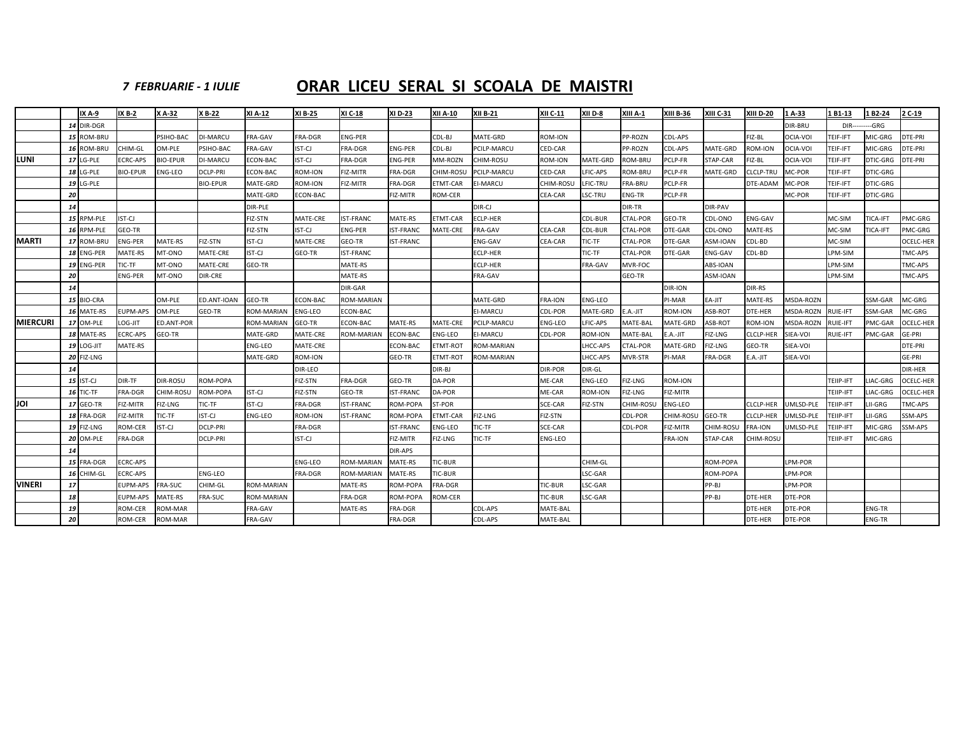### *7 FEBRUARIE ‐ 1 IULIE*

### **ORAR LICEU SERAL SI SCOALA DE MAISTRI**

|                 |    | IX A-9            | <b>IX B-2</b>   | X A-32          | X B-22          | XI A-12           | XI B-25        | XI C-18           | XI D-23          | XII A-10        | <b>XII B-21</b>   | XII C-11       | XII D-8        | XIII A-1        | <b>XIII B-36</b> | XIII C-31      | <b>XIII D-20</b> | 1A-33            | 1 B1-13         | 1 B2-24         | 2 C-19           |
|-----------------|----|-------------------|-----------------|-----------------|-----------------|-------------------|----------------|-------------------|------------------|-----------------|-------------------|----------------|----------------|-----------------|------------------|----------------|------------------|------------------|-----------------|-----------------|------------------|
|                 |    | 14 DIR-DGR        |                 |                 |                 |                   |                |                   |                  |                 |                   |                |                |                 |                  |                |                  | DIR-BRU          | $DIR--$         | ------GRG       |                  |
|                 |    | 15 ROM-BRU        |                 | PSIHO-BAC       | <b>JI-MARCU</b> | <b>FRA-GAV</b>    | FRA-DGR        | <b>ENG-PER</b>    |                  | CDL-BJ          | MATE-GRD          | ROM-ION        |                | PP-ROZN         | CDL-APS          |                | FIZ-BL           | OCIA-VOI         | TEIF-IFT        | MIC-GRG         | DTE-PRI          |
|                 |    | 16 ROM-BRU        | CHIM-GL         | OM-PLE          | PSIHO-BAC       | FRA-GAV           | IST-CJ         | FRA-DGR           | <b>ENG-PER</b>   | CDL-BJ          | PCILP-MARCU       | CED-CAR        |                | PP-ROZN         | CDL-APS          | MATE-GRD       | ROM-ION          | OCIA-VOI         | TEIF-IFT        | MIC-GRG         | DTE-PRI          |
| LUNI            |    | 17 LG-PLE         | <b>ECRC-APS</b> | <b>BIO-EPUR</b> | DI-MARCU        | ECON-BAC          | IST-CJ         | FRA-DGR           | <b>ENG-PER</b>   | MM-ROZN         | CHIM-ROSU         | ROM-ION        | MATE-GRD       | <b>ROM-BRU</b>  | PCLP-FR          | STAP-CAR       | FIZ-BL           | OCIA-VOI         | TEIF-IFT        | <b>DTIC-GRG</b> | DTE-PRI          |
|                 |    | 18 LG-PLE         | <b>BIO-EPUR</b> | ENG-LEO         | DCLP-PRI        | ECON-BAC          | ROM-ION        | <b>FIZ-MITR</b>   | FRA-DGR          | CHIM-ROSL       | PCILP-MARCU       | CED-CAR        | LFIC-APS       | ROM-BRU         | <b>PCLP-FR</b>   | MATE-GRD       | <b>CLCLP-TRU</b> | MC-POR           | TEIF-IFT        | <b>DTIC-GRG</b> |                  |
|                 |    | 19 LG-PLE         |                 |                 | <b>BIO-EPUR</b> | MATE-GRD          | ROM-ION        | FIZ-MITR          | FRA-DGR          | ETMT-CAR        | <b>EI-MARCU</b>   | CHIM-ROSU      | LFIC-TRL       | FRA-BRU         | <b>PCLP-FR</b>   |                | DTE-ADAM         | MC-POR           | TEIF-IFT        | DTIC-GRG        |                  |
|                 | 20 |                   |                 |                 |                 | MATE-GRD          | ECON-BAC       |                   | FIZ-MITR         | <b>ROM-CER</b>  |                   | CEA-CAR        | LSC-TRU        | <b>ENG-TR</b>   | <b>PCLP-FR</b>   |                |                  | MC-POR           | TEIF-IFT        | <b>DTIC-GRG</b> |                  |
|                 | 14 |                   |                 |                 |                 | DIR-PLE           |                |                   |                  |                 | DIR-CJ            |                |                | DIR-TR          |                  | DIR-PAV        |                  |                  |                 |                 |                  |
|                 |    | 15 RPM-PLE        | IST-CJ          |                 |                 | FIZ-STN           | MATE-CRE       | <b>IST-FRANC</b>  | MATE-RS          | ETMT-CAR        | ECLP-HER          |                | CDL-BUR        | <b>CTAL-POR</b> | GEO-TR           | CDL-ONO        | ENG-GAV          |                  | MC-SIM          | TICA-IFT        | PMC-GRG          |
|                 |    | 16 RPM-PLE        | GEO-TR          |                 |                 | FIZ-STN           | IST-CJ         | <b>ENG-PER</b>    | IST-FRANC        | MATE-CRE        | FRA-GAV           | CEA-CAR        | CDL-BUR        | CTAL-POR        | DTE-GAR          | CDL-ONO        | MATE-RS          |                  | MC-SIM          | TICA-IFT        | PMC-GRG          |
| <b>MARTI</b>    |    | 17 ROM-BRU        | <b>ENG-PER</b>  | MATE-RS         | FIZ-STN         | IST-CJ            | MATE-CRE       | GEO-TR            | <b>IST-FRANC</b> |                 | ENG-GAV           | <b>CEA-CAR</b> | TIC-TF         | <b>CTAL-POR</b> | DTE-GAR          | ASM-IOAN       | CDL-BD           |                  | MC-SIM          |                 | OCELC-HER        |
|                 |    | 18 ENG-PER        | MATE-RS         | MT-ONO          | MATE-CRE        | <b>IST-CJ</b>     | GEO-TR         | <b>IST-FRANC</b>  |                  |                 | ECLP-HER          |                | TIC-TF         | <b>CTAL-POR</b> | DTE-GAR          | ENG-GAV        | CDL-BD           |                  | LPM-SIM         |                 | TMC-APS          |
|                 |    | 19 ENG-PER        | TIC-TF          | MT-ONO          | MATE-CRE        | GEO-TR            |                | MATE-RS           |                  |                 | ECLP-HER          |                | <b>FRA-GAV</b> | MVR-FOC         |                  | ABS-IOAN       |                  |                  | LPM-SIM         |                 | TMC-APS          |
|                 | 20 |                   | <b>ENG-PER</b>  | MT-ONO          | DIR-CRE         |                   |                | MATE-RS           |                  |                 | FRA-GAV           |                |                | GEO-TR          |                  | ASM-IOAN       |                  |                  | LPM-SIM         |                 | TMC-APS          |
|                 | 14 |                   |                 |                 |                 |                   |                | DIR-GAR           |                  |                 |                   |                |                |                 | DIR-ION          |                | DIR-RS           |                  |                 |                 |                  |
|                 |    | 15 BIO-CRA        |                 | OM-PLE          | ED.ANT-IOAN     | GEO-TR            | ECON-BAC       | <b>ROM-MARIAN</b> |                  |                 | MATE-GRD          | <b>FRA-ION</b> | ENG-LEO        |                 | PI-MAR           | EA-JIT         | MATE-RS          | MSDA-ROZN        |                 | SSM-GAR         | MC-GRG           |
|                 |    | 16 MATE-RS        | <b>EUPM-APS</b> | OM-PLE          | GEO-TR          | <b>ROM-MARIAN</b> | <b>ENG-LEO</b> | ECON-BAC          |                  |                 | EI-MARCU          | CDL-POR        | MATE-GRD       | E.A.-JIT        | ROM-ION          | ASB-ROT        | DTE-HER          | MSDA-ROZN        | RUIE-IFT        | SSM-GAR         | MC-GRG           |
| <b>MIERCURI</b> |    | 17 OM-PLE         | LOG-JIT         | ED.ANT-POR      |                 | <b>ROM-MARIAN</b> | GEO-TR         | ECON-BAC          | <b>MATE-RS</b>   | MATE-CRE        | PCILP-MARCU       | ENG-LEO        | LFIC-APS       | MATE-BAL        | MATE-GRD         | ASB-ROT        | ROM-ION          | <b>MSDA-ROZN</b> | <b>RUIE-IFT</b> | PMC-GAR         | OCELC-HER        |
|                 |    | 18 MATE-RS        | <b>ECRC-APS</b> | <b>GEO-TR</b>   |                 | MATE-GRD          | MATE-CRE       | <b>ROM-MARIAN</b> | ECON-BAC         | <b>ENG-LEO</b>  | <b>EI-MARCU</b>   | CDL-POR        | <b>ROM-ION</b> | MATE-BAL        | $E.A.-JIT$       | FIZ-LNG        | CLCLP-HER        | SIEA-VOI         | <b>RUIE-IFT</b> | PMC-GAR         | GE-PRI           |
|                 |    | <b>19 LOG-JIT</b> | MATE-RS         |                 |                 | ENG-LEO           | MATE-CRE       |                   | ECON-BAC         | ETMT-ROT        | <b>ROM-MARIAN</b> |                | LHCC-APS       | <b>CTAL-POR</b> | MATE-GRD         | <b>FIZ-LNG</b> | GEO-TR           | SIEA-VOI         |                 |                 | DTE-PRI          |
|                 |    | 20 FIZ-LNG        |                 |                 |                 | MATE-GRD          | ROM-ION        |                   | GEO-TR           | <b>ETMT-ROT</b> | ROM-MARIAN        |                | HCC-APS        | MVR-STR         | PI-MAR           | FRA-DGR        | E.A.-JIT         | SIEA-VOI         |                 |                 | GE-PRI           |
|                 | 14 |                   |                 |                 |                 |                   | DIR-LEO        |                   |                  | DIR-BJ          |                   | DIR-POR        | DIR-GL         |                 |                  |                |                  |                  |                 |                 | DIR-HER          |
|                 |    | <b>15 IST-CJ</b>  | DIR-TF          | DIR-ROSU        | ROM-POPA        |                   | FIZ-STN        | FRA-DGR           | GEO-TR           | DA-POR          |                   | ME-CAR         | <b>ENG-LEO</b> | FIZ-LNG         | ROM-ION          |                |                  |                  | TEIIP-IFT       | LIAC-GRG        | OCELC-HER        |
|                 |    | 16 TIC-TF         | <b>FRA-DGR</b>  | CHIM-ROSL       | <b>ROM-POPA</b> | IST-CJ            | FIZ-STN        | GEO-TR            | <b>IST-FRANC</b> | DA-POR          |                   | ME-CAR         | <b>ROM-ION</b> | FIZ-LNG         | FIZ-MITR         |                |                  |                  | TEIIP-IFT       | LIAC-GRG        | <b>OCELC-HER</b> |
| JOI             |    | 17 GEO-TR         | FIZ-MITR        | FIZ-LNG         | TIC-TF          | IST-CJ            | FRA-DGR        | <b>IST-FRANC</b>  | ROM-POPA         | ST-POR          |                   | SCE-CAR        | FIZ-STN        | CHIM-ROSU       | <b>ENG-LEO</b>   |                | CLCLP-HER        | UMLSD-PLE        | TEIIP-IFT       | LII-GRG         | TMC-APS          |
|                 |    | 18 FRA-DGR        | FIZ-MITR        | TIC-TF          | <b>IST-CJ</b>   | ENG-LEO           | ROM-ION        | <b>IST-FRANC</b>  | ROM-POPA         | <b>ETMT-CAR</b> | FIZ-LNG           | FIZ-STN        |                | CDL-POR         | CHIM-ROSU        | GEO-TR         | CLCLP-HER        | UMLSD-PLE        | TEIIP-IFT       | LII-GRG         | SSM-APS          |
|                 |    | 19 FIZ-LNG        | <b>ROM-CER</b>  | ST-CJ           | <b>DCLP-PRI</b> |                   | FRA-DGR        |                   | <b>IST-FRANC</b> | <b>ENG-LEO</b>  | TIC-TF            | SCE-CAR        |                | CDL-POR         | FIZ-MITR         | CHIM-ROSU      | FRA-ION          | UMLSD-PLE        | TEIIP-IFT       | MIC-GRG         | SSM-APS          |
|                 |    | 20 OM-PLE         | FRA-DGR         |                 | DCLP-PRI        |                   | IST-CJ         |                   | FIZ-MITR         | FIZ-LNG         | TIC-TF            | ENG-LEO        |                |                 | FRA-ION          | STAP-CAR       | CHIM-ROSU        |                  | TEIIP-IFT       | MIC-GRG         |                  |
|                 | 14 |                   |                 |                 |                 |                   |                |                   | DIR-APS          |                 |                   |                |                |                 |                  |                |                  |                  |                 |                 |                  |
|                 |    | 15 FRA-DGR        | <b>ECRC-APS</b> |                 |                 |                   | ENG-LEO        | <b>ROM-MARIAN</b> | MATE-RS          | TIC-BUR         |                   |                | CHIM-GL        |                 |                  | ROM-POPA       |                  | LPM-POR          |                 |                 |                  |
|                 |    | 16 CHIM-GL        | ECRC-APS        |                 | ENG-LEO         |                   | FRA-DGR        | <b>ROM-MARIAN</b> | MATE-RS          | TIC-BUR         |                   |                | LSC-GAR        |                 |                  | ROM-POPA       |                  | LPM-POR          |                 |                 |                  |
| <b>VINERI</b>   | 17 |                   | EUPM-APS        | FRA-SUC         | CHIM-GL         | <b>ROM-MARIAN</b> |                | MATE-RS           | ROM-POPA         | FRA-DGR         |                   | TIC-BUR        | LSC-GAR        |                 |                  | PP-BJ          |                  | LPM-POR          |                 |                 |                  |
|                 | 18 |                   | <b>EUPM-APS</b> | <b>MATE-RS</b>  | FRA-SUC         | <b>ROM-MARIAN</b> |                | FRA-DGR           | ROM-POPA         | <b>ROM-CER</b>  |                   | TIC-BUR        | LSC-GAR        |                 |                  | PP-BJ          | DTE-HER          | DTE-POR          |                 |                 |                  |
|                 | 19 |                   | <b>ROM-CER</b>  | ROM-MAR         |                 | FRA-GAV           |                | MATE-RS           | FRA-DGR          |                 | <b>CDL-APS</b>    | MATE-BAL       |                |                 |                  |                | DTE-HER          | DTE-POR          |                 | <b>ENG-TR</b>   |                  |
|                 | 20 |                   | <b>ROM-CER</b>  | ROM-MAR         |                 | FRA-GAV           |                |                   | FRA-DGR          |                 | CDL-APS           | MATE-BAL       |                |                 |                  |                | DTE-HER          | DTE-POR          |                 | <b>ENG-TR</b>   |                  |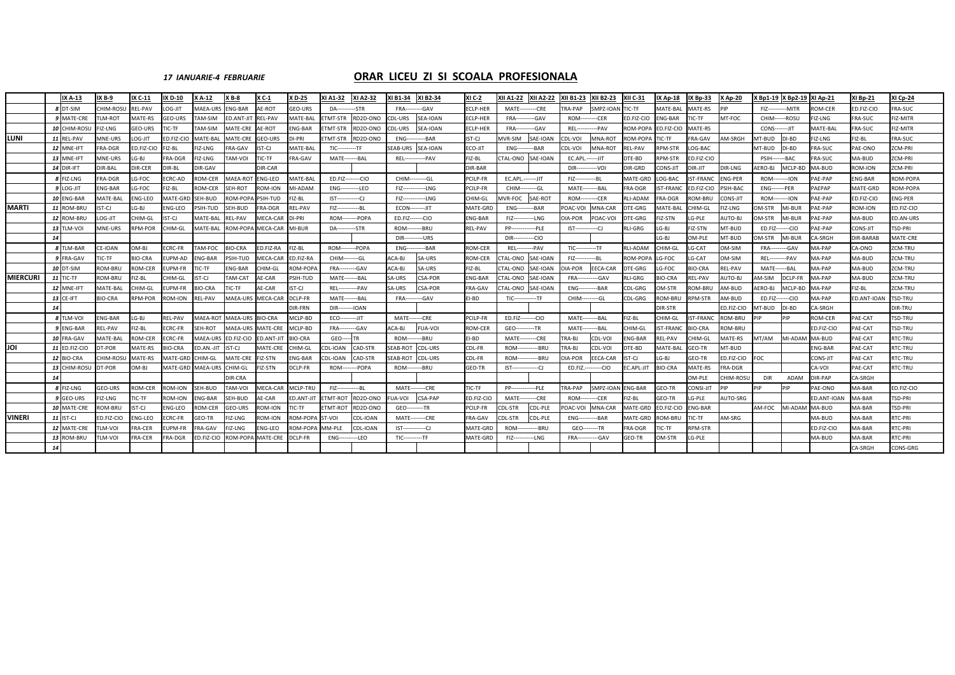### *17 IANUARIE‐<sup>4</sup> FEBRUARIE* **ORAR**

### **LICEU ZI SI SCOALA PROFESIONALA**

|                 |    | IX A-13           | IX B-9          | IX C-11        | IX D-10        | X A-12          | $X B - 8$         | X C-1           | <b>XD-25</b>    | KI A1-32               | <b>XI A2-32</b> | XI B1-34                 | XI B2-34       | XI C-2          | XII A1-22               | <b>XII A2-22</b> | <b>XII B1-23</b>        | <b>XII B2-23</b> | <b>XII C-31</b> | <b>IX Ap-18</b>  | <b>IX Bp-33</b>  | <b>XAp-20</b>  |                           | X Bp1-19 X Bp2-19 | XI Ap-21       | XI Bp-21        | <b>XI Cp-24</b>   |
|-----------------|----|-------------------|-----------------|----------------|----------------|-----------------|-------------------|-----------------|-----------------|------------------------|-----------------|--------------------------|----------------|-----------------|-------------------------|------------------|-------------------------|------------------|-----------------|------------------|------------------|----------------|---------------------------|-------------------|----------------|-----------------|-------------------|
|                 |    | 8 DT-SIM          | CHIM-ROSU       | <b>REL-PAV</b> | LOG-JIT        | <b>MAEA-URS</b> | <b>ENG-BAR</b>    | AE-ROT          | <b>GEO-URS</b>  | <b>DA----</b>          | --STR           | FRA--                    | --GAV          | <b>CLP-HFR</b>  | <b>MATE---------CRE</b> |                  | <b>TRA-PAP</b>          | SMPZ-IOAN        | TIC-TF          | MATE-BAL         | <b>MATE-RS</b>   |                | <b>FIZ-----------MITR</b> |                   | ROM-CER        | ED.FIZ-CIO      | <b>RA-SUC</b>     |
|                 |    | MATE-CRE          | LM-ROT          | <b>MATE-RS</b> | GEO-URS        | AM-SIM          | ED.ANT-JIT        | <b>REL-PAV</b>  | <b>MATE-BAL</b> | TMT-STR                | RD2D-ONO        | CDL-URS                  | SEA-IOAN       | ECLP-HER        | FRA-                    | --GAV            | ROM-                    | ---CER           | D.FIZ-CIO       | <b>ENG-BAR</b>   | <b>IC-TF</b>     | MT-FOC         | CHIM------ROSU            |                   | FIZ-LNG        | FRA-SUC         | IZ-MITR           |
|                 |    | 10 CHIM-ROSU      | FIZ-LNG         | GEO-URS        | ric-tf         | AM-SIM          | MATE-CRE          | AE-ROT          | ENG-BAR         | TMT-STR                | RD2D-ONO        | CDL-URS                  | SEA-IOAN       | ECLP-HER        | FRA-                    | --GAV            | REL--                   | --PAV            | OM-POPA         | ED.FIZ-CIO       | <b>MATE-RS</b>   |                | <b>CONS--------JIT</b>    |                   | MATE-BAI       | <b>FRA-SUC</b>  | IZ-MITR           |
| <b>ILUNI</b>    |    | 11 REL-PAV        | MNE-URS         | LOG-JIT        | ED.FIZ-CIO     | MATE-BAI        | MATE-CRE GEO-URS  |                 | DI-PRI          | TMT-STR                | RD2D-ONO        | ENG--                    | --BAR          | IST-CJ          | MVR-SIM                 | SAE-IOAN         | DL-VOI:                 | MNA-ROT          | OM-POPA         | TIC-TF           | <b>FRA-GAV</b>   | AM-SRGH        | MT-BUD                    | DI-BD             | FIZ-LNG        | FIZ-BL          | RA-SUC            |
|                 |    | 12 MNE-IFT        | FRA-DGR         | ED.FIZ-CIO     | FIZ-BL         | FIZ-LNG         | FRA-GAV           | IST-CJ          | MATE-BAL        | <b>TIC----------TF</b> |                 | SEAB-URS                 | SEA-IOAN       | ECO-JIT         | ENG--                   | --BAR            | CDL-VOI                 | MNA-ROT          | REL-PAV         | RPM-STR          | LOG-BAC          |                | MT-BUD                    | DI-BD             | FRA-SUC        | PAE-ONO         | ZCM-PRI           |
|                 |    | 13 MNE-IFT        | MNE-URS         | LG-BJ          | FRA-DGR        | FIZ-LNG         | <b>IOV-MAT</b>    | TIC-TF          | FRA-GAV         | MATE--------BAL        |                 | <b>REL----</b>           | ----PAV        | FIZ-BL          | CTAL-ONO SAE-IOAN       |                  | EC.APL.------JIT        |                  | DTE-BD          | RPM-STR          | ED.FIZ-CIO       |                | <b>PSIH-------BAC</b>     |                   | FRA-SUC        | MA-BUD          | ZCM-PRI           |
|                 |    | <b>14 DIR-IFT</b> | DIR-BAL         | DIR-CER        | DIR-BL         | DIR-GAV         |                   | DIR-CAR         |                 |                        |                 |                          |                | DIR-BAR         |                         |                  | DIR-                    | --VOI            | DIR-GRD         | <b>CONS-JIT</b>  | DIR-JIT          | DIR-LNG        | <b>AERO-BJ</b>            | MCLP-BD           | MA-BUD         | ROM-ION         | CM-PRI            |
|                 |    | 8 FIZ-LNG         | FRA-DGR         | LG-FOC         | <b>CRC-AD</b>  | <b>ROM-CER</b>  | MAEA-ROT          | <b>ENG-LEO</b>  | <b>MATE-BAL</b> | ED.FIZ--------CIO      |                 | CHIM---------GL          |                | PCILP-FR        | EC.APL.-------JIT       |                  | $FIZ$ -----             | $-BL$            | MATE-GRD        | LOG-BAC          | <b>IST-FRANC</b> | <b>ENG-PER</b> | <b>ROM--------ION</b>     |                   | PAE-PAP        | <b>ENG-BAR</b>  | <b>OM-POPA</b>    |
|                 |    | 9 LOG-JIT         | NG-BAR          | G-FOC          | IZ-BL          | ROM-CER         | SEH-ROT           | <b>COM-ION</b>  | MI-ADAM         | $ENG-$                 | --LEO           | FIZ--------              | --LNG          | PCILP-FR        | CHIM-                   | ---GL            | MATE-                   | ---BAL           | RA-DGR          | <b>IST-FRANC</b> | ED.FIZ-CIO       | PSIH-BAC       | <b>ENG-------PER</b>      |                   | PAEPAP         | <b>MATE-GRD</b> | OM-POPA           |
|                 |    | 10 ENG-BAR        | <b>MATE-BAL</b> | NG-LEO         | MATE-GRD       | SEH-BUD         | ROM-POPA          | PSIH-TUD        | FIZ-BL          | $IST$ -------------CJ  |                 | FIZ-------------LNG      |                | CHIM-GL         | <b>AVR-FOC</b>          | SAE-ROT          | ROM-                    | ---CER           | RLI-ADAM        | <b>FRA-DGR</b>   | ROM-BRL          | CONS-JIT       | <b>ROM---------ION</b>    |                   | PAE-PAP        | ED.FIZ-CIO      | NG-PER            |
| <b>MARTI</b>    |    | 11 ROM-BRU        | ST-CJ           | LG-BJ          | NG-LEO         | PSIH-TUD        | SEH-BUD           | FRA-DGR         | REL-PAV         | FIZ---------------BL   |                 | <b>ECON---------JIT</b>  |                | <b>MATE-GRD</b> | <b>ENG---</b>           | ------BAR        | OAC-VOI                 | MNA-CAR          | <b>TE-GRG</b>   | MATE-BAL         | CHIM-GL          | FIZ-LNG        | )M-STR                    | MI-BUR            | PAE-PAP        | ROM-ION         | D.FIZ-CIO         |
|                 |    | 12 ROM-BRU        | OG-JIT          | CHIM-GL        | IST-CJ         | MATE-BAL        | REL-PAV           | MECA-CAR        | DI-PRI          | ROM--------POPA        |                 | ED.FIZ-------CIO         |                | ENG-BAR         | $FIZ---$                | ---LNG           | <b>DIA-POR</b>          | POAC-VOI         | <b>TE-GRG</b>   | FIZ-STN          | LG-PLE           | <b>AUTO-BJ</b> | OM-STR                    | MI-BUR            | AE-PAP         | MA-BUD          | D.AN-URS          |
|                 |    | 13 TLM-VOI        | <b>MNE-URS</b>  | <b>RPM-POR</b> | CHIM-GL        | <b>MATE-BAL</b> | <b>ROM-POPA</b>   | MECA-CAR        | MI-BUR          | <b>DA----------STR</b> |                 | <b>ROM--------BRU</b>    |                | <b>REL-PAV</b>  | <b>PP---</b>            | --PLE            | IST-------------CJ      |                  | <b>LI-GRG</b>   | LG-BJ            | <b>FIZ-STN</b>   | MT-BUD         | ED.FIZ-------CIO          |                   | AE-PAP         | <b>CONS-JIT</b> | <b>SD-PRI</b>     |
|                 | 14 |                   |                 |                |                |                 |                   |                 |                 |                        |                 | <b>DIR-----------URS</b> |                |                 | $DIR---$                | ----CIO          |                         |                  |                 | LG-BJ            | OM-PLE           | MT-BUD         | <b>DM-STR</b>             | MI-BUR            | A-SRGH         | DIR-BARAB       | <b>AATE-CRE</b>   |
|                 |    | 8 TLM-BAR         | CE-IOAN         | OM-BJ          | <b>CRC-FR</b>  | AM-FOC          | <b>BIO-CRA</b>    | ED.FIZ-RA       | FIZ-BL          | <b>ROM--------POPA</b> |                 | ENG-                     | --BAR          | ROM-CER         | <b>REL---</b>           | ---- PAV         | <b>TIC-----------TF</b> |                  | RLI-ADAM        | CHIM-GL          | LG-CAT           | OM-SIM         | <b>FRA----------GAV</b>   |                   | MA-PAP         | CA-ONO          | CM-TRU            |
|                 | q  | <b>FRA-GAV</b>    | IC-TF           | <b>BIO-CRA</b> | UPM-AD         | NG-BAR          | PSIH-TUD          | <b>MECA-CAF</b> | ED.FIZ-RA       | CHIM--------GL         |                 | <b>ACA-BJ</b>            | SA-URS         | ROM-CER         | TAL-ONO                 | SAE-IOAN         | $FIZ$ ------            | --BL             | OM-POP          | LG-FOC           | LG-CAT           | OM-SIM         | <b>REL---------PAV</b>    |                   | <b>MA-PAP</b>  | MA-BUD          | CM-TRU            |
|                 |    | 10 DT-SIM         | ROM-BRU         | <b>ROM-CER</b> | EUPM-FR        | IC-TF           | ENG-BAR           | CHIM-GL         | ROM-POPA        | <b>FRA----</b>         | --GAV           | <b>ACA-BJ</b>            | SA-URS         | FIZ-BL          | TAL-ONO                 | SAE-IOAN         | <b>IA-POR</b>           | EECA-CAR         | <b>TE-GRG</b>   | LG-FOC           | <b>BIO-CRA</b>   | REL-PAV        | MATE------BAL             |                   | MA-PAP         | MA-BUD          | CM-TRU            |
| <b>MIERCURI</b> |    | 11 TIC-TF         | <b>ROM-BRU</b>  | IZ-BL          | CHIM-GL        | ST-CJ           | <b>TAM-CAT</b>    | <b>AE-CAR</b>   | PSIH-TUD        | MATE--------BAL        |                 | SA-URS                   | <b>CSA-POR</b> | <b>ENG-BAR</b>  | TAL-ONO                 | SAE-IOAN         | FRA--                   | --GAV            | LI-GRG          | <b>BIO-CRA</b>   | REL-PAV          | <b>AUTO-BJ</b> | <b>M-SIM</b>              | DCLP-F            | MA-PAP         | MA-BUD          | CM-TRU            |
|                 |    | 12 MNE-IFT        | MATE-BAI        | HIM-GL         | UPM-FR         | IO-CRA          | IC-TF             | <b>AE-CAR</b>   | ST-CJ           | <b>REL---</b>          | --- PAV         | A-URS                    | <b>CSA-POR</b> | <b>FRA-GAV</b>  | TAL-ONO                 | SAE-IOAN         | ENG-                    | --BAR            | CDL-GRG         | OM-STR           | <b>OM-BRI</b>    | AM-BUD         | ERO-BJ                    | MCLP-BD           | MA-PAP         | FIZ-BL          | CM-TRU            |
|                 |    | 13 CE-IFT         | <b>BIO-CRA</b>  | <b>RPM-POR</b> | ROM-ION        | <b>REL-PAV</b>  | MAEA-URS          | MECA-CAF        | DCLP-FR         | MATE--------BAL        |                 | FRA--                    | -----GAV       | FI-BD           | $TIC$ ---------         | ---TF            | CHIM-                   | -----GL          | CDL-GRG         | ROM-BRU          | <b>RPM-STR</b>   | AM-BUD         | ED.FIZ-------CIO          |                   | MA-PAP         | ED.ANT-IOAN     | <b>TSD-TRU</b>    |
|                 | 14 |                   |                 |                |                |                 |                   |                 | <b>DIR-FRN</b>  | <b>DIR-----</b>        | --IOAN          |                          |                |                 |                         |                  |                         |                  |                 | DIR-STR          |                  | ED.FIZ-CIO     | MT-BUD                    | DI-BD             | CA-SRGH        |                 | DIR-TRU           |
|                 |    | 8 TLM-VOI         | <b>ENG-BAR</b>  | $LG-BJ$        | <b>REL-PAV</b> | MAEA-ROT        | MAEA-URS BIO-CRA  |                 | MCLP-BD         | ECO---------JIT        |                 | <b>MATE-------CRE</b>    |                | PCILP-FR        | ED.FIZ--------CIO       |                  | <b>MATE---------BAL</b> |                  | FIZ-BL          | CHIM-GL          | <b>IST-FRANC</b> | ROM-BRU        | PIP                       | PIP               | ROM-CER        | PAE-CAT         | TSD-TRU           |
|                 |    | 9 ENG-BAR         | <b>REL-PAV</b>  | FIZ-BL         | ECRC-FR        | SEH-ROT         | MAEA-URS MATE-CRE |                 | MCLP-BD         | FRA--                  | --GAV           | ACA-BJ                   | <b>FUA-VOI</b> | ROM-CER         | GEO---                  | ---TR            | MATE-                   | --- BAL          | CHIM-GL         | <b>IST-FRANC</b> | <b>BIO-CRA</b>   | <b>ROM-BRU</b> |                           |                   | ED.FIZ-CIO     | PAE-CAT         | <b>TSD-TRU</b>    |
|                 |    | 10 FRA-GAV        | <b>MATE-BAL</b> | ROM-CER        | ECRC-FR        | MAEA-URS        | ED.FIZ-CIO        | ED.ANT-JIT      | <b>BIO-CRA</b>  | GEO--                  | TR.             | <b>ROM---</b>            | --BRU          | EI-BD           | MATE-                   | ---CRE           | TRA-BJ                  | CDL-VOI          | NG-BAR          | REL-PAV          | CHIM-GL          | MATE-RS        | MT/AM                     | MI-ADAM           | MA-BUD         | PAE-CAT         | RTC-TRU           |
| JOI             |    | 11 ED.FIZ-CIO     | DT-POR          | MATE-RS        | <b>BIO-CRA</b> | D.AN.-JIT       | IST-CJ            | MATE-CRE        | CHIM-GL         | <b>CDL-IOAN</b>        | CAD-STR         | SEAB-ROT                 | CDL-URS        | CDL-FR          | ROM-                    | --BRU            | <b>TRA-BJ</b>           | CDL-VOI          | )TE-BD          | MATE-BAL         | GEO-TR           | MT-BUD         |                           |                   | <b>ENG-BAR</b> | PAE-CAT         | <b>RTC-TRU</b>    |
|                 |    | 12 BIO-CRA        | CHIM-ROSU       | MATE-RS        | MATE-GRD       | CHIM-GL         | MATE-CRE          | FIZ-STN         | <b>ENG-BAR</b>  | DL-IOAN                | CAD-STR         | SEAB-ROT                 | CDL-URS        | CDL-FR          | ROM-                    | ---RRU           | OIA-POR                 | EECA-CAR         | ST-CJ           | LG-BJ            | GEO-TR           | ED.FIZ-CIO     | FOC                       |                   | CONS-JIT       | PAE-CAT         | <b>RTC-TRU</b>    |
|                 |    | 13 CHIM-ROSU      | DT-POR          | OM-BJ          | MATE-GRD       | MAEA-URS        | CHIM-GL           | FIZ-STN         | DCLP-FR         | ROM--------POPA        |                 | <b>ROM--------BRU</b>    |                | <b>GEO-TR</b>   | $IST--$                 | --CJ             | ED.FIZ.-                | -----CIO         | C.APL-JIT       | <b>BIO-CRA</b>   | MATE-RS          | FRA-DGR        |                           |                   | CA-VOI         | PAE-CAT         | <b>RTC-TRU</b>    |
|                 | 14 |                   |                 |                |                |                 | DIR-CRA           |                 |                 |                        |                 |                          |                |                 |                         |                  |                         |                  |                 |                  | OM-PLE           | CHIM-ROSU      | <b>DIR</b>                | ADAM              | DIR-PAP        | CA-SRGH         |                   |
|                 |    | 8 FIZ-LNG         | GEO-URS         | ROM-CER        | ROM-ION        | SEH-BUD         | <b>TAM-VOI</b>    | MECA-CAR        | MCLP-TRU        | FIZ---------------BL   |                 | <b>MATE--------CRE</b>   |                | TIC-TF          | <b>PP---</b>            | --PLF            | <b>TRA-PAP</b>          | SMPZ-IOAN        | <b>ENG-BAR</b>  | GEO-TR           | <b>CONSI-JIT</b> | <b>DID</b>     | PIP                       | PIP               | PAE-ONO        | MA-BAR          | <b>ED.FIZ-CIO</b> |
|                 |    | GEO-URS           | IZ-LNG          | TIC-TF         | ROM-ION        | NG-BAR          | SEH-BUD           | AE-CAR          | ED.ANT-JIT      | TMT-ROT                | RD2D-ONO        | UA-VOI                   | <b>CSA-PAP</b> | ED.FIZ-CIO      | MATE-                   | ---CRE           | ROM-                    | --CER            | IZ-BL           | GEO-TR           | LG-PLE           | AUTO-SRG       |                           |                   | ED.ANT-IOAN    | MA-BAR          | SD-PRI            |
|                 |    | 10 MATE-CRE       | <b>OM-BRU</b>   | IST-CJ         | <b>ENG-LEO</b> | OM-CER          | GEO-URS           | OM-ION          | IC-TF           | TMT-ROT                | RD2D-ONO        | GEO---------TR           |                | PCILP-FR        | DL-STR:                 | <b>CDL-PLE</b>   | OAC-VOI                 | <b>MNA-CAR</b>   | AATE-GRD        | ED.FIZ-CIO       | <b>ENG-BAR</b>   |                | <b>M-FOC</b>              | MI-ADAM           | MA-BUD         | MA-BAR          | <b>SD-PRI</b>     |
| <b>VINERI</b>   |    | 11 IST-CJ         | D.FIZ-CIO       | NG-LEO         | ECRC-FR        | GEO-TR          | FIZ-LNG           | <b>COM-ION</b>  | ROM-POPA        | IOV-T                  | CDL-IOAN        | <b>MATE--------CRE</b>   |                | FRA-GAV         | DL-STR                  | CDL-PLE          | $ENG$ ----              | -------BAR       | <b>AATE-GRD</b> | ROM-BRU          | <b>IC-TF</b>     | AM-SRG         |                           |                   | MA-BUD         | MA-BAR          | <b>RTC-PRI</b>    |
|                 |    | 12 MATE-CRE       | LM-VOI          | <b>RA-CER</b>  | UPM-FR         | RA-GAV          | FIZ-LNG           | NG-LEO          | <b>OM-POPA</b>  | <b>M-PLE</b>           | CDL-IOAN        | $IST$ ---------------CJ  |                | <b>MATE-GRE</b> | ROM-                    | --BRU            |                         | GEO--------TR    | RA-DGR          | TIC-TF           | RPM-STR          |                |                           |                   | ED.FIZ-CIC     | MA-BAR          | <b>RTC-PRI</b>    |
|                 |    | 13 ROM-BRU        | LM-VOI          | RA-CER         | <b>RA-DGR</b>  | D.FIZ-CIO       | ROM-POPA          | MATE-CRE        | <b>DCLP-FR</b>  | $ENG$ ---              | -leo            | <b>TIC----------TF</b>   |                | MATE-GRD        | $FIZ--$                 | -LNG             | $FRA$ ---               | --GAV            | EO-TR           | OM-STR           | LG-PLE           |                |                           |                   | MA-BUD         | MA-BAR          | <b>TC-PRI</b>     |
|                 | 14 |                   |                 |                |                |                 |                   |                 |                 |                        |                 |                          |                |                 |                         |                  |                         |                  |                 |                  |                  |                |                           |                   |                | CA-SRGH         | CONS-GRG          |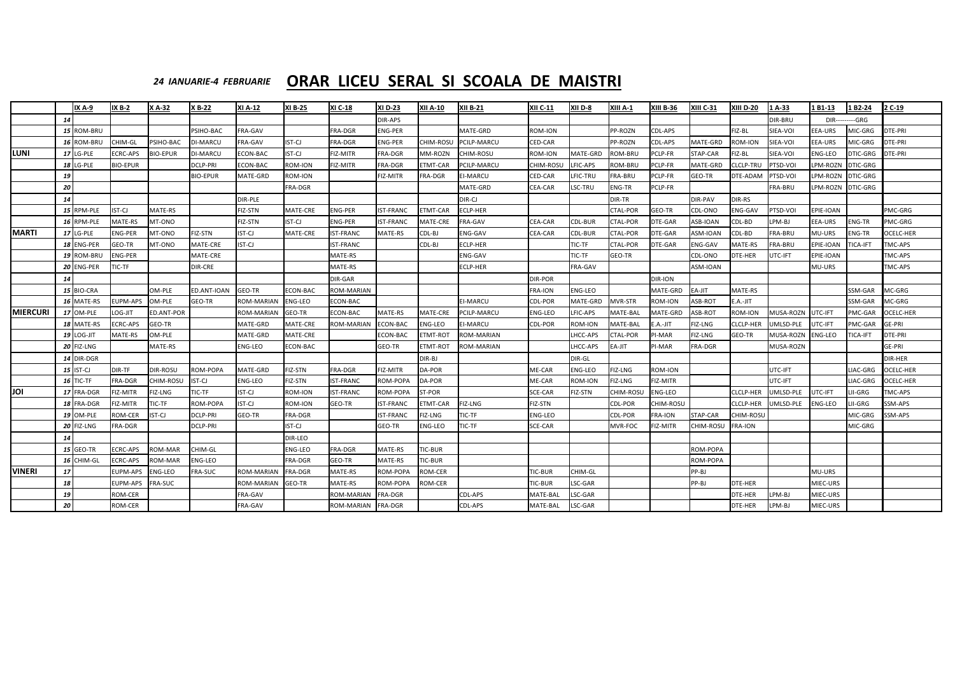# *24 IANUARIE-4 FEBRUARIE* **ORAR LICEU SERAL SI SCOALA DE MAISTRI**

|                 |           | <b>IX A-9</b>     | $IX B-2$         | X A-32            | <b>X B-22</b>    | <b>XI A-12</b>    | <b>XI B-25</b>  | <b>XI C-18</b>     | <b>XI D-23</b>   | <b>XII A-10</b>  | <b>XII B-21</b>    | <b>XII C-11</b>  | XII D-8         | XIII A-1         | <b>XIII B-36</b> | <b>XIII C-31</b>  | <b>XIII D-20</b> | $1A-33$         | 1 B1-13           | 1 B2-24                | 2 C-19           |
|-----------------|-----------|-------------------|------------------|-------------------|------------------|-------------------|-----------------|--------------------|------------------|------------------|--------------------|------------------|-----------------|------------------|------------------|-------------------|------------------|-----------------|-------------------|------------------------|------------------|
|                 | <b>14</b> |                   |                  |                   |                  |                   |                 |                    | DIR-APS          |                  |                    |                  |                 |                  |                  |                   |                  | DIR-BRU         |                   | <b>DIR---------GRG</b> |                  |
|                 |           | 15 ROM-BRU        |                  |                   | <b>PSIHO-BAC</b> | FRA-GAV           |                 | <b>FRA-DGR</b>     | <b>ENG-PER</b>   |                  | MATE-GRD           | ROM-ION          |                 | PP-ROZN          | <b>CDL-APS</b>   |                   | FIZ-BL           | SIEA-VOI        | <b>EEA-URS</b>    | MIC-GRG                | <b>DTE-PRI</b>   |
|                 |           | 16 ROM-BRU        | <b>CHIM-GL</b>   | PSIHO-BAC         | <b>DI-MARCU</b>  | FRA-GAV           | <b>IST-CJ</b>   | <b>FRA-DGR</b>     | <b>ENG-PER</b>   | <b>CHIM-ROSL</b> | <b>PCILP-MARCU</b> | <b>CED-CAR</b>   |                 | PP-ROZN          | <b>CDL-APS</b>   | MATE-GRD          | <b>ROM-ION</b>   | SIEA-VOI        | <b>EEA-URS</b>    | MIC-GRG                | <b>DTE-PRI</b>   |
| <b>LUNI</b>     |           | <b>17 LG-PLE</b>  | <b>ECRC-APS</b>  | <b>BIO-EPUR</b>   | <b>DI-MARCU</b>  | ECON-BAC          | IST-CJ          | <b>FIZ-MITR</b>    | <b>FRA-DGR</b>   | MM-ROZN          | <b>CHIM-ROSU</b>   | <b>ROM-ION</b>   | MATE-GRD        | ROM-BRU          | PCLP-FR          | STAP-CAR          | FIZ-BL           | SIEA-VOI        | <b>ENG-LEO</b>    | DTIC-GRG               | DTE-PRI          |
|                 |           | <b>18 LG-PLE</b>  | <b>BIO-EPUR</b>  |                   | <b>DCLP-PRI</b>  | ECON-BAC          | ROM-ION         | <b>FIZ-MITR</b>    | <b>FRA-DGR</b>   | <b>ETMT-CAR</b>  | <b>PCILP-MARCU</b> | <b>CHIM-ROSL</b> | LFIC-APS        | ROM-BRU          | PCLP-FR          | MATE-GRD          | CLCLP-TRU        | <b>PTSD-VOI</b> | LPM-ROZN          | <b>DTIC-GRG</b>        |                  |
|                 | 19        |                   |                  |                   | <b>BIO-EPUR</b>  | MATE-GRD          | ROM-ION         |                    | FIZ-MITR         | <b>FRA-DGR</b>   | <b>EI-MARCU</b>    | <b>CED-CAR</b>   | LFIC-TRU        | FRA-BRU          | PCLP-FR          | GEO-TR            | DTE-ADAM         | <b>PTSD-VOI</b> | LPM-ROZN          | <b>DTIC-GRG</b>        |                  |
|                 | 20        |                   |                  |                   |                  |                   | FRA-DGR         |                    |                  |                  | MATE-GRD           | <b>CEA-CAR</b>   | LSC-TRU         | <b>ENG-TR</b>    | PCLP-FR          |                   |                  | <b>FRA-BRU</b>  | LPM-ROZN DTIC-GRG |                        |                  |
|                 | 14        |                   |                  |                   |                  | <b>DIR-PLE</b>    |                 |                    |                  |                  | DIR-CJ             |                  |                 | <b>DIR-TR</b>    |                  | DIR-PAV           | <b>DIR-RS</b>    |                 |                   |                        |                  |
|                 |           | 15 RPM-PLE        | ST-CJ            | MATE-RS           |                  | FIZ-STN           | MATE-CRE        | <b>ENG-PER</b>     | <b>IST-FRANC</b> | <b>ETMT-CAR</b>  | <b>CLP-HER</b>     |                  |                 | <b>CTAL-POR</b>  | <b>GEO-TR</b>    | CDL-ONO           | <b>ENG-GAV</b>   | <b>PTSD-VOI</b> | <b>EPIE-IOAN</b>  |                        | PMC-GRG          |
|                 |           | 16 RPM-PLE        | MATE-RS          | MT-ONO            |                  | <b>FIZ-STN</b>    | <b>IST-CJ</b>   | <b>ENG-PER</b>     | <b>IST-FRANC</b> | <b>MATE-CRE</b>  | <b>FRA-GAV</b>     | <b>CEA-CAR</b>   | <b>CDL-BUR</b>  | CTAL-POR         | DTE-GAR          | ASB-IOAN          | CDL-BD           | LPM-BJ          | <b>EEA-URS</b>    | <b>ENG-TR</b>          | PMC-GRG          |
| <b>MARTI</b>    |           | <b>17 LG-PLE</b>  | <b>ENG-PER</b>   | MT-ONO            | <b>FIZ-STN</b>   | <b>IST-CJ</b>     | MATE-CRE        | <b>IST-FRANC</b>   | MATE-RS          | CDL-BJ           | <b>ENG-GAV</b>     | <b>CEA-CAR</b>   | <b>CDL-BUR</b>  | CTAL-POR         | DTE-GAR          | ASM-IOAN          | CDL-BD           | <b>FRA-BRU</b>  | MU-URS            | <b>ENG-TR</b>          | <b>OCELC-HER</b> |
|                 |           | 18 ENG-PER        | GEO-TR           | MT-ONO            | MATE-CRE         | <b>IST-CJ</b>     |                 | <b>IST-FRANC</b>   |                  | CDL-BJ           | <b>ECLP-HER</b>    |                  | TIC-TF          | <b>CTAL-POR</b>  | DTE-GAR          | ENG-GAV           | MATE-RS          | <b>FRA-BRU</b>  | <b>EPIE-IOAN</b>  | TICA-IFT               | TMC-APS          |
|                 |           | 19 ROM-BRU        | <b>ENG-PER</b>   |                   | MATE-CRE         |                   |                 | MATE-RS            |                  |                  | ENG-GAV            |                  | TIC-TF          | GEO-TR           |                  | CDL-ONO           | DTE-HER          | UTC-IFT         | EPIE-IOAN         |                        | <b>TMC-APS</b>   |
|                 |           | 20 ENG-PER        | <b>TIC-TF</b>    |                   | <b>DIR-CRE</b>   |                   |                 | MATE-RS            |                  |                  | <b>ECLP-HER</b>    |                  | <b>FRA-GAV</b>  |                  |                  | ASM-IOAN          |                  |                 | MU-URS            |                        | <b>TMC-APS</b>   |
|                 | 14        |                   |                  |                   |                  |                   |                 | DIR-GAR            |                  |                  |                    | <b>DIR-POR</b>   |                 |                  | DIR-ION          |                   |                  |                 |                   |                        |                  |
|                 |           | 15 BIO-CRA        |                  | OM-PLE            | ED.ANT-IOAN      | <b>GEO-TR</b>     | ECON-BAC        | <b>ROM-MARIAN</b>  |                  |                  |                    | <b>FRA-ION</b>   | <b>ENG-LEO</b>  |                  | MATE-GRD         | EA-JIT            | MATE-RS          |                 |                   | SSM-GAR                | MC-GRG           |
|                 |           | 16 MATE-RS        | <b>EUPM-APS</b>  | OM-PLE            | GEO-TR           | <b>ROM-MARIAN</b> | <b>ENG-LEO</b>  | <b>ECON-BAC</b>    |                  |                  | <b>EI-MARCU</b>    | <b>CDL-POR</b>   | <b>MATE-GRD</b> | MVR-STR          | <b>ROM-ION</b>   | ASB-ROT           | E.A.-JIT         |                 |                   | SSM-GAR                | MC-GRG           |
| <b>MIERCURI</b> |           | 17 OM-PLE         | LOG-JIT          | <b>ED.ANT-POR</b> |                  | <b>ROM-MARIAN</b> | GEO-TR          | ECON-BAC           | MATE-RS          | <b>MATE-CRE</b>  | <b>PCILP-MARCU</b> | <b>ENG-LEO</b>   | LFIC-APS        | MATE-BAL         | <b>MATE-GRD</b>  | ASB-ROT           | <b>ROM-ION</b>   | MUSA-ROZN       | UTC-IFT           | PMC-GAR                | <b>OCELC-HER</b> |
|                 |           | 18 MATE-RS        | <b>ECRC-APS</b>  | GEO-TR            |                  | MATE-GRD          | <b>MATE-CRE</b> | <b>ROM-MARIAN</b>  | <b>ECON-BAC</b>  | <b>ENG-LEO</b>   | EI-MARCU           | <b>CDL-POR</b>   | ROM-ION         | MATE-BAL         | E.A.-JIT         | FIZ-LNG           | <b>CLCLP-HEF</b> | UMLSD-PLE       | <b>JTC-IFT</b>    | PMC-GAR                | <b>GE-PRI</b>    |
|                 |           | <b>19 LOG-JIT</b> | MATE-RS          | OM-PLE            |                  | MATE-GRD          | MATE-CRE        |                    | <b>ECON-BAC</b>  | <b>ETMT-ROT</b>  | <b>ROM-MARIAN</b>  |                  | LHCC-APS        | CTAL-POR         | PI-MAR           | <b>FIZ-LNG</b>    | GEO-TR           | MUSA-ROZN       | <b>ENG-LEO</b>    | <b>TICA-IFT</b>        | <b>DTE-PRI</b>   |
|                 |           | <b>20 FIZ-LNG</b> |                  | MATE-RS           |                  | <b>ENG-LEO</b>    | ECON-BAC        |                    | GEO-TR           | ETMT-ROT         | ROM-MARIAN         |                  | LHCC-APS        | EA-JIT           | <b>PI-MAR</b>    | <b>FRA-DGR</b>    |                  | MUSA-ROZN       |                   |                        | <b>GE-PRI</b>    |
|                 |           | 14 DIR-DGR        |                  |                   |                  |                   |                 |                    |                  | DIR-BJ           |                    |                  | DIR-GL          |                  |                  |                   |                  |                 |                   |                        | <b>DIR-HER</b>   |
|                 |           | $15$ IST-CJ       | DIR-TF           | <b>DIR-ROSU</b>   | <b>ROM-POPA</b>  | MATE-GRD          | FIZ-STN         | <b>FRA-DGR</b>     | <b>FIZ-MITR</b>  | <b>DA-POR</b>    |                    | ME-CAR           | <b>ENG-LEO</b>  | FIZ-LNG          | <b>ROM-ION</b>   |                   |                  | UTC-IFT         |                   | LIAC-GRG               | <b>OCELC-HER</b> |
|                 |           | $16$ TIC-TF       | <b>FRA-DGR</b>   | <b>CHIM-ROSU</b>  | <b>IST-CJ</b>    | <b>ENG-LEO</b>    | FIZ-STN         | <b>IST-FRANC</b>   | ROM-POPA         | DA-POR           |                    | ME-CAR           | ROM-ION         | <b>FIZ-LNG</b>   | FIZ-MITR         |                   |                  | UTC-IFT         |                   | LIAC-GRG               | OCELC-HER        |
| <b>JOI</b>      |           | 17 FRA-DGR        | FIZ-MITR         | <b>FIZ-LNG</b>    | TIC-TF           | IST-CJ            | ROM-ION         | <b>IST-FRANC</b>   | ROM-POPA         | ST-POR           |                    | <b>SCE-CAR</b>   | FIZ-STN         | <b>CHIM-ROSU</b> | <b>ENG-LEO</b>   |                   | <b>CLCLP-HER</b> | UMLSD-PLE       | UTC-IFT           | LII-GRG                | TMC-APS          |
|                 |           | 18 FRA-DGR        | FIZ-MITR         | TIC-TF            | ROM-POPA         | <b>IST-CJ</b>     | ROM-ION         | GEO-TR             | <b>IST-FRANC</b> | <b>ETMT-CAR</b>  | <b>FIZ-LNG</b>     | FIZ-STN          |                 | <b>CDL-POR</b>   | <b>CHIM-ROSU</b> |                   | <b>CLCLP-HER</b> | UMLSD-PLE       | <b>ENG-LEO</b>    | LII-GRG                | SSM-APS          |
|                 |           | <b>19 OM-PLE</b>  | ROM-CER          | IST-CJ            | <b>DCLP-PRI</b>  | <b>GEO-TR</b>     | FRA-DGR         |                    | <b>IST-FRANC</b> | <b>FIZ-LNG</b>   | TIC-TF             | <b>ENG-LEO</b>   |                 | <b>CDL-POR</b>   | <b>FRA-ION</b>   | STAP-CAR          | <b>CHIM-ROSU</b> |                 |                   | MIC-GRG                | SSM-APS          |
|                 |           | <b>20 FIZ-LNG</b> | <b>FRA-DGR</b>   |                   | <b>DCLP-PRI</b>  |                   | IST-CJ          |                    | GEO-TR           | <b>ENG-LEO</b>   | TIC-TF             | <b>SCE-CAR</b>   |                 | MVR-FOC          | FIZ-MITR         | CHIM-ROSU FRA-ION |                  |                 |                   | MIC-GRG                |                  |
|                 | 14        |                   |                  |                   |                  |                   | <b>DIR-LEO</b>  |                    |                  |                  |                    |                  |                 |                  |                  |                   |                  |                 |                   |                        |                  |
|                 |           | <b>15 GEO-TR</b>  | <b>ECRC-APS</b>  | ROM-MAR           | CHIM-GL          |                   | <b>ENG-LEO</b>  | <b>FRA-DGR</b>     | MATE-RS          | TIC-BUR          |                    |                  |                 |                  |                  | ROM-POPA          |                  |                 |                   |                        |                  |
|                 |           | 16 CHIM-GL        | <b>ECRC-APS</b>  | <b>ROM-MAR</b>    | <b>ENG-LEO</b>   |                   | <b>FRA-DGR</b>  | <b>GEO-TR</b>      | MATE-RS          | TIC-BUR          |                    |                  |                 |                  |                  | ROM-POPA          |                  |                 |                   |                        |                  |
| <b>VINERI</b>   | 17        |                   | EUPM-APS ENG-LEO |                   | <b>FRA-SUC</b>   | <b>ROM-MARIAN</b> | <b>FRA-DGR</b>  | MATE-RS            | ROM-POPA         | ROM-CER          |                    | <b>TIC-BUR</b>   | <b>CHIM-GL</b>  |                  |                  | PP-BJ             |                  |                 | MU-URS            |                        |                  |
|                 | 18        |                   | EUPM-APS FRA-SUC |                   |                  | <b>ROM-MARIAN</b> | GEO-TR          | MATE-RS            | ROM-POPA         | ROM-CER          |                    | <b>TIC-BUR</b>   | LSC-GAR         |                  |                  | PP-BJ             | DTE-HER          |                 | MIEC-URS          |                        |                  |
|                 | 19        |                   | ROM-CER          |                   |                  | FRA-GAV           |                 | ROM-MARIAN         | FRA-DGR          |                  | CDL-APS            | MATE-BAL         | LSC-GAR         |                  |                  |                   | DTE-HER          | LPM-BJ          | MIEC-URS          |                        |                  |
|                 | 20        |                   | ROM-CER          |                   |                  | FRA-GAV           |                 | ROM-MARIAN FRA-DGR |                  |                  | CDL-APS            | MATE-BAL         | LSC-GAR         |                  |                  |                   | DTE-HER          | LPM-BJ          | MIEC-URS          |                        |                  |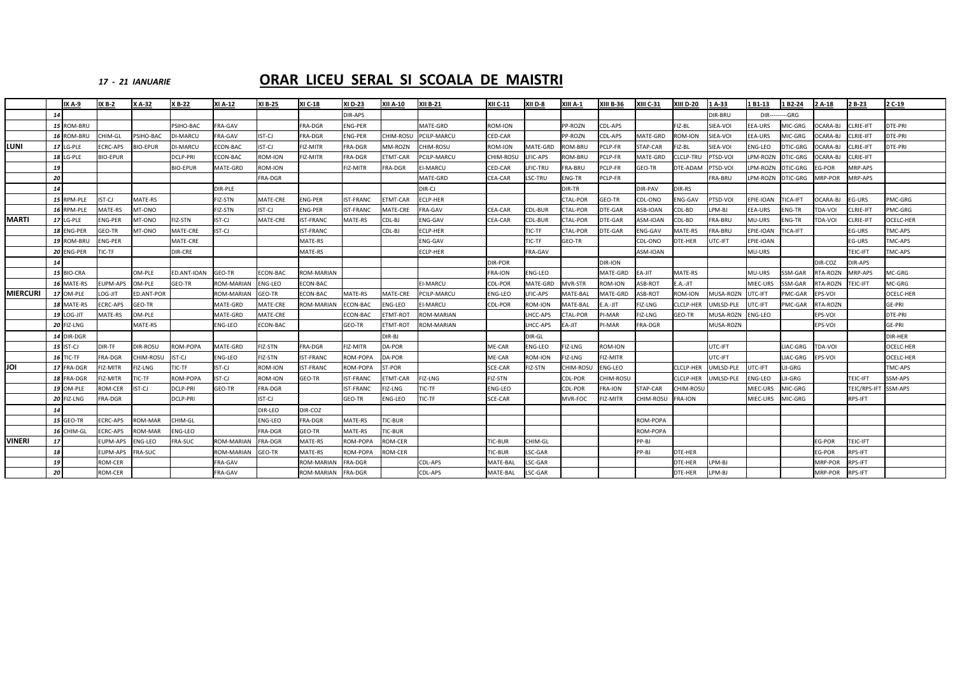### *17 ‐ 21*

### *IANUARIE* **ORAR LICEU SERAL SI SCOALA DE MAISTRI**

|                 |    | IX A-9         | <b>IX B-2</b>   | X A-32           | X B-22          | XI A-12           | XI B-25        | XI C-18           | XI D-23          | XII A-10        | <b>XII B-21</b>   | XII C-11       | XII D-8  | XIII A-1        | <b>XIII B-36</b>   | <b>XIII C-31</b> | <b>XIII D-20</b> | 1A-33           | l B1-13         | 1 B2-24        | 2 A-18         | 2 B-23          | 2 C-19           |
|-----------------|----|----------------|-----------------|------------------|-----------------|-------------------|----------------|-------------------|------------------|-----------------|-------------------|----------------|----------|-----------------|--------------------|------------------|------------------|-----------------|-----------------|----------------|----------------|-----------------|------------------|
|                 | 14 |                |                 |                  |                 |                   |                |                   | DIR-APS          |                 |                   |                |          |                 |                    |                  |                  | DIR-BRU         | DIR-            | --GRG          |                |                 |                  |
|                 |    | 15 ROM-BRU     |                 |                  | PSIHO-BAC       | FRA-GAV           |                | <b>FRA-DGR</b>    | <b>ENG-PER</b>   |                 | MATE-GRD          | ROM-ION        |          | PP-ROZN         | CDL-APS            |                  | FIZ-BL           | SIEA-VOI        | EA-URS          | MIC-GRG        | CARA-BJ        | CLRIE-IFT       | DTE-PRI          |
|                 |    | <b>ROM-BRU</b> | CHIM-GL         | SIHO-BAC         | <b>JI-MARCU</b> | <b>RA-GAV</b>     | IST-CJ         | <b>FRA-DGR</b>    | <b>ENG-PER</b>   | CHIM-ROSU       | PCILP-MARCU       | CED-CAR        |          | P-ROZN          | CDL-APS            | MATE-GRD         | ROM-ION          | SIEA-VOI        | EEA-URS         | <b>MIC-GRG</b> | CARA-BJ        | LRIE-IFT        | DTE-PRI          |
| <b>LUNI</b>     |    | 17 LG-PLE      | CRC-APS         | <b>IO-EPUF</b>   | DI-MARCU        | <b>CON-BAC</b>    | IST-CJ         | <b>FIZ-MITR</b>   | FRA-DGR          | <b>MM-ROZN</b>  | CHIM-ROSU         | <b>ROM-ION</b> | MATE-GRD | <b>OM-BRL</b>   | <b>CLP-FR</b>      | <b>STAP-CAR</b>  | FIZ-BL           | SIEA-VOI        | <b>NG-LEO</b>   | DTIC-GRG       | CARA-BJ        | LRIE-IFT        | DTE-PRI          |
|                 | 18 | LG-PLE         | <b>BIO-EPUR</b> |                  | DCLP-PRI        | <b>CON-BAC</b>    | <b>ROM-ION</b> | <b>FIZ-MITR</b>   | FRA-DGR          | ETMT-CAR        | PCILP-MARCU       | CHIM-ROSU      | FIC-APS  | <b>OM-BRL</b>   | PCLP-FR            | MATE-GRD         | LCLP-TRU         | PTSD-VOI        | PM-ROZN         | DTIC-GRG       | CARA-BJ        | LRIE-IFT        |                  |
|                 | 19 |                |                 |                  | <b>BIO-EPUR</b> | MATE-GRD          | <b>ROM-ION</b> |                   | FIZ-MITR         | <b>RA-DGR</b>   | EI-MARCU          | CED-CAR        | LFIC-TRU | <b>RA-BRU</b>   | PCLP-FR            | <b>GEO-TR</b>    | DTE-ADAM         | PTSD-VOI        | PM-ROZN         | DTIC-GRG       | G-POR          | <b>MRP-APS</b>  |                  |
|                 | 20 |                |                 |                  |                 |                   | FRA-DGR        |                   |                  |                 | MATE-GRD          | CEA-CAR        | LSC-TRU  | NG-TR           | PCLP-FR            |                  |                  | FRA-BRU         | PM-ROZN         | DTIC-GRG       | MRP-POR        | <b>MRP-APS</b>  |                  |
|                 | 14 |                |                 |                  |                 | DIR-PLE           |                |                   |                  |                 | DIR-CJ            |                |          | DIR-TR          |                    | <b>DIR-PAV</b>   | DIR-RS           |                 |                 |                |                |                 |                  |
|                 |    | 15 RPM-PLE     | IST-CJ          | MATE-RS          |                 | FIZ-STN           | MATE-CRE       | ENG-PER           | <b>IST-FRANC</b> | TMT-CAR         | ECLP-HER          |                |          | CTAL-POR        | <b>GEO-TR</b>      | CDL-ONO          | ENG-GAV          | PTSD-VOI        | EPIE-IOAN       | TICA-IFT       | OCARA-BJ       | EG-URS          | <b>MC-GRG</b>    |
|                 |    | 16 RPM-PLE     | MATE-RS         | MT-ONO           |                 | FIZ-STN           | IST-CJ         | <b>ENG-PER</b>    | <b>IST-FRANC</b> | MATE-CRE        | FRA-GAV           | CEA-CAR        | CDL-BUR  | CTAL-POR        | <b>JTE-GAR</b>     | ASB-IOAN         | CDL-BD           | LPM-BJ          | EEA-URS         | <b>ENG-TR</b>  | <b>TDA-VOI</b> | CLRIE-IFT       | PMC-GRG          |
| <b>MARTI</b>    |    | 17 LG-PLE      | ENG-PER         | MT-ONO           | FIZ-STN         | IST-CJ            | MATE-CRE       | <b>IST-FRANC</b>  | MATE-RS          | CDL-BJ          | <b>ENG-GAV</b>    | CEA-CAR        | CDL-BUR  | <b>CTAL-POR</b> | <b>DTE-GAR</b>     | ASM-IOAN         | CDL-BD           | FRA-BRU         | MU-URS          | <b>ENG-TR</b>  | <b>TDA-VOI</b> | CLRIE-IFT       | OCELC-HER        |
|                 |    | 18 ENG-PER     | GEO-TR          | MT-ONO           | <b>MATE-CRE</b> | IST-CJ            |                | <b>IST-FRANC</b>  |                  | CDL-BJ          | <b>ECLP-HER</b>   |                | TIC-TF   | CTAL-POR        | <b>JTE-GAR</b>     | NG-GAV           | MATE-RS          | FRA-BRU         | PIE-IOAN        | <b>ICA-IFT</b> |                | EG-URS          | TMC-APS          |
|                 |    | 19 ROM-BRL     | NG-PER          |                  | MATE-CRE        |                   |                | MATE-RS           |                  |                 | ENG-GAV           |                | TIC-TF   | <b>GEO-TR</b>   |                    | CDL-ONO          | DTE-HER          | UTC-IFT         | PIE-IOAN        |                |                | EG-URS          | TMC-APS          |
|                 |    | 20 ENG-PER     | IC-TF           |                  | DIR-CRE         |                   |                | MATE-RS           |                  |                 | ECLP-HER          |                | FRA-GAV  |                 |                    | ASM-IOAN         |                  |                 | MU-URS          |                |                | TEIC-IFT        | TMC-APS          |
|                 | 14 |                |                 |                  |                 |                   |                |                   |                  |                 |                   | DIR-POR        |          |                 | DIR-ION            |                  |                  |                 |                 |                | DIR-COZ        | <b>JIR-APS</b>  |                  |
|                 |    | 15 BIO-CRA     |                 | OM-PLF           | ED.ANT-IOAN     | GEO-TR            | ECON-BAC       | <b>ROM-MARIAN</b> |                  |                 |                   | <b>FRA-ION</b> | NG-LEO   |                 | <b>MATE-GRD</b>    | EA-JIT           | MATE-RS          |                 | MU-URS          | SSM-GAR        | <b>TA-ROZN</b> | <b>MRP-APS</b>  | <b>AC-GRG</b>    |
|                 |    | 16 MATE-RS     | UPM-APS         | <b>DM-PLE</b>    | GEO-TR          | ROM-MARIAI        | <b>ENG-LEO</b> | CON-BAC           |                  |                 | <b>I-MARCU</b>    | CDL-POF        | MATE-GRD | <b>NVR-STR</b>  | <b>OM-ION</b>      | ASB-ROT          | .A.-JIT          |                 | <b>MIEC-URS</b> | SM-GAR         | TA-ROZN        | <b>TEIC-IFT</b> | <b>MC-GRG</b>    |
| <b>MIERCURI</b> |    | 17 OM-PLE      | LOG-JIT         | ED.ANT-POR       |                 | <b>ROM-MARIAN</b> | GEO-TR         | ECON-BAC          | MATE-RS          | MATE-CRE        | PCILP-MARCU       | <b>ENG-LEO</b> | LFIC-APS | <b>AATE-BAL</b> | <b>MATE-GRD</b>    | ASB-ROT          | ROM-ION          | MUSA-ROZI       | <b>JTC-IFT</b>  | PMC-GAR        | PS-VOI         |                 | OCELC-HER        |
|                 |    | 18 MATE-RS     | CRC-APS         | GEO-TR           |                 | MATE-GRD          | MATE-CRE       | <b>ROM-MARIAN</b> | <b>ECON-BAC</b>  | NG-LEO          | <b>I-MARCU</b>    | <b>CDL-POR</b> | ROM-ION  | <b>AATE-BAL</b> | $.A.-JIT$          | IZ-LNG           | CLCLP-HER        | <b>MLSD-PLE</b> | <b>JTC-IFT</b>  | PMC-GAR        | <b>TA-ROZN</b> |                 | GE-PRI           |
|                 |    | 19 LOG-JIT     | MATE-RS         | M-PLE            |                 | MATE-GRD          | MATE-CRE       |                   | <b>ECON-BAC</b>  | TMT-ROT         | ROM-MARIAN        |                | HCC-APS  | <b>TAL-POF</b>  | I-MAR              | IZ-LNG           | GEO-TR           | MUSA-ROZI       | NG-LEO          |                | EPS-VOI        |                 | DTE-PRI          |
|                 |    | 20 FIZ-LNG     |                 | MATE-RS          |                 | ENG-LEO           | ECON-BAC       |                   | GEO-TR           | <b>TMT-ROT</b>  | <b>ROM-MARIAN</b> |                | LHCC-APS | EA-JIT          | <sup>2</sup> I-MAR | FRA-DGR          |                  | MUSA-ROZN       |                 |                | EPS-VOI        |                 | GE-PRI           |
|                 |    | 14 DIR-DGR     |                 |                  |                 |                   |                |                   |                  | DIR-BJ          |                   |                | DIR-GL   |                 |                    |                  |                  |                 |                 |                |                |                 | DIR-HER          |
|                 |    | 15 IST-CJ      | DIR-TF          | DIR-ROSU         | ROM-POPA        | MATE-GRD          | FIZ-STN        | FRA-DGR           | FIZ-MITR         | DA-POR          |                   | ME-CAR         | ENG-LEO  | <b>IZ-LNG</b>   | <b>ROM-ION</b>     |                  |                  | UTC-IFT         |                 | IAC-GRG        | <b>DA-VOI</b>  |                 | <b>OCELC-HER</b> |
|                 |    | 16 TIC-TF      | FRA-DGR         | <b>CHIM-ROSU</b> | ST-CJ           | ENG-LEO           | FIZ-STN        | <b>IST-FRANC</b>  | ROM-POPA         | DA-POR          |                   | ME-CAR         | ROM-ION  | FIZ-LNG         | <b>IZ-MITR</b>     |                  |                  | UTC-IFT         |                 | IAC-GRG        | PS-VOI         |                 | OCELC-HER        |
| JOI             |    | 17 FRA-DGR     | FIZ-MITR        | FIZ-LNG          | TIC-TF          | IST-CJ            | <b>ROM-ION</b> | <b>IST-FRANC</b>  | ROM-POPA         | ST-POR          |                   | SCE-CAR        | FIZ-STN  | CHIM-ROSU       | <b>ING-LEO</b>     |                  | CLCLP-HER        | UMLSD-PLE       | <b>JTC-IFT</b>  | <b>II-GRG</b>  |                |                 | TMC-APS          |
|                 |    | 18 FRA-DGR     | FIZ-MITR        | TIC-TF           | ROM-POPA        | IST-CJ            | <b>ROM-ION</b> | GEO-TR            | <b>IST-FRANC</b> | <b>ETMT-CAR</b> | FIZ-LNG           | FIZ-STN        |          | CDL-POR         | CHIM-ROSU          |                  | <b>CLCLP-HER</b> | UMLSD-PLE       | ENG-LEO         | <b>II-GRG</b>  |                | TEIC-IFT        | SSM-APS          |
|                 |    | 19 OM-PLE      | ROM-CER         | ST-CJ            | DCLP-PRI        | GEO-TR            | <b>FRA-DGR</b> |                   | <b>IST-FRANC</b> | IZ-LNG          | TIC-TF            | ENG-LEO        |          | CDL-POR         | <b>FRA-ION</b>     | STAP-CAR         | HIM-ROSL         |                 | <b>MIEC-URS</b> | MIC-GRG        |                | TEIC/RPS-IF     | SSM-APS          |
|                 |    | 20 FIZ-LNG     | FRA-DGR         |                  | DCLP-PRI        |                   | IST-CJ         |                   | GEO-TR           | NG-LEO          | TIC-TF            | SCE-CAR        |          | <b>MVR-FOC</b>  | IZ-MITR            | CHIM-ROSU        | <b>RA-ION</b>    |                 | <b>MIEC-URS</b> | MIC-GRG        |                | RPS-IFT         |                  |
|                 | 14 |                |                 |                  |                 |                   | DIR-LEO        | DIR-COZ           |                  |                 |                   |                |          |                 |                    |                  |                  |                 |                 |                |                |                 |                  |
|                 |    | 15 GEO-TR      | <b>CRC-APS</b>  | <b>OM-MAR</b>    | CHIM-GL         |                   | <b>ENG-LEO</b> | FRA-DGR           | MATE-RS          | TIC-BUR         |                   |                |          |                 |                    | ROM-POPA         |                  |                 |                 |                |                |                 |                  |
|                 |    | 16 CHIM-GL     | <b>CRC-APS</b>  | <b>OM-MAR</b>    | ENG-LEO         |                   | <b>FRA-DGR</b> | GEO-TR            | MATE-RS          | TIC-BUR         |                   |                |          |                 |                    | ROM-POPA         |                  |                 |                 |                |                |                 |                  |
| <b>VINERI</b>   | 17 |                | UPM-APS         | NG-LEO           | <b>RA-SUC</b>   | ROM-MARIAI        | <b>FRA-DGF</b> | MATE-RS           | ROM-POPA         | ROM-CER         |                   | TIC-BUR        | CHIM-GL  |                 |                    | PP-BJ            |                  |                 |                 |                | EG-POR         | TEIC-IFT        |                  |
|                 | 18 |                | EUPM-APS        | <b>RA-SUC</b>    |                 | ROM-MARIAN        | GEO-TR         | MATE-RS           | ROM-POPA         | ROM-CER         |                   | TIC-BUR        | LSC-GAR  |                 |                    | PP-BJ            | DTE-HER          |                 |                 |                | EG-POR         | <b>RPS-IFT</b>  |                  |
|                 | 19 |                | ROM-CER         |                  |                 | FRA-GAV           |                | <b>ROM-MARIAN</b> | FRA-DGR          |                 | CDL-APS           | MATE-BAI       | LSC-GAR  |                 |                    |                  | DTE-HER          | LPM-BJ          |                 |                | MRP-POR        | <b>RPS-IFT</b>  |                  |
|                 | 20 |                | ROM-CER         |                  |                 | FRA-GAV           |                | <b>ROM-MARIAN</b> | <b>FRA-DGR</b>   |                 | CDL-APS           | MATE-BAL       | LSC-GAR  |                 |                    |                  | DTE-HER          | LPM-BJ          |                 |                | MRP-POR        | RPS-IFT         |                  |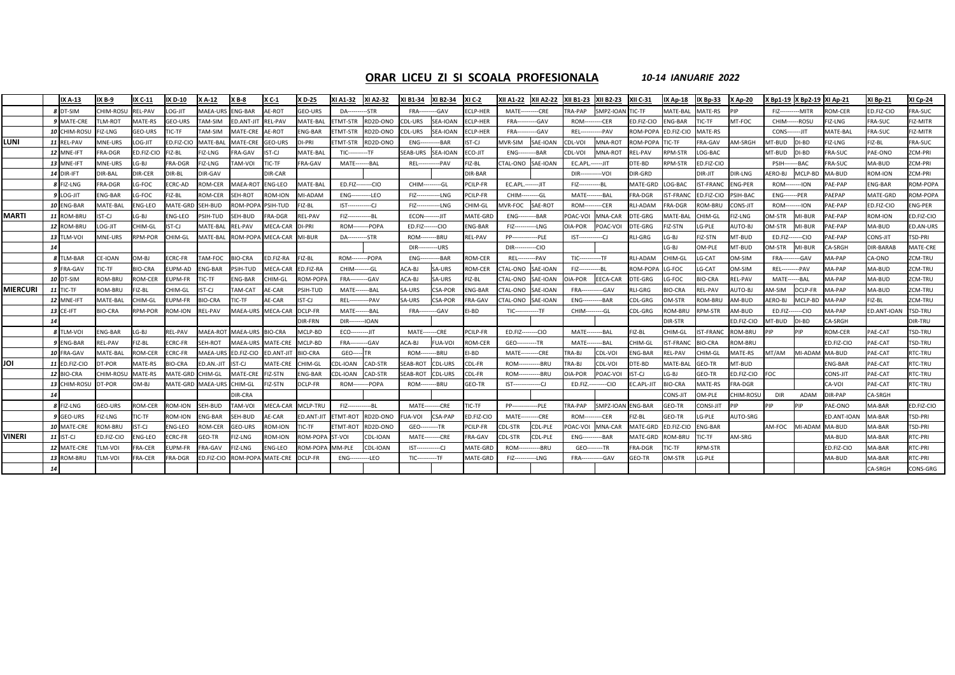### **ORAR LICEU ZI SI SCOALA PROFESIONALA** *10‐14 IANUARIE 2022*

|                 |    | IX A-13              | XB-9             | IX C-11        | IX D-10        | X A-12          | $X B-8$         | X C-1             | K D-25          | XI A1-32                | XI A2-32  | XI B1-34                 | XI B2-34        | XI C-2         | (II A1-22               | <b>XII A2-22</b> | XII B1-23               | <b>XII B2-23</b>     | <b>XII C-31</b> | X Ap-18         | IX Bp-33         | <b>XAp-20</b>  |                       | X Bp1-19   X Bp2-19   XI Ap-21 |                  | XI Bp-21         | <b>XI Cp-24</b> |
|-----------------|----|----------------------|------------------|----------------|----------------|-----------------|-----------------|-------------------|-----------------|-------------------------|-----------|--------------------------|-----------------|----------------|-------------------------|------------------|-------------------------|----------------------|-----------------|-----------------|------------------|----------------|-----------------------|--------------------------------|------------------|------------------|-----------------|
|                 |    | 8 DT-SIM             | CHIM-ROSU        | <b>REL-PAV</b> | LOG-JIT        | MAEA-URS        | <b>ENG-BAR</b>  | AE-ROT            | GEO-URS         | <b>DA---</b>            | --STR     | FRA--                    | -GAV            | ECLP-HER       | MATF-                   | --CRE            | TRA-PAP                 | SMPZ-IOAN            | TIC-TF          | MATE-BAL        | MATE-RS          | PIP            | $FIZ-$                | -MITR                          | OM-CER           | ED.FIZ-CIO       | FRA-SUC         |
|                 |    | 9 MATE-CRE           | <b>TLM-ROT</b>   | MATE-RS        | GEO-URS        | TAM-SIM         | ED.ANT-JI       | <b>REL-PAV</b>    | MATE-BAL        | ETMT-STR                | RD2D-ONO  | CDL-URS                  | <b>SEA-IOAN</b> | ECLP-HER       | FRA-                    | -GAV             | ROM-                    | -CER                 | ED.FIZ-CIO      | NG-BAR          | IC-TF            | MT-FOC         | CHIM------ROSU        |                                | IZ-LNG           | FRA-SUC          | FIZ-MITR        |
|                 |    | 10 CHIM-ROSL         | FIZ-LNG          | GEO-URS        | IC-TF          | TAM-SIM         | MATE-CRE        | AE-ROT            | ENG-BAR         | ETMT-STR                | RD2D-ONO  | CDL-URS                  | <b>SEA-IOAN</b> | ECLP-HER       | FRA-                    | --GAV            | REL-                    | --- PAV              | ROM-POP/        | ED.FIZ-CIO      | MATE-RS          |                | <b>CONS-------JIT</b> |                                | MATE-BAL         | <b>FRA-SUC</b>   | FIZ-MITR        |
| LUNI            |    | 11 REL-PAV           | <b>MNE-URS</b>   | OG-JIT         | ED.FIZ-CIO     | MATE-BAL        | MATE-CRE        | <b>GEO-URS</b>    | DI-PRI          | ETMT-STR                | RD2D-ONO  | <b>ENG---</b>            | $-BAR$          | IST-CJ         | <b>MVR-SIM</b>          | SAE-IOAN         | CDL-VOI                 | MNA-ROT              | ROM-POP         | IC-TF           | FRA-GAV          | AM-SRGH        | <b>MT-BUD</b>         | DI-BD                          | <b>IZ-LNG</b>    | FIZ-BL           | <b>FRA-SUC</b>  |
|                 |    | 12 MNE-IFT           | <b>FRA-DGR</b>   | D.FIZ-CIO      | FIZ-BL         | FIZ-LNG         | FRA-GAV         | IST-CJ            | MATE-BAI        | <b>TIC----------TF</b>  |           | SEAB-URS                 | <b>SEA-IOAN</b> | ECO-JIT        | <b>ENG----</b>          | --BAR            | CDL-VOI                 | MNA-ROT              | <b>REL-PAV</b>  | RPM-STR         | LOG-BAC          |                | MT-BUD                | DI-BD                          | <b>RA-SUC</b>    | PAE-ONO          | ZCM-PRI         |
|                 |    | 13 MNE-IFT           | <b>MNE-URS</b>   | $G-BJ$         | FRA-DGR        | FIZ-LNG         | <b>TAM-VOI</b>  | TIC-TF            | FRA-GAV         | MATE--------BAL         |           | <b>REL---------</b>      | --- PAV         | FIZ-BL         | TAL-ONO SAE-IOAN        |                  | EC.APL .------- JIT     |                      | DTE-BD          | RPM-STR         | ED.FIZ-CIO       |                | PSIH-                 | $--$ BAC                       | RA-SUC           | MA-BUD           | ZCM-PRI         |
|                 |    | 14 DIR-IFT           | <b>DIR-BAL</b>   | DIR-CER        | DIR-BL         | DIR-GAV         |                 | DIR-CAR           |                 |                         |           |                          |                 | DIR-BAR        |                         |                  | DIR-----------VOI       |                      | DIR-GRD         |                 | DIR-JIT          | DIR-LNG        | <b>ERO-BJ</b>         | MCLP-BD                        | <b>MA-BUD</b>    | ROM-ION          | ZCM-PRI         |
|                 |    | 8 FIZ-LNG            | <b>RA-DGR</b>    | G-FOC          | ECRC-AD        | ROM-CER         | MAEA-RO         | <b>ENG-LEO</b>    | <b>MATE-BAL</b> | ED.FIZ--------CIO       |           | <b>CHIM------</b>        | ---GL           | PCILP-FR       | EC.APL.-------JIT       |                  | FIZ------------BL       |                      | MATE-GRD        | LOG-BAC         | <b>IST-FRANC</b> | <b>ENG-PER</b> | <b>ROM--------ION</b> |                                | AE-PAP           | NG-BAR           | ROM-POPA        |
|                 |    | 9 LOG-JIT            | <b>ENG-BAR</b>   | G-FOC          | IZ-BL          | ROM-CER         | <b>SEH-ROT</b>  | ROM-ION           | <b>MI-ADAM</b>  | <b>ENG----------LEO</b> |           | FIZ---------             | --LNG           | PCILP-FR       | CHIM---------GL         |                  | <b>MATE---------BAL</b> |                      | FRA-DGR         | <b>ST-FRANC</b> | ED.FIZ-CIO       | PSIH-BAC       | <b>ENG-------PER</b>  |                                | <b>AEPAP</b>     | MATE-GRD         | ROM-POPA        |
|                 |    | 10 ENG-BAR           | <b>MATE-BAL</b>  | NG-LEO         | MATE-GRD       | SEH-BUD         | <b>ROM-POP</b>  | PSIH-TUD          | FIZ-BL          | $IST---$                | --CJ      | FIZ-----                 | -LNG            | CHIM-GL        | <b>NVR-FOC</b>          | SAE-ROT          | ROM-                    | --CER                | <b>RLI-ADAM</b> | RA-DGR          | <b>OM-BRU</b>    | CONS-JIT       | <b>ROM--------ION</b> |                                | AE-PAP           | ED.FIZ-CIO       | ENG-PER         |
| <b>MARTI</b>    |    | 11 ROM-BRU           | ST-CJ            | G-BJ           | NG-LEO         | PSIH-TUD        | <b>EH-BUD</b>   | RA-DGR            | REL-PAV         | $FIZ--$                 | --BL      | <b>ECON---------JIT</b>  |                 | MATE-GRI       | <b>ENG--</b>            | -BAR             | <b>OAC-VOL</b>          | MNA-CAR              | DTE-GRG         | <b>MATE-BAL</b> | HIM-GL           | FIZ-LNG        | <b>M-STR</b>          | MI-BUR                         | AE-PAP           | ROM-ION          | ED.FIZ-CIO      |
|                 |    | 12 ROM-BRU           | <b>CG-JIT</b>    | CHIM-GL        | IST-CJ         | MATE-BAL        | REL-PAV         | MECA-CAR          | DI-PRI          | ROM--                   | ---- POPA | ED.FIZ-------CIO         |                 | <b>ENG-BAR</b> | $FIZ--$                 | --LNG            | OIA-POR                 | POAC-VOI             | DTE-GRG         | IZ-STN          | LG-PLE           | AUTO-BJ        | <b>M-STR</b>          | MI-BUR                         | AE-PAP           | MA-BUD           | ED.AN-URS       |
|                 |    | 13 TLM-VOI           | <b>MNE-URS</b>   | <b>RPM-POR</b> | HIM-GL         | MATE-BAL        | ROM-POP/        | <b>MECA-CAR</b>   | MI-BUR          | <b>DA-----</b>          | --STR     | <b>ROM--------BRU</b>    |                 | <b>REL-PAV</b> | $PP-$                   | -PLE             | $IST--$                 | -CJ                  | RLI-GRG         | $-G-BJ$         | FIZ-STN          | MT-BUD         | ED.FIZ-------CIO      |                                | AE-PAP           | CONS-JIT         | TSD-PRI         |
|                 | 14 |                      |                  |                |                |                 |                 |                   |                 |                         |           | <b>DIR-----------URS</b> |                 |                | $DIR$ -----             | --CIO            |                         |                      |                 | $-G-BJ$         | OM-PLE           | MT-BUD         | <b>M-STR</b>          | MI-BUR                         | A-SRGH           | <b>DIR-BARAB</b> | MATE-CRE        |
|                 |    | 8 TLM-BAR            | CE-IOAN          | LB-MC          | CRC-FR         | TAM-FOC         | <b>IO-CRA</b>   | D.FIZ-RA          | FIZ-BL          | ROM-                    | --POPA    | ENG-                     | -BAR            | ROM-CFR        | <b>REL---</b>           | -PAV             | <b>TIC-----------TF</b> |                      | <b>RLI-ADAM</b> | <b>CHIM-GL</b>  | G-CAT            | <b>DM-SIM</b>  | FRA-                  | --GAV                          | <b>MA-PAP</b>    | CA-ONO           | ZCM-TRU         |
|                 |    | 9 FRA-GAV            | <b>TIC-TF</b>    | <b>BIO-CRA</b> | UPM-AD         | <b>ENG-BAR</b>  | PSIH-TUD        | MECA-CAR          | ED.FIZ-RA       | CHIM-                   | --GL      | ACA-BJ                   | SA-URS          | ROM-CER        | CTAL-ONO                | SAE-IOAN         | FIZ----                 | --BL                 | ROM-POP         | G-FOC           | LG-CAT           | MIS-MC         | REL-                  | ---- PAV                       | MA-PAP           | MA-BUD           | ZCM-TRU         |
|                 |    | 10 DT-SIM            | <b>OM-BRU</b>    | <b>OM-CEF</b>  | UPM-FR         | TIC-TF          | <b>ENG-BAR</b>  | CHIM-GL           | ROM-POPA        | FRA-                    | --GAV     | ACA-BJ                   | SA-URS          | FIZ-BL         | TAL-ONO                 | SAE-IOAN         | OIA-POR                 | EECA-CAR             | DTE-GRG         | G-FOC           | <b>BIO-CRA</b>   | REL-PAV        | MATE-                 | --BAL                          | MA-PAP           | MA-BUD           | ZCM-TRU         |
| <b>MIERCURI</b> |    | 11 TIC-TF            | <b>ROM-BRU</b>   | IZ-BL          | CHIM-GL        | IST-CJ          | TAM-CAT         | AE-CAR            | <b>PSIH-TUD</b> | MATE-                   | $---BAL$  | SA-URS                   | <b>CSA-POR</b>  | <b>ENG-BAR</b> | TAL-ONO                 | SAE-IOAN         | FRA-                    | --GAV                | RLI-GRG         | BIO-CRA         | <b>REL-PAV</b>   | AUTO-BJ        | <b>M-SIM</b>          | DCLP-FR                        | <b>MA-PAP</b>    | MA-BUD           | ZCM-TRU         |
|                 |    | 12 MNE-IFT           | <b>MATE-BAL</b>  | <b>HIM-GL</b>  | UPM-FR         | <b>BIO-CRA</b>  | TIC-TF          | AE-CAR            | IST-CJ          | <b>REL---</b>           | $--PAV$   | SA-URS                   | CSA-POR         | <b>FRA-GAV</b> | TAL-ONO                 | SAE-IOAN         | <b>ENG---</b>           | -BAR                 | CDL-GRG         | <b>M-STR</b>    | ROM-BRL          | AM-BUD         | <b>ERO-BJ</b>         | MCLP-BD                        | MA-PAP           | FIZ-BL           | ZCM-TRU         |
|                 |    | 13 CE-IFT            | 3IO-CRA          | <b>RPM-POR</b> | ROM-ION        | <b>REL-PAV</b>  |                 | MAEA-URS MECA-CAR | DCLP-FR         | MATE--                  | -----BAL  | <b>FRA---</b>            | --GAV           | EI-BD          | $TIC---$                | --TF             | CHIM-                   | ----GL               | CDL-GRG         | <b>OM-BRU</b>   | <b>RPM-STR</b>   | AM-BUD         | ED.FIZ-               | $---CIO$                       | MA-PAP           | ED.ANT-IOAN      | <b>TSD-TRU</b>  |
|                 | 14 |                      |                  |                |                |                 |                 |                   | DIR-FRN         | $DIR--$                 | -IOAN     |                          |                 |                |                         |                  |                         |                      |                 | DIR-STR         |                  | ED.FIZ-CIO     | MT-BUD                | DI-BD                          | CA-SRGH          |                  | <b>DIR-TRU</b>  |
|                 |    | 8 TLM-VOI            | ENG-BAR          | LG-BJ          | <b>REL-PAV</b> | MAEA-ROT        | <b>MAEA-URS</b> | <b>BIO-CRA</b>    | MCLP-BD         | <b>ECO---</b>           | $T U---$  | <b>MATE-------CRE</b>    |                 | PCILP-FR       | ED.FIZ--------CIO       |                  | <b>MATE---------BAL</b> |                      | FIZ-BL          | CHIM-GL         | <b>IST-FRANC</b> | ROM-BRU        | PIP                   | <b>PIP</b>                     | ROM-CER          | PAE-CAT          | TSD-TRU         |
|                 |    | 9 ENG-BAR            | REL-PAV          | FIZ-BL         | <b>ECRC-FR</b> | SEH-ROT         | MAEA-URS        | <b>MATE-CRE</b>   | MCLP-BD         | <b>FRA----------GAV</b> |           | ACA-BJ                   | FUA-VOI         | <b>ROM-CER</b> | GEO----------TR         |                  | MATE--                  | ------BAL            | CHIM-GL         | <b>ST-FRANC</b> | <b>BIO-CRA</b>   | ROM-BRU        |                       |                                | ED.FIZ-CIO       | PAE-CAT          | <b>TSD-TRU</b>  |
|                 |    | 10 FRA-GAV           | <b>MATE-BAL</b>  | <b>ROM-CER</b> | <b>CRC-FR</b>  | <b>MAEA-URS</b> | ED.FIZ-CIO      | <b>ED.ANT-JIT</b> | <b>BIO-CRA</b>  | GEO-                    |           | <b>ROM------</b>         | --BRU           | EI-BD          | <b>MATE---------CRE</b> |                  | TRA-BI                  | CDL-VOI              | ENG-BAR         | REL-PAV         | <b>CHIM-GL</b>   | MATE-RS        | MT/AM                 | MI-ADAM                        | MA-BUD           | PAE-CAT          | RTC-TRU         |
| וסנ             |    | <b>11 ED.FIZ-CIO</b> | DT-POR           | MATE-RS        | <b>BIO-CRA</b> | ED.AN.-JIT      | IST-CJ          | <b>MATE-CRE</b>   | CHIM-GL         | CDL-IOAN                | CAD-STR   | SEAB-ROT                 | <b>CDL-URS</b>  | CDL-FR         | <b>ROM------</b>        | $---BRU$         | <b>TRA-BI</b>           | CDL-VOI              | DTE-BD          | <b>MATE-BAL</b> | GEO-TR           | MT-BUD         |                       |                                | <b>NG-BAR</b>    | PAE-CAT          | RTC-TRU         |
|                 |    | 12 BIO-CRA           | <b>CHIM-ROSU</b> | MATE-RS        | MATE-GRD       | CHIM-GL         | MATE-CRI        | FIZ-STN           | <b>ENG-BAR</b>  | DL-IOAN                 | CAD-STR   | SEAB-ROT                 | <b>CDL-URS</b>  | CDL-FR         | ROM-                    | --BRU            | <b>OIA-POR</b>          | POAC-VOI             | IST-CJ          | G-BJ            | GEO-TR           | ED.FIZ-CIO     | οс                    |                                | CONS-JIT         | PAE-CAT          | RTC-TRU         |
|                 |    | 13 CHIM-ROSU         | DT-POR           | LB-MC          | MATE-GRD       | <b>MAEA-URS</b> | CHIM-GL         | IZ-STN            | DCLP-FR         | <b>ROM--------POPA</b>  |           | <b>ROM--------BRU</b>    |                 | GEO-TR         | $IST$ ---------------CJ |                  |                         | ED.FIZ.---------CIO  | EC.APL-JIT      | <b>BIO-CRA</b>  | MATE-RS          | FRA-DGR        |                       |                                | CA-VOI           | PAE-CAT          | RTC-TRU         |
|                 | 14 |                      |                  |                |                |                 | DIR-CRA         |                   |                 |                         |           |                          |                 |                |                         |                  |                         |                      |                 | CONS-JIT        | OM-PLE           | CHIM-ROSU      | <b>DIR</b>            | ADAM                           | DIR-PAP          | <b>A-SRGH</b>    |                 |
|                 |    | 8 FIZ-LNG            | <b>GEO-URS</b>   | <b>ROM-CER</b> | <b>ROM-ION</b> | SEH-BUD         | <b>TAM-VOI</b>  | MECA-CAR          | MCLP-TRU        | $FIZ$ ------            | -BL       | <b>MATE-----</b>         | --CRE           | TIC-TF         | <b>PP-</b>              | -PLE             | <b>TRA-PAP</b>          | SMPZ-IOAN ENG-BAR    |                 | GEO-TR          | CONSI-JIT        | PIP            | PIP                   | PIP                            | AE-ONO           | MA-BAR           | ED.FIZ-CIO      |
|                 |    | 9 GEO-URS            | <b>FIZ-LNG</b>   | <b>FIC-TF</b>  | <b>ROM-ION</b> | <b>ENG-BAR</b>  | <b>SEH-BUD</b>  | AE-CAR            | ED.ANT-JIT      | ETMT-ROT                | RD2D-ONO  | UA-VOI                   | CSA-PAP         | ED.FIZ-CIO     | MATE-                   | --CRE            | ROM-                    | -CER                 | FIZ-BL          | GEO-TR          | LG-PLE           | AUTO-SRG       |                       |                                | D.ANT-IOAN       | MA-BAR           | <b>TSD-PRI</b>  |
|                 |    | 10 MATE-CRE          | ROM-BRU          | ST-CJ          | ENG-LEO        | ROM-CER         | <b>GEO-URS</b>  | ROM-ION           | <b>TIC-TF</b>   | ETMT-ROT                | RD2D-ONO  | GEO--------              | --TR            | PCILP-FR       | DL-STR:                 | CDL-PLE          | OAC-VOI                 | MNA-CAR              | MATE-GRD        | ED.FIZ-CIO      | <b>ENG-BAR</b>   |                | AM-FOC                | MI-ADAM                        | MA-BUD           | MA-BAR           | TSD-PRI         |
| VINERI          |    | 11 IST-CJ            | ED.FIZ-CIO       | NG-LEO         | CRC-FR         | GEO-TR          | <b>IZ-LNG</b>   | ROM-ION           | ROM-POPA        | ST-VOI                  | CDL-IOAN  | <b>MATE------</b>        | ---CRE          | FRA-GAV        | DL-STR:                 | CDL-PLE          | <b>ENG----</b>          | -BAR                 | MATE-GRD        | <b>OM-BRI</b>   | <b>IC-TF</b>     | AM-SRG         |                       |                                | MA-BUD           | MA-BAR           | RTC-PRI         |
|                 |    | 12 MATE-CRE          | <b>TLM-VOI</b>   | <b>RA-CER</b>  | UPM-FR         | FRA-GAV         | IZ-LNG          | NG-LEO            | ROM-POPA        | <b>MM-PLE</b>           | CDL-IOAN  | $IST$ ------             | -CJ             | MATE-GRI       | ROM-                    | -BRU             |                         | <b>GEO--------TR</b> | FRA-DGR         | IC-TF           | <b>RPM-STR</b>   |                |                       |                                | <b>D.FIZ-CIO</b> | MA-BAR           | RTC-PRI         |
|                 |    | 13 ROM-BRU           | <b>ILM-VOI</b>   | <b>RA-CER</b>  | FRA-DGR        | FD.FIZ-CIO      | ROM-POP         | MATE-CRE          | DCLP-FR         | <b>ENG---</b>           | --LEO     | <b>TIC----------TF</b>   |                 | MATE-GRI       | FIZ-------              | $-LNG$           | <b>FRA--------</b>      | --GAV                | GEO-TR          | <b>DM-STR</b>   | LG-PLE           |                |                       |                                | <b>MA-BUD</b>    | MA-BAR           | RTC-PRI         |
|                 | 14 |                      |                  |                |                |                 |                 |                   |                 |                         |           |                          |                 |                |                         |                  |                         |                      |                 |                 |                  |                |                       |                                |                  | CA-SRGH          | CONS-GRG        |
|                 |    |                      |                  |                |                |                 |                 |                   |                 |                         |           |                          |                 |                |                         |                  |                         |                      |                 |                 |                  |                |                       |                                |                  |                  |                 |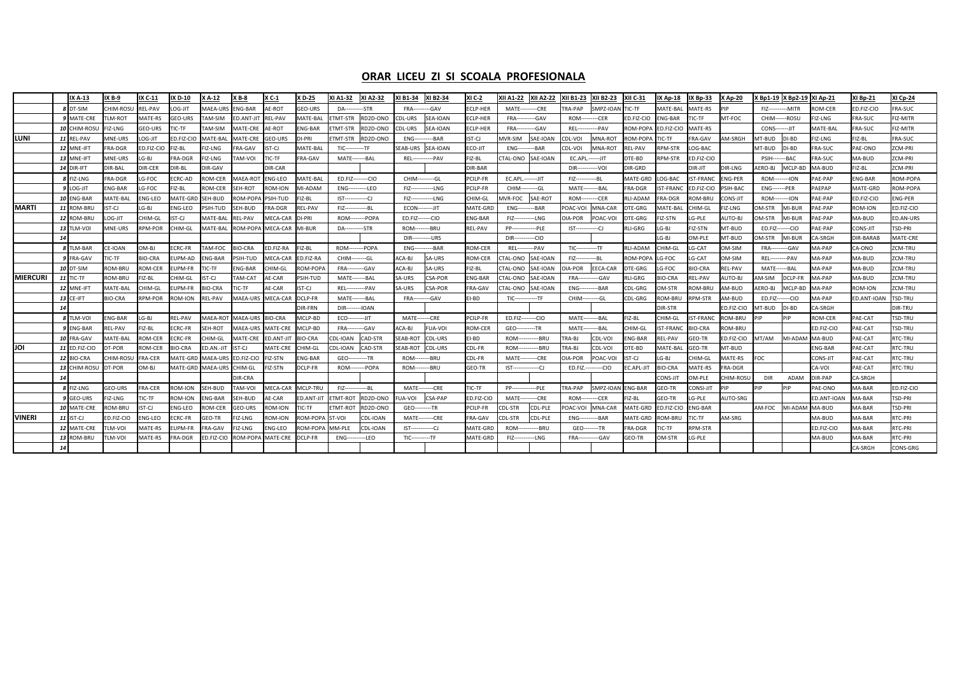### **ORAR LICEU ZI SI SCOALA PROFESIONALA**

|                 |    | IX A-13          | IX B-9           | IX C-11           | IX D-10        | K A-12           | <b>XB-8</b>               | K C-1                           | XD-25           | XI A1-32                | XI A2-32 | I B1-34                  | XI B2-34                  | XI C-2          | XII A1-22         | <b>XII A2-22</b> | XII B1-23               | <b>XII B2-23</b>  | <b>XII C-31</b> | <b>IX Ap-18</b>  | IX Bp-33         | <b>X</b> Ap-20 | X Bp1-19 X Bp2-19       |                | <b>XI Ap-21</b> | <b>XI Bp-21</b> | XI Cp-24         |
|-----------------|----|------------------|------------------|-------------------|----------------|------------------|---------------------------|---------------------------------|-----------------|-------------------------|----------|--------------------------|---------------------------|-----------------|-------------------|------------------|-------------------------|-------------------|-----------------|------------------|------------------|----------------|-------------------------|----------------|-----------------|-----------------|------------------|
|                 |    | DT-SIM           | <b>CHIM-ROSU</b> | <b>REL-PAV</b>    | LOG-JIT        | <b>MAEA-UR</b>   | <b>ENG-BAR</b>            | AE-ROT                          | GEO-URS         | <b>DA-----</b>          | -STR     | <b>FRA---</b>            | --GAV                     | ECLP-HER        | MATE-             | --CRE            | <b>RA-PAP</b>           | SMPZ-IOAN         | TIC-TF          | MATE-BAL         | MATE-RS          | PIP            | FIZ--------             | --MITR         | <b>ROM-CER</b>  | ED.FIZ-CIO      | FRA-SUC          |
|                 |    | 9 MATE-CRE       | LM-ROT           | MATE-RS           | GEO-URS        | AM-SIM           | <b>ED.ANT-JIT</b>         | REL-PAV                         | MATE-BAL        | ETMT-STR                | RD2D-ONO | CDL-URS                  | SEA-IOAN                  | ECLP-HER        | FRA--             | --GAV            | ROM-                    | $-CER$            | ED.FIZ-CIO      | <b>ENG-BAR</b>   | TIC-TF           | MT-FOC         | CHIM------ROSU          |                | IZ-LNG          | FRA-SUC         | FIZ-MITR         |
|                 |    | 10 CHIM-ROSL     | IZ-LNG           | GEO-URS           | TIC-TF         | AM-SIM           | <b>MATE-CRE</b>           | AE-ROT                          | NG-BAR          | ETMT-STR                | RD2D-ONO | CDL-URS                  | <b>SEA-IOAN</b>           | ECLP-HER        | FRA-              | --GAV            | REL-                    | -PAV              | ROM-POPA        | ED.FIZ-CIO       | <b>MATE-RS</b>   |                | <b>CONS--------JIT</b>  |                | MATE-BAL        | FRA-SUC         | FIZ-MITR         |
| LUNI            |    | 11 REL-PAV       | MNE-URS          | OG-JIT            | ED.FIZ-CIO     | MATE-BAI         | <b>MATE-CRE</b>           | GEO-URS                         | DI-PRI          | TMT-STR                 | RD2D-ONO | $ENG-$                   | --BAR                     | ST-CJ           | <b>AVR-SIM</b>    | SAE-IOAN         | CDL-VOI                 | <b>MNA-ROT</b>    | ROM-POPA        | TIC-TF           | <b>FRA-GAV</b>   | AM-SRGH        | MT-BUD                  | DI-BD          | FIZ-LNG         | FIZ-BL          | FRA-SUC          |
|                 |    | 12 MNE-IFT       | <b>RA-DGR</b>    | <b>ED.FIZ-CIO</b> | FIZ-BL         | <b>IZ-LNG</b>    | FRA-GAV                   | ST-CJ                           | MATE-BAL        | <b>TIC----------TF</b>  |          | SEAB-URS                 | SEA-IOAN                  | ECO-JIT         | $ENG-$            | -BAR             | CDL-VOI                 | MNA-ROT           | <b>REL-PAV</b>  | <b>RPM-STR</b>   | LOG-BAC          |                | MT-BUD DI-BD            |                | <b>FRA-SUC</b>  | PAE-ONO         | ZCM-PRI          |
|                 |    | 13 MNE-IFT       | MNE-URS          | G-BJ              | <b>FRA-DGR</b> | FIZ-LNG          | TAM-VOI                   | <b>TIC-TF</b>                   | FRA-GAV         | MATE-------BAL          |          |                          | <b>REL------------PAV</b> | FIZ-BL          | CTAL-ONO          | SAE-IOAN         | EC.APL.------JIT        |                   | DTE-BD          | RPM-STR          | ED.FIZ-CIO       |                | <b>PSIH-------BAC</b>   |                | <b>FRA-SUC</b>  | MA-BUD          | ZCM-PRI          |
|                 |    | 14 DIR-IFT       | <b>JIR-BAL</b>   | <b>DIR-CER</b>    | DIR-BL         | DIR-GAV          |                           | <b>DIR-CAR</b>                  |                 |                         |          |                          |                           | DIR-BAR         |                   |                  | DIR--                   | --- VOI           | DIR-GRD         |                  | DIR-JIT          | DIR-LNG        | AERO-BJ                 | MCLP-BD        | MA-BUD          | FIZ-BL          | ZCM-PRI          |
|                 |    | 8 FIZ-LNG        | RA-DGR           | G-FOC             | <b>ECRC-AD</b> | ROM-CER          | MAEA-ROT                  | <b>ENG-LEO</b>                  | <b>MATE-BAL</b> | ED.FIZ--------CIO       |          | CHIM---------GL          |                           | PCILP-FR        | EC.APL.-------JIT |                  | $FIZ---$                | -----BL           | MATE-GRD        | OG-BAC           | IST-FRANC        | <b>ENG-PER</b> | <b>ROM--------ION</b>   |                | PAE-PAP         | ENG-BAR         | ROM-POPA         |
|                 |    | 9 LOG-JIT        | NG-BAR           | G-FOC             | FIZ-BL         | <b>ROM-CER</b>   | <b>SEH-ROT</b>            | <b>ROM-ION</b>                  | MI-ADAM         | ENG----------LEO        |          | $FIZ$ ------             | --LNG                     | PCILP-FR        | CHIM-             | --GL             | MATE-                   | -----BAL          | FRA-DGR         | <b>ST-FRANC</b>  | ED.FIZ-CIO       | PSIH-BAC       | <b>ENG-------PER</b>    |                | PAEPAP          | MATE-GRD        | <b>ROM-POPA</b>  |
|                 |    | 10 ENG-BAR       | <b>MATE-BAL</b>  | NG-LEO            | MATE-GRI       | SEH-BUD          | ROM-POP                   | PSIH-TUD                        | IZ-BL           | $IST$ ---------         | ---CJ    | FIZ------                | --LNG                     | CHIM-GL         | <b>AVR-FOC</b>    | SAE-ROT          | ROM-                    | --CER             | <b>RLI-ADAM</b> | <b>RA-DGR</b>    | ROM-BRU          | CONS-JIT       | ROM--------ION          |                | PAE-PAP         | ED.FIZ-CIO      | NG-PER           |
| <b>MARTI</b>    |    | 11 ROM-BRU       | ST-CJ            | LG-BJ             | ENG-LEO        | <b>SIH-TUD</b>   | SEH-BUD                   | RA-DGR                          | <b>EL-PAV</b>   | FIZ---------            |          | <b>ECON--------JIT</b>   |                           | <b>MATE-GRD</b> | $ENG-$            | -BAR             | <b>OAC-VOI</b>          | <b>MNA-CAR</b>    | <b>DTE-GRG</b>  | <b>AATE-BAL</b>  | CHIM-GL          | IZ-LNG         | OM-STR                  | MI-BUR         | AE-PAP          | ROM-ION         | ED.FIZ-CIO       |
|                 |    | 12 ROM-BRU       | OG-JIT           | <b>HIM-GL</b>     | IST-CJ         | <b>AATE-BAL</b>  | <b>REL-PAV</b>            | <b>AECA-CAR</b>                 | <b>DI-PRI</b>   | <b>ROM--------POPA</b>  |          | ED.FIZ-------CIO         |                           | ENG-BAR         | $FIZ--$           | --LNG            | <b>DIA-POR</b>          | POAC-VOI          | DTE-GRG         | IZ-STN           | LG-PLE           | AUTO-BJ        | OM-STR                  | MI-BUR         | AE-PAP          | MA-BUD          | ED.AN-URS        |
|                 |    | 13 TLM-VOI       | MNE-URS          | <b>RPM-POR</b>    | CHIM-GL        | <b>AATE-BAL</b>  | ROM-POPA                  | MECA-CAR                        | MI-BUR          | DA-----------STR        |          | <b>ROM--------BRU</b>    |                           | REL-PAV         | <b>PP----</b>     | --PLE            | $IST$ ---------------CJ |                   | RLI-GRG         | LG-BJ            | <b>FIZ-STN</b>   | MT-BUD         | ED.FIZ-------CIO        |                | AE-PAP          | CONS-JIT        | TSD-PRI          |
|                 | 14 |                  |                  |                   |                |                  |                           |                                 |                 |                         |          | <b>DIR-----------URS</b> |                           |                 | $DIR -$           | --CIO            |                         |                   |                 | .G-BJ            | OM-PLE           | MT-BUD         | OM-STR                  | MI-BUR         | A-SRGH          | DIR-BARAB       | <b>AATE-CRE</b>  |
|                 |    | <b>8 TLM-BAR</b> | CE-IOAN          | OM-BI             | <b>ECRC-FR</b> | AM-FOC           | <b>BIO-CRA</b>            | ED.FIZ-RA                       | IZ-BL           | <b>ROM--------POPA</b>  |          | $ENG$ ----               | $-BAR$                    | ROM-CER         | <b>REL---</b>     | ---PAV           | $TIC$ ------            | ------TF          | <b>RLI-ADAM</b> | HIM-GL           | LG-CA1           | OM-SIM         | <b>FRA----------GAV</b> |                | <b>A-PAP</b>    | CA-ONO          | CM-TRU           |
|                 |    | 9 FRA-GAV        | IC-TF            | <b>BIO-CRA</b>    | EUPM-AD        | NG-BAR           | PSIH-TUD                  | <b>AECA-CAR</b>                 | D.FIZ-RA        | CHIM--------GL          |          | ACA-BJ                   | SA-URS                    | ROM-CER         | TAL-ONO           | SAE-IOAN         | $FIZ--$                 | --BL              | ROM-POP         | LG-FOC           | LG-CA1           | <b>M-SIM</b>   | <b>REL---------PAV</b>  |                | <b>A-PAP</b>    | MA-BUD          | ZCM-TRU          |
|                 |    | 10 DT-SIN        | ROM-BRU          | ROM-CER           | EUPM-FR        | IC-TF            | ENG-BAR                   | <b>CHIM-GL</b>                  | OM-POP/         | <b>FRA----------GAV</b> |          | ACA-BJ                   | SA-URS                    | FIZ-BL          | TAL-ONO           | SAE-IOAN         | <b>DIA-POR</b>          | <b>EECA-CAR</b>   | DTE-GRG         | G-FOC            | <b>BIO-CRA</b>   | REL-PAV        | MATE------BAL           |                | A-PAP           | MA-BUD          | CM-TRU           |
| <b>MIERCURI</b> |    | <b>11 TIC-TF</b> | <b>OM-BRU</b>    | IZ-BL             | CHIM-GL        | ST-CJ            | AM-CAT                    | <b>AE-CAR</b>                   | <b>SIH-TUD</b>  | MATE-------BAL          |          | SA-URS                   | CSA-POR                   | ENG-BAF         | TAL-ONO           | SAE-IOAN         | FRA-                    | --GAV             | <b>RLI-GRG</b>  | BIO-CRA          | REL-PAV          | AUTO-BJ        | AM-SIM                  | <b>DCLP-FR</b> | <b>MA-PAP</b>   | MA-BUD          | CM-TRU           |
|                 |    | 12 MNE-IFT       | MATE-BAL         | HIM-GL            | UPM-FR         | <b>IO-CRA</b>    | IC-TF                     | <b>AE-CAR</b>                   | ST-CJ           | <b>REL--------</b>      | --PAV    | <b>A-URS</b>             | CSA-POR                   | FRA-GAV         | TAL-ONO           | SAE-IOAN         | ENG-                    | --BAR             | CDL-GRG         | )M-STR           | ROM-BRU          | AM-BUD         | <b>AERO-BJ</b>          | MCLP-BD        | <b>A-PAP</b>    | ROM-ION         | ZCM-TRU          |
|                 |    | 13 CE-IFT        | <b>IO-CRA</b>    | <b>RPM-POR</b>    | ROM-ION        | REL-PAV          | MAEA-URS                  | MECA-CAF                        | DCLP-FR         | MATE-------BAL          |          | FRA---                   | --GAV                     | EI-BD           | $TIC$ -------     | -TF              | CHIM-                   | ---GL             | CDL-GRG         | OM-BRL           | RPM-STR          | AM-BUD         | ED.FIZ---               | --CIO          | <b>MA-PAP</b>   | ED.ANT-IOAI     | TSD-TRU          |
|                 | 14 |                  |                  |                   |                |                  |                           |                                 | DIR-FRN         | DIR---------IOAN        |          |                          |                           |                 |                   |                  |                         |                   |                 | DIR-STR          |                  | D.FIZ-CIO      | MT-BUD                  | DI-BD          | CA-SRGH         |                 | DIR-TRU          |
|                 |    | 8 TLM-VOI        | NG-BAR           | LG-BJ             | <b>REL-PAV</b> |                  | MAEA-ROT MAEA-URS BIO-CRA |                                 | MCLP-BD         | ECO----------JIT        |          | MATE-------CRE           |                           | PCILP-FR        | ED.FIZ--------CIO |                  | <b>MATE---------BAL</b> |                   | FIZ-BL          | HIM-GL           | <b>IST-FRANC</b> | ROM-BRU        |                         | PIP            | ROM-CER         | PAE-CAT         | TSD-TRU          |
|                 |    | 9 ENG-BAR        | REL-PAV          | FIZ-BL            | <b>ECRC-FR</b> | SEH-ROT          | MAEA-URS MATE-CRE         |                                 | MCLP-BD         | <b>FRA------</b>        | --GAV    | ACA-BJ                   | <b>FUA-VOI</b>            | <b>ROM-CER</b>  | $GEO -$           | ---TR            | MATE-                   | ----BAL           | CHIM-GL         | <b>IST-FRANC</b> | <b>BIO-CRA</b>   | ROM-BRU        |                         |                | ED.FIZ-CIO      | PAE-CAT         | TSD-TRU          |
|                 |    | 10 FRA-GAV       | MATE-BAL         | ROM-CER           | <b>ECRC-FR</b> | CHIM-GL          | MATE-CRE                  | ED.ANT-JIT BIO-CRA              |                 | CDL-IOAN                | CAD-STR  | SEAB-ROT                 | <b>CDL-URS</b>            | EI-BD           | ROM-              | --BRU            | <b>TRA-BJ</b>           | CDL-VOI           | <b>ENG-BAR</b>  | REL-PAV          | GEO-TR           | ED.FIZ-CIO     | MT/AM                   | MI-ADAM        | MA-BUD          | PAE-CAT         | RTC-TRU          |
| JOI             |    | 11 ED.FIZ-CIO    | <b>DT-POR</b>    | ROM-CER           | <b>BIO-CRA</b> | ED.AN.-JIT       | <b>IST-CJ</b>             | <b>MATE-CRE</b>                 | HIM-GL          | CDL-IOAN                | CAD-STR  | SEAB-ROT                 | CDL-URS                   | CDL-FR          | <b>ROM---</b>     | --BRU            | RA-BJ                   | CDL-VOI           | DTE-BD          | MATE-BAL         | GEO-TR           | MT-BUD         |                         |                | NG-BAR          | PAE-CAT         | <b>RTC-TRU</b>   |
|                 |    | 12 BIO-CRA       | <b>CHIM-ROSU</b> | <b>RA-CER</b>     | MATE-GRD       | <b>MAEA-URS</b>  | ED.FIZ-CIO                | FIZ-STN                         | ENG-BAR         | GEO----                 | --TR     | <b>ROM--------BRU</b>    |                           | CDL-FR          | MATE-             | ---CRE           | OIA-POR                 | POAC-VOI          | IST-CJ          | G-BJ             | CHIM-GL          | MATE-RS        | FOC                     |                | CONS-JIT        | PAE-CAT         | <b>RTC-TRU</b>   |
|                 |    | 13 CHIM-ROSU     | DT-POR           | N-MC              | MATE-GRD       | MAEA-URS         | CHIM-GL                   | IZ-STN                          | DCLP-FR         | <b>ROM--------POPA</b>  |          | <b>ROM--------BRU</b>    |                           | GEO-TR          | $IST--$           | --CJ             | $ED.FIZ. -$             | ------CIO         | EC.APL-JIT      | <b>BIO-CRA</b>   | MATE-RS          | RA-DGR         |                         |                | A-VOI           | PAE-CAT         | <b>ITC-TRU</b>   |
|                 |    |                  |                  |                   |                |                  | DIR-CRA                   |                                 |                 |                         |          |                          |                           |                 |                   |                  |                         |                   |                 | ONS-JIT:         | OM-PLE           | CHIM-ROSU      | DIR                     | ADAM           | <b>JIR-PAP</b>  | CA-SRGH         |                  |
|                 |    | 8 FIZ-LNG        | GEO-URS          | <b>RA-CER</b>     | ROM-ION        | SEH-BUD          | TAM-VOI                   | <b><i>AECA-CAR MCLP-TRU</i></b> |                 | $FIZ--$                 |          | MATE---                  | ----CRE                   | TIC-TF          | <b>PP---</b>      | -PLE             | <b>RA-PAP</b>           | SMPZ-IOAN ENG-BAR |                 | GEO-TR           | CONSI-JIT        | PIP            |                         | PIP            | AE-ONO          | MA-BAR          | <b>D.FIZ-CIO</b> |
|                 |    | 9 GEO-URS        | IZ-LNG           | IC-TF             | ROM-ION        | ENG-BAR          | SEH-BUD                   | <b>AE-CAR</b>                   | ED.ANT-JIT      | ETMT-ROT                | RD2D-ONO | UA-VOI                   | <b>CSA-PAP</b>            | ED.FIZ-CIO      | MATE-             | --CRE            | ROM-                    | --CER             | FIZ-BL          | GEO-TR           | LG-PLE           | AUTO-SRG       |                         |                | D.ANT-IOAN      | MA-BAR          | TSD-PRI          |
|                 |    | 10 MATE-CRE      | OM-BRU           | ST-CJ             | ENG-LEO        | <b>OM-CER</b>    | GEO-URS                   | OM-ION                          | IC-TF           | ETMT-ROT                | RD2D-ONO | GEO---------TR           |                           | PCILP-FR        | DL-STR            | CDL-PLE          | OAC-VOI                 | <b>MNA-CAR</b>    | <b>MATE-GRD</b> | D.FIZ-CIO        | <b>ENG-BAR</b>   |                | AM-FOC                  | MI-ADAN        | MA-BUD          | MA-BAR          | TSD-PRI          |
| <b>VINERI</b>   |    | 11 IST-CJ        | D.FIZ-CIO        | NG-LEO            | ECRC-FR        | <b>GEO-TR</b>    | FIZ-LNG                   | <b>COM-ION</b>                  | <b>OM-POPA</b>  | ST-VOI                  | CDL-IOAN |                          | <b>MATE--------CRE</b>    | FRA-GAV         | DL-STR            | CDL-PLE          | $ENG$ ---               | --BAR             | MATE-GRD        | OM-BRU           | TIC-TF           | AM-SRG         |                         |                | MA-BUD          | MA-BAR          | RTC-PRI          |
|                 |    | 12 MATE-CRE      | LM-VO            | <b>ATE-RS</b>     | UPM-FR         | <b>RA-GAV</b>    | FIZ-LNG                   | NG-LEO                          | OM-POPA         | MM-PLE                  | CDL-IOAN | $IST$ --------------CJ   |                           | <b>MATE-GRE</b> | ROM-              | --BRU            |                         | GEO--------TR     | FRA-DGR         | IC-TF            | <b>RPM-STR</b>   |                |                         |                | ED.FIZ-CIO      | MA-BAR          | RTC-PRI          |
|                 |    | 13 ROM-BRU       | LM-VOI           | <b>ATE-RS</b>     | FRA-DGR        | <b>D.FIZ-CIC</b> | ROM-POP                   | <b>MATE-CRE</b>                 | <b>CLP-FR</b>   | <b>ENG--</b>            | -LEO     | <b>TIC---------TF</b>    |                           | <b>MATE-GRD</b> | $FIZ$ ------      | -LNG             | FRA--                   | ---GAV            | GEO-TR          | <b>DM-STR</b>    | LG-PLE           |                |                         |                | MA-BUD          | MA-BAR          | <b>RTC-PRI</b>   |
|                 | 14 |                  |                  |                   |                |                  |                           |                                 |                 |                         |          |                          |                           |                 |                   |                  |                         |                   |                 |                  |                  |                |                         |                |                 | CA-SRGH         | CONS-GRG         |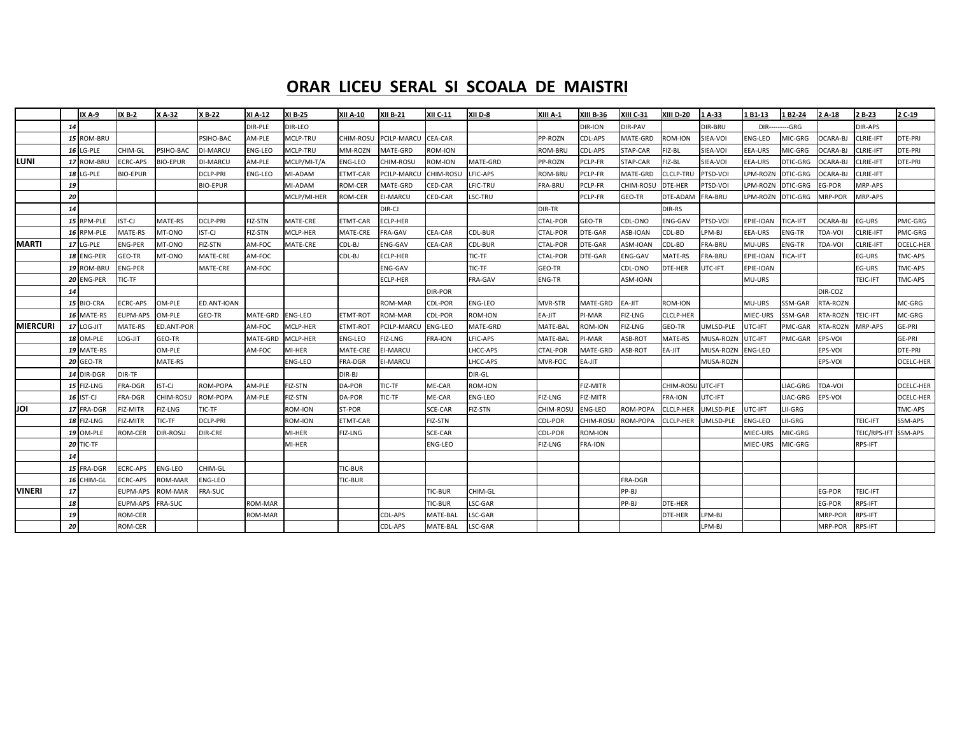### **ORAR LICEU SERAL SI SCOALA DE MAISTRI**

|                 |    | IX A-9           | IX B-2          | X A-32          | X B-22          | XI A-12        | <b>XI B-25</b> | XII A-10        | <b>XII B-21</b> | <b>XII C-11</b> | XII D-8        | XIII A-1        | <b>XIII B-36</b> | <b>XIII C-31</b> | <b>XIII D-20</b> | 1A-33     | 1 B1-13         | 1 B2-24         | 2 A-18          | 2 B-23           | 2 C-19           |
|-----------------|----|------------------|-----------------|-----------------|-----------------|----------------|----------------|-----------------|-----------------|-----------------|----------------|-----------------|------------------|------------------|------------------|-----------|-----------------|-----------------|-----------------|------------------|------------------|
|                 | 14 |                  |                 |                 |                 | DIR-PLE        | DIR-LEO        |                 |                 |                 |                |                 | DIR-ION          | DIR-PAV          |                  | DIR-BRU   | $DIR--$         | --GRG           |                 | DIR-APS          |                  |
|                 |    | 15 ROM-BRU       |                 |                 | PSIHO-BAC       | AM-PLE         | MCLP-TRU       | CHIM-ROSU       | PCILP-MARCU     | CEA-CAR         |                | PP-ROZN         | CDL-APS          | MATE-GRD         | <b>ROM-ION</b>   | SIEA-VOI  | ENG-LEO         | MIC-GRG         | <b>CARA-BJ</b>  | CLRIE-IFT        | DTE-PRI          |
|                 |    | 16 LG-PLE        | CHIM-GL         | PSIHO-BAC       | <b>II-MARCU</b> | <b>ENG-LEO</b> | MCLP-TRU       | MM-ROZN         | MATE-GRD        | ROM-ION         |                | ROM-BRU         | CDL-APS          | STAP-CAR         | FIZ-BL           | SIEA-VOI  | EEA-URS         | MIC-GRG         | <b>CARA-BJ</b>  | CLRIE-IFT        | DTE-PRI          |
| LUNI            | 17 | ROM-BRU          | <b>ECRC-APS</b> | <b>BIO-EPUR</b> | DI-MARCU        | AM-PLE         | MCLP/MI-T/A    | <b>ENG-LEO</b>  | CHIM-ROSU       | ROM-ION         | MATE-GRD       | PP-ROZN         | PCLP-FR          | STAP-CAR         | FIZ-BL           | SIEA-VOI  | EEA-URS         | DTIC-GRG        | <b>OCARA-BJ</b> | CLRIE-IFT        | DTE-PRI          |
|                 |    | <b>18 LG-PLE</b> | <b>BIO-EPUR</b> |                 | DCLP-PRI        | <b>ENG-LEO</b> | MI-ADAM        | ETMT-CAR        | PCILP-MARCU     | CHIM-ROSI       | LFIC-APS       | ROM-BRU         | PCLP-FR          | MATE-GRD         | CLCLP-TRU        | PTSD-VOI  | PM-ROZN         | DTIC-GRG        | OCARA-BJ        | CLRIE-IFT        |                  |
|                 | 19 |                  |                 |                 | <b>BIO-EPUR</b> |                | MI-ADAM        | ROM-CER         | MATE-GRD        | CED-CAR         | LFIC-TRU       | FRA-BRU         | PCLP-FR          | CHIM-ROSL        | DTE-HER          | PTSD-VOI  | PM-ROZN         | <b>DTIC-GRG</b> | EG-POR          | MRP-APS          |                  |
|                 | 20 |                  |                 |                 |                 |                | MCLP/MI-HER    | ROM-CER         | <b>EI-MARCU</b> | CED-CAR         | LSC-TRU        |                 | PCLP-FR          | GEO-TR           | DTE-ADAN         | FRA-BRU   | PM-ROZN         | <b>DTIC-GRG</b> | MRP-POR         | MRP-APS          |                  |
|                 | 14 |                  |                 |                 |                 |                |                |                 | DIR-CJ          |                 |                | DIR-TR          |                  |                  | DIR-RS           |           |                 |                 |                 |                  |                  |
|                 |    | 15 RPM-PLE       | IST-CJ          | MATE-RS         | <b>DCLP-PRI</b> | FIZ-STN        | MATE-CRE       | ETMT-CAR        | <b>ECLP-HER</b> |                 |                | CTAL-POR        | GEO-TR           | CDL-ONO          | ENG-GAV          | PTSD-VOI  | EPIE-IOAN       | TICA-IFT        | OCARA-BJ        | EG-URS           | PMC-GRG          |
|                 |    | 16 RPM-PLE       | MATE-RS         | MT-ONO          | IST-CJ          | FIZ-STN        | MCLP-HER       | MATE-CRE        | FRA-GAV         | <b>CEA-CAR</b>  | CDL-BUR        | CTAL-POR        | DTE-GAR          | ASB-IOAN         | CDL-BD           | LPM-BJ    | EEA-URS         | ENG-TR          | TDA-VOI         | <b>CLRIE-IFT</b> | PMC-GRG          |
| <b>MARTI</b>    |    | 17 LG-PLE        | ENG-PER         | MT-ONO          | FIZ-STN         | AM-FOC         | MATE-CRE       | CDL-BJ          | <b>ENG-GAV</b>  | CEA-CAR         | CDL-BUR        | CTAL-POR        | DTE-GAR          | ASM-IOAN         | CDL-BD           | FRA-BRU   | MU-URS          | ENG-TR          | TDA-VOI         | <b>CLRIE-IFT</b> | OCELC-HER        |
|                 |    | 18 ENG-PER       | GEO-TR          | MT-ONO          | MATE-CRE        | AM-FOC         |                | CDL-BJ          | <b>ECLP-HER</b> |                 | TIC-TF         | CTAL-POR        | DTE-GAR          | <b>ENG-GAV</b>   | MATE-RS          | FRA-BRU   | EPIE-IOAN       | TICA-IFT        |                 | EG-URS           | TMC-APS          |
|                 |    | 19 ROM-BRU       | ENG-PER         |                 | MATE-CRE        | AM-FOC         |                |                 | <b>ENG-GAV</b>  |                 | TIC-TF         | GEO-TR          |                  | CDL-ONO          | DTE-HER          | UTC-IFT   | EPIE-IOAN       |                 |                 | EG-URS           | TMC-APS          |
|                 |    | 20 ENG-PER       | TIC-TF          |                 |                 |                |                |                 | ECLP-HER        |                 | FRA-GAV        | ENG-TR          |                  | ASM-IOAN         |                  |           | MU-URS          |                 |                 | TEIC-IFT         | TMC-APS          |
|                 | 14 |                  |                 |                 |                 |                |                |                 |                 | DIR-POR         |                |                 |                  |                  |                  |           |                 |                 | DIR-COZ         |                  |                  |
|                 |    | 15 BIO-CRA       | ECRC-APS        | OM-PLE          | ED.ANT-IOAN     |                |                |                 | ROM-MAR         | CDL-POR         | <b>ENG-LEO</b> | MVR-STR         | MATE-GRD         | EA-JIT           | ROM-ION          |           | <b>MU-URS</b>   | SSM-GAR         | <b>TA-ROZN</b>  |                  | MC-GRG           |
|                 |    | 16 MATE-RS       | EUPM-APS        | OM-PLE          | GEO-TR          | MATE-GRD       | <b>ENG-LEO</b> | <b>ETMT-ROT</b> | ROM-MAR         | CDL-POR         | ROM-ION        | EA-JIT          | PI-MAR           | FIZ-LNG          | <b>CLCLP-HER</b> |           | MIEC-URS        | SSM-GAR         | <b>RTA-ROZN</b> | TEIC-IFT         | MC-GRG           |
| <b>MIERCURI</b> |    | 17 LOG-JIT       | MATE-RS         | ED.ANT-POR      |                 | AM-FOC         | MCLP-HER       | ETMT-ROT        | PCILP-MARCU     | <b>ENG-LEO</b>  | MATE-GRD       | MATE-BAL        | <b>ROM-ION</b>   | FIZ-LNG          | GEO-TR           | UMLSD-PLE | <b>JTC-IFT</b>  | PMC-GAR         | <b>TA-ROZN</b>  | MRP-APS          | GE-PRI           |
|                 |    | 18 OM-PLE        | TIL-DO.         | GEO-TR          |                 | MATE-GRD       | MCLP-HER       | <b>ENG-LEO</b>  | FIZ-LNG         | <b>FRA-ION</b>  | LFIC-APS       | MATE-BAL        | PI-MAR           | ASB-ROT          | MATE-RS          | MUSA-ROZN | <b>JTC-IFT</b>  | PMC-GAR         | EPS-VOI         |                  | GE-PRI           |
|                 |    | 19 MATE-RS       |                 | OM-PLE          |                 | AM-FOC         | MI-HER         | MATE-CRE        | <b>EI-MARCU</b> |                 | LHCC-APS       | <b>CTAL-POR</b> | MATE-GRD         | ASB-ROT          | EA-JIT           | MUSA-ROZN | ENG-LEO         |                 | EPS-VOI         |                  | DTE-PRI          |
|                 |    | <b>20 GEO-TR</b> |                 | MATE-RS         |                 |                | <b>ENG-LEO</b> | <b>FRA-DGR</b>  | <b>EI-MARCU</b> |                 | <b>HCC-APS</b> | MVR-FOC         | EA-JIT           |                  |                  | MUSA-ROZN |                 |                 | EPS-VOI         |                  | OCELC-HER        |
|                 |    | 14 DIR-DGR       | DIR-TF          |                 |                 |                |                | DIR-BJ          |                 |                 | DIR-GL         |                 |                  |                  |                  |           |                 |                 |                 |                  |                  |
|                 |    | 15 FIZ-LNG       | FRA-DGR         | IST-CJ          | ROM-POPA        | AM-PLE         | FIZ-STN        | DA-POR          | TIC-TF          | ME-CAR          | <b>ROM-ION</b> |                 | FIZ-MITR         |                  | CHIM-ROSL        | UTC-IFT   |                 | LIAC-GRG        | TDA-VOI         |                  | <b>OCELC-HER</b> |
|                 |    | 16 IST-CJ        | FRA-DGR         | CHIM-ROSU       | ROM-POPA        | AM-PLE         | FIZ-STN        | DA-POR          | TIC-TF          | ME-CAR          | <b>ENG-LEO</b> | FIZ-LNG         | FIZ-MITR         |                  | FRA-ION          | UTC-IFT   |                 | LIAC-GRG        | EPS-VOI         |                  | <b>OCELC-HER</b> |
| JOI             | 17 | FRA-DGR          | FIZ-MITR        | FIZ-LNG         | TIC-TF          |                | ROM-ION        | ST-POR          |                 | SCE-CAR         | FIZ-STN        | CHIM-ROSL       | <b>ENG-LEO</b>   | ROM-POPA         | <b>CLCLP-HER</b> | UMLSD-PLE | <b>JTC-IFT</b>  | LII-GRG         |                 |                  | TMC-APS          |
|                 |    | 18 FIZ-LNG       | FIZ-MITR        | <b>TIC-TF</b>   | DCLP-PRI        |                | ROM-ION        | <b>ETMT-CAR</b> |                 | FIZ-STN         |                | CDL-POR         | CHIM-ROSU        | ROM-POPA         | CLCLP-HER        | UMLSD-PLE | ENG-LEO         | II-GRG          |                 | TEIC-IFT         | SSM-APS          |
|                 |    | 19 OM-PLE        | ROM-CER         | DIR-ROSU        | DIR-CRE         |                | MI-HER         | <b>FIZ-LNG</b>  |                 | SCE-CAR         |                | CDL-POR         | ROM-ION          |                  |                  |           | <b>MIEC-URS</b> | MIC-GRG         |                 | TEIC/RPS-IFT     | SSM-APS          |
|                 |    | 20 TIC-TF        |                 |                 |                 |                | MI-HER         |                 |                 | ENG-LEO         |                | FIZ-LNG         | <b>FRA-ION</b>   |                  |                  |           | <b>MIEC-URS</b> | MIC-GRG         |                 | RPS-IFT          |                  |
|                 | 14 |                  |                 |                 |                 |                |                |                 |                 |                 |                |                 |                  |                  |                  |           |                 |                 |                 |                  |                  |
|                 | 15 | FRA-DGR          | ECRC-APS        | <b>ENG-LEO</b>  | CHIM-GL         |                |                | <b>TIC-BUR</b>  |                 |                 |                |                 |                  |                  |                  |           |                 |                 |                 |                  |                  |
|                 | 16 | CHIM-GL          | ECRC-APS        | ROM-MAR         | ENG-LEO         |                |                | TIC-BUR         |                 |                 |                |                 |                  | FRA-DGR          |                  |           |                 |                 |                 |                  |                  |
| <b>VINERI</b>   | 17 |                  | EUPM-APS        | ROM-MAR         | FRA-SUC         |                |                |                 |                 | <b>TIC-BUR</b>  | CHIM-GL        |                 |                  | PP-BJ            |                  |           |                 |                 | EG-POR          | TEIC-IFT         |                  |
|                 | 18 |                  | EUPM-APS        | FRA-SUC         |                 | <b>ROM-MAR</b> |                |                 |                 | <b>TIC-BUR</b>  | LSC-GAR        |                 |                  | PP-BI            | DTE-HER          |           |                 |                 | EG-POR          | RPS-IFT          |                  |
|                 | 19 |                  | ROM-CER         |                 |                 | <b>ROM-MAR</b> |                |                 | CDL-APS         | MATE-BAI        | LSC-GAR        |                 |                  |                  | DTE-HER          | LPM-BJ    |                 |                 | MRP-POR         | RPS-IFT          |                  |
|                 | 20 |                  | ROM-CER         |                 |                 |                |                |                 | CDL-APS         | MATE-BAL        | LSC-GAR        |                 |                  |                  |                  | LPM-BJ    |                 |                 | MRP-POR         | RPS-IFT          |                  |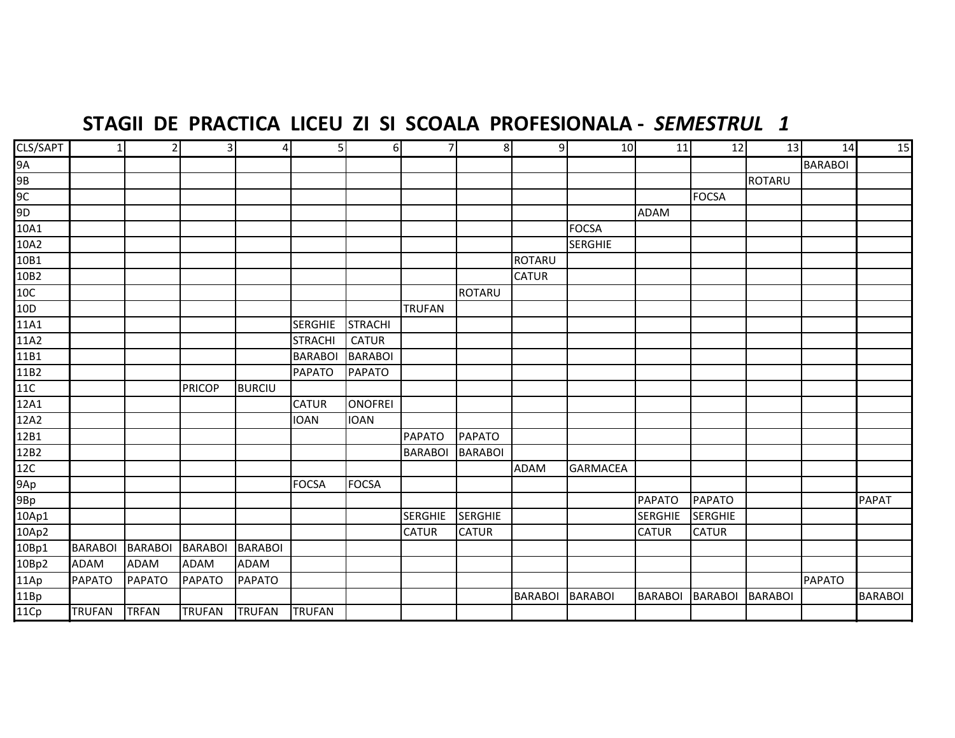## STAGII DE PRACTICA LICEU ZI SI SCOALA PROFESIONALA - SEMESTRUL 1

| CLS/SAPT                        | $\mathbf{1}$   |                | $\overline{3}$ | $\overline{4}$ | 5 <sup>1</sup> | 6              | 7              | 8              | $\overline{9}$ | 10              | 11             | $\overline{12}$ | 13             | 14             | 15             |
|---------------------------------|----------------|----------------|----------------|----------------|----------------|----------------|----------------|----------------|----------------|-----------------|----------------|-----------------|----------------|----------------|----------------|
|                                 |                |                |                |                |                |                |                |                |                |                 |                |                 |                | <b>BARABOI</b> |                |
|                                 |                |                |                |                |                |                |                |                |                |                 |                |                 | <b>ROTARU</b>  |                |                |
| $\frac{9A}{9B}$ $\frac{9C}{9D}$ |                |                |                |                |                |                |                |                |                |                 |                | <b>FOCSA</b>    |                |                |                |
|                                 |                |                |                |                |                |                |                |                |                |                 | <b>ADAM</b>    |                 |                |                |                |
| 10A1                            |                |                |                |                |                |                |                |                |                | <b>FOCSA</b>    |                |                 |                |                |                |
| 10A2                            |                |                |                |                |                |                |                |                |                | <b>SERGHIE</b>  |                |                 |                |                |                |
| 10B1                            |                |                |                |                |                |                |                |                | ROTARU         |                 |                |                 |                |                |                |
| 10B2                            |                |                |                |                |                |                |                |                | <b>CATUR</b>   |                 |                |                 |                |                |                |
| $\frac{10C}{10D}$               |                |                |                |                |                |                |                | <b>ROTARU</b>  |                |                 |                |                 |                |                |                |
|                                 |                |                |                |                |                |                | <b>TRUFAN</b>  |                |                |                 |                |                 |                |                |                |
| 11A1                            |                |                |                |                | <b>SERGHIE</b> | <b>STRACHI</b> |                |                |                |                 |                |                 |                |                |                |
| 11A2                            |                |                |                |                | <b>STRACHI</b> | <b>CATUR</b>   |                |                |                |                 |                |                 |                |                |                |
| 11B1<br>11B2                    |                |                |                |                | <b>BARABOI</b> | <b>BARABOI</b> |                |                |                |                 |                |                 |                |                |                |
|                                 |                |                |                |                | <b>PAPATO</b>  | <b>PAPATO</b>  |                |                |                |                 |                |                 |                |                |                |
| 11C<br>12A1                     |                |                | <b>PRICOP</b>  | <b>BURCIU</b>  |                |                |                |                |                |                 |                |                 |                |                |                |
|                                 |                |                |                |                | <b>CATUR</b>   | <b>ONOFREI</b> |                |                |                |                 |                |                 |                |                |                |
| 12A2<br>12B1                    |                |                |                |                | <b>IOAN</b>    | <b>IOAN</b>    |                |                |                |                 |                |                 |                |                |                |
|                                 |                |                |                |                |                |                | <b>PAPATO</b>  | <b>PAPATO</b>  |                |                 |                |                 |                |                |                |
|                                 |                |                |                |                |                |                | <b>BARABOI</b> | <b>BARABOI</b> |                |                 |                |                 |                |                |                |
| 12B2<br>12C<br>9Ap<br>9Bp       |                |                |                |                |                |                |                |                | <b>ADAM</b>    | <b>GARMACEA</b> |                |                 |                |                |                |
|                                 |                |                |                |                | <b>FOCSA</b>   | FOCSA          |                |                |                |                 |                |                 |                |                |                |
|                                 |                |                |                |                |                |                |                |                |                |                 | <b>PAPATO</b>  | <b>PAPATO</b>   |                |                | <b>PAPAT</b>   |
| $10$ Ap $1$                     |                |                |                |                |                |                | <b>SERGHIE</b> | <b>SERGHIE</b> |                |                 | <b>SERGHIE</b> | <b>SERGHIE</b>  |                |                |                |
| 10Ap2                           |                |                |                |                |                |                | <b>CATUR</b>   | <b>CATUR</b>   |                |                 | <b>CATUR</b>   | <b>CATUR</b>    |                |                |                |
| 10Bp1                           | <b>BARABOI</b> | <b>BARABOI</b> | <b>BARABOI</b> | <b>BARABOI</b> |                |                |                |                |                |                 |                |                 |                |                |                |
| 10Bp2                           | ADAM           | <b>ADAM</b>    | <b>ADAM</b>    | <b>ADAM</b>    |                |                |                |                |                |                 |                |                 |                |                |                |
| 11Ap                            | <b>PAPATO</b>  | PAPATO         | <b>PAPATO</b>  | <b>PAPATO</b>  |                |                |                |                |                |                 |                |                 |                | <b>PAPATO</b>  |                |
| 11Bp                            |                |                |                |                |                |                |                |                | <b>BARABOI</b> | <b>BARABOI</b>  | <b>BARABOI</b> | <b>BARABOI</b>  | <b>BARABOI</b> |                | <b>BARABOI</b> |
| 11Cp                            | <b>TRUFAN</b>  | <b>TRFAN</b>   | <b>TRUFAN</b>  | <b>TRUFAN</b>  | <b>TRUFAN</b>  |                |                |                |                |                 |                |                 |                |                |                |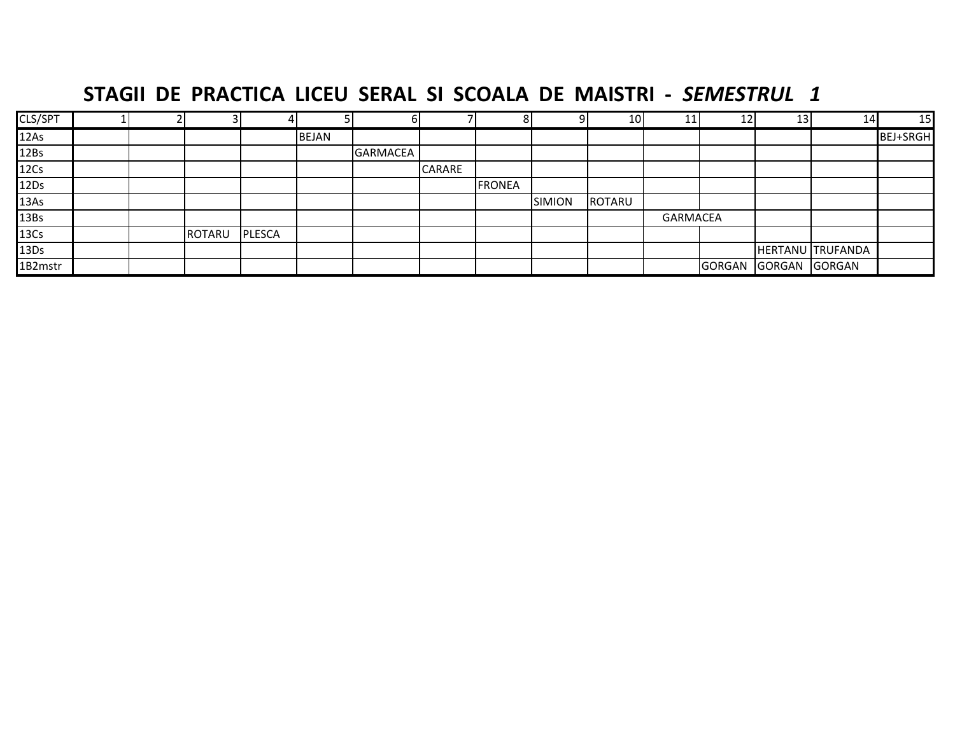## **STAGII DE PRACTICA LICEU SERAL SI SCOALA DE MAISTRI ‐**  *SEMESTRUL 1*

| CLS/SPT          |  |               |               |              |                 |               |        | 9             | 10     |                 | ົາ<br>∸       | 13 | 14               | 15       |
|------------------|--|---------------|---------------|--------------|-----------------|---------------|--------|---------------|--------|-----------------|---------------|----|------------------|----------|
| 12As             |  |               |               | <b>BEJAN</b> |                 |               |        |               |        |                 |               |    |                  | BEJ+SRGH |
| 12Bs             |  |               |               |              | <b>GARMACEA</b> |               |        |               |        |                 |               |    |                  |          |
| 12Cs             |  |               |               |              |                 | <b>CARARE</b> |        |               |        |                 |               |    |                  |          |
| 12Ds             |  |               |               |              |                 |               | FRONEA |               |        |                 |               |    |                  |          |
| 13As             |  |               |               |              |                 |               |        | <b>SIMION</b> | ROTARU |                 |               |    |                  |          |
| 13Bs             |  |               |               |              |                 |               |        |               |        | <b>GARMACEA</b> |               |    |                  |          |
| 13C <sub>S</sub> |  | <b>ROTARU</b> | <b>PLESCA</b> |              |                 |               |        |               |        |                 |               |    |                  |          |
| 13Ds             |  |               |               |              |                 |               |        |               |        |                 |               |    | HERTANU TRUFANDA |          |
| 1B2mstr          |  |               |               |              |                 |               |        |               |        |                 | GORGAN GORGAN |    | <b>GORGAN</b>    |          |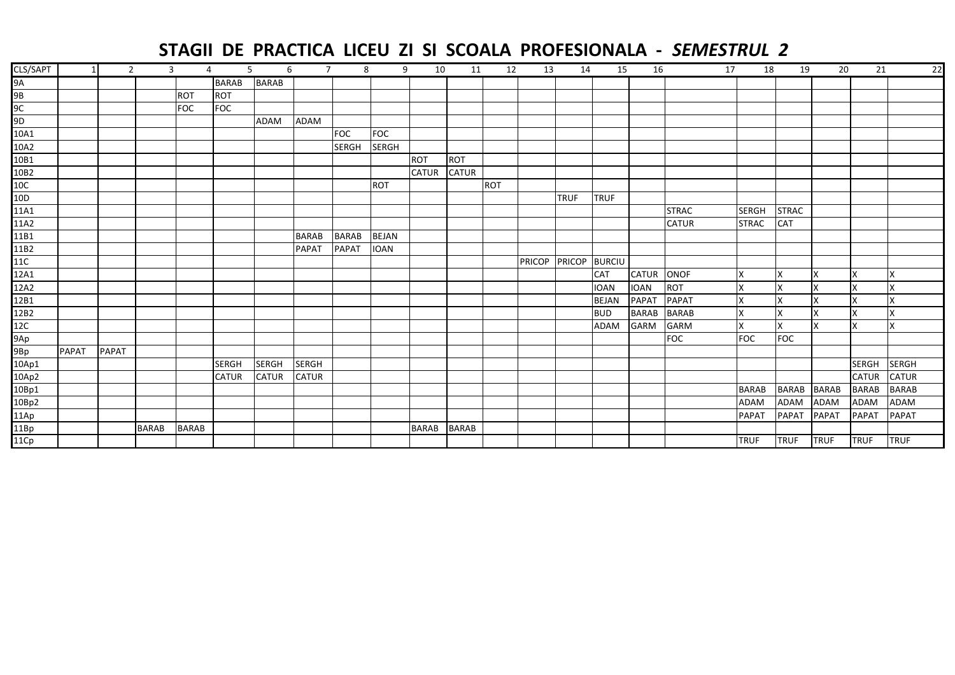## **STAGII DE PRACTICA LICEU ZI SI SCOALA PROFESIONALA ‐**  *SEMESTRUL 2*

| CLS/SAPT       |              |              | $\overline{2}$ | 3<br>4       | 5            |              | 6<br>$\overline{7}$ | 8            | 9            | 10           | 11           | 12  | 13            | 14          | 15            | 16           | 17           | 18           | 19           | 20           | 21           | 22           |
|----------------|--------------|--------------|----------------|--------------|--------------|--------------|---------------------|--------------|--------------|--------------|--------------|-----|---------------|-------------|---------------|--------------|--------------|--------------|--------------|--------------|--------------|--------------|
| 9A             |              |              |                |              | <b>BARAB</b> | <b>BARAB</b> |                     |              |              |              |              |     |               |             |               |              |              |              |              |              |              |              |
| 9B             |              |              |                | <b>ROT</b>   | <b>ROT</b>   |              |                     |              |              |              |              |     |               |             |               |              |              |              |              |              |              |              |
| 9C             |              |              |                | <b>FOC</b>   | <b>FOC</b>   |              |                     |              |              |              |              |     |               |             |               |              |              |              |              |              |              |              |
| 9 <sub>D</sub> |              |              |                |              |              | <b>ADAM</b>  | ADAM                |              |              |              |              |     |               |             |               |              |              |              |              |              |              |              |
| 10A1           |              |              |                |              |              |              |                     | <b>FOC</b>   | FOC          |              |              |     |               |             |               |              |              |              |              |              |              |              |
| 10A2           |              |              |                |              |              |              |                     | <b>SERGH</b> | <b>SERGH</b> |              |              |     |               |             |               |              |              |              |              |              |              |              |
| 10B1           |              |              |                |              |              |              |                     |              |              | <b>ROT</b>   | ROT          |     |               |             |               |              |              |              |              |              |              |              |
| 10B2           |              |              |                |              |              |              |                     |              |              | <b>CATUR</b> | <b>CATUR</b> |     |               |             |               |              |              |              |              |              |              |              |
| 10C            |              |              |                |              |              |              |                     |              | <b>ROT</b>   |              |              | ROT |               |             |               |              |              |              |              |              |              |              |
| 10D            |              |              |                |              |              |              |                     |              |              |              |              |     |               | <b>TRUF</b> | <b>TRUF</b>   |              |              |              |              |              |              |              |
| 11A1           |              |              |                |              |              |              |                     |              |              |              |              |     |               |             |               |              | <b>STRAC</b> | <b>SERGH</b> | <b>STRAC</b> |              |              |              |
| 11A2           |              |              |                |              |              |              |                     |              |              |              |              |     |               |             |               |              | <b>CATUR</b> | <b>STRAC</b> | CAT          |              |              |              |
| 11B1           |              |              |                |              |              |              | <b>BARAB</b>        | <b>BARAB</b> | <b>BEJAN</b> |              |              |     |               |             |               |              |              |              |              |              |              |              |
| 11B2           |              |              |                |              |              |              | <b>PAPAT</b>        | <b>PAPAT</b> | <b>IOAN</b>  |              |              |     |               |             |               |              |              |              |              |              |              |              |
| 11C            |              |              |                |              |              |              |                     |              |              |              |              |     | <b>PRICOP</b> |             | PRICOP BURCIU |              |              |              |              |              |              |              |
| 12A1           |              |              |                |              |              |              |                     |              |              |              |              |     |               |             | <b>CAT</b>    | <b>CATUR</b> | ONOF         | X            | x            | X            | x            | X            |
| 12A2           |              |              |                |              |              |              |                     |              |              |              |              |     |               |             | <b>IOAN</b>   | <b>IOAN</b>  | <b>ROT</b>   | X            | X            | X            | X            | X            |
| 12B1           |              |              |                |              |              |              |                     |              |              |              |              |     |               |             | <b>BEJAN</b>  | <b>PAPAT</b> | <b>PAPAT</b> | X            |              |              | X            | X            |
| 12B2           |              |              |                |              |              |              |                     |              |              |              |              |     |               |             | <b>BUD</b>    | <b>BARAB</b> | <b>BARAB</b> | X            | X            | X            | X            | X            |
| 12C            |              |              |                |              |              |              |                     |              |              |              |              |     |               |             | ADAM          | <b>GARM</b>  | <b>GARM</b>  | X            | X            | X            | X            | X            |
| 9Ap            |              |              |                |              |              |              |                     |              |              |              |              |     |               |             |               |              | <b>FOC</b>   | <b>FOC</b>   | <b>FOC</b>   |              |              |              |
| 9Bp            | <b>PAPAT</b> | <b>PAPAT</b> |                |              |              |              |                     |              |              |              |              |     |               |             |               |              |              |              |              |              |              |              |
| $10$ Ap $1$    |              |              |                |              | <b>SERGH</b> | <b>SERGH</b> | <b>SERGH</b>        |              |              |              |              |     |               |             |               |              |              |              |              |              | <b>SERGH</b> | <b>SERGH</b> |
| 10Ap2          |              |              |                |              | <b>CATUR</b> | <b>CATUR</b> | <b>CATUR</b>        |              |              |              |              |     |               |             |               |              |              |              |              |              | <b>CATUR</b> | <b>CATUR</b> |
| 10Bp1          |              |              |                |              |              |              |                     |              |              |              |              |     |               |             |               |              |              | <b>BARAB</b> | <b>BARAB</b> | <b>BARAB</b> | <b>BARAB</b> | <b>BARAB</b> |
| 10Bp2          |              |              |                |              |              |              |                     |              |              |              |              |     |               |             |               |              |              | <b>ADAM</b>  | <b>ADAM</b>  | <b>ADAM</b>  | <b>ADAM</b>  | <b>ADAM</b>  |
| 11Ap           |              |              |                |              |              |              |                     |              |              |              |              |     |               |             |               |              |              | <b>PAPAT</b> | <b>PAPAT</b> | <b>PAPAT</b> | <b>PAPAT</b> | <b>PAPAT</b> |
| 11Bp           |              |              | <b>BARAB</b>   | <b>BARAB</b> |              |              |                     |              |              | <b>BARAB</b> | <b>BARAB</b> |     |               |             |               |              |              |              |              |              |              |              |
| 11Cp           |              |              |                |              |              |              |                     |              |              |              |              |     |               |             |               |              |              | <b>TRUF</b>  | <b>TRUF</b>  | <b>TRUF</b>  | <b>TRUF</b>  | <b>TRUF</b>  |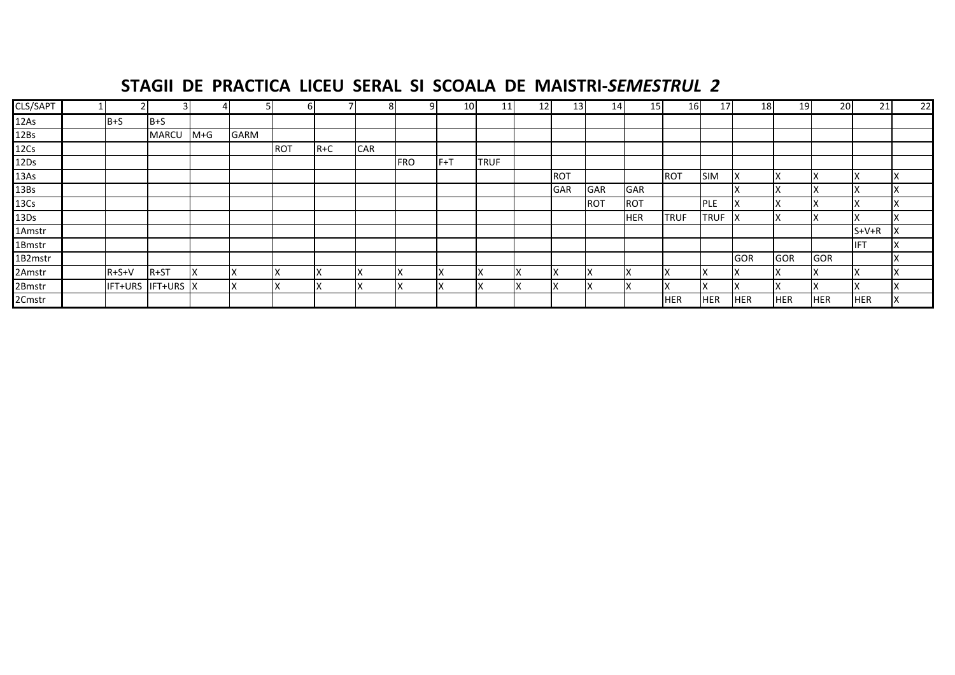### **STAGII DE PRACTICA LICEU SERAL SI SCOALA DE MAISTRI‐***SEMESTRUL 2*

| CLS/SAPT         |             | $\overline{3}$    |         |      | bl         |       |            | q          | 10  | 11          | 12 | 13         | 14         | 15 <sub>l</sub> | 16          | 17           | 18         | <b>19</b>  | <b>20</b>  | 21         | 22 |
|------------------|-------------|-------------------|---------|------|------------|-------|------------|------------|-----|-------------|----|------------|------------|-----------------|-------------|--------------|------------|------------|------------|------------|----|
| 12As             | $B + S$     | $B + S$           |         |      |            |       |            |            |     |             |    |            |            |                 |             |              |            |            |            |            |    |
| 12B <sub>S</sub> |             | MARCU             | $M + G$ | GARM |            |       |            |            |     |             |    |            |            |                 |             |              |            |            |            |            |    |
| 12Cs             |             |                   |         |      | <b>ROT</b> | $R+C$ | <b>CAR</b> |            |     |             |    |            |            |                 |             |              |            |            |            |            |    |
| 12Ds             |             |                   |         |      |            |       |            | <b>FRO</b> | F+T | <b>TRUF</b> |    |            |            |                 |             |              |            |            |            |            |    |
| 13As             |             |                   |         |      |            |       |            |            |     |             |    | <b>ROT</b> |            |                 | <b>ROT</b>  | <b>SIM</b>   |            |            |            |            |    |
| 13B <sub>S</sub> |             |                   |         |      |            |       |            |            |     |             |    | <b>GAR</b> | <b>GAR</b> | <b>GAR</b>      |             |              |            |            |            |            |    |
| 13C <sub>S</sub> |             |                   |         |      |            |       |            |            |     |             |    |            | <b>ROT</b> | <b>ROT</b>      |             | <b>PLE</b>   |            | ıχ         |            |            |    |
| 13D <sub>S</sub> |             |                   |         |      |            |       |            |            |     |             |    |            |            | <b>HER</b>      | <b>TRUF</b> | <b>TRUF</b>  | ΙX         |            |            |            |    |
| 1Amstr           |             |                   |         |      |            |       |            |            |     |             |    |            |            |                 |             |              |            |            |            | $S+V+R$    |    |
| 1Bmstr           |             |                   |         |      |            |       |            |            |     |             |    |            |            |                 |             |              |            |            |            | <b>IFT</b> |    |
| 1B2mstr          |             |                   |         |      |            |       |            |            |     |             |    |            |            |                 |             |              | <b>GOR</b> | <b>GOR</b> | <b>GOR</b> |            |    |
| 2Amstr           | $R + S + V$ | $R + ST$          | ΙX      | ΙX   |            |       | ıχ         |            | IΧ  |             |    | Iχ         |            |                 |             | $\mathbf{A}$ |            |            |            |            |    |
| 2Bmstr           |             | IFT+URS IFT+URS X |         | ΙX   |            |       | ΙX         |            | ΙX  |             | ıχ | Iχ         |            | ⌒               |             | $\sqrt{ }$   |            |            |            |            |    |
| 2Cmstr           |             |                   |         |      |            |       |            |            |     |             |    |            |            |                 | <b>HER</b>  | <b>HER</b>   | <b>HER</b> | <b>HER</b> | <b>HER</b> | <b>HER</b> |    |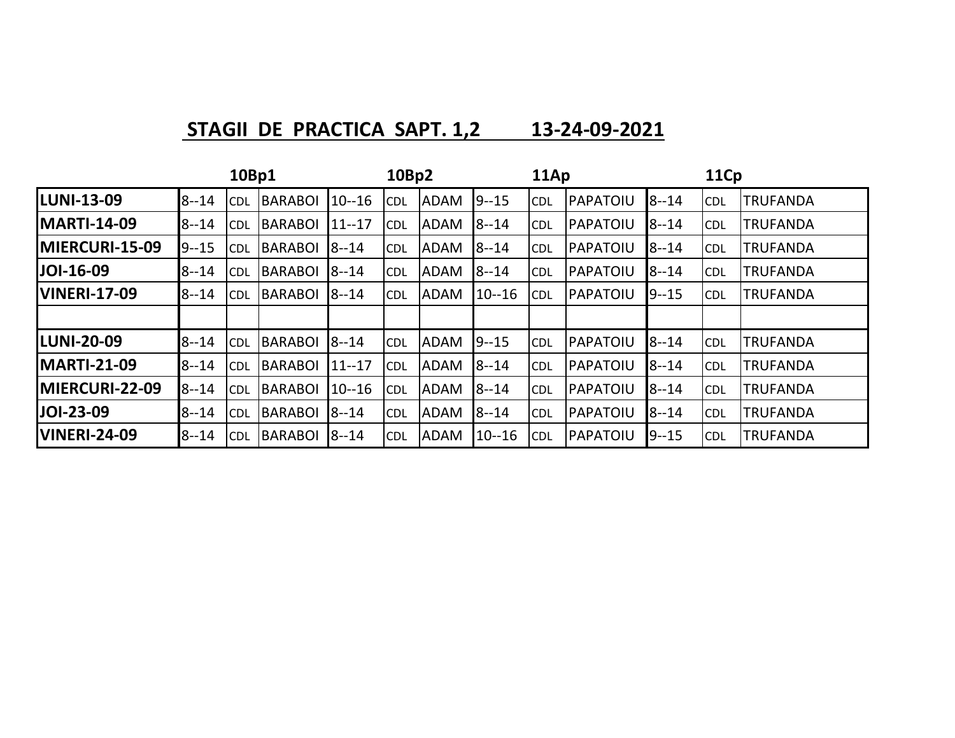**STAGII DE PRACTICA SAPT. 1,2 13-24-09-2021**

|                     |          | 10Bp1      |                |           | 10Bp2      |             |           | 11Ap       |          |          | 11Cp       |                 |
|---------------------|----------|------------|----------------|-----------|------------|-------------|-----------|------------|----------|----------|------------|-----------------|
| <b>LUNI-13-09</b>   | $8 - 14$ | <b>CDL</b> | <b>BARABOI</b> | $10 - 16$ | <b>CDL</b> | <b>ADAM</b> | $9 - 15$  | <b>CDL</b> | PAPATOIU | $8 - 14$ | <b>CDL</b> | <b>TRUFANDA</b> |
| <b>MARTI-14-09</b>  | $8 - 14$ | <b>CDL</b> | <b>BARABOI</b> | $11 - 17$ | <b>CDL</b> | <b>ADAM</b> | $8 - 14$  | <b>CDL</b> | PAPATOIU | $8 - 14$ | <b>CDL</b> | <b>TRUFANDA</b> |
| MIERCURI-15-09      | $9 - 15$ | <b>CDL</b> | <b>BARABOI</b> | $8 - 14$  | <b>CDL</b> | <b>ADAM</b> | $8 - 14$  | <b>CDL</b> | PAPATOIU | $8 - 14$ | <b>CDL</b> | <b>TRUFANDA</b> |
| <b>JOI-16-09</b>    | $8 - 14$ | <b>CDL</b> | <b>BARABOI</b> | $8 - 14$  | <b>CDL</b> | <b>ADAM</b> | $8 - 14$  | <b>CDL</b> | PAPATOIU | $8 - 14$ | <b>CDL</b> | <b>TRUFANDA</b> |
| <b>VINERI-17-09</b> | $8 - 14$ | <b>CDL</b> | <b>BARABOI</b> | $18 - 14$ | <b>CDL</b> | <b>ADAM</b> | $10 - 16$ | <b>CDL</b> | PAPATOIU | $9 - 15$ | <b>CDL</b> | <b>TRUFANDA</b> |
|                     |          |            |                |           |            |             |           |            |          |          |            |                 |
| <b>LUNI-20-09</b>   | $8 - 14$ | <b>CDL</b> | <b>BARABOI</b> | $8 - 14$  | <b>CDL</b> | <b>ADAM</b> | $9 - 15$  | <b>CDL</b> | PAPATOIU | $8 - 14$ | <b>CDL</b> | <b>TRUFANDA</b> |
| <b>MARTI-21-09</b>  | $8 - 14$ | <b>CDL</b> | <b>BARABOI</b> | $11 - 17$ | <b>CDL</b> | <b>ADAM</b> | $8 - 14$  | <b>CDL</b> | PAPATOIU | $8 - 14$ | <b>CDL</b> | <b>TRUFANDA</b> |
| MIERCURI-22-09      | $8 - 14$ | <b>CDL</b> | <b>BARABOI</b> | $10 - 16$ | <b>CDL</b> | <b>ADAM</b> | $8 - 14$  | <b>CDL</b> | PAPATOIU | $8 - 14$ | <b>CDL</b> | <b>TRUFANDA</b> |
| JOI-23-09           | $8 - 14$ | <b>CDL</b> | <b>BARABOI</b> | $8 - 14$  | <b>CDL</b> | <b>ADAM</b> | $8 - 14$  | <b>CDL</b> | PAPATOIU | $8 - 14$ | <b>CDL</b> | <b>TRUFANDA</b> |
| <b>VINERI-24-09</b> | $8 - 14$ | <b>CDL</b> | <b>BARABOI</b> | $8 - 14$  | <b>CDL</b> | <b>ADAM</b> | $10 - 16$ | <b>CDL</b> | PAPATOIU | $9 - 15$ | <b>CDL</b> | <b>TRUFANDA</b> |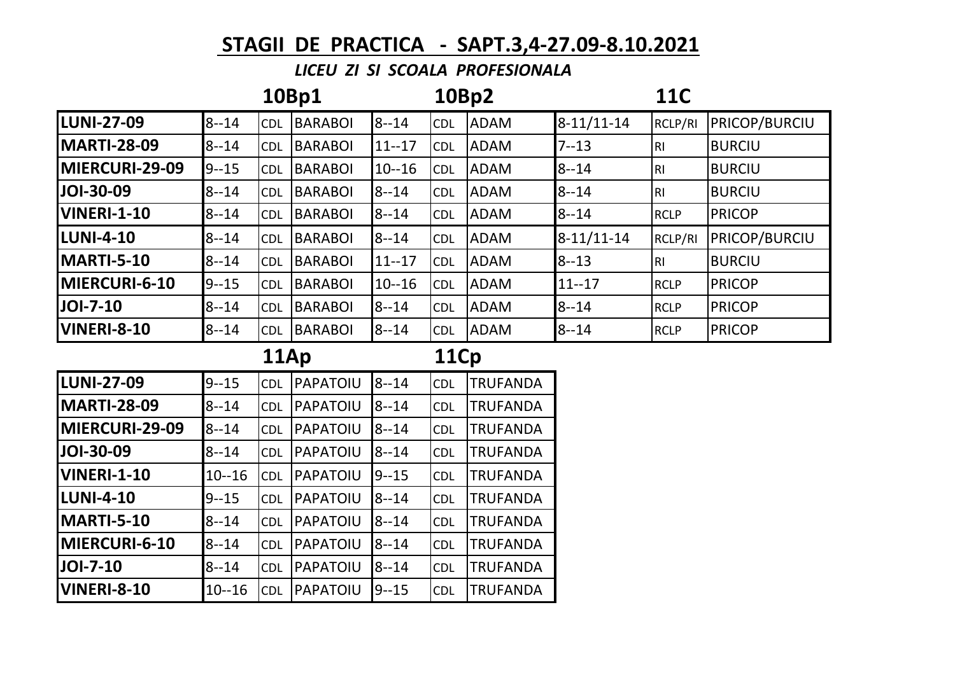## **STAGII DE PRACTICA - SAPT.3,4-27.09-8.10.2021**

## *LICEU ZI SI SCOALA PROFESIONALA*

|                    |           |            | 10Bp1          |           | 10Bp2      |                 |              | <b>11C</b>     |               |
|--------------------|-----------|------------|----------------|-----------|------------|-----------------|--------------|----------------|---------------|
| <b>LUNI-27-09</b>  | $8 - 14$  | <b>CDL</b> | <b>BARABOI</b> | $8 - 14$  | <b>CDL</b> | <b>ADAM</b>     | $8-11/11-14$ | RCLP/RI        | PRICOP/BURCIU |
| <b>MARTI-28-09</b> | $8 - 14$  | CDL        | <b>BARABOI</b> | $11 - 17$ | <b>CDL</b> | <b>ADAM</b>     | $7 - 13$     | R <sub>l</sub> | <b>BURCIU</b> |
| MIERCURI-29-09     | $9 - 15$  | <b>CDL</b> | <b>BARABOI</b> | $10 - 16$ | <b>CDL</b> | <b>ADAM</b>     | $8 - 14$     | R <sub>l</sub> | <b>BURCIU</b> |
| JOI-30-09          | $8 - 14$  | CDL        | <b>BARABOI</b> | $8 - 14$  | <b>CDL</b> | <b>ADAM</b>     | $8 - 14$     | R <sub>l</sub> | <b>BURCIU</b> |
| <b>VINERI-1-10</b> | $8 - 14$  | <b>CDL</b> | BARABOI        | $8 - 14$  | <b>CDL</b> | <b>ADAM</b>     | $8 - 14$     | <b>RCLP</b>    | <b>PRICOP</b> |
| <b>LUNI-4-10</b>   | $8 - 14$  | <b>CDL</b> | <b>BARABOI</b> | $8 - 14$  | <b>CDL</b> | <b>ADAM</b>     | $8-11/11-14$ | RCLP/RI        | PRICOP/BURCIU |
| MARTI-5-10         | $8 - 14$  | CDL        | <b>BARABOI</b> | $11 - 17$ | <b>CDL</b> | <b>ADAM</b>     | $8 - 13$     | R <sub>l</sub> | <b>BURCIU</b> |
| MIERCURI-6-10      | $9 - 15$  | CDL        | <b>BARABOI</b> | $10 - 16$ | <b>CDL</b> | <b>ADAM</b>     | $11 - 17$    | <b>RCLP</b>    | <b>PRICOP</b> |
| JOI-7-10           | $8 - 14$  | <b>CDL</b> | <b>BARABOI</b> | $8 - 14$  | <b>CDL</b> | <b>ADAM</b>     | $8 - 14$     | <b>RCLP</b>    | <b>PRICOP</b> |
| <b>VINERI-8-10</b> | $8 - 14$  | <b>CDL</b> | BARABOI        | $8 - 14$  | <b>CDL</b> | <b>ADAM</b>     | $8 - 14$     | <b>RCLP</b>    | <b>PRICOP</b> |
|                    |           |            |                |           |            |                 |              |                |               |
|                    |           | 11Ap       |                |           | 11Cp       |                 |              |                |               |
| <b>LUNI-27-09</b>  | $9 - 15$  | <b>CDL</b> | PAPATOIU       | $8 - 14$  | <b>CDL</b> | <b>TRUFANDA</b> |              |                |               |
| <b>MARTI-28-09</b> | $8 - 14$  | <b>CDL</b> | PAPATOIU       | $8 - 14$  | <b>CDL</b> | <b>TRUFANDA</b> |              |                |               |
| MIERCURI-29-09     | $8 - 14$  | <b>CDL</b> | PAPATOIU       | $8 - 14$  | <b>CDL</b> | <b>TRUFANDA</b> |              |                |               |
| JOI-30-09          | $8 - 14$  | <b>CDL</b> | PAPATOIU       | $8 - 14$  | <b>CDL</b> | <b>TRUFANDA</b> |              |                |               |
| <b>VINERI-1-10</b> | $10 - 16$ | CDL        | PAPATOIU       | $9 - 15$  | <b>CDL</b> | <b>TRUFANDA</b> |              |                |               |
| <b>LUNI-4-10</b>   | $9 - 15$  | <b>CDL</b> | PAPATOIU       | $8 - 14$  | <b>CDL</b> | <b>TRUFANDA</b> |              |                |               |
| MARTI-5-10         | $8 - 14$  | CDL        | PAPATOIU       | $8 - 14$  | <b>CDL</b> | <b>TRUFANDA</b> |              |                |               |
| MIERCURI-6-10      | $8 - 14$  | CDL        | PAPATOIU       | $8 - 14$  | <b>CDL</b> | <b>TRUFANDA</b> |              |                |               |
| JOI-7-10           | $8 - 14$  | <b>CDL</b> | PAPATOIU       | $8 - 14$  | <b>CDL</b> | <b>TRUFANDA</b> |              |                |               |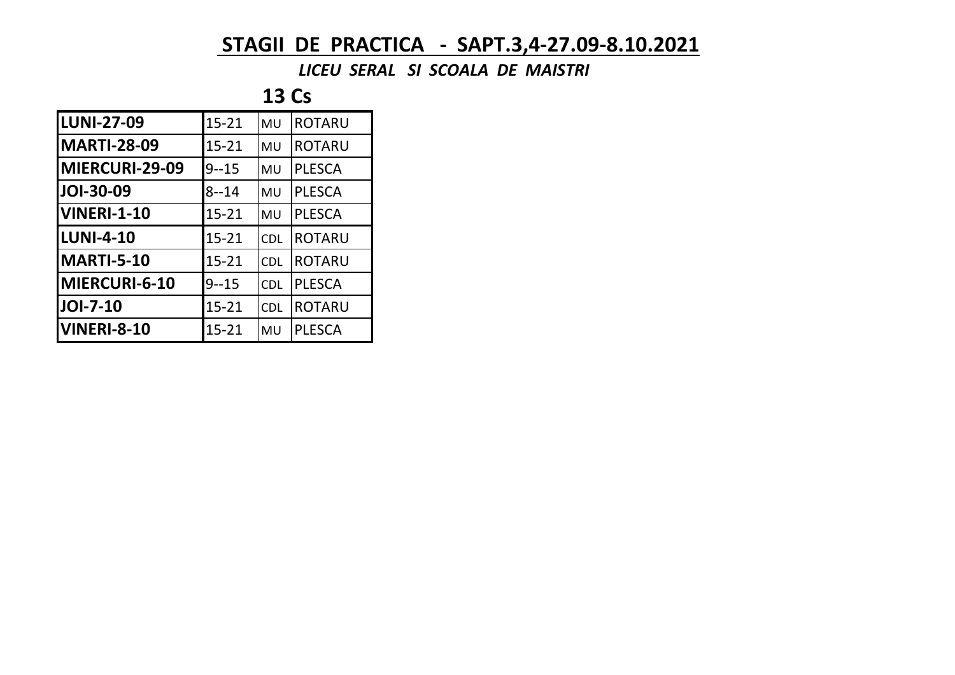## **STAGII DE PRACTICA - SAPT.3,4-27.09-8.10.2021**

 *LICEU SERAL SI SCOALA DE MAISTRI*

**13 Cs**

| <b>LUNI-27-09</b>     | $15 - 21$ | MU         | <b>ROTARU</b> |
|-----------------------|-----------|------------|---------------|
| <b>MARTI-28-09</b>    | $15 - 21$ | MU         | <b>ROTARU</b> |
| <b>MIERCURI-29-09</b> | $9 - 15$  | MU         | <b>PLESCA</b> |
| JOI-30-09             | $8 - 14$  | MU         | <b>PLESCA</b> |
| <b>VINERI-1-10</b>    | $15 - 21$ | MU         | <b>PLESCA</b> |
| <b>LUNI-4-10</b>      | $15 - 21$ | <b>CDL</b> | <b>ROTARU</b> |
| MARTI-5-10            | $15 - 21$ | <b>CDL</b> | <b>ROTARU</b> |
| MIERCURI-6-10         | $9 - 15$  | <b>CDL</b> | <b>PLESCA</b> |
| <b>JOI-7-10</b>       | $15 - 21$ | <b>CDL</b> | <b>ROTARU</b> |
| <b>VINERI-8-10</b>    | $15 - 21$ | MU         | <b>PLESCA</b> |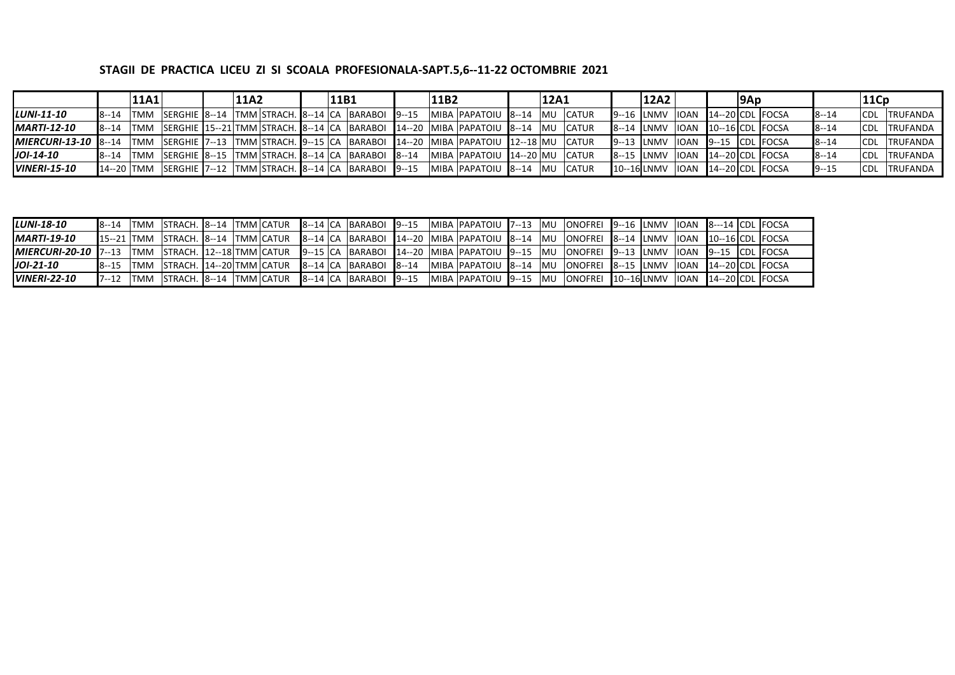## **STAGII DE PRACTICA LICEU ZI SI SCOALA PROFESIONALA-SAPT.5,6--11-22 OCTOMBRIE 2021**

|                             |               | 11A1 |  | 11A2 |  | 11B1 |                                                        | 11B2 |                                                                                 | 12A1       |                  | 12A2                                                  |       | 9Ap |                     |          | 11Cp        |                     |
|-----------------------------|---------------|------|--|------|--|------|--------------------------------------------------------|------|---------------------------------------------------------------------------------|------------|------------------|-------------------------------------------------------|-------|-----|---------------------|----------|-------------|---------------------|
| LUNI-11-10                  | $8 - 14$ TMM  |      |  |      |  |      | SERGHIE 8--14   TMM STRACH. 8--14 CA   BARABOI   9--15 |      | MIBA PAPATOIU 8--14                                                             |            | <b>IMU CATUR</b> | $9 - 16$ LNMV                                         | lIOAN |     | $14 - 20$ CDL FOCSA | $8 - 14$ |             | <b>CDL TRUFANDA</b> |
| <b>MARTI-12-10</b>          | $8 - 14$ TMM  |      |  |      |  |      |                                                        |      | SERGHIE 15--21 TMM STRACH. 8--14 CA BARABOI 14--20 MIBA PAPATOIU 8--14 MU CATUR |            |                  | 8--14 LNMV LOAN                                       |       |     | $10 - 16$ CDL FOCSA | $8 - 14$ |             | <b>CDL TRUFANDA</b> |
| $MIERCURI-13-10$ $8-14$ TMM |               |      |  |      |  |      |                                                        |      | SERGHIE 7--13 TMM STRACH. 9--15 CA BARABOI 14--20 MIBA PAPATOIU 12--18 MU CATUR |            |                  | 9--13 LNMV 10AN 9--15 CDL FOCSA                       |       |     |                     | $8 - 14$ |             | CDL TRUFANDA        |
| $JOI-14-10$                 | $R - 14$ TMM  |      |  |      |  |      | SERGHIE 8--15   TMM STRACH. 8--14 CA   BARABOI 8--14   |      | MIBA  PAPATOIU  14--20  MU  CATUR                                               |            |                  | 8--15 LNMV                                            | lIOAN |     | $14 - 20$ CDL FOCSA | $8 - 14$ |             | <b>CDL TRUFANDA</b> |
| <b>VINERI-15-10</b>         | $14 - 20$ TMM |      |  |      |  |      | SERGHIE 7--12 TMM STRACH. 8--14 CA BARABOI 9--15       |      | MIBA PAPATOIU 8--14                                                             | <b>IMU</b> | <b>CATUR</b>     | $10 - 16$ LNMV $\vert$ IOAN $\vert$ 14 --20 CDL FOCSA |       |     |                     | $9 - 15$ | <b>ICDL</b> | .  TRUFANDA         |

| <b>LUNI-18-10</b>       |           |      |  |  |  | <b>8--14  TMM  STRACH. 8--14  TMM  CATUR   8--14   CA   BARABOI   9--15</b> |  | MIBA   PAPATOIU   7--13   MU                                                                                                 |            | ONOFREI 19--16 JLNMV JIOAN 18---14 JCDL FOCSA |  |  |  |
|-------------------------|-----------|------|--|--|--|-----------------------------------------------------------------------------|--|------------------------------------------------------------------------------------------------------------------------------|------------|-----------------------------------------------|--|--|--|
| <b>MARTI-19-10</b>      |           |      |  |  |  |                                                                             |  | 15--21 TMM STRACH. 8--14 TMM CATUR 8--14 CA BARABOI 14--20 MIBA PAPATOIU 8--14 MU LONOFREI 8--14 LNMV LIOAN 10--16 CDL FOCSA |            |                                               |  |  |  |
| $MIERCURI-20-10$  7--13 |           |      |  |  |  |                                                                             |  | TMM  STRACH. 12--18 TMM CATUR  9--15 CA  BARABOI  14--20  MIBA PAPATOIU  9--15  MU                                           |            | ONOFREI  9--13  LNMV  IOAN  9--15  CDL  FOCSA |  |  |  |
| $JOI-21-10$             | $18 - 15$ |      |  |  |  | TMM STRACH. 14--20 TMM CATUR 8--14 CA BARABOI 8--14                         |  | MIBA   PAPATOIU   8--14   MU                                                                                                 |            | ONOFREI 8--15 LNMV IIOAN 14--20 CDL FOCSA     |  |  |  |
| <b>VINERI-22-10</b>     | $17 - 12$ | ITMM |  |  |  | STRACH. 8--14   TMM CATUR   8--14   CA   BARABOI   9--15                    |  | IMIBA IPAPATOIU 19--15                                                                                                       | <b>IMU</b> | ONOFREI 10--16 LNMV  IOAN  14--20 CDL FOCSA   |  |  |  |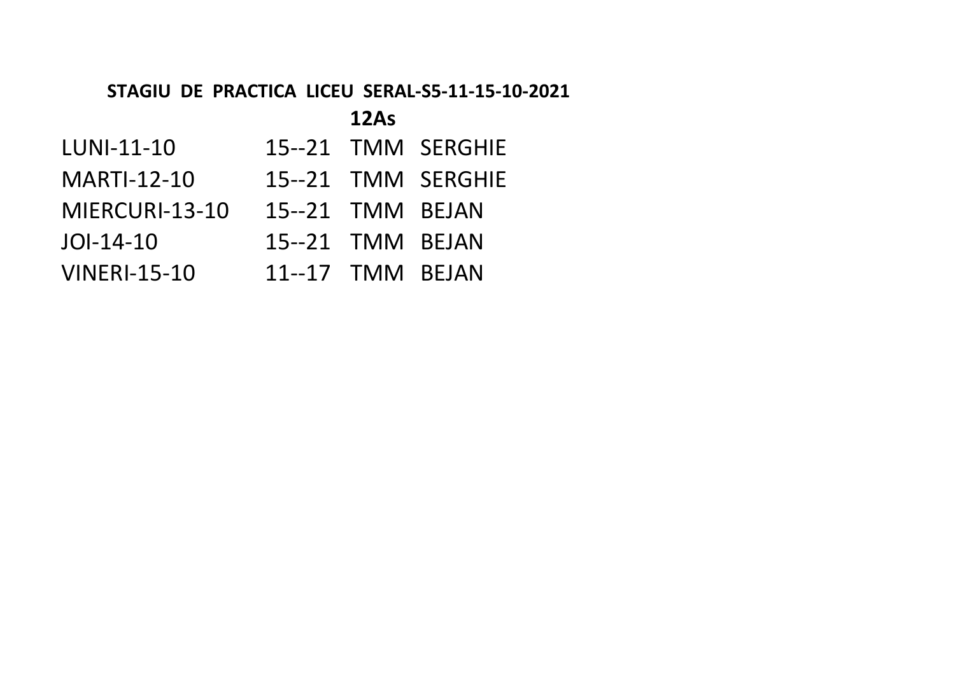## **STAGIU DE PRACTICA LICEU SERAL-S5-11-15-10-2021**

## **12As**

- LUNI-11-10 15--21 TMM SERGHIE
- MARTI-12-10 15--21 TMM SERGHIE
- MIERCURI-13-10 15--21 TMM BEJAN
- JOI-14-10 15--21 TMM BEJAN
- VINERI-15-10 11--17 TMM BEJAN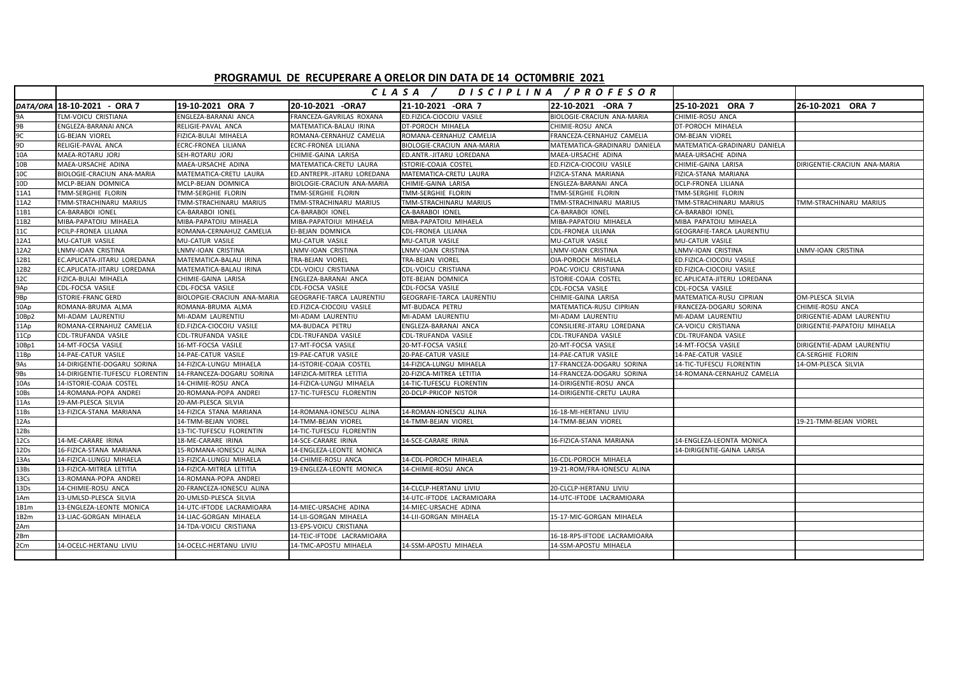## **PROGRAMUL DE RECUPERARE A ORELOR DIN DATA DE 14 OCT0MBRIE 2021**

|                  |                                 |                             |                             | CLASA /                          | DISCIPLINA / PROFESOR        |                                  |                              |
|------------------|---------------------------------|-----------------------------|-----------------------------|----------------------------------|------------------------------|----------------------------------|------------------------------|
|                  | DATA/ORA   18-10-2021 - ORA 7   | 19-10-2021 ORA 7            | 20-10-2021 -ORA7            | 21-10-2021 -ORA 7                | 22-10-2021 -ORA 7            | 25-10-2021 ORA 7                 | 26-10-2021 ORA 7             |
| 9A               | TLM-VOICU CRISTIANA             | ENGLEZA-BARANAI ANCA        | FRANCEZA-GAVRILAS ROXANA    | ED.FIZICA-CIOCOIU VASILE         | BIOLOGIE-CRACIUN ANA-MARIA   | CHIMIE-ROSU ANCA                 |                              |
| 9B               | <b>ENGLEZA-BARANAI ANCA</b>     | RELIGIE-PAVAL ANCA          | MATEMATICA-BALAU IRINA      | DT-POROCH MIHAELA                | CHIMIE-ROSU ANCA             | DT-POROCH MIHAELA                |                              |
| 9C               | <b>LG-BEJAN VIOREL</b>          | FIZICA-BULAI MIHAELA        | ROMANA-CERNAHUZ CAMELIA     | ROMANA-CERNAHUZ CAMELIA          | FRANCEZA-CERNAHUZ CAMELIA    | <b>OM-BEJAN VIOREL</b>           |                              |
| 9D               | RELIGIE-PAVAL ANCA              | ECRC-FRONEA LILIANA         | ECRC-FRONEA LILIANA         | BIOLOGIE-CRACIUN ANA-MARIA       | MATEMATICA-GRADINARU DANIELA | MATEMATICA-GRADINARU DANIELA     |                              |
| 10A              | MAEA-ROTARU JORJ                | SEH-ROTARU JORJ             | CHIMIE-GAINA LARISA         | ED.ANTR.-JITARU LOREDANA         | MAEA-URSACHE ADINA           | MAEA-URSACHE ADINA               |                              |
| 10B              | MAEA-URSACHE ADINA              | MAEA-URSACHE ADINA          | MATEMATICA-CRETU LAURA      | ISTORIE-COAJA COSTEL             | ED.FIZICA-CIOCOIU VASILE     | CHIMIE-GAINA LARISA              | DIRIGENTIE-CRACIUN ANA-MARIA |
| 10C              | BIOLOGIE-CRACIUN ANA-MARIA      | MATEMATICA-CRETU LAURA      | ED.ANTREPR.-JITARU LOREDANA | MATEMATICA-CRETU LAURA           | FIZICA-STANA MARIANA         | FIZICA-STANA MARIANA             |                              |
| 10D              | MCLP-BEJAN DOMNICA              | MCLP-BEJAN DOMNICA          | BIOLOGIE-CRACIUN ANA-MARIA  | CHIMIE-GAINA LARISA              | ENGLEZA-BARANAI ANCA         | <b>DCLP-FRONEA LILIANA</b>       |                              |
| 11A1             | TMM-SERGHIE FLORIN              | TMM-SERGHIE FLORIN          | TMM-SERGHIE FLORIN          | TMM-SERGHIE FLORIN               | TMM-SERGHIE FLORIN           | TMM-SERGHIE FLORIN               |                              |
| 11A2             | TMM-STRACHINARU MARIUS          | TMM-STRACHINARU MARIUS      | TMM-STRACHINARU MARIUS      | TMM-STRACHINARU MARIUS           | TMM-STRACHINARU MARIUS       | TMM-STRACHINARU MARIUS           | TMM-STRACHINARU MARIUS       |
| 11B1             | <b>CA-BARABOI IONEL</b>         | <b>CA-BARABOI IONEL</b>     | CA-BARABOI IONEL            | <b>CA-BARABOI IONEL</b>          | <b>CA-BARABOI IONEL</b>      | <b>CA-BARABOI IONEL</b>          |                              |
| 11B2             | MIBA-PAPATOIU MIHAELA           | MIBA-PAPATOIU MIHAELA       | MIBA-PAPATOIUI MIHAELA      | MIBA-PAPATOIU MIHAELA            | MIBA-PAPATOIU MIHAELA        | MIBA PAPATOIU MIHAELA            |                              |
| 11C              | PCILP-FRONEA LILIANA            | ROMANA-CERNAHUZ CAMELIA     | EI-BEJAN DOMNICA            | <b>CDL-FRONEA LILIANA</b>        | <b>CDL-FRONEA LILIANA</b>    | <b>GEOGRAFIE-TARCA LAURENTIU</b> |                              |
| 12A1             | MU-CATUR VASILE                 | <b>MU-CATUR VASILE</b>      | <b>MU-CATUR VASILE</b>      | <b>MU-CATUR VASILE</b>           | <b>MU-CATUR VASILE</b>       | <b>MU-CATUR VASILE</b>           |                              |
| 12A2             | LNMV-IOAN CRISTINA              | LNMV-IOAN CRISTINA          | LNMV-IOAN CRISTINA          | LNMV-IOAN CRISTINA               | LNMV-IOAN CRISTINA           | LNMV-IOAN CRISTINA               | LNMV-IOAN CRISTINA           |
| 12B1             | EC.APLICATA-JITARU LOREDANA     | MATEMATICA-BALAU IRINA      | <b>TRA-BEJAN VIOREL</b>     | TRA-BEJAN VIOREL                 | OIA-POROCH MIHAELA           | ED.FIZICA-CIOCOIU VASILE         |                              |
| 12B2             | EC.APLICATA-JITARU LOREDANA     | MATEMATICA-BALAU IRINA      | CDL-VOICU CRISTIANA         | <b>CDL-VOICU CRISTIANA</b>       | POAC-VOICU CRISTIANA         | ED.FIZICA-CIOCOIU VASILE         |                              |
| 12C              | FIZICA-BULAI MIHAELA            | CHIMIE-GAINA LARISA         | ENGLEZA-BARANAI ANCA        | DTE-BEJAN DOMNICA                | ISTORIE-COAJA COSTEL         | EC.APLICATA-JITERU LOREDANA      |                              |
| 9Ap              | <b>CDL-FOCSA VASILE</b>         | <b>CDL-FOCSA VASILE</b>     | CDL-FOCSA VASILE            | <b>CDL-FOCSA VASILE</b>          | <b>CDL-FOCSA VASILE</b>      | <b>CDL-FOCSA VASILE</b>          |                              |
| 9Bp              | <b>ISTORIE-FRANC GERD</b>       | BIOLOPGIE-CRACIUN ANA-MARIA | GEOGRAFIE-TARCA LAURENTIU   | <b>GEOGRAFIE-TARCA LAURENTIU</b> | CHIMIE-GAINA LARISA          | MATEMATICA-RUSU CIPRIAN          | <b>OM-PLESCA SILVIA</b>      |
| 10Ap             | ROMANA-BRUMA ALMA               | ROMANA-BRUMA ALMA           | ED.FIZICA-CIOCOIU VASILE    | MT-BUDACA PETRU                  | MATEMATICA-RUSU CIPRIAN      | FRANCEZA-DOGARU SORINA           | CHIMIE-ROSU ANCA             |
| 10Bp2            | MI-ADAM LAURENTIU               | MI-ADAM LAURENTIU           | MI-ADAM LAURENTIU           | MI-ADAM LAURENTIU                | MI-ADAM LAURENTIU            | MI-ADAM LAURENTIU                | DIRIGENTIE-ADAM LAURENTIU    |
| 11Ap             | ROMANA-CERNAHUZ CAMELIA         | ED.FIZICA-CIOCOIU VASILE    | MA-BUDACA PETRU             | ENGLEZA-BARANAI ANCA             | CONSILIERE-JITARU LOREDANA   | CA-VOICU CRISTIANA               | DIRIGENTIE-PAPATOIU MIHAELA  |
| 11Cp             | <b>CDL-TRUFANDA VASILE</b>      | <b>CDL-TRUFANDA VASILE</b>  | CDL-TRUFANDA VASILE         | CDL-TRUFANDA VASILE              | <b>CDL-TRUFANDA VASILE</b>   | CDL-TRUFANDA VASILE              |                              |
| 10Bp1            | 14-MT-FOCSA VASILE              | 16-MT-FOCSA VASILE          | 17-MT-FOCSA VASILE          | 20-MT-FOCSA VASILE               | 20-MT-FOCSA VASILE           | 14-MT-FOCSA VASILE               | DIRIGENTIE-ADAM LAURENTIU    |
| 11Bp             | 14-PAE-CATUR VASILE             | 14-PAE-CATUR VASILE         | 19-PAE-CATUR VASILE         | 20-PAE-CATUR VASILE              | 14-PAE-CATUR VASILE          | 14-PAE-CATUR VASILE              | <b>CA-SERGHIE FLORIN</b>     |
| 9As              | 14-DIRIGENTIE-DOGARU SORINA     | 14-FIZICA-LUNGU MIHAELA     | 14-ISTORIE-COAJA COSTEL     | 14-FIZICA-LUNGU MIHAELA          | 17-FRANCEZA-DOGARU SORINA    | 14-TIC-TUFESCU FLORENTIN         | 14-OM-PLESCA SILVIA          |
| 9Bs              | 14-DIRIGENTIE-TUFESCU FLORENTIN | 14-FRANCEZA-DOGARU SORINA   | 14FIZICA-MITREA LETITIA     | 20-FIZICA-MITREA LETITIA         | 14-FRANCEZA-DOGARU SORINA    | 14-ROMANA-CERNAHUZ CAMELIA       |                              |
| 10As             | 14-ISTORIE-COAJA COSTEL         | 14-CHIMIE-ROSU ANCA         | 14-FIZICA-LUNGU MIHAELA     | 14-TIC-TUFESCU FLORENTIN         | 14-DIRIGENTIE-ROSU ANCA      |                                  |                              |
| 10Bs             | 14-ROMANA-POPA ANDREI           | 20-ROMANA-POPA ANDREI       | 17-TIC-TUFESCU FLORENTIN    | 20-DCLP-PRICOP NISTOR            | 14-DIRIGENTIE-CRETU LAURA    |                                  |                              |
| 11As             | 19-AM-PLESCA SILVIA             | 20-AM-PLESCA SILVIA         |                             |                                  |                              |                                  |                              |
| 11B <sub>S</sub> | 13-FIZICA-STANA MARIANA         | 14-FIZICA STANA MARIANA     | 14-ROMANA-IONESCU ALINA     | 14-ROMAN-IONESCU ALINA           | 16-18-MI-HERTANU LIVIU       |                                  |                              |
| 12As             |                                 | 14-TMM-BEJAN VIOREL         | 14-TMM-BEJAN VIOREL         | 14-TMM-BEJAN VIOREL              | 14-TMM-BEJAN VIOREL          |                                  | 19-21-TMM-BEJAN VIOREL       |
| 12Bs             |                                 | 13-TIC-TUFESCU FLORENTIN    | 14-TIC-TUFESCU FLORENTIN    |                                  |                              |                                  |                              |
| 12Cs             | 14-ME-CARARE IRINA              | 18-ME-CARARE IRINA          | 14-SCE-CARARE IRINA         | 14-SCE-CARARE IRINA              | 16-FIZICA-STANA MARIANA      | 14-ENGLEZA-LEONTA MONICA         |                              |
| 12Ds             | 16-FIZICA-STANA MARIANA         | 15-ROMANA-IONESCU ALINA     | 14-ENGLEZA-LEONTE MONICA    |                                  |                              | 14-DIRIGENTIE-GAINA LARISA       |                              |
| 13As             | 14-FIZICA-LUNGU MIHAELA         | 13-FIZICA-LUNGU MIHAELA     | 14-CHIMIE-ROSU ANCA         | 14-CDL-POROCH MIHAELA            | 16-CDL-POROCH MIHAELA        |                                  |                              |
| 13Bs             | 13-FIZICA-MITREA LETITIA        | 14-FIZICA-MITREA LETITIA    | 19-ENGLEZA-LEONTE MONICA    | 14-CHIMIE-ROSU ANCA              | 19-21-ROM/FRA-IONESCU ALINA  |                                  |                              |
| 13Cs             | 13-ROMANA-POPA ANDREI           | 14-ROMANA-POPA ANDREI       |                             |                                  |                              |                                  |                              |
| 13Ds             | 14-CHIMIE-ROSU ANCA             | 20-FRANCEZA-IONESCU ALINA   |                             | 14-CLCLP-HERTANU LIVIU           | 20-CLCLP-HERTANU LIVIU       |                                  |                              |
| 1Am              | 13-UMLSD-PLESCA SILVIA          | 20-UMLSD-PLESCA SILVIA      |                             | 14-UTC-IFTODE LACRAMIOARA        | 14-UTC-IFTODE LACRAMIOARA    |                                  |                              |
| 1B1m             | 13-ENGLEZA-LEONTE MONICA        | 14-UTC-IFTODE LACRAMIOARA   | 14-MIEC-URSACHE ADINA       | 14-MIEC-URSACHE ADINA            |                              |                                  |                              |
| 1B2m             | 13-LIAC-GORGAN MIHAELA          | 14-LIAC-GORGAN MIHAELA      | 14-LII-GORGAN MIHAELA       | 14-LII-GORGAN MIHAELA            | 15-17-MIC-GORGAN MIHAELA     |                                  |                              |
| 2Am              |                                 | 14-TDA-VOICU CRISTIANA      | 13-EPS-VOICU CRISTIANA      |                                  |                              |                                  |                              |
| 2Bm              |                                 |                             | 14-TEIC-IFTODE LACRAMIOARA  |                                  | 16-18-RPS-IFTODE LACRAMIOARA |                                  |                              |
| 2 <sub>Cm</sub>  | 14-OCELC-HERTANU LIVIU          | 14-OCELC-HERTANU LIVIU      | 14-TMC-APOSTU MIHAELA       | 14-SSM-APOSTU MIHAELA            | 14-SSM-APOSTU MIHAELA        |                                  |                              |
|                  |                                 |                             |                             |                                  |                              |                                  |                              |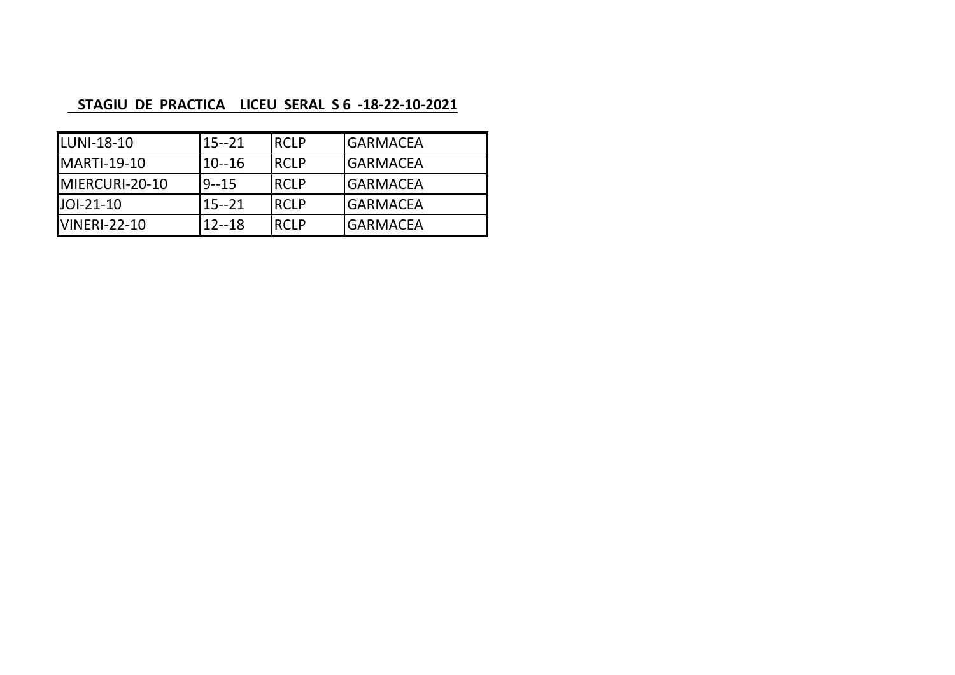## **STAGIU DE PRACTICA LICEU SERAL S 6 -18-22-10-2021**

| LUNI-18-10          | $15 - 21$ | <b>IRCLP</b> | <b>GARMACEA</b> |
|---------------------|-----------|--------------|-----------------|
| <b>MARTI-19-10</b>  | $10 - 16$ | <b>IRCLP</b> | <b>GARMACEA</b> |
| MIERCURI-20-10      | $9 - 15$  | <b>RCLP</b>  | <b>GARMACEA</b> |
| JOI-21-10           | $15 - 21$ | <b>IRCLP</b> | <b>GARMACEA</b> |
| <b>VINERI-22-10</b> | $12 - 18$ | <b>RCLP</b>  | <b>GARMACEA</b> |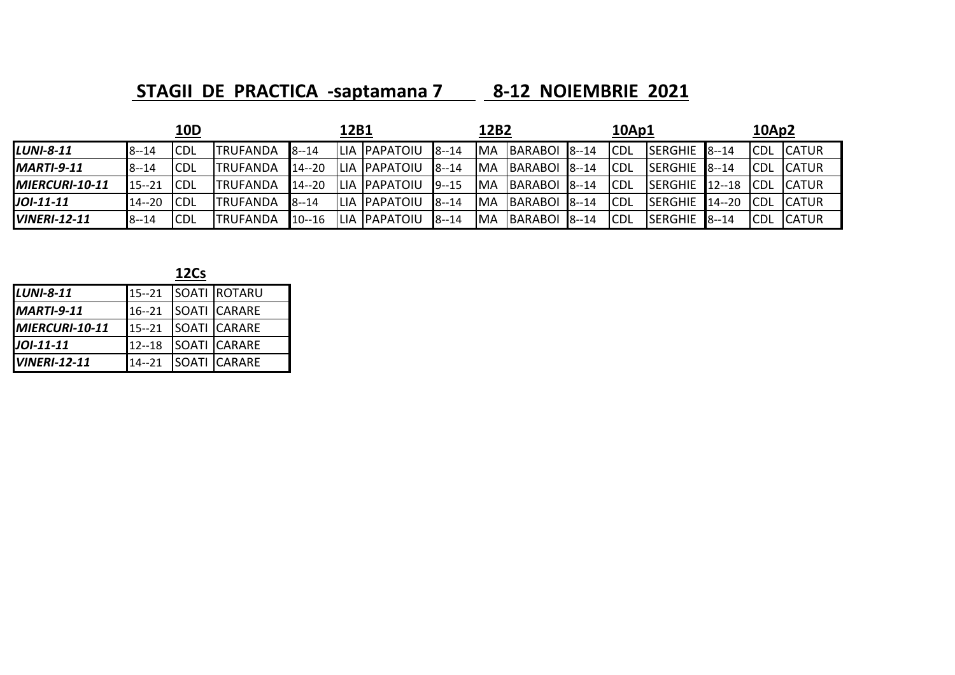**STAGII DE PRACTICA ‐saptamana 7 8‐12 NOIEMBRIE 2021**

|                     |           | 10D         |                  |           | 12B1 |                      |                      | 12B2       |                |           | 10Ap1      |                            |           | 10Ap2       |               |
|---------------------|-----------|-------------|------------------|-----------|------|----------------------|----------------------|------------|----------------|-----------|------------|----------------------------|-----------|-------------|---------------|
| <b>LUNI-8-11</b>    | $8 - 14$  | <b>CDL</b>  | <b>TRUFANDA</b>  | $8 - 14$  |      | LIA PAPATOIU         | $8 - 14$             | <b>MA</b>  | BARABOI 8--14  |           | <b>CDL</b> | $ISERGHE$ <sub>8--14</sub> |           | <b>CDL</b>  | <b>CATUR</b>  |
| <b>MARTI-9-11</b>   | $8 - 14$  | <b>CDL</b>  | <b>ITRUFANDA</b> | $14 - 20$ |      | LIA PAPATOIU         | $8 - 14$             | <b>MA</b>  | <b>BARABOL</b> | $18 - 14$ | <b>CDL</b> | <b>ISERGHIE</b>            | $8 - 14$  | <b>ICDL</b> | <b>CATUR</b>  |
| MIERCURI-10-11      | $15 - 21$ | <b>CDL</b>  | ITRUFANDA        | $14 - 20$ |      | <b>ILIA PAPATOIU</b> | $19 - 15$            | IMA        | BARABOI        | $8 - 14$  | <b>CDL</b> | <b>SERGHIE</b>             | $12 - 18$ | <b>ICDL</b> | <b>ICATUR</b> |
| JOI-11-11           | $14 - 20$ | <b>CDL</b>  | ITRUFANDA        | $18 - 14$ |      | LIA PAPATOIU         | $\blacksquare$ 8--14 | IMA        | BARABOL        | $8 - 14$  | <b>CDL</b> | <b>SERGHIE</b>             | $14 - 20$ | <b>ICDL</b> | <b>ICATUR</b> |
| <b>VINERI-12-11</b> | $8 - 14$  | <b>ICDL</b> | ITRUFANDA        | $10 - 16$ |      | LIA PAPATOIU         | $8 - 14$             | <b>IMA</b> | BARABOI 8--14  |           | ICDL       | <b>SERGHIE</b>             | $8 - 14$  | <b>ICDL</b> | <b>ICATUR</b> |

|                     |           | <b>12Cs</b> |                     |
|---------------------|-----------|-------------|---------------------|
| <b>LUNI-8-11</b>    | $15 - 21$ |             | <b>SOATI ROTARU</b> |
| $IMARTI-9-11$       | $16 - 21$ |             | <b>SOATI CARARE</b> |
| MIERCURI-10-11      | $15 - 21$ |             | <b>SOATI CARARE</b> |
| JOI-11-11           | $12 - 18$ |             | <b>SOATI CARARE</b> |
| <b>VINERI-12-11</b> | $14 - 21$ |             | <b>SOATI CARARE</b> |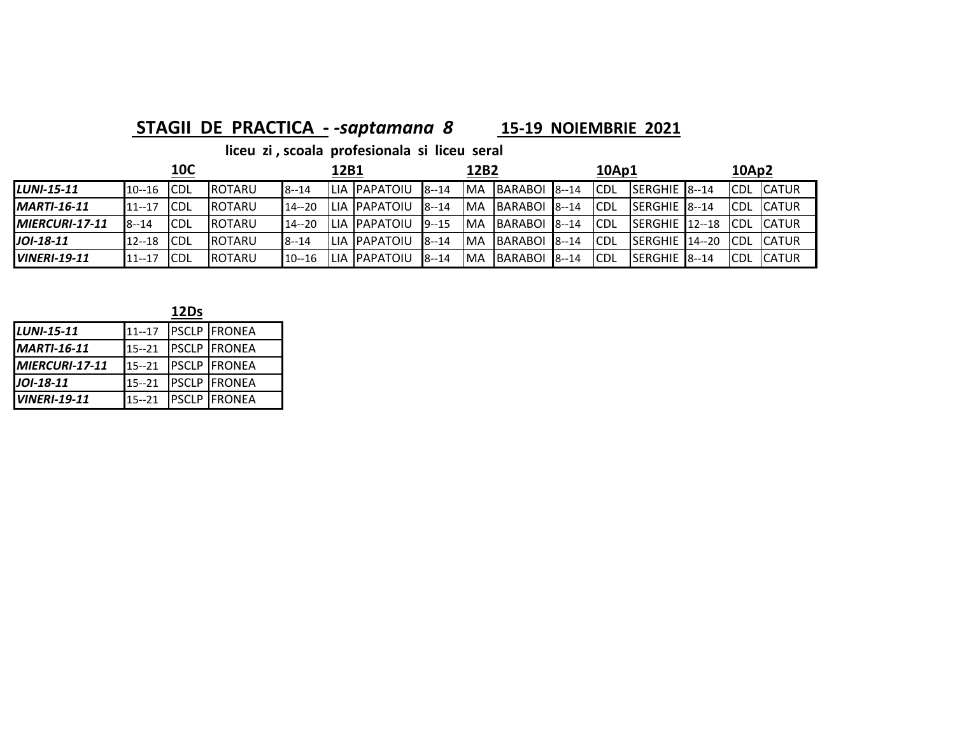## **STAGII DE PRACTICA - - saptamana 8**

## *‐saptamana 8*  **15‐19 NOIEMBRIE 2021**

|                     |            | <b>10C</b>  |                |           | 12B1  |                       |           | 12B2       |                          | <b>10Ap1</b> |                        | 10Ap2       |               |
|---------------------|------------|-------------|----------------|-----------|-------|-----------------------|-----------|------------|--------------------------|--------------|------------------------|-------------|---------------|
| <b>LUNI-15-11</b>   | 10--16 CDL |             | <b>IROTARU</b> | $8 - 14$  |       | <b>ILIA IPAPATOIU</b> | $8 - 14$  | IMA        | BARABOI 8--14            | <b>CDL</b>   | <b>ISERGHIE 8--14</b>  | ICDL        | <b>ICATUR</b> |
| $MARTI-16-11$       | 11--17     | <b>CDL</b>  | <b>ROTARU</b>  | $14 - 20$ |       | <b>ILIA IPAPATOIU</b> | $8 - 14$  | IMA        | BARABOI <sup>8--14</sup> | ICDL         | <b>ISERGHIE 8--14</b>  | <b>CDL</b>  | <b>ICATUR</b> |
| $IMIERCURI-17-11$   | $8 - 14$   | <b>CDL</b>  | <b>IROTARU</b> | $14 - 20$ |       | ILIA IPAPATOIU        | $19 - 15$ | <b>IMA</b> | BARABOL 8--14            | ICDL         | $ISERGHE$ $12-18$      | <b>ICDL</b> | <b>ICATUR</b> |
| JOI-18-11           | $12 - 18$  | <b>ICDL</b> | <b>IROTARU</b> | $8 - 14$  | ILIA. | . IPAPATOIU           | $8 - 14$  | IMA        | BARABOI <sup>8--14</sup> | <b>ICDL</b>  | <b>ISERGHIE</b> 14--20 | <b>ICDL</b> | <b>ICATUR</b> |
| <b>VINERI-19-11</b> | $11 - 17$  | <b>CDL</b>  | <b>IROTARU</b> | $10 - 16$ | LIA.  | . IPAPATOIU           | $8 - 14$  | IMA        | BARABOI 8--14            | ICDL         | SERGHIE 8--14          | <b>ICDL</b> | <b>ICATUR</b> |

|                     |           | 12Ds |                     |
|---------------------|-----------|------|---------------------|
| LUNI-15-11          | $11 - 17$ |      | <b>PSCLP FRONEA</b> |
| <b>MARTI-16-11</b>  | $15 - 21$ |      | <b>PSCLP FRONEA</b> |
| MIERCURI-17-11      | $15 - 21$ |      | <b>PSCLP FRONEA</b> |
| JOI-18-11           | $15 - 21$ |      | <b>PSCLP FRONEA</b> |
| <b>VINERI-19-11</b> | $15 - 21$ |      | <b>PSCLP FRONEA</b> |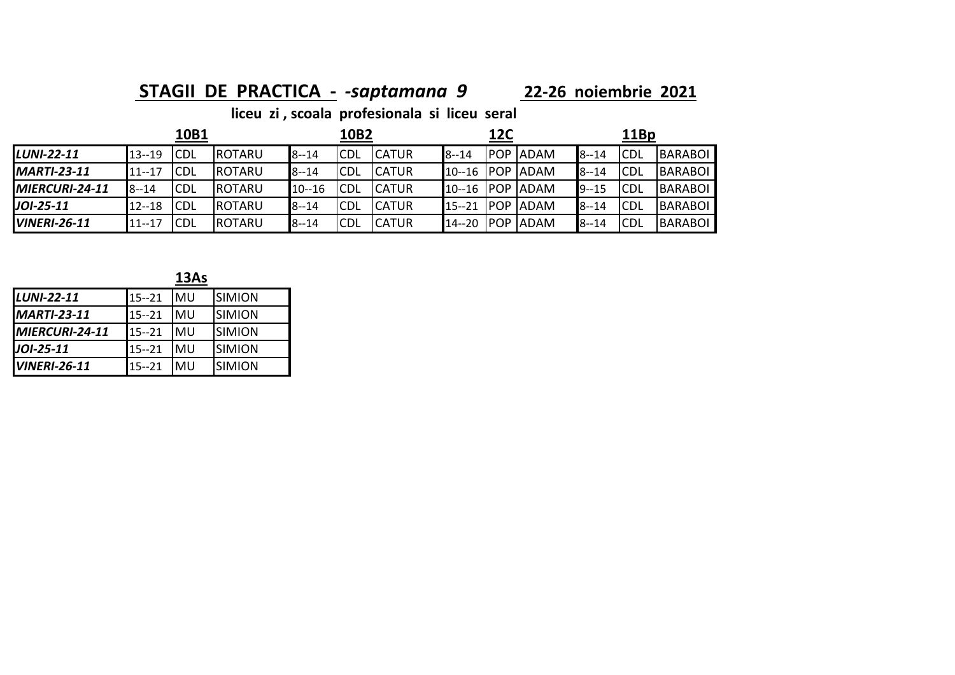### **STAGII DE PRACTICA ‐**  *‐saptamana 9* **<sup>22</sup>‐26 noiembrie 2021**

|                        |           | 10B1       |        |              | 10B2        |               |           | 12C         |             |          | 11Bp        |                |
|------------------------|-----------|------------|--------|--------------|-------------|---------------|-----------|-------------|-------------|----------|-------------|----------------|
| <b>LUNI-22-11</b>      | $13 - 19$ | <b>CDL</b> | ROTARU | $8 - 14$     | <b>ICDL</b> | <b>CATUR</b>  | $8 - 14$  | <b>POP</b>  | <b>ADAM</b> | $8 - 14$ | <b>ICDL</b> | <b>BARABOL</b> |
| <b>MARTI-23-11</b>     | $11 - 17$ | <b>CDL</b> | ROTARU | <b>8--14</b> | <b>ICDL</b> | <b>CATUR</b>  | $10 - 16$ | <b>POP</b>  | ADAM        | $8 - 14$ | <b>CDL</b>  | BARABOL        |
| <b>IMIERCURI-24-11</b> | $8 - 14$  | <b>CDL</b> | ROTARU | 10--16       | <b>CDL</b>  | <b>ICATUR</b> | $10 - 16$ | POP         | ADAM        | 19--15   | <b>ICDL</b> | <b>BARABOL</b> |
| $JOI-25-11$            | $12 - 18$ | <b>CDL</b> | ROTARU | $8 - 14$     | <b>CDL</b>  | <b>CATUR</b>  | $15 - 21$ | <b>IPOP</b> | <b>ADAM</b> | $8 - 14$ | <b>ICDL</b> | <b>BARABOL</b> |
| <b>VINERI-26-11</b>    | $11 - 17$ | <b>CDL</b> | ROTARU | $8 - 14$     | <b>CDL</b>  | <b>CATUR</b>  | 14--20    | <b>POP</b>  | <b>ADAM</b> | $8 - 14$ | <b>ICDL</b> | BARABOL        |

|--|--|

| <b>LUNI-22-11</b>   | $15 - 21$ | IMU | <b>SIMION</b> |
|---------------------|-----------|-----|---------------|
| <b>MARTI-23-11</b>  | $15 - 21$ | IMU | <b>SIMION</b> |
| MIERCURI-24-11      | $15 - 21$ | IMU | <b>SIMION</b> |
| $J$ OI-25-11        | $15 - 21$ | IMU | <b>SIMION</b> |
| <b>VINERI-26-11</b> | $15 - 21$ | IMU | <b>SIMION</b> |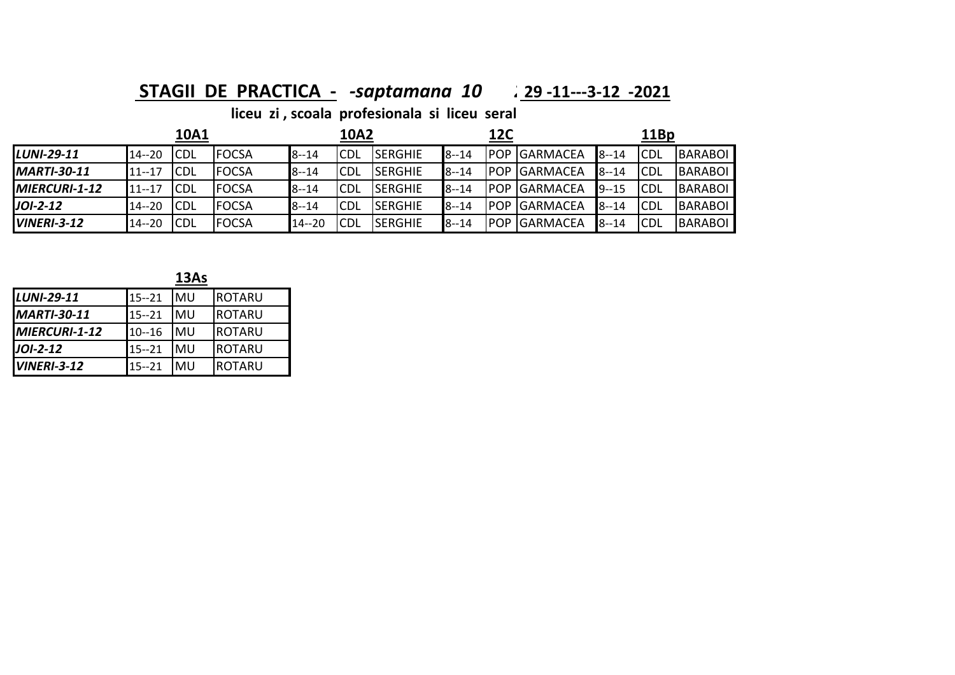### **STAGII DE PRACTICA ‐**  *‐saptamana 10 2***29 ‐11‐‐‐3‐<sup>12</sup> ‐2021**

|                    |           | 10A1        |              |           | 10A2        |                 |          | <b>12C</b>  |                  |          | 11Bp        |         |
|--------------------|-----------|-------------|--------------|-----------|-------------|-----------------|----------|-------------|------------------|----------|-------------|---------|
| LUNI-29-11         | $14 - 20$ | <b>ICDL</b> | <b>FOCSA</b> | $8 - 14$  | <b>ICDL</b> | <b>SERGHIE</b>  | $8 - 14$ | <b>IPOP</b> | <b>IGARMACEA</b> | $8 - 14$ | <b>ICDL</b> | BARABOI |
| <b>MARTI-30-11</b> | 11--17    | <b>CDL</b>  | <b>FOCSA</b> | $8 - 14$  | <b>ICDL</b> | <b>ISERGHIE</b> | $8 - 14$ | IPOP        | <b>GARMACEA</b>  | $8 - 14$ | <b>CDL</b>  | BARABOI |
| $IMIERCURI-1-12$   | $11 - 17$ | <b>CDL</b>  | <b>FOCSA</b> | $8 - 14$  | <b>ICDL</b> | <b>ISERGHIE</b> | $8 - 14$ | IPOP        | <b>GARMACEA</b>  | $9 - 15$ | <b>CDL</b>  | BARABOI |
| $JOI-2-12$         | $14 - 20$ | <b>ICDL</b> | <b>FOCSA</b> | $8 - 14$  | <b>CDL</b>  | <b>SERGHIE</b>  | $8 - 14$ | IPOP        | <b>GARMACEA</b>  | $8 - 14$ | <b>CDL</b>  | BARABOI |
| <b>VINERI-3-12</b> | $14 - 20$ | <b>ICDL</b> | <b>FOCSA</b> | $14 - 20$ | CDL         | <b>SERGHIE</b>  | $8 - 14$ | <b>POP</b>  | <b>GARMACEA</b>  | $8 - 14$ | <b>CDL</b>  | BARABOI |

|                    |           | 13As |               |
|--------------------|-----------|------|---------------|
| <b>LUNI-29-11</b>  | $15 - 21$ | MU   | IROTARU       |
| <b>MARTI-30-11</b> | $15 - 21$ | MU   | ROTARU        |
| MIERCURI-1-12      | $10 - 16$ | MU   | ROTARU        |
| $J$ OI-2-12        | $15 - 21$ | MU   | IROTARU       |
| $IVINERI-3-12$     | $15 - 21$ | MU   | <b>ROTARU</b> |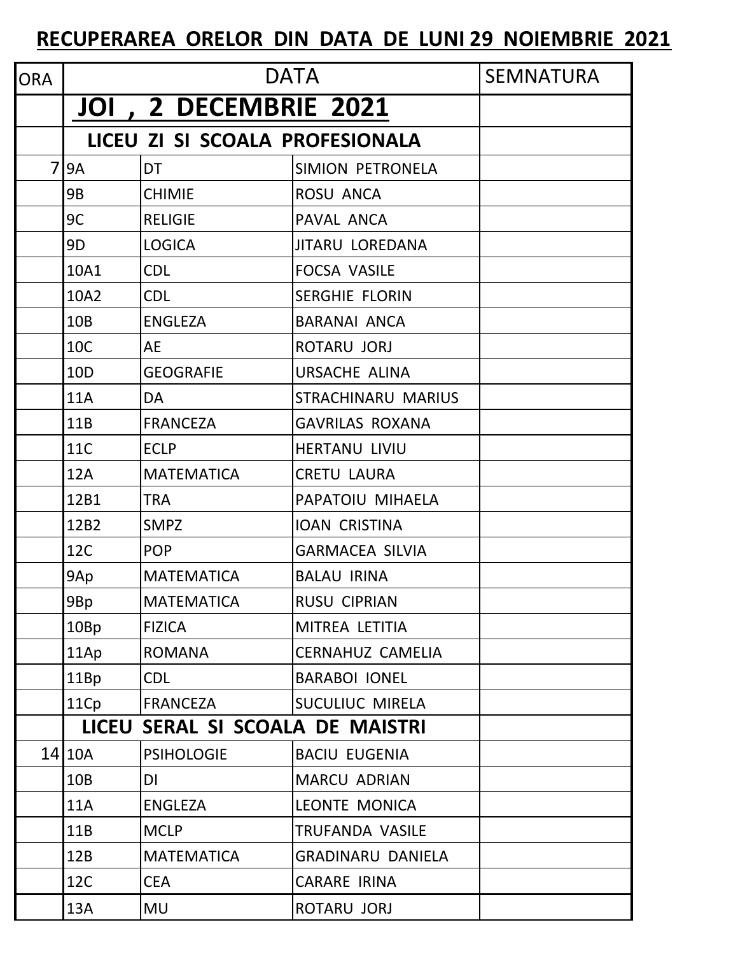## **RECUPERAREA ORELOR DIN DATA DE LUNI 29 NOIEMBRIE 2021**

| <b>ORA</b> |                 |                                  | <b>DATA</b>               | <b>SEMNATURA</b> |
|------------|-----------------|----------------------------------|---------------------------|------------------|
|            |                 | <b>JOI , 2 DECEMBRIE 2021</b>    |                           |                  |
|            |                 | LICEU ZI SI SCOALA PROFESIONALA  |                           |                  |
| 7          | <b>9A</b>       | <b>DT</b>                        | SIMION PETRONELA          |                  |
|            | <b>9B</b>       | <b>CHIMIE</b>                    | ROSU ANCA                 |                  |
|            | 9C              | <b>RELIGIE</b>                   | PAVAL ANCA                |                  |
|            | 9 <sub>D</sub>  | <b>LOGICA</b>                    | <b>JITARU LOREDANA</b>    |                  |
|            | 10A1            | <b>CDL</b>                       | <b>FOCSA VASILE</b>       |                  |
|            | 10A2            | <b>CDL</b>                       | <b>SERGHIE FLORIN</b>     |                  |
|            | 10B             | <b>ENGLEZA</b>                   | <b>BARANAI ANCA</b>       |                  |
|            | <b>10C</b>      | <b>AE</b>                        | ROTARU JORJ               |                  |
|            | 10 <sub>D</sub> | <b>GEOGRAFIE</b>                 | <b>URSACHE ALINA</b>      |                  |
|            | <b>11A</b>      | DA                               | <b>STRACHINARU MARIUS</b> |                  |
|            | 11B             | <b>FRANCEZA</b>                  | <b>GAVRILAS ROXANA</b>    |                  |
|            | <b>11C</b>      | <b>ECLP</b>                      | <b>HERTANU LIVIU</b>      |                  |
|            | 12A             | <b>MATEMATICA</b>                | <b>CRETU LAURA</b>        |                  |
|            | 12B1            | <b>TRA</b>                       | PAPATOIU MIHAELA          |                  |
|            | 12B2            | <b>SMPZ</b>                      | <b>IOAN CRISTINA</b>      |                  |
|            | <b>12C</b>      | <b>POP</b>                       | <b>GARMACEA SILVIA</b>    |                  |
|            | 9Ap             | <b>MATEMATICA</b>                | <b>BALAU IRINA</b>        |                  |
|            | 9Bp             | <b>MATEMATICA</b>                | <b>RUSU CIPRIAN</b>       |                  |
|            | 10Bp            | <b>FIZICA</b>                    | MITREA LETITIA            |                  |
|            | 11Ap            | <b>ROMANA</b>                    | CERNAHUZ CAMELIA          |                  |
|            | 11Bp            | <b>CDL</b>                       | <b>BARABOI IONEL</b>      |                  |
|            | 11Cp            | <b>FRANCEZA</b>                  | SUCULIUC MIRELA           |                  |
|            |                 | LICEU SERAL SI SCOALA DE MAISTRI |                           |                  |
|            | 14 10A          | <b>PSIHOLOGIE</b>                | <b>BACIU EUGENIA</b>      |                  |
|            | 10B             | DI                               | <b>MARCU ADRIAN</b>       |                  |
|            | <b>11A</b>      | <b>ENGLEZA</b>                   | LEONTE MONICA             |                  |
|            | 11B             | <b>MCLP</b>                      | TRUFANDA VASILE           |                  |
|            | 12B             | <b>MATEMATICA</b>                | <b>GRADINARU DANIELA</b>  |                  |
|            | 12C             | <b>CEA</b>                       | <b>CARARE IRINA</b>       |                  |
|            | 13A             | <b>MU</b>                        | ROTARU JORJ               |                  |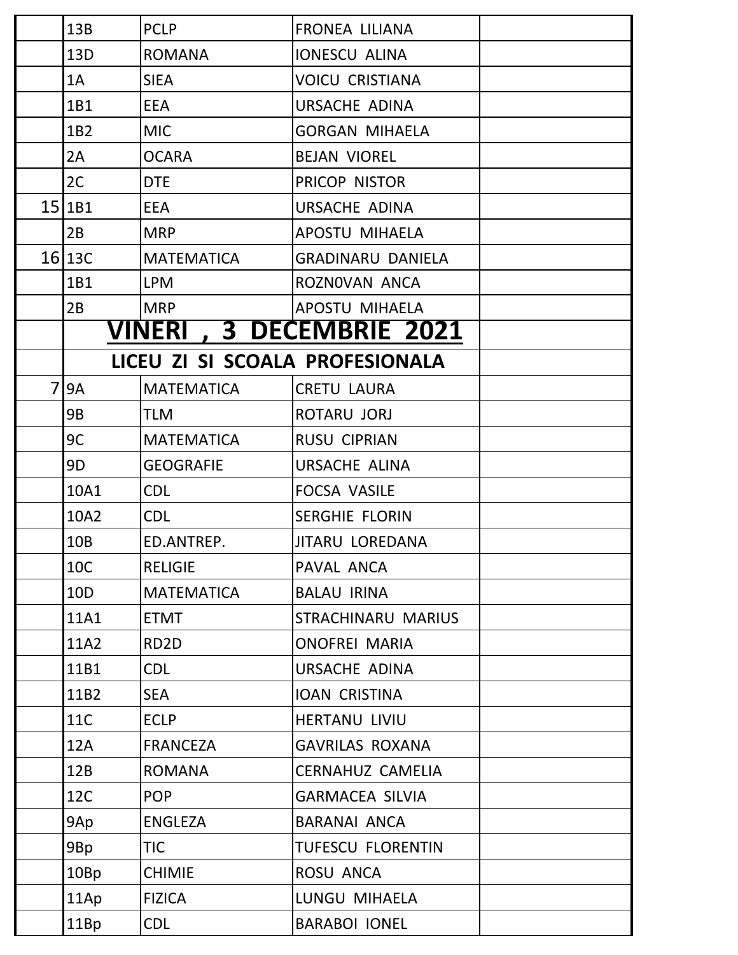|    | 13B             | <b>PCLP</b>       | <b>FRONEA LILIANA</b>            |  |
|----|-----------------|-------------------|----------------------------------|--|
|    | 13D             | <b>ROMANA</b>     | <b>IONESCU ALINA</b>             |  |
|    | 1A              | <b>SIEA</b>       | <b>VOICU CRISTIANA</b>           |  |
|    | 1B1             | <b>EEA</b>        | URSACHE ADINA                    |  |
|    | 1B2             | <b>MIC</b>        | <b>GORGAN MIHAELA</b>            |  |
|    | 2A              | <b>OCARA</b>      | <b>BEJAN VIOREL</b>              |  |
|    | 2C              | <b>DTE</b>        | PRICOP NISTOR                    |  |
|    | 15 1B1          | <b>EEA</b>        | URSACHE ADINA                    |  |
|    | 2B              | <b>MRP</b>        | <b>APOSTU MIHAELA</b>            |  |
|    | 16 13C          | <b>MATEMATICA</b> | <b>GRADINARU DANIELA</b>         |  |
|    | 1B1             | <b>LPM</b>        | ROZNOVAN ANCA                    |  |
|    | 2B              | <b>MRP</b>        | APOSTU MIHAELA                   |  |
|    |                 |                   | <b>VINERI , 3 DECEMBRIE 2021</b> |  |
|    |                 |                   | LICEU ZI SI SCOALA PROFESIONALA  |  |
| 71 | <b>9A</b>       | <b>MATEMATICA</b> | <b>CRETU LAURA</b>               |  |
|    | 9B              | <b>TLM</b>        | ROTARU JORJ                      |  |
|    | 9C              | <b>MATEMATICA</b> | <b>RUSU CIPRIAN</b>              |  |
|    | 9D              | <b>GEOGRAFIE</b>  | <b>URSACHE ALINA</b>             |  |
|    | 10A1            | <b>CDL</b>        | <b>FOCSA VASILE</b>              |  |
|    | 10A2            | <b>CDL</b>        | <b>SERGHIE FLORIN</b>            |  |
|    | 10B             | ED.ANTREP.        | <b>JITARU LOREDANA</b>           |  |
|    | <b>10C</b>      | <b>RELIGIE</b>    | PAVAL ANCA                       |  |
|    | 10 <sub>D</sub> | <b>MATEMATICA</b> | <b>BALAU IRINA</b>               |  |
|    | 11A1            | <b>ETMT</b>       | STRACHINARU MARIUS               |  |
|    | 11A2            | RD <sub>2</sub> D | <b>ONOFREI MARIA</b>             |  |
|    | 11B1            | <b>CDL</b>        | URSACHE ADINA                    |  |
|    | 11B2            | <b>SEA</b>        | <b>IOAN CRISTINA</b>             |  |
|    | 11C             | <b>ECLP</b>       | <b>HERTANU LIVIU</b>             |  |
|    | 12A             | <b>FRANCEZA</b>   | <b>GAVRILAS ROXANA</b>           |  |
|    | 12B             | <b>ROMANA</b>     | <b>CERNAHUZ CAMELIA</b>          |  |
|    | <b>12C</b>      | <b>POP</b>        | <b>GARMACEA SILVIA</b>           |  |
|    | 9Ap             | <b>ENGLEZA</b>    | <b>BARANAI ANCA</b>              |  |
|    | 9Bp             | <b>TIC</b>        | <b>TUFESCU FLORENTIN</b>         |  |
|    | 10Bp            | <b>CHIMIE</b>     | ROSU ANCA                        |  |
|    | 11Ap            | <b>FIZICA</b>     | LUNGU MIHAELA                    |  |
|    | 11Bp            | <b>CDL</b>        | <b>BARABOI IONEL</b>             |  |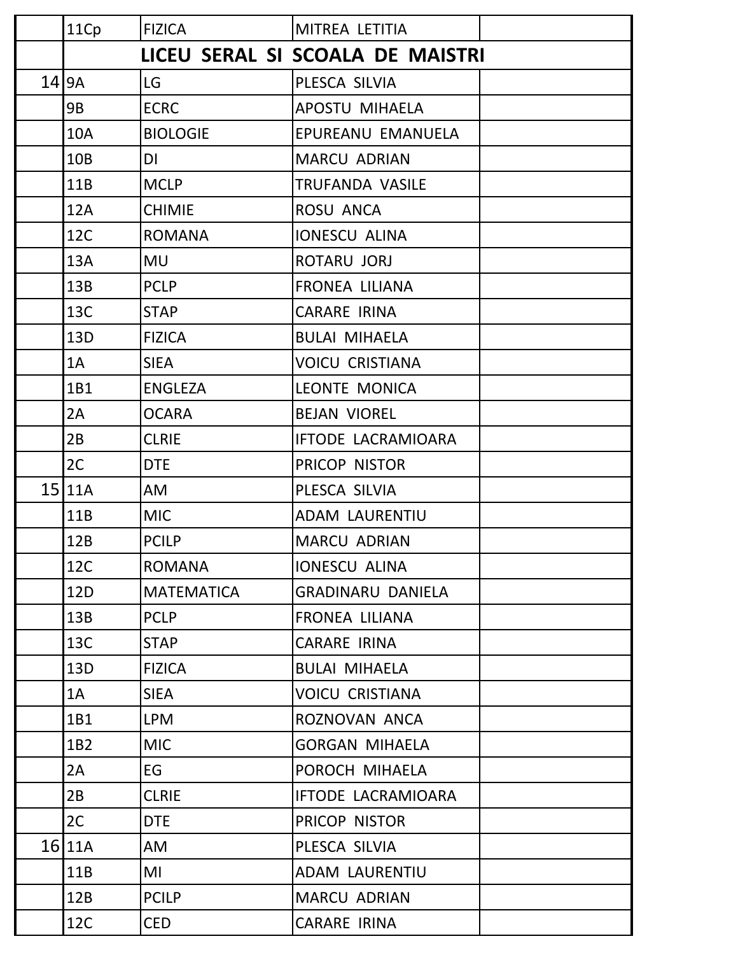| 11Cp               | <b>FIZICA</b>     | MITREA LETITIA                   |
|--------------------|-------------------|----------------------------------|
|                    |                   | LICEU SERAL SI SCOALA DE MAISTRI |
| $14$  9A           | LG                | PLESCA SILVIA                    |
| 9B                 | <b>ECRC</b>       | <b>APOSTU MIHAELA</b>            |
| <b>10A</b>         | <b>BIOLOGIE</b>   | EPUREANU EMANUELA                |
| 10 <sub>B</sub>    | <b>DI</b>         | <b>MARCU ADRIAN</b>              |
| 11B                | <b>MCLP</b>       | TRUFANDA VASILE                  |
| 12A                | <b>CHIMIE</b>     | ROSU ANCA                        |
| 12C                | <b>ROMANA</b>     | <b>IONESCU ALINA</b>             |
| 13A                | <b>MU</b>         | ROTARU JORJ                      |
| 13B                | <b>PCLP</b>       | <b>FRONEA LILIANA</b>            |
| 13C                | <b>STAP</b>       | <b>CARARE IRINA</b>              |
| 13D                | <b>FIZICA</b>     | <b>BULAI MIHAELA</b>             |
| 1A                 | <b>SIEA</b>       | <b>VOICU CRISTIANA</b>           |
| 1B1                | <b>ENGLEZA</b>    | <b>LEONTE MONICA</b>             |
| 2A                 | <b>OCARA</b>      | <b>BEJAN VIOREL</b>              |
| 2B                 | <b>CLRIE</b>      | <b>IFTODE LACRAMIOARA</b>        |
| 2C                 | <b>DTE</b>        | PRICOP NISTOR                    |
| 15 11A             | AM                | PLESCA SILVIA                    |
| 11B                | <b>MIC</b>        | <b>ADAM LAURENTIU</b>            |
| 12B                | <b>PCILP</b>      | <b>MARCU ADRIAN</b>              |
| 12C                | ROMANA            | <b>IONESCU ALINA</b>             |
| 12D                | <b>MATEMATICA</b> | <b>GRADINARU DANIELA</b>         |
| 13B                | <b>PCLP</b>       | FRONEA LILIANA                   |
| 13C                | <b>STAP</b>       | CARARE IRINA                     |
| 13D                | <b>FIZICA</b>     | <b>BULAI MIHAELA</b>             |
| 1A                 | <b>SIEA</b>       | <b>VOICU CRISTIANA</b>           |
| 1B1                | <b>LPM</b>        | ROZNOVAN ANCA                    |
| 1B2                | <b>MIC</b>        | <b>GORGAN MIHAELA</b>            |
| 2A                 | EG                | POROCH MIHAELA                   |
| 2B                 | <b>CLRIE</b>      | <b>IFTODE LACRAMIOARA</b>        |
| 2C                 | <b>DTE</b>        | PRICOP NISTOR                    |
| 16 <sub>11</sub> A | <b>AM</b>         | PLESCA SILVIA                    |
| 11B                | MI                | ADAM LAURENTIU                   |
| 12B                | <b>PCILP</b>      | <b>MARCU ADRIAN</b>              |
| 12C                | <b>CED</b>        | <b>CARARE IRINA</b>              |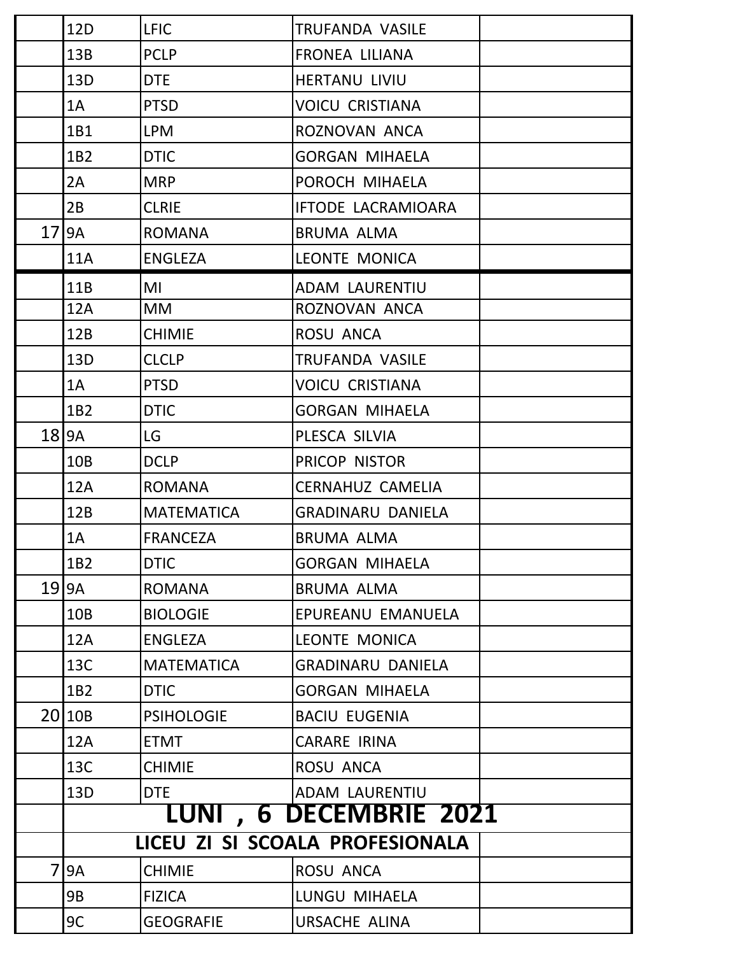|                 | 12D               | <b>LFIC</b>       | <b>TRUFANDA VASILE</b>          |  |
|-----------------|-------------------|-------------------|---------------------------------|--|
|                 | 13B               | <b>PCLP</b>       | <b>FRONEA LILIANA</b>           |  |
|                 | 13D               | <b>DTE</b>        | <b>HERTANU LIVIU</b>            |  |
|                 | 1A                | <b>PTSD</b>       | <b>VOICU CRISTIANA</b>          |  |
|                 | 1B1               | <b>LPM</b>        | ROZNOVAN ANCA                   |  |
|                 | 1B2               | <b>DTIC</b>       | <b>GORGAN MIHAELA</b>           |  |
|                 | 2A                | <b>MRP</b>        | POROCH MIHAELA                  |  |
|                 | 2B                | <b>CLRIE</b>      | <b>IFTODE LACRAMIOARA</b>       |  |
| 17 <sup>1</sup> | <b>9A</b>         | <b>ROMANA</b>     | <b>BRUMA ALMA</b>               |  |
|                 | <b>11A</b>        | <b>ENGLEZA</b>    | <b>LEONTE MONICA</b>            |  |
|                 | 11B               | MI                | <b>ADAM LAURENTIU</b>           |  |
|                 | 12A               | <b>MM</b>         | ROZNOVAN ANCA                   |  |
|                 | 12B               | <b>CHIMIE</b>     | ROSU ANCA                       |  |
|                 | 13D               | <b>CLCLP</b>      | TRUFANDA VASILE                 |  |
|                 | 1A                | <b>PTSD</b>       | <b>VOICU CRISTIANA</b>          |  |
|                 | 1 <sub>B2</sub>   | <b>DTIC</b>       | <b>GORGAN MIHAELA</b>           |  |
|                 | $18$  9A          | LG.               | PLESCA SILVIA                   |  |
|                 | 10B               | <b>DCLP</b>       | PRICOP NISTOR                   |  |
|                 | 12A               | <b>ROMANA</b>     | <b>CERNAHUZ CAMELIA</b>         |  |
|                 | 12B               | <b>MATEMATICA</b> | <b>GRADINARU DANIELA</b>        |  |
|                 | 1A                | <b>FRANCEZA</b>   | <b>BRUMA ALMA</b>               |  |
|                 | 1B2               | <b>DTIC</b>       | <b>GORGAN MIHAELA</b>           |  |
|                 | $19$  9A          | <b>ROMANA</b>     | <b>BRUMA ALMA</b>               |  |
|                 | 10B               | <b>BIOLOGIE</b>   | EPUREANU EMANUELA               |  |
|                 | 12A               | <b>ENGLEZA</b>    | LEONTE MONICA                   |  |
|                 | 13C               | <b>MATEMATICA</b> | <b>GRADINARU DANIELA</b>        |  |
|                 | 1B2               | <b>DTIC</b>       | <b>GORGAN MIHAELA</b>           |  |
|                 | 20 <sub>10B</sub> | <b>PSIHOLOGIE</b> | <b>BACIU EUGENIA</b>            |  |
|                 | 12A               | <b>ETMT</b>       | <b>CARARE IRINA</b>             |  |
|                 | 13C               | <b>CHIMIE</b>     | ROSU ANCA                       |  |
|                 | 13D               | <b>DTE</b>        | ADAM LAURENTIU                  |  |
|                 |                   |                   | <b>LUNI , 6 DECEMBRIE 2021</b>  |  |
|                 |                   |                   | LICEU ZI SI SCOALA PROFESIONALA |  |
|                 | <b>9A</b>         | <b>CHIMIE</b>     | ROSU ANCA                       |  |
|                 | 9B                | <b>FIZICA</b>     | LUNGU MIHAELA                   |  |
|                 | 9C                | <b>GEOGRAFIE</b>  | URSACHE ALINA                   |  |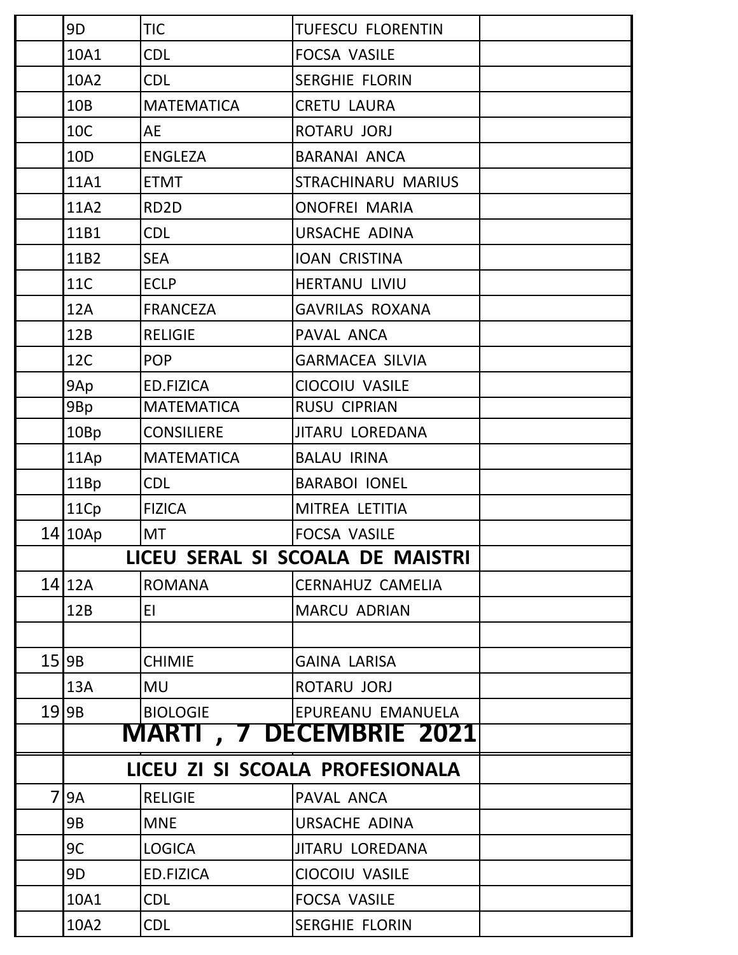| 9D                              | <b>TIC</b>        | <b>TUFESCU FLORENTIN</b>         |  |  |  |  |  |  |  |
|---------------------------------|-------------------|----------------------------------|--|--|--|--|--|--|--|
| 10A1                            | <b>CDL</b>        | <b>FOCSA VASILE</b>              |  |  |  |  |  |  |  |
| 10A2                            | <b>CDL</b>        | <b>SERGHIE FLORIN</b>            |  |  |  |  |  |  |  |
| 10B                             | <b>MATEMATICA</b> | <b>CRETU LAURA</b>               |  |  |  |  |  |  |  |
| 10C                             | <b>AE</b>         | ROTARU JORJ                      |  |  |  |  |  |  |  |
| 10D                             | <b>ENGLEZA</b>    | <b>BARANAI ANCA</b>              |  |  |  |  |  |  |  |
| 11A1                            | <b>ETMT</b>       | STRACHINARU MARIUS               |  |  |  |  |  |  |  |
| 11A2                            | RD <sub>2</sub> D | <b>ONOFREI MARIA</b>             |  |  |  |  |  |  |  |
| 11B1                            | <b>CDL</b>        | URSACHE ADINA                    |  |  |  |  |  |  |  |
| 11B2                            | <b>SEA</b>        | <b>IOAN CRISTINA</b>             |  |  |  |  |  |  |  |
| <b>11C</b>                      | <b>ECLP</b>       | <b>HERTANU LIVIU</b>             |  |  |  |  |  |  |  |
| 12A                             | <b>FRANCEZA</b>   | <b>GAVRILAS ROXANA</b>           |  |  |  |  |  |  |  |
| 12B                             | <b>RELIGIE</b>    | PAVAL ANCA                       |  |  |  |  |  |  |  |
| 12C                             | <b>POP</b>        | <b>GARMACEA SILVIA</b>           |  |  |  |  |  |  |  |
| 9Ap                             | ED.FIZICA         | CIOCOIU VASILE                   |  |  |  |  |  |  |  |
| 9Bp                             | <b>MATEMATICA</b> | <b>RUSU CIPRIAN</b>              |  |  |  |  |  |  |  |
| 10Bp                            | <b>CONSILIERE</b> | <b>JITARU LOREDANA</b>           |  |  |  |  |  |  |  |
| 11Ap                            | <b>MATEMATICA</b> | <b>BALAU IRINA</b>               |  |  |  |  |  |  |  |
| 11Bp                            | <b>CDL</b>        | <b>BARABOI IONEL</b>             |  |  |  |  |  |  |  |
| 11Cp                            | <b>FIZICA</b>     | MITREA LETITIA                   |  |  |  |  |  |  |  |
| 14 10Ap                         | <b>MT</b>         | <b>FOCSA VASILE</b>              |  |  |  |  |  |  |  |
|                                 |                   | LICEU SERAL SI SCOALA DE MAISTRI |  |  |  |  |  |  |  |
| $14$  12A                       | <b>ROMANA</b>     | <b>CERNAHUZ CAMELIA</b>          |  |  |  |  |  |  |  |
| 12B                             | EI.               | <b>MARCU ADRIAN</b>              |  |  |  |  |  |  |  |
|                                 |                   |                                  |  |  |  |  |  |  |  |
| 15 9B                           | <b>CHIMIE</b>     | <b>GAINA LARISA</b>              |  |  |  |  |  |  |  |
| 13A                             | <b>MU</b>         | ROTARU JORJ                      |  |  |  |  |  |  |  |
| 19 9B                           | <b>BIOLOGIE</b>   | EPUREANU EMANUELA                |  |  |  |  |  |  |  |
|                                 |                   | <b>MARTI , 7 DECEMBRIE 2021</b>  |  |  |  |  |  |  |  |
| LICEU ZI SI SCOALA PROFESIONALA |                   |                                  |  |  |  |  |  |  |  |
| <b>9A</b>                       | <b>RELIGIE</b>    | PAVAL ANCA                       |  |  |  |  |  |  |  |
| 9B                              | <b>MNE</b>        | <b>URSACHE ADINA</b>             |  |  |  |  |  |  |  |
| 9C                              | <b>LOGICA</b>     | <b>JITARU LOREDANA</b>           |  |  |  |  |  |  |  |
| 9D                              | <b>ED.FIZICA</b>  | CIOCOIU VASILE                   |  |  |  |  |  |  |  |
| 10A1                            | <b>CDL</b>        | <b>FOCSA VASILE</b>              |  |  |  |  |  |  |  |
| 10A2                            | <b>CDL</b>        | <b>SERGHIE FLORIN</b>            |  |  |  |  |  |  |  |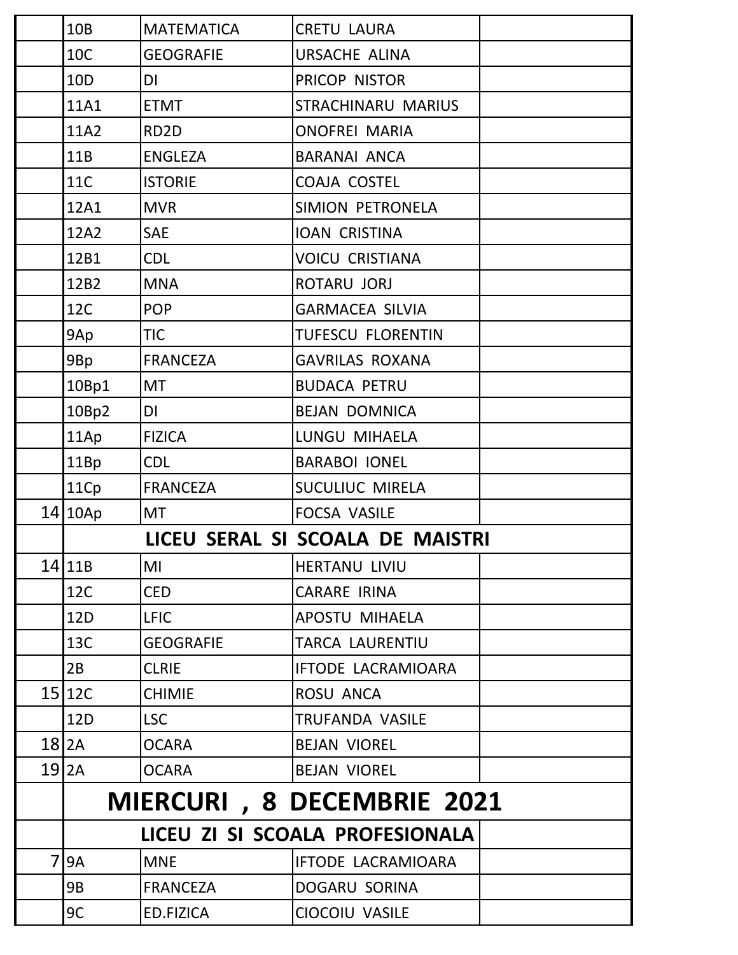|                | 10 <sub>B</sub> | <b>MATEMATICA</b> | <b>CRETU LAURA</b>               |  |
|----------------|-----------------|-------------------|----------------------------------|--|
|                | <b>10C</b>      | <b>GEOGRAFIE</b>  | <b>URSACHE ALINA</b>             |  |
|                | 10 <sub>D</sub> | DI                | PRICOP NISTOR                    |  |
|                | 11A1            | <b>ETMT</b>       | STRACHINARU MARIUS               |  |
|                | 11A2            | RD <sub>2</sub> D | <b>ONOFREI MARIA</b>             |  |
|                | 11B             | <b>ENGLEZA</b>    | <b>BARANAI ANCA</b>              |  |
|                | <b>11C</b>      | <b>ISTORIE</b>    | COAJA COSTEL                     |  |
|                | 12A1            | <b>MVR</b>        | SIMION PETRONELA                 |  |
|                | 12A2            | <b>SAE</b>        | <b>IOAN CRISTINA</b>             |  |
|                | 12B1            | <b>CDL</b>        | <b>VOICU CRISTIANA</b>           |  |
|                | 12B2            | <b>MNA</b>        | ROTARU JORJ                      |  |
|                | 12C             | <b>POP</b>        | <b>GARMACEA SILVIA</b>           |  |
|                | 9Ap             | <b>TIC</b>        | <b>TUFESCU FLORENTIN</b>         |  |
|                | 9Bp             | <b>FRANCEZA</b>   | <b>GAVRILAS ROXANA</b>           |  |
|                | 10Bp1           | <b>MT</b>         | <b>BUDACA PETRU</b>              |  |
|                | 10Bp2           | DI                | <b>BEJAN DOMNICA</b>             |  |
|                | 11Ap            | <b>FIZICA</b>     | LUNGU MIHAELA                    |  |
|                | 11Bp            | <b>CDL</b>        | <b>BARABOI IONEL</b>             |  |
|                | 11Cp            | <b>FRANCEZA</b>   | SUCULIUC MIRELA                  |  |
|                | 14 10Ap         | <b>MT</b>         | <b>FOCSA VASILE</b>              |  |
|                |                 |                   | LICEU SERAL SI SCOALA DE MAISTRI |  |
|                | 14 11B          | MI                | <b>HERTANU LIVIU</b>             |  |
|                | 12C             | <b>CED</b>        | <b>CARARE IRINA</b>              |  |
|                | 12D             | <b>LFIC</b>       | <b>APOSTU MIHAELA</b>            |  |
|                | 13C             | <b>GEOGRAFIE</b>  | <b>TARCA LAURENTIU</b>           |  |
|                | 2B              | <b>CLRIE</b>      | IFTODE LACRAMIOARA               |  |
|                | 15 12C          | <b>CHIMIE</b>     | ROSU ANCA                        |  |
|                | 12D             | <b>LSC</b>        | TRUFANDA VASILE                  |  |
|                | $18$  2A        | <b>OCARA</b>      | <b>BEJAN VIOREL</b>              |  |
|                | $19$  2A        | <b>OCARA</b>      | <b>BEJAN VIOREL</b>              |  |
|                |                 |                   | MIERCURI, 8 DECEMBRIE 2021       |  |
|                |                 |                   | LICEU ZI SI SCOALA PROFESIONALA  |  |
|                |                 |                   |                                  |  |
| $\overline{7}$ | <b>9A</b>       | <b>MNE</b>        | <b>IFTODE LACRAMIOARA</b>        |  |
|                | 9B              | <b>FRANCEZA</b>   | DOGARU SORINA                    |  |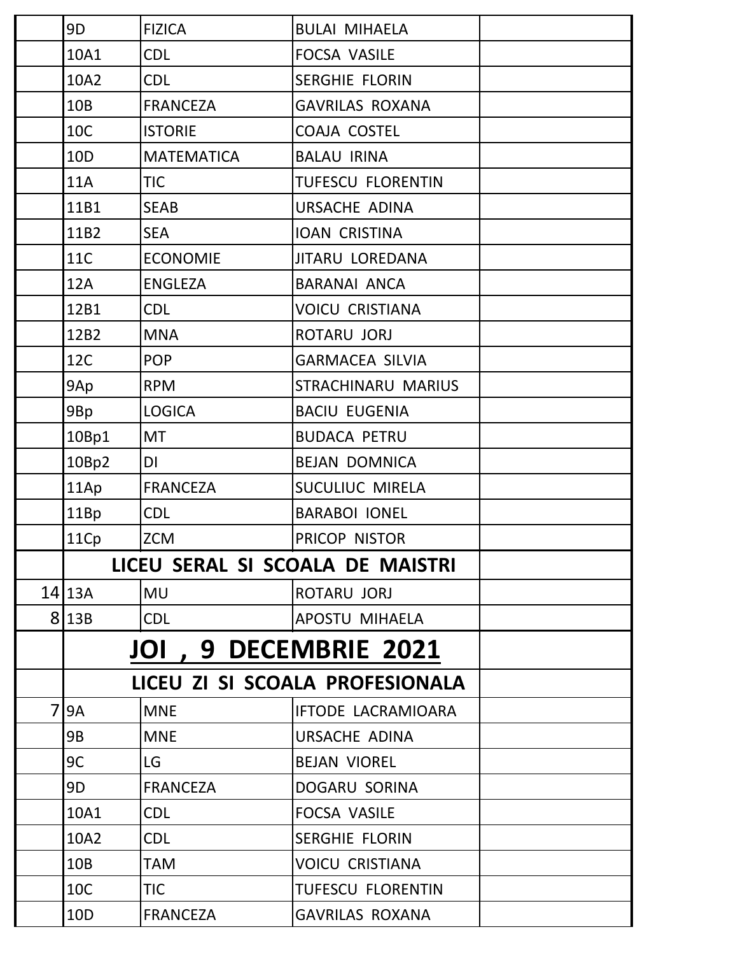|   | 9D              | <b>FIZICA</b>                 | <b>BULAI MIHAELA</b>             |  |
|---|-----------------|-------------------------------|----------------------------------|--|
|   | 10A1            | <b>CDL</b>                    | <b>FOCSA VASILE</b>              |  |
|   | 10A2            | <b>CDL</b>                    | <b>SERGHIE FLORIN</b>            |  |
|   | 10 <sub>B</sub> | <b>FRANCEZA</b>               | <b>GAVRILAS ROXANA</b>           |  |
|   | 10C             | <b>ISTORIE</b>                | <b>COAJA COSTEL</b>              |  |
|   | 10 <sub>D</sub> | <b>MATEMATICA</b>             | <b>BALAU IRINA</b>               |  |
|   | <b>11A</b>      | <b>TIC</b>                    | <b>TUFESCU FLORENTIN</b>         |  |
|   | 11B1            | <b>SEAB</b>                   | URSACHE ADINA                    |  |
|   | 11B2            | <b>SEA</b>                    | <b>IOAN CRISTINA</b>             |  |
|   | 11C             | <b>ECONOMIE</b>               | <b>JITARU LOREDANA</b>           |  |
|   | 12A             | <b>ENGLEZA</b>                | <b>BARANAI ANCA</b>              |  |
|   | 12B1            | <b>CDL</b>                    | <b>VOICU CRISTIANA</b>           |  |
|   | 12B2            | <b>MNA</b>                    | ROTARU JORJ                      |  |
|   | 12C             | <b>POP</b>                    | <b>GARMACEA SILVIA</b>           |  |
|   | 9Ap             | <b>RPM</b>                    | STRACHINARU MARIUS               |  |
|   | 9Bp             | <b>LOGICA</b>                 | <b>BACIU EUGENIA</b>             |  |
|   | 10Bp1           | <b>MT</b>                     | <b>BUDACA PETRU</b>              |  |
|   | 10Bp2           | <b>DI</b>                     | <b>BEJAN DOMNICA</b>             |  |
|   | 11Ap            | <b>FRANCEZA</b>               | SUCULIUC MIRELA                  |  |
|   | 11Bp            | <b>CDL</b>                    | <b>BARABOI IONEL</b>             |  |
|   | 11Cp            | <b>ZCM</b>                    | PRICOP NISTOR                    |  |
|   |                 |                               | LICEU SERAL SI SCOALA DE MAISTRI |  |
|   | $14$   13A      | <b>MU</b>                     | ROTARU JORJ                      |  |
|   | 8 13B           | <b>CDL</b>                    | <b>APOSTU MIHAELA</b>            |  |
|   |                 | <b>JOI , 9 DECEMBRIE 2021</b> |                                  |  |
|   |                 |                               | LICEU ZI SI SCOALA PROFESIONALA  |  |
| 7 | <b>9A</b>       | <b>MNE</b>                    | <b>IFTODE LACRAMIOARA</b>        |  |
|   | 9B              | <b>MNE</b>                    | <b>URSACHE ADINA</b>             |  |
|   | 9C              | LG                            | <b>BEJAN VIOREL</b>              |  |
|   | 9D              | <b>FRANCEZA</b>               | DOGARU SORINA                    |  |
|   | 10A1            | <b>CDL</b>                    | <b>FOCSA VASILE</b>              |  |
|   | 10A2            | <b>CDL</b>                    | <b>SERGHIE FLORIN</b>            |  |
|   | 10B             | <b>TAM</b>                    | <b>VOICU CRISTIANA</b>           |  |
|   | 10C             | <b>TIC</b>                    | <b>TUFESCU FLORENTIN</b>         |  |
|   | 10 <sub>D</sub> | <b>FRANCEZA</b>               | <b>GAVRILAS ROXANA</b>           |  |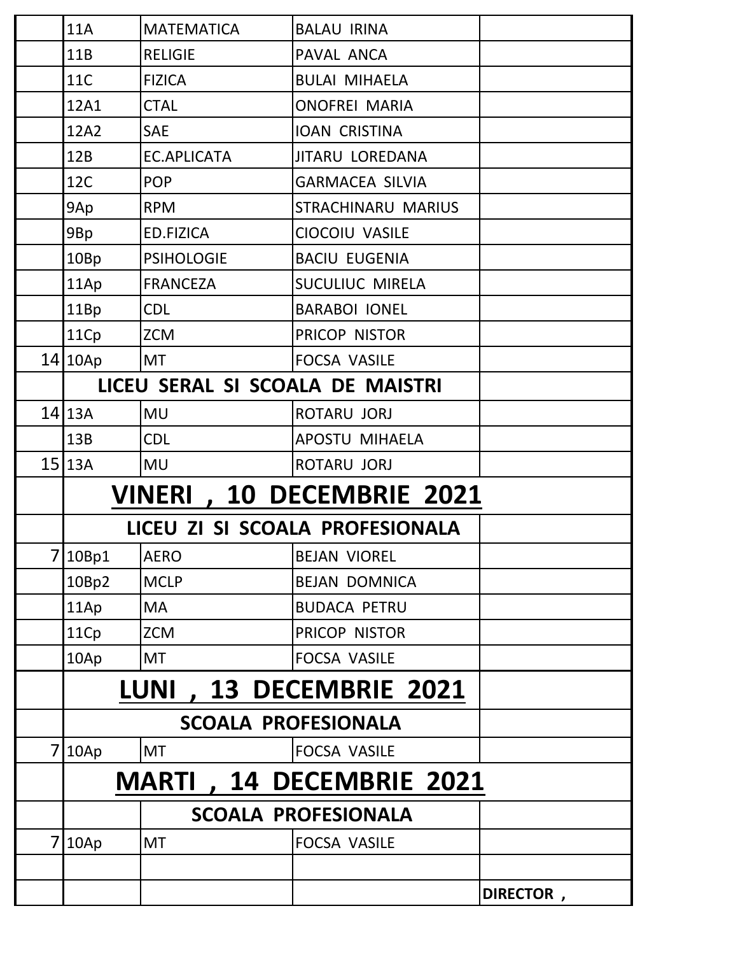|                | <b>11A</b>                 | <b>MATEMATICA</b>                | <b>BALAU IRINA</b>               |           |  |  |  |  |  |  |
|----------------|----------------------------|----------------------------------|----------------------------------|-----------|--|--|--|--|--|--|
|                | 11B                        | <b>RELIGIE</b>                   | PAVAL ANCA                       |           |  |  |  |  |  |  |
|                | <b>11C</b>                 | <b>FIZICA</b>                    | <b>BULAI MIHAELA</b>             |           |  |  |  |  |  |  |
|                | 12A1                       | <b>CTAL</b>                      | <b>ONOFREI MARIA</b>             |           |  |  |  |  |  |  |
|                | 12A2                       | <b>SAE</b>                       | <b>IOAN CRISTINA</b>             |           |  |  |  |  |  |  |
|                | 12B                        | <b>EC.APLICATA</b>               | <b>JITARU LOREDANA</b>           |           |  |  |  |  |  |  |
|                | <b>12C</b>                 | <b>POP</b>                       | <b>GARMACEA SILVIA</b>           |           |  |  |  |  |  |  |
|                | 9Ap                        | <b>RPM</b>                       | STRACHINARU MARIUS               |           |  |  |  |  |  |  |
|                | 9Bp                        | <b>ED.FIZICA</b>                 | CIOCOIU VASILE                   |           |  |  |  |  |  |  |
|                | 10Bp                       | <b>PSIHOLOGIE</b>                | <b>BACIU EUGENIA</b>             |           |  |  |  |  |  |  |
|                | 11Ap                       | <b>FRANCEZA</b>                  | SUCULIUC MIRELA                  |           |  |  |  |  |  |  |
|                | 11Bp                       | <b>CDL</b>                       | <b>BARABOI IONEL</b>             |           |  |  |  |  |  |  |
|                | 11Cp                       | <b>ZCM</b>                       | PRICOP NISTOR                    |           |  |  |  |  |  |  |
|                | 14 10Ap                    | <b>MT</b>                        | <b>FOCSA VASILE</b>              |           |  |  |  |  |  |  |
|                |                            | LICEU SERAL SI SCOALA DE MAISTRI |                                  |           |  |  |  |  |  |  |
|                | $14$   13A                 | <b>MU</b>                        | ROTARU JORJ                      |           |  |  |  |  |  |  |
|                | 13B                        | <b>CDL</b>                       | <b>APOSTU MIHAELA</b>            |           |  |  |  |  |  |  |
|                | $15$  13A                  | <b>MU</b>                        | ROTARU JORJ                      |           |  |  |  |  |  |  |
|                |                            |                                  | <b>VINERI, 10 DECEMBRIE 2021</b> |           |  |  |  |  |  |  |
|                |                            |                                  | LICEU ZI SI SCOALA PROFESIONALA  |           |  |  |  |  |  |  |
|                | 7 10Bp1                    | <b>AERO</b>                      | <b>BEJAN VIOREL</b>              |           |  |  |  |  |  |  |
|                | 10Bp2                      | <b>MCLP</b>                      | <b>BEJAN DOMNICA</b>             |           |  |  |  |  |  |  |
|                | 11Ap                       | <b>MA</b>                        | <b>BUDACA PETRU</b>              |           |  |  |  |  |  |  |
|                | 11Cp                       | <b>ZCM</b>                       | PRICOP NISTOR                    |           |  |  |  |  |  |  |
|                | 10Ap                       | <b>MT</b>                        | <b>FOCSA VASILE</b>              |           |  |  |  |  |  |  |
|                |                            | <b>LUNI</b>                      | , 13 DECEMBRIE 2021              |           |  |  |  |  |  |  |
|                |                            | <b>SCOALA PROFESIONALA</b>       |                                  |           |  |  |  |  |  |  |
| 7 <sup>1</sup> | 10Ap                       | <b>MT</b>                        | FOCSA VASILE                     |           |  |  |  |  |  |  |
|                |                            |                                  | <b>MARTI, 14 DECEMBRIE 2021</b>  |           |  |  |  |  |  |  |
|                | <b>SCOALA PROFESIONALA</b> |                                  |                                  |           |  |  |  |  |  |  |
|                | 7 10Ap                     | <b>MT</b>                        | <b>FOCSA VASILE</b>              |           |  |  |  |  |  |  |
|                |                            |                                  |                                  |           |  |  |  |  |  |  |
|                |                            |                                  |                                  | DIRECTOR, |  |  |  |  |  |  |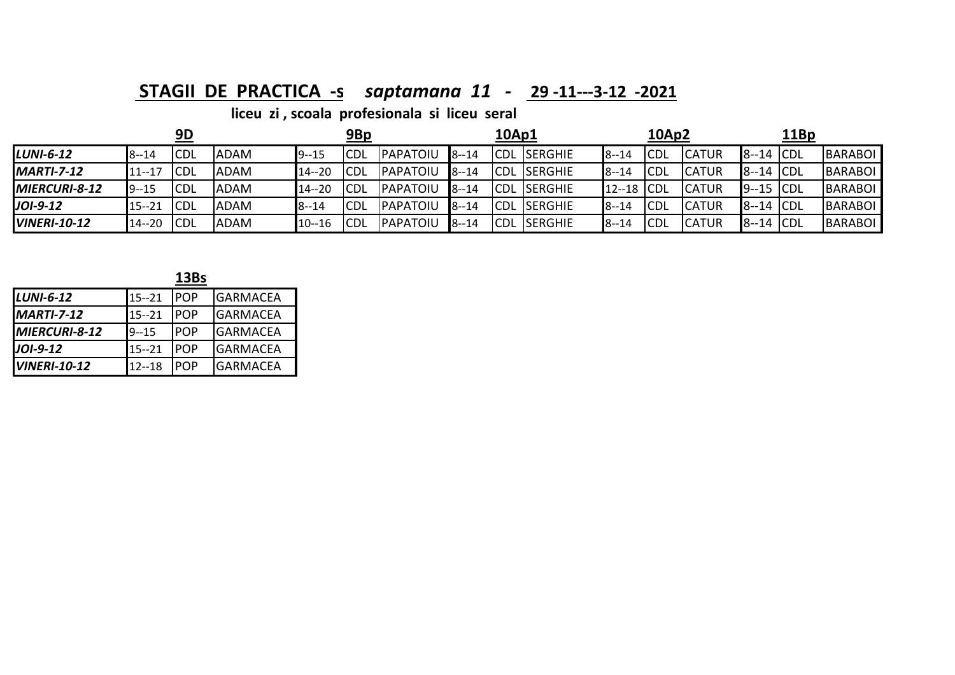### **STAGII DE PRACTICA ‐<sup>s</sup>** *saptamana 11 ‐*  **29 ‐11‐‐‐3‐<sup>12</sup> ‐2021**

|                      |           | 9D          |             |           | 9Bp        |                  |          | 10Ap1      |            |              | 10Ap2 |               |              | <u> 11Bp</u> |                |
|----------------------|-----------|-------------|-------------|-----------|------------|------------------|----------|------------|------------|--------------|-------|---------------|--------------|--------------|----------------|
| $LUNI-6-12$          | $8 - 14$  | <b>ICDL</b> | <b>ADAM</b> | $9 - 15$  | CDL        | PAPATOIU         | $8 - 14$ | <b>CDL</b> | SERGHIE    | $8 - 14$     | ICDL  | <b>CATUR</b>  | $8-14$ CDL   |              | BARABOL        |
| <b>MARTI-7-12</b>    | $11 - 17$ | <b>CDL</b>  | <b>ADAM</b> | $14 - 20$ | CDL        | PAPATOIU         | $8 - 14$ | ICDL       | . ISERGHIE | $8 - 14$     | ICDL  | <b>CATUR</b>  | $8-14$ CDL   |              | <b>BARABOL</b> |
| <b>MIERCURI-8-12</b> | $9 - 15$  | <b>CDL</b>  | <b>ADAM</b> | $14 - 20$ | CDL        | <b>IPAPATOIU</b> | $8 - 14$ | ICDL       | . ISERGHIE | 12--18 CDL   |       | <b>ICATUR</b> | $9 - 15$ CDL |              | BARABOL        |
| JOI-9-12             | $15 - 21$ | <b>ICDL</b> | <b>ADAM</b> | $8 - 14$  | CDL        | <b>IPAPATOIU</b> | $8 - 14$ | ICDL       | . ISERGHIE | $8 - 14$     | ICDL  | <b>ICATUR</b> | $8-14$ CDL   |              | BARABOL        |
| <b>VINERI-10-12</b>  | $14 - 20$ | <b>ICDL</b> | <b>ADAM</b> | $10 - 16$ | <b>CDL</b> | PAPATOIU         | $8 - 14$ | <b>CDL</b> | . ISERGHIE | <b>8--14</b> | ICDL  | <b>CATUR</b>  | $8-14$ CDL   |              | BARABOI        |

|                     |           | 13Bs       |                 |
|---------------------|-----------|------------|-----------------|
| LUNI-6-12           | $15 - 21$ | <b>POP</b> | <b>GARMACEA</b> |
| <b>MARTI-7-12</b>   | $15 - 21$ | <b>POP</b> | <b>GARMACEA</b> |
| MIERCURI-8-12       | $9 - 15$  | <b>POP</b> | IGARMACEA       |
| $JOI-9-12$          | $15 - 21$ | <b>POP</b> | IGARMACEA       |
| <b>VINERI-10-12</b> | $12 - 18$ | <b>POP</b> | <b>GARMACEA</b> |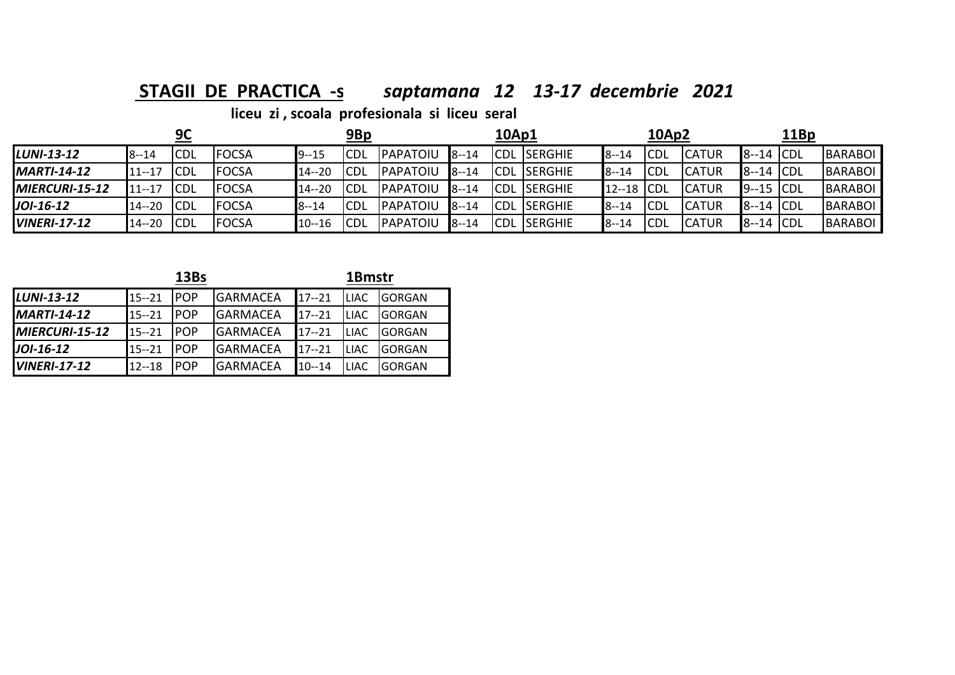**STAGII DE PRACTICA -s** *saptamana 12 13-17 decembrie 2021*

|                        |           | 9C          |               |           | 9Bp         |           |          | 10Ap1 |                     |           | 10Ap2       |              |              | 11Bp |                |
|------------------------|-----------|-------------|---------------|-----------|-------------|-----------|----------|-------|---------------------|-----------|-------------|--------------|--------------|------|----------------|
| LUNI-13-12             | $8 - 14$  | <b>CDL</b>  | <b>IFOCSA</b> | $9 - 15$  | <b>ICDL</b> | IPAPATOIU | $8 - 14$ |       | <b>CDL SERGHIE</b>  | $8 - 14$  | <b>ICDL</b> | <b>CATUR</b> | $8-14$ CDL   |      | <b>BARABOL</b> |
| $MARTI-14-12$          | $11 - 17$ | <b>ICDL</b> | <b>FOCSA</b>  | $14 - 20$ | <b>ICDL</b> | PAPATOIU  | $8 - 14$ |       | <b>CDL ISERGHIE</b> | $8 - 14$  | <b>CDL</b>  | <b>CATUR</b> | $8-14$ CDL   |      | BARABOL        |
| <b>IMIERCURI-15-12</b> | 17--1     | <b>ICDL</b> | <b>FOCSA</b>  | $14 - 20$ | <b>ICDL</b> | PAPATOIU  | $8 - 14$ |       | <b>CDL ISERGHIE</b> | $12 - 18$ | <b>ICDL</b> | <b>CATUR</b> | $9 - 15$ CDL |      | BARABOL        |
| JOI-16-12              | $14 - 20$ | CDL         | <b>FOCSA</b>  | $8 - 14$  | <b>ICDL</b> | PAPATOIU  | $8 - 14$ |       | <b>CDL SERGHIE</b>  | $8 - 14$  | <b>ICDL</b> | <b>CATUR</b> | $8-14$ CDL   |      | BARABOL        |
| <b>IVINERI-17-12</b>   | $14 - 20$ | <b>CDL</b>  | <b>FOCSA</b>  | $10 - 16$ | <b>ICDL</b> | PAPATOIU  | $8 - 14$ |       | <b>CDL SERGHIE</b>  | $8 - 14$  | <b>CDL</b>  | <b>CATUR</b> | $8-14$ CDL   |      | BARABOL        |

|                      |           | 13Bs        |                 | 1Bmstr    |             |               |
|----------------------|-----------|-------------|-----------------|-----------|-------------|---------------|
| $LUNI-13-12$         | $15 - 21$ | <b>IPOP</b> | <b>GARMACEA</b> | $17 - 21$ | <b>LIAC</b> | <b>GORGAN</b> |
| $IMARTI-14-12$       | $15 - 21$ | <b>IPOP</b> | <b>GARMACEA</b> | $17 - 21$ | <b>LIAC</b> | <b>GORGAN</b> |
| MIERCURI-15-12       | $15 - 21$ | <b>IPOP</b> | <b>GARMACEA</b> | $17 - 21$ | <b>LIAC</b> | <b>GORGAN</b> |
| $J$ <i>OI</i> -16-12 | $15 - 21$ | <b>IPOP</b> | <b>GARMACEA</b> | $17 - 21$ | <b>LIAC</b> | <b>GORGAN</b> |
| $IVINERI-17-12$      | $12 - 18$ | <b>IPOP</b> | <b>GARMACEA</b> | $10 - 14$ | <b>LIAC</b> | <b>GORGAN</b> |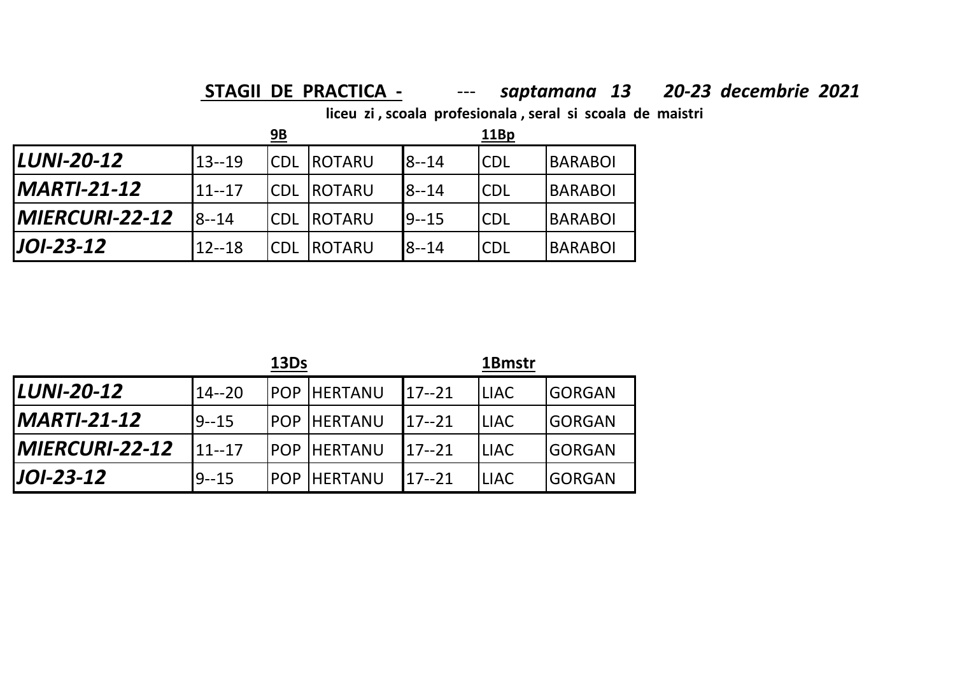## **STAGII DE PRACTICA -** --- *saptamana 13 20-23 decembrie 2021*

**liceu zi , scoala profesionala , seral si scoala de maistri**

|                               |           | <u>9B</u>  |                     |           | 11Bp       |                |
|-------------------------------|-----------|------------|---------------------|-----------|------------|----------------|
| <b>LUNI-20-12</b>             | $13 - 19$ |            | <b>CDL ROTARU</b>   | $8 - 14$  | <b>CDL</b> | <b>BARABOI</b> |
| <i>MARTI-21-12</i>            | $11--17$  |            | <b>CDL ROTARU</b>   | $8 - 14$  | <b>CDL</b> | <b>BARABOI</b> |
| <i><b>IMIERCURI-22-12</b></i> | $8 - 14$  |            | <b>ICDL IROTARU</b> | $19 - 15$ | <b>CDL</b> | <b>BARABOI</b> |
| $J$ $O$ $I$ -23-12            | $12 - 18$ | <b>CDL</b> | <b>IROTARU</b>      | $8 - 14$  | <b>CDL</b> | <b>BARABOI</b> |

|                       |           | 13Ds |                      |           | 1Bmstr      |               |
|-----------------------|-----------|------|----------------------|-----------|-------------|---------------|
| <b>LUNI-20-12</b>     | $14 - 20$ |      | <b>POP HERTANU</b>   | $17 - 21$ | <b>LIAC</b> | <b>GORGAN</b> |
| IMARTI-21-12          | $9 - 15$  |      | <b>IPOP HERTANU</b>  | $17 - 21$ | <b>LIAC</b> | <b>GORGAN</b> |
| <b>MIERCURI-22-12</b> | $11 - 17$ |      | <b>POP HERTANU</b>   | $17 - 21$ | <b>LIAC</b> | <b>GORGAN</b> |
| <b>JOI-23-12</b>      | $9 - 15$  |      | <b>IPOP IHERTANU</b> | $17 - 21$ | <b>LIAC</b> | <b>GORGAN</b> |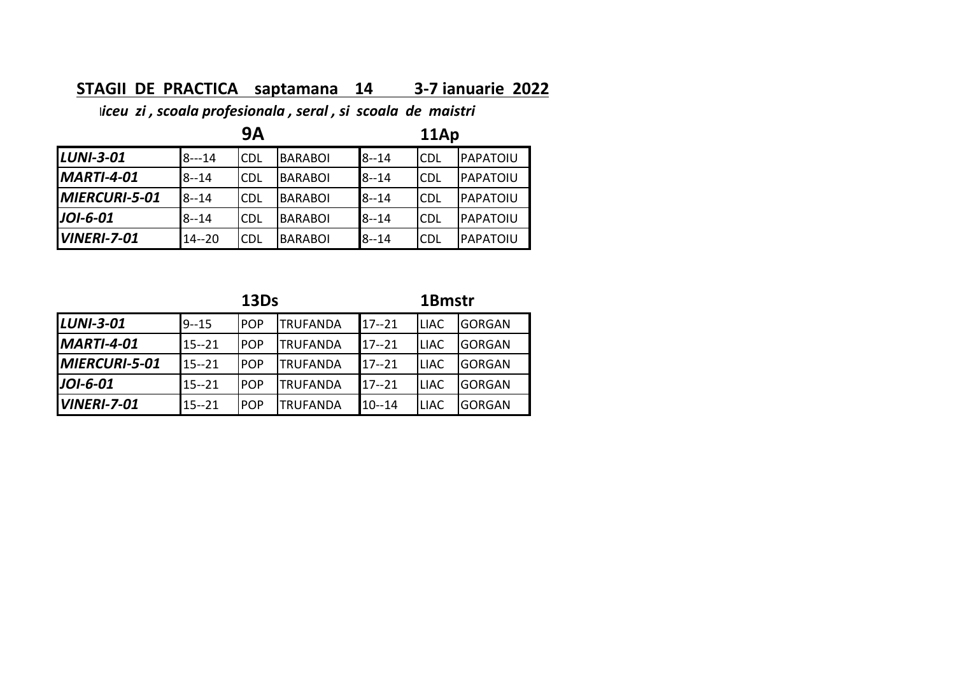### **STAGII DE PRACTICA saptamana 14 3‐7 ianuarie 2022**

l*iceu zi , scoala profesionala , seral , si scoala de maistri*

|                    |           | 9Α         |                | 11Ap     |            |           |  |  |
|--------------------|-----------|------------|----------------|----------|------------|-----------|--|--|
| $LUNI-3-01$        | $8 - 14$  | <b>CDL</b> | <b>BARABOI</b> | $8 - 14$ | <b>CDL</b> | PAPATOIU  |  |  |
| $IMARTI-4-01$      | $8 - 14$  | <b>CDL</b> | <b>BARABOI</b> | $8 - 14$ | <b>CDL</b> | IPAPATOIU |  |  |
| MIERCURI-5-01      | $8 - 14$  | <b>CDL</b> | BARABOI        | $8 - 14$ | <b>CDL</b> | PAPATOIU  |  |  |
| $J$ OI-6-01        | $8 - 14$  | <b>CDL</b> | BARABOI        | $8 - 14$ | <b>CDL</b> | PAPATOIU  |  |  |
| <b>VINERI-7-01</b> | $14 - 20$ | <b>CDL</b> | <b>BARABOI</b> | $8 - 14$ | <b>CDL</b> | PAPATOIU  |  |  |

|                      |           | 13Ds       |                 | 1Bmstr    |             |               |  |
|----------------------|-----------|------------|-----------------|-----------|-------------|---------------|--|
| <b>LUNI-3-01</b>     | $9 - 15$  | <b>POP</b> | <b>TRUFANDA</b> | $17 - 21$ | <b>LIAC</b> | <b>GORGAN</b> |  |
| <b>MARTI-4-01</b>    | $15 - 21$ | <b>POP</b> | <b>TRUFANDA</b> | $17 - 21$ | <b>LIAC</b> | <b>GORGAN</b> |  |
| <b>MIERCURI-5-01</b> | $15 - 21$ | <b>POP</b> | <b>TRUFANDA</b> | $17 - 21$ | <b>LIAC</b> | <b>GORGAN</b> |  |
| JOI-6-01             | $15 - 21$ | <b>POP</b> | <b>TRUFANDA</b> | $17 - 21$ | <b>LIAC</b> | <b>GORGAN</b> |  |
| <b>VINERI-7-01</b>   | $15 - 21$ | <b>POP</b> | <b>TRUFANDA</b> | $10 - 14$ | <b>LIAC</b> | GORGAN        |  |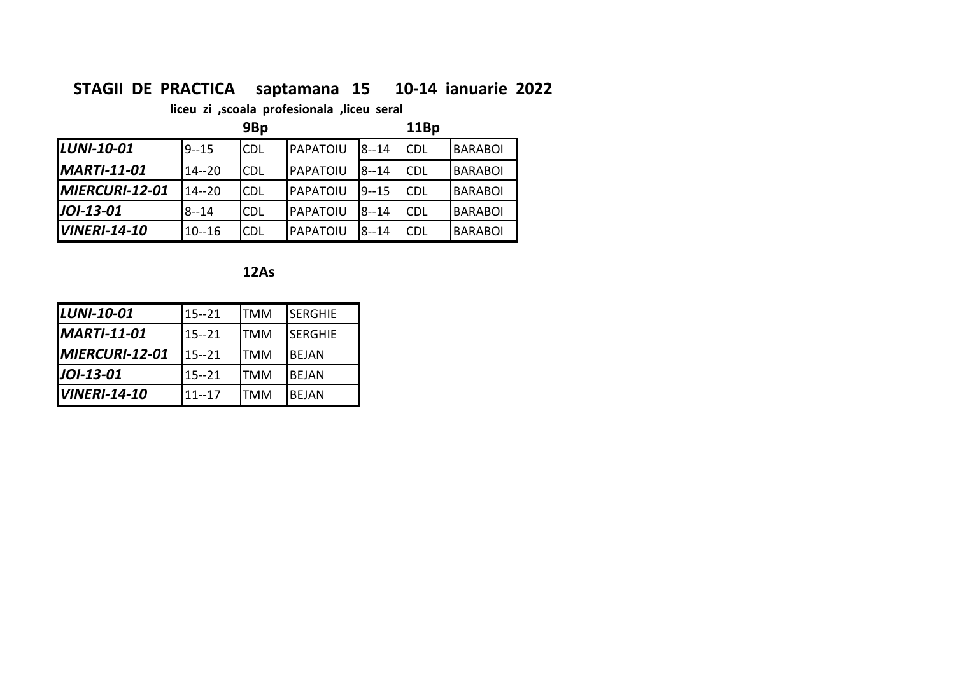### **STAGII DE PRACTICA saptamana 15 10‐14 ianuarie 2022**

**liceu zi ,scoala profesionala ,liceu seral**

|                     |           | 9Bp        |          |          | 11Bp       |                |
|---------------------|-----------|------------|----------|----------|------------|----------------|
| <b>LUNI-10-01</b>   | $9 - 15$  | <b>CDL</b> | PAPATOIU | $8 - 14$ | <b>CDL</b> | <b>BARABOI</b> |
| <b>MARTI-11-01</b>  | $14 - 20$ | <b>CDL</b> | PAPATOIU | $8 - 14$ | <b>CDL</b> | <b>BARABOI</b> |
| MIERCURI-12-01      | $14 - 20$ | <b>CDL</b> | PAPATOIU | $9 - 15$ | <b>CDL</b> | <b>BARABOI</b> |
| $J$ <i>OI-13-01</i> | $8 - 14$  | <b>CDL</b> | PAPATOIU | $8 - 14$ | <b>CDL</b> | <b>BARABOI</b> |
| <b>VINERI-14-10</b> | $10 - 16$ | CDL        | PAPATOIU | $8 - 14$ | <b>CDL</b> | <b>BARABOI</b> |

**12As**

| <b>LUNI-10-01</b>     | $15 - 21$ | ITMM       | ISERGHIE       |
|-----------------------|-----------|------------|----------------|
| <b>MARTI-11-01</b>    | $15 - 21$ | ITMM       | <b>SERGHIE</b> |
| <b>MIERCURI-12-01</b> | $15 - 21$ | ITMM       | <b>BEJAN</b>   |
| <b>JOI-13-01</b>      | $15 - 21$ | ITMM       | <b>BEJAN</b>   |
| <b>VINERI-14-10</b>   | $11 - 17$ | <b>TMM</b> | IBEJAN         |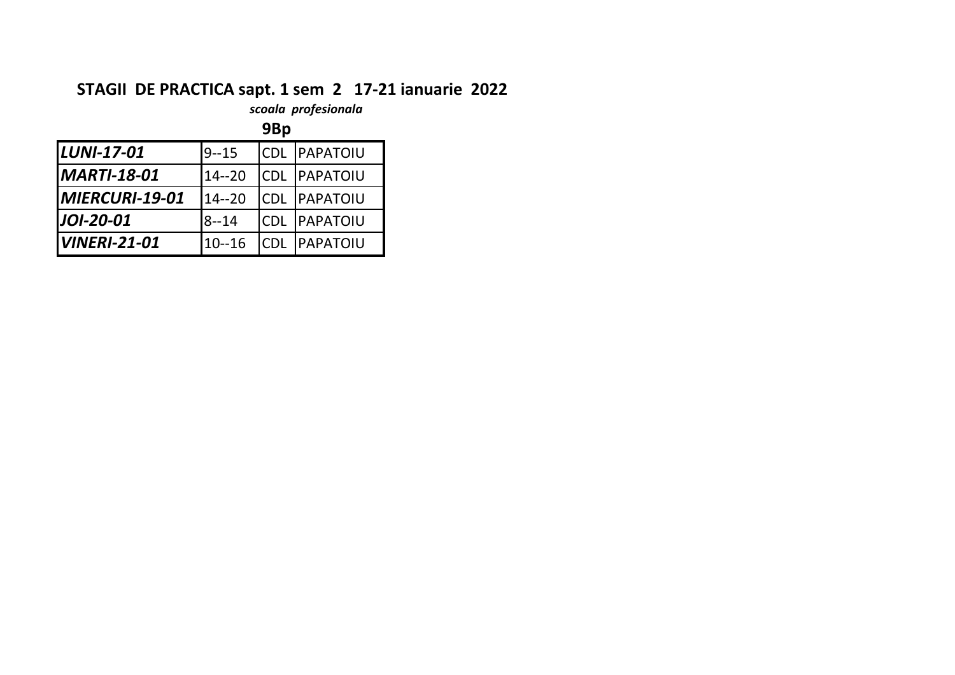### **STAGII DE PRACTICA sapt. 1 sem 2 17‐21 ianuarie 2022**

*scoala profesionala*

|                              |           | 9Bp         |                  |
|------------------------------|-----------|-------------|------------------|
| <b>LUNI-17-01</b>            | $9 - 15$  | <b>ICDL</b> | <b>PAPATOIU</b>  |
| <b>MARTI-18-01</b>           | $14 - 20$ |             | ICDL  PAPATOIU   |
| <i><b>MIERCURI-19-01</b></i> | $14 - 20$ | <b>CDL</b>  | <b>IPAPATOIU</b> |
| <b>JOI-20-01</b>             | $8 - 14$  | <b>CDL</b>  | <b>IPAPATOIU</b> |
| <b>VINERI-21-01</b>          | $10 - 16$ | <b>CDL</b>  | <b>PAPATOIU</b>  |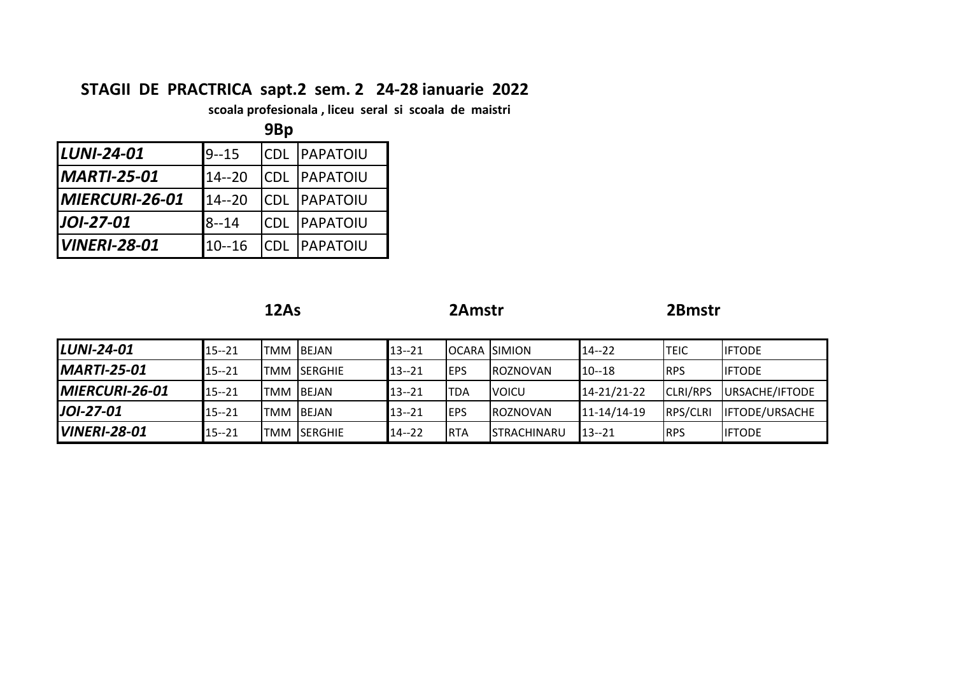## **STAGII DE PRACTRICA sapt.2 sem. 2 24-28 ianuarie 2022**

 **scoala profesionala , liceu seral si scoala de maistri**

|                     |           | 9Bp        |                  |
|---------------------|-----------|------------|------------------|
| LUNI-24-01          | $9 - 15$  | <b>CDL</b> | PAPATOIU         |
| <b>MARTI-25-01</b>  | $14 - 20$ | <b>CDL</b> | <b>IPAPATOIU</b> |
| MIERCURI-26-01      | $14 - 20$ | <b>CDL</b> | <b>IPAPATOIU</b> |
| JOI-27-01           | $8 - 14$  | <b>CDL</b> | <b>IPAPATOIU</b> |
| <b>VINERI-28-01</b> | $10 - 16$ | <b>CDL</b> | IPAPATOIU        |

|                       |           | 12As |                    |           | 2Amstr      |                       | 2Bmstr            |                 |                       |
|-----------------------|-----------|------|--------------------|-----------|-------------|-----------------------|-------------------|-----------------|-----------------------|
| <b>LUNI-24-01</b>     | $15 - 21$ |      | <b>TMM BEJAN</b>   | $13 - 21$ |             | <b>IOCARA ISIMION</b> | $14 - 22$         | <b>TEIC</b>     | <b>IFTODE</b>         |
| <b>MARTI-25-01</b>    | $15 - 21$ |      | ITMM ISERGHIE      | $13 - 21$ | <b>EPS</b>  | <b>ROZNOVAN</b>       | $10 - 18$         | <b>RPS</b>      | <b>IIFTODE</b>        |
| <b>MIERCURI-26-01</b> | $15 - 21$ |      | <b>TMM BEJAN</b>   | $13 - 21$ | <b>TDA</b>  | <b>VOICU</b>          | 14-21/21-22       | <b>CLRI/RPS</b> | URSACHE/IFTODE        |
| JOI-27-01             | $15 - 21$ |      | <b>TMM BEJAN</b>   | $13 - 21$ | <b>IEPS</b> | <b>ROZNOVAN</b>       | $11 - 14/14 - 19$ | RPS/CLRI        | <b>IFTODE/URSACHE</b> |
| <b>VINERI-28-01</b>   | $15 - 21$ |      | <b>TMM SERGHIE</b> | $14 - 22$ | <b>RTA</b>  | <b>STRACHINARU</b>    | $13 - 21$         | <b>RPS</b>      | <b>IFTODE</b>         |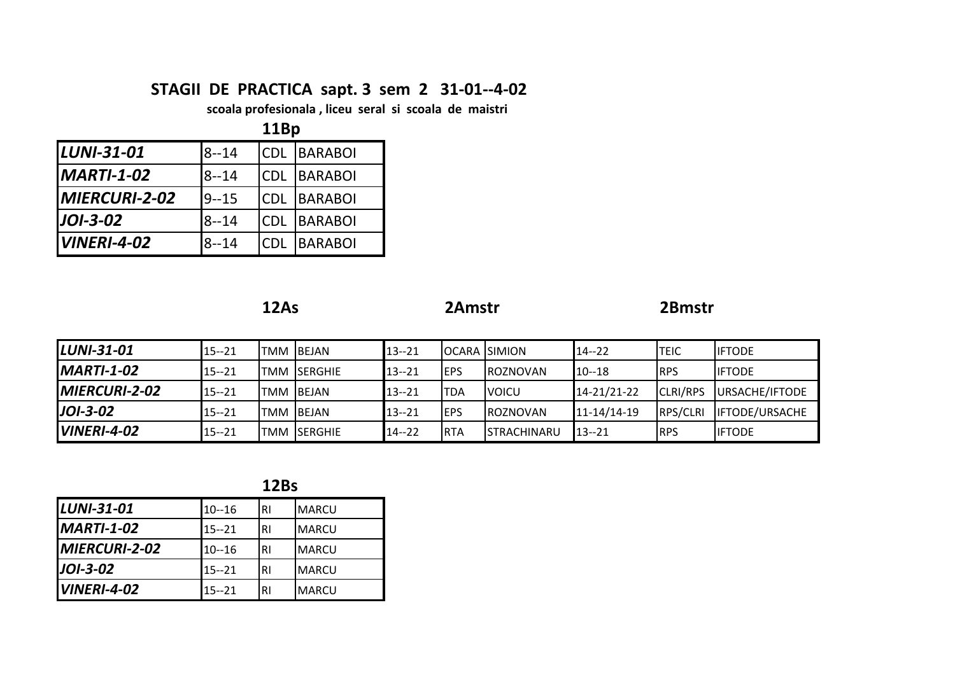### **STAGII DE PRACTICA sapt. 3 sem 2 31‐01‐‐4‐02**

**scoala profesionala , liceu seral si scoala de maistri**

|                       | 11Bp     |            |                |  |  |  |  |  |
|-----------------------|----------|------------|----------------|--|--|--|--|--|
| <b>LUNI-31-01</b>     | $8 - 14$ | <b>CDL</b> | <b>BARABOI</b> |  |  |  |  |  |
| <b>MARTI-1-02</b>     | $8 - 14$ | <b>CDL</b> | <b>BARABOI</b> |  |  |  |  |  |
| <b>IMIERCURI-2-02</b> | $9 - 15$ | <b>CDL</b> | <b>BARABOI</b> |  |  |  |  |  |
| JOI-3-02              | $8 - 14$ | <b>CDL</b> | <b>BARABOI</b> |  |  |  |  |  |
| <b>VINERI-4-02</b>    | $8 - 14$ | CDI        | <b>BARABOI</b> |  |  |  |  |  |

|--|--|

**12As 2Amstr 2Bmstr**

2Bmstr

| <b>LUNI-31-01</b>    | $15 - 21$ |      | <b>TMM BEJAN</b>   | $13 - 21$ |             | <b>IOCARA ISIMION</b> | $14 - 22$         | <b>TEIC</b>     | <b>IIFTODE</b>        |
|----------------------|-----------|------|--------------------|-----------|-------------|-----------------------|-------------------|-----------------|-----------------------|
| $IMARTI-1-02$        | $15 - 21$ |      | ITMM ISERGHIE      | $13 - 21$ | <b>IEPS</b> | <b>IROZNOVAN</b>      | $10 - 18$         | <b>RPS</b>      | <b>IIFTODE</b>        |
| <b>MIERCURI-2-02</b> | $15 - 21$ | TMM. | <b>IBEJAN</b>      | $13 - 21$ | <b>ITDA</b> | <b>IVOICU</b>         | 14-21/21-22       | <b>CLRI/RPS</b> | URSACHE/IFTODE        |
| $JOI-3-02$           | $15 - 21$ |      | TMM BEJAN          | $13 - 21$ | <b>IEPS</b> | <b>IROZNOVAN</b>      | $11 - 14/14 - 19$ | <b>RPS/CLRI</b> | <b>IFTODE/URSACHE</b> |
| <b>VINERI-4-02</b>   | $15 - 21$ |      | <b>TMM SERGHIE</b> | $14 - 22$ | <b>RTA</b>  | <b>STRACHINARU</b>    | $13 - 21$         | <b>RPS</b>      | <b>IIFTODE</b>        |

**12Bs**

| LUNI-31-01         | $10 - 16$ | <b>RI</b> | <b>MARCU</b>  |
|--------------------|-----------|-----------|---------------|
| <b>MARTI-1-02</b>  | $15 - 21$ | <b>RI</b> | <b>MARCU</b>  |
| MIERCURI-2-02      | $10 - 16$ | <b>RI</b> | <b>MARCU</b>  |
| JOI-3-02           | $15 - 21$ | <b>RI</b> | <b>IMARCU</b> |
| <b>VINERI-4-02</b> | $15 - 21$ | RI        | <b>MARCU</b>  |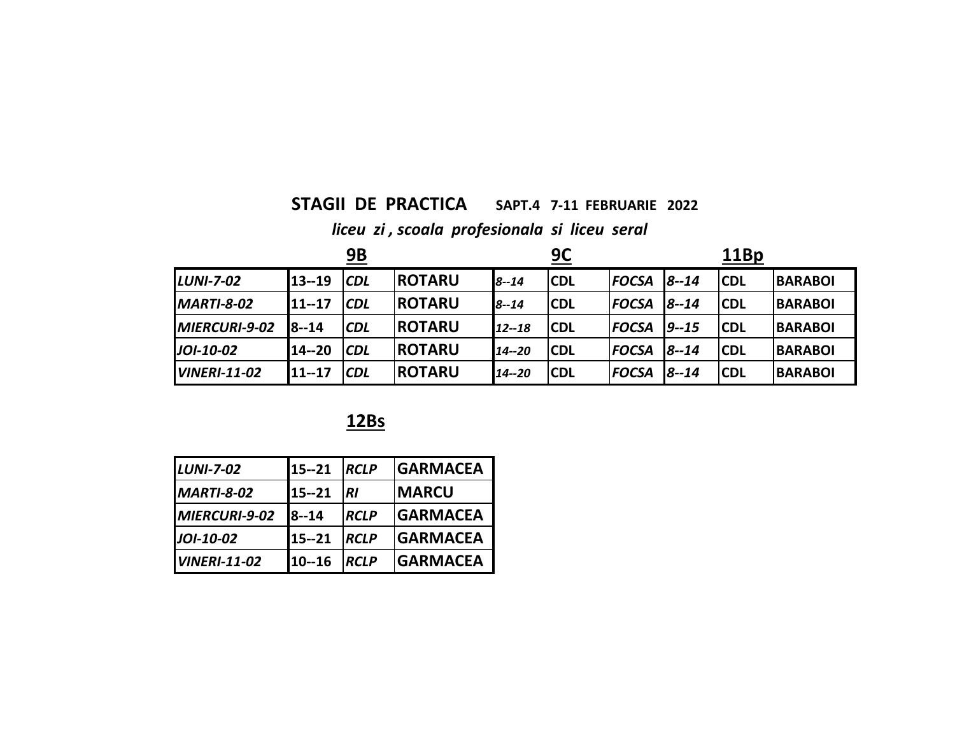### **STAGII DE PRACTICA SAPT.4 7‐11 FEBRUARIE 2022**

## *liceu zi , scoala profesionala si liceu seral*

| <b>9B</b>           |              |            |               | <u>9С</u> |            |              | 11Bp     |            |                |
|---------------------|--------------|------------|---------------|-----------|------------|--------------|----------|------------|----------------|
| <b>LUNI-7-02</b>    | $13 - 19$    | <b>CDL</b> | <b>ROTARU</b> | $8 - 14$  | <b>CDL</b> | <b>FOCSA</b> | $8 - 14$ | <b>CDL</b> | <b>BARABOI</b> |
| <b>MARTI-8-02</b>   | 11--17       | CDL        | <b>ROTARU</b> | $8 - 14$  | <b>CDL</b> | <b>FOCSA</b> | $8 - 14$ | <b>CDL</b> | <b>BARABOI</b> |
| MIERCURI-9-02       | <b>8--14</b> | <b>CDL</b> | <b>ROTARU</b> | $12 - 18$ | <b>CDL</b> | <b>FOCSA</b> | $9 - 15$ | <b>CDL</b> | <b>BARABOI</b> |
| JOI-10-02           | 14 -- 20     | <b>CDL</b> | <b>ROTARU</b> | 14 -- 20  | <b>CDL</b> | <b>FOCSA</b> | $8 - 14$ | <b>CDL</b> | <b>BARABOI</b> |
| <b>VINERI-11-02</b> | $11 - 17$    | <b>CDL</b> | <b>ROTARU</b> | $14 - 20$ | <b>CDL</b> | <b>FOCSA</b> | $8 - 14$ | <b>CDL</b> | <b>BARABOI</b> |

### **12Bs**

| <b>LUNI-7-02</b>    | $15 - 21$ | <b>RCLP</b> | <b>GARMACEA</b> |
|---------------------|-----------|-------------|-----------------|
| <b>MARTI-8-02</b>   | $15 - 21$ | <b>RI</b>   | <b>IMARCU</b>   |
| MIERCURI-9-02       | $8 - 14$  | <b>RCLP</b> | <b>GARMACEA</b> |
| JOI-10-02           | $15 - 21$ | <b>RCLP</b> | <b>GARMACEA</b> |
| <b>VINERI-11-02</b> | $10 - 16$ | <b>RCLP</b> | <b>GARMACEA</b> |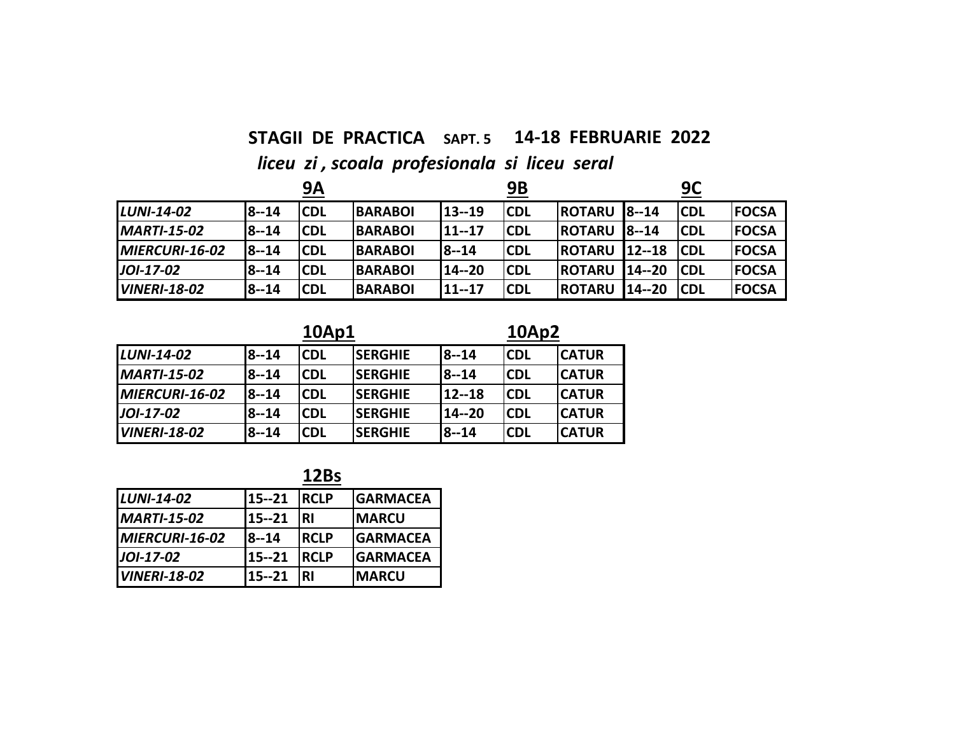## **STAGII DE PRACTICA SAPT. 5 14‐18 FEBRUARIE 2022**  *liceu zi , scoala profesionala si liceu seral*

|                     |          | <b>9A</b>  |                |           | 9Β         |               |           | 9C          |              |
|---------------------|----------|------------|----------------|-----------|------------|---------------|-----------|-------------|--------------|
| <b>LUNI-14-02</b>   | $8 - 14$ | <b>CDL</b> | <b>BARABOI</b> | 13 -- 19  | <b>CDL</b> | <b>ROTARU</b> | $18 - 14$ | <b>ICDL</b> | <b>FOCSA</b> |
| <b>MARTI-15-02</b>  | 8--14    | <b>CDL</b> | <b>BARABOI</b> | $11 - 17$ | <b>CDL</b> | <b>ROTARU</b> | $8 - 14$  | <b>ICDL</b> | <b>FOCSA</b> |
| MIERCURI-16-02      | $8 - 14$ | <b>CDL</b> | <b>BARABOI</b> | 18--14    | <b>CDL</b> | <b>ROTARU</b> | $12 - 18$ | <b>ICDL</b> | <b>FOCSA</b> |
| JOI-17-02           | $8 - 14$ | <b>CDL</b> | <b>BARABOI</b> | 14 -- 20  | <b>CDL</b> | <b>ROTARU</b> | $14 - 20$ | <b>ICDL</b> | <b>FOCSA</b> |
| <b>VINERI-18-02</b> | 8--14    | <b>CDL</b> | <b>BARABOI</b> | 11--17    | <b>CDL</b> | <b>ROTARU</b> | 14 -- 20  | <b>CDL</b>  | <b>FOCSA</b> |

### **10Ap1 10Ap2**

| LUNI-14-02          | $8 - 14$ | <b>CDL</b> | <b>SERGHIE</b> | $8 - 14$ | <b>ICDL</b> | <b>CATUR</b> |
|---------------------|----------|------------|----------------|----------|-------------|--------------|
| <b>MARTI-15-02</b>  | $8 - 14$ | <b>CDL</b> | <b>SERGHIE</b> | $8 - 14$ | <b>CDL</b>  | <b>CATUR</b> |
| MIERCURI-16-02      | $8 - 14$ | <b>CDL</b> | <b>SERGHIE</b> | 12--18   | <b>CDL</b>  | <b>CATUR</b> |
| JOI-17-02           | $8 - 14$ | <b>CDL</b> | <b>SERGHIE</b> | 14 -- 20 | <b>CDL</b>  | <b>CATUR</b> |
| <b>VINERI-18-02</b> | $8 - 14$ | <b>CDL</b> | <b>SERGHIE</b> | 8--14    | <b>CDL</b>  | <b>CATUR</b> |

**12Bs**

| LUNI-14-02          | 15 -- 21  | <b>IRCLP</b> | <b>GARMACEA</b> |
|---------------------|-----------|--------------|-----------------|
| <b>MARTI-15-02</b>  | 15 -- 21  | <b>RI</b>    | <b>MARCU</b>    |
| MIERCURI-16-02      | $8 - 14$  | <b>IRCLP</b> | <b>GARMACEA</b> |
| JOI-17-02           | 15--21    | <b>IRCLP</b> | <b>GARMACEA</b> |
| <b>VINERI-18-02</b> | $15 - 21$ | RI           | <b>MARCU</b>    |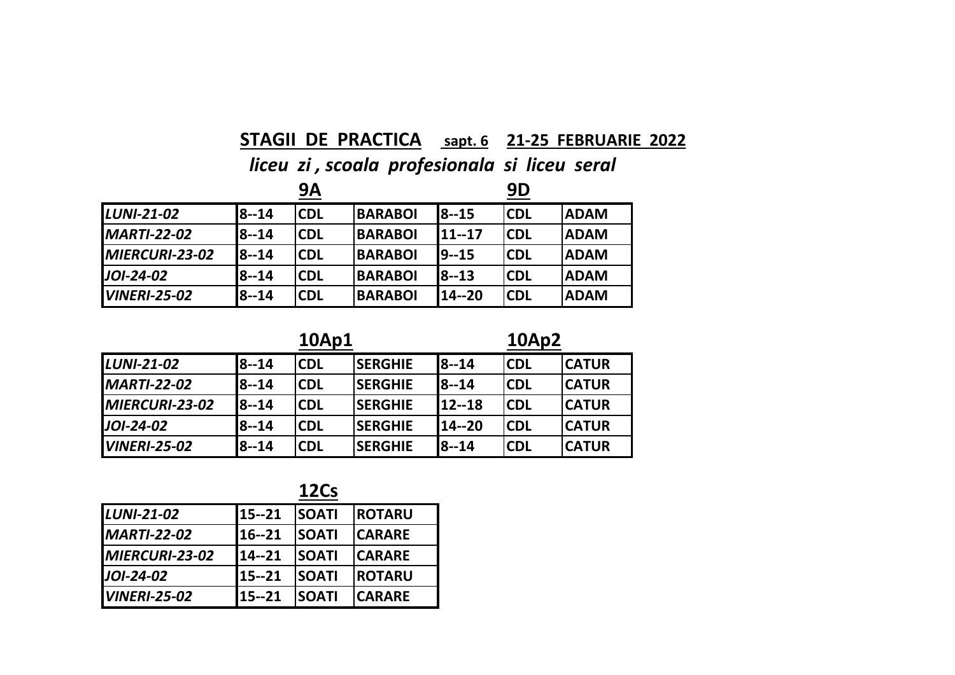### **STAGII DE PRACTICA sapt. 6 21‐25 FEBRUARIE 2022**

*liceu zi , scoala profesionala si liceu seral*

|                        |              | 9Α         |                |              | 9D         |             |
|------------------------|--------------|------------|----------------|--------------|------------|-------------|
| <b>LUNI-21-02</b>      | 18--14       | <b>CDL</b> | <b>BARABOI</b> | <b>8--15</b> | <b>CDL</b> | <b>ADAM</b> |
| <b>MARTI-22-02</b>     | l8--14       | <b>CDL</b> | <b>BARABOI</b> | 11--17       | <b>CDL</b> | <b>ADAM</b> |
| <b>IMIERCURI-23-02</b> | <b>8--14</b> | <b>CDL</b> | <b>BARABOI</b> | 19--15       | <b>CDL</b> | <b>ADAM</b> |
| <b>JOI-24-02</b>       | l8--14       | <b>CDL</b> | <b>BARABOI</b> | 18--13       | <b>CDL</b> | <b>ADAM</b> |
| <b>VINERI-25-02</b>    | l8--14       | <b>CDL</b> | <b>BARABOI</b> | 14--20       | <b>CDL</b> | <b>ADAM</b> |

|                     |          | 10Ap1      |                | <b>10Ap2</b> |            |              |  |
|---------------------|----------|------------|----------------|--------------|------------|--------------|--|
| <b>LUNI-21-02</b>   | 18--14   | <b>CDL</b> | <b>SERGHIE</b> | <b>8--14</b> | <b>CDL</b> | <b>CATUR</b> |  |
| <b>MARTI-22-02</b>  | $8 - 14$ | <b>CDL</b> | <b>SERGHIE</b> | l8--14       | <b>CDL</b> | <b>CATUR</b> |  |
| MIERCURI-23-02      | $8 - 14$ | <b>CDL</b> | <b>SERGHIE</b> | 12--18       | <b>CDL</b> | <b>CATUR</b> |  |
| <b>JOI-24-02</b>    | l8--14   | <b>CDL</b> | <b>SERGHIE</b> | 14--20       | <b>CDL</b> | <b>CATUR</b> |  |
| <b>VINERI-25-02</b> | 8--14    | <b>CDL</b> | <b>SERGHIE</b> | <b>8--14</b> | <b>CDL</b> | <b>CATUR</b> |  |

**12Cs**

| <b>LUNI-21-02</b>   | 15--21    | <b>ISOATI</b> | <b>ROTARU</b> |
|---------------------|-----------|---------------|---------------|
| <b>MARTI-22-02</b>  | $16 - 21$ | <b>SOATI</b>  | <b>CARARE</b> |
| MIERCURI-23-02      | $14 - 21$ | <b>SOATI</b>  | <b>CARARE</b> |
| JOI-24-02           | 15--21    | <b>SOATI</b>  | <b>ROTARU</b> |
| <b>VINERI-25-02</b> | $15 - 21$ | <b>SOATI</b>  | <b>CARARE</b> |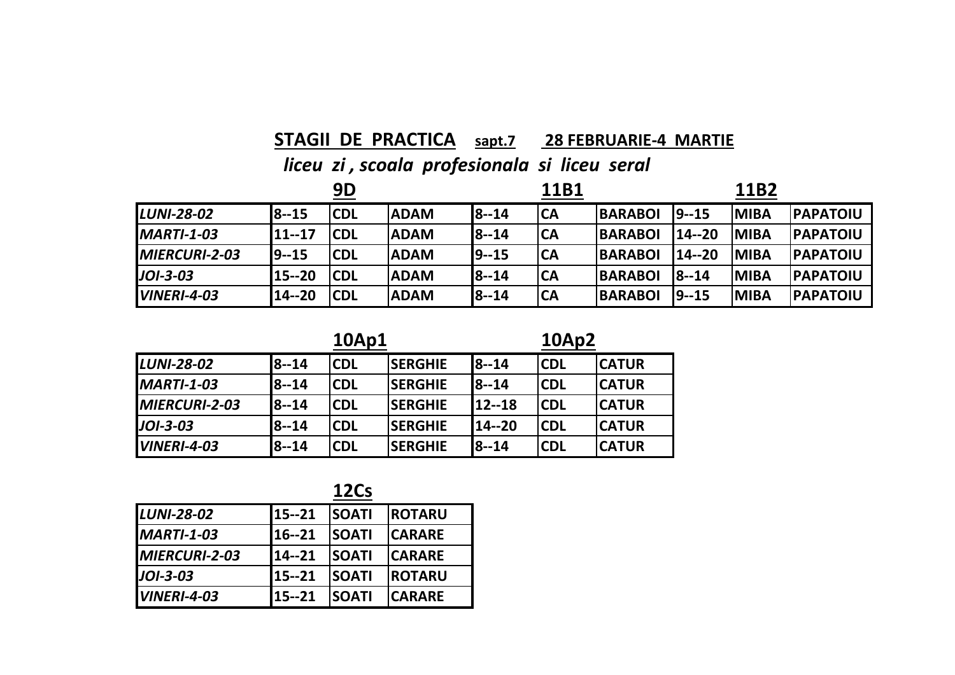### **STAGII DE PRACTICA sapt.7 28 FEBRUARIE‐4 MARTIE**

*liceu zi , scoala profesionala si liceu seral*

|                      |              | 9D          |             |              | 11B1      |                |          | 11B2        |                  |
|----------------------|--------------|-------------|-------------|--------------|-----------|----------------|----------|-------------|------------------|
| <b>LUNI-28-02</b>    | <b>8--15</b> | <b>CDL</b>  | <b>ADAM</b> | <b>8--14</b> | CA        | <b>BARABOI</b> | 19--15   | <b>MIBA</b> | <b>IPAPATOIU</b> |
| $MARTI-1-03$         | 11--17       | <b>ICDL</b> | <b>ADAM</b> | <b>8--14</b> | <b>CA</b> | <b>BARABOI</b> | 14 -- 20 | <b>MIBA</b> | <b>IPAPATOIU</b> |
| <b>MIERCURI-2-03</b> | 19--15       | <b>CDL</b>  | <b>ADAM</b> | 19--15       | <b>CA</b> | <b>BARABOI</b> | 14 -- 20 | <b>MIBA</b> | <b>IPAPATOIU</b> |
| $J$ OI-3-03          | 115--20      | <b>CDL</b>  | <b>ADAM</b> | <b>8--14</b> | CA        | <b>BARABOI</b> | 8--14    | <b>MIBA</b> | <b>IPAPATOIU</b> |
| $IVINERI-4-03$       | 14--20       | <b>CDL</b>  | <b>ADAM</b> | <b>8--14</b> | CA        | <b>BARABOI</b> | 19--15   | <b>MIBA</b> | <b>IPAPATOIU</b> |

|                    |       | 10Ap1      |                 | <b>10Ap2</b> |            |              |  |
|--------------------|-------|------------|-----------------|--------------|------------|--------------|--|
| <b>LUNI-28-02</b>  | 8--14 | <b>CDL</b> | <b>ISERGHIE</b> | <b>8--14</b> | lCDL       | <b>CATUR</b> |  |
| <b>MARTI-1-03</b>  | 8--14 | CDL        | <b>ISERGHIE</b> | <b>8--14</b> | lCDL       | <b>CATUR</b> |  |
| MIERCURI-2-03      | 8--14 | CDL        | <b>ISERGHIE</b> | 12--18       | <b>CDL</b> | <b>CATUR</b> |  |
| $JOI-3-03$         | 8--14 | CDL        | <b>SERGHIE</b>  | 14--20       | <b>CDL</b> | <b>CATUR</b> |  |
| <b>VINERI-4-03</b> | 8--14 | CDL        | <b>SERGHIE</b>  | <b>8--14</b> | <b>CDL</b> | <b>CATUR</b> |  |

**12Cs**

|                      |           | ----         |               |
|----------------------|-----------|--------------|---------------|
| <b>LUNI-28-02</b>    | 15--21    | <b>SOATI</b> | <b>ROTARU</b> |
| <b>MARTI-1-03</b>    | 116--21   | <b>SOATI</b> | <b>CARARE</b> |
| <b>MIERCURI-2-03</b> | 14--21    | <b>SOATI</b> | <b>CARARE</b> |
| <b>JOI-3-03</b>      | 15--21    | <b>SOATI</b> | <b>ROTARU</b> |
| <b>VINERI-4-03</b>   | $15 - 21$ | <b>SOATI</b> | <b>CARARE</b> |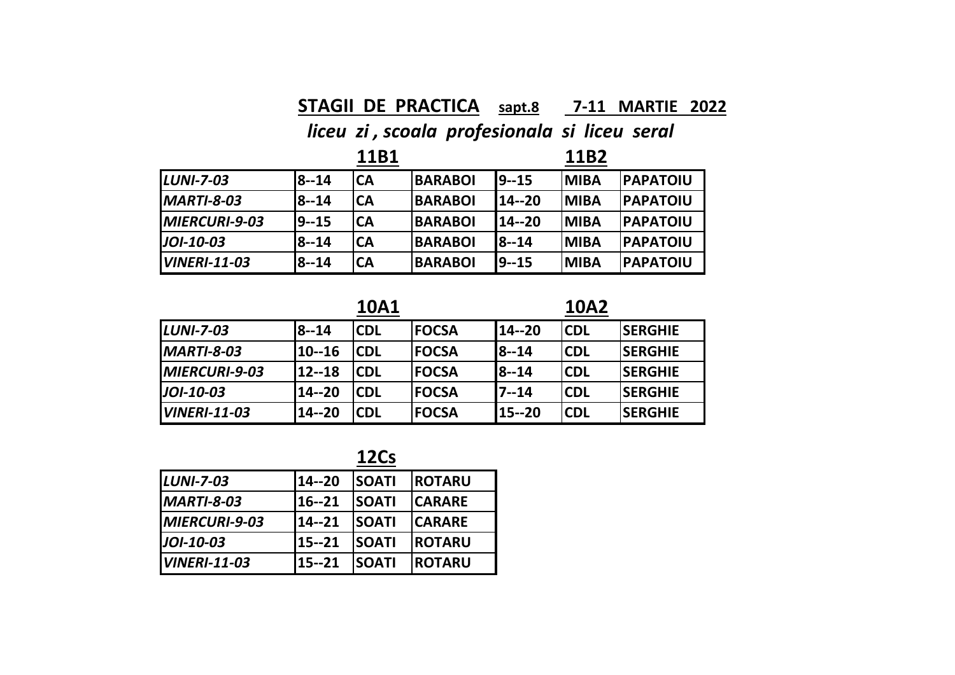### **STAGII DE PRACTICA sapt.8 7‐11 MARTIE 2022**

### *liceu zi , scoala profesionala si liceu seral*

|                      |           | 11B1      |                |           | 11B2        |                  |
|----------------------|-----------|-----------|----------------|-----------|-------------|------------------|
| $LUNI-7-03$          | 8--14     | <b>CA</b> | <b>BARABOI</b> | $19 - 15$ | <b>MIBA</b> | <b>PAPATOIU</b>  |
| $IMARTI-8-03$        | 8--14     | <b>CA</b> | <b>BARABOI</b> | 114--20   | <b>MIBA</b> | <b>PAPATOIU</b>  |
| <b>MIERCURI-9-03</b> | $19 - 15$ | <b>CA</b> | <b>BARABOI</b> | 114--20   | <b>MIBA</b> | <b>IPAPATOIU</b> |
| $JOI-10-03$          | $8 - 14$  | <b>CA</b> | <b>BARABOI</b> | $18 - 14$ | <b>MIBA</b> | <b>PAPATOIU</b>  |
| $IVINERI-11-03$      | 8--14     | <b>CA</b> | <b>BARABOI</b> | $19 - 15$ | <b>MIBA</b> | <b>PAPATOIU</b>  |

**10A1**

**10A2**

| <b>LUNI-7-03</b>    | <b>8--14</b> | <b>CDL</b> | <b>FOCSA</b> | 14 -- 20 | <b>CDL</b> | <b>SERGHIE</b> |
|---------------------|--------------|------------|--------------|----------|------------|----------------|
| <b>MARTI-8-03</b>   | 10--16       | <b>CDL</b> | <b>FOCSA</b> | $8 - 14$ | <b>CDL</b> | <b>SERGHIE</b> |
| MIERCURI-9-03       | $12 - 18$    | <b>CDL</b> | <b>FOCSA</b> | $8 - 14$ | <b>CDL</b> | <b>SERGHIE</b> |
| <b>JOI-10-03</b>    | 14--20       | <b>CDL</b> | <b>FOCSA</b> | $7 - 14$ | <b>CDL</b> | <b>SERGHIE</b> |
| <b>VINERI-11-03</b> | 14--20       | <b>CDL</b> | <b>FOCSA</b> | 15--20   | <b>CDL</b> | <b>SERGHIE</b> |

**12Cs**

| <b>LUNI-7-03</b>     | $14 - 20$ | <b>SOATI</b> | <b>ROTARU</b> |  |
|----------------------|-----------|--------------|---------------|--|
| <b>MARTI-8-03</b>    | 16--21    | <b>SOATI</b> | <b>CARARE</b> |  |
| <b>MIERCURI-9-03</b> | 14--21    | <b>SOATI</b> | <b>CARARE</b> |  |
| JOI-10-03            | 15--21    | <b>SOATI</b> | <b>ROTARU</b> |  |
| <b>VINERI-11-03</b>  | 15--21    | <b>SOATI</b> | <b>ROTARU</b> |  |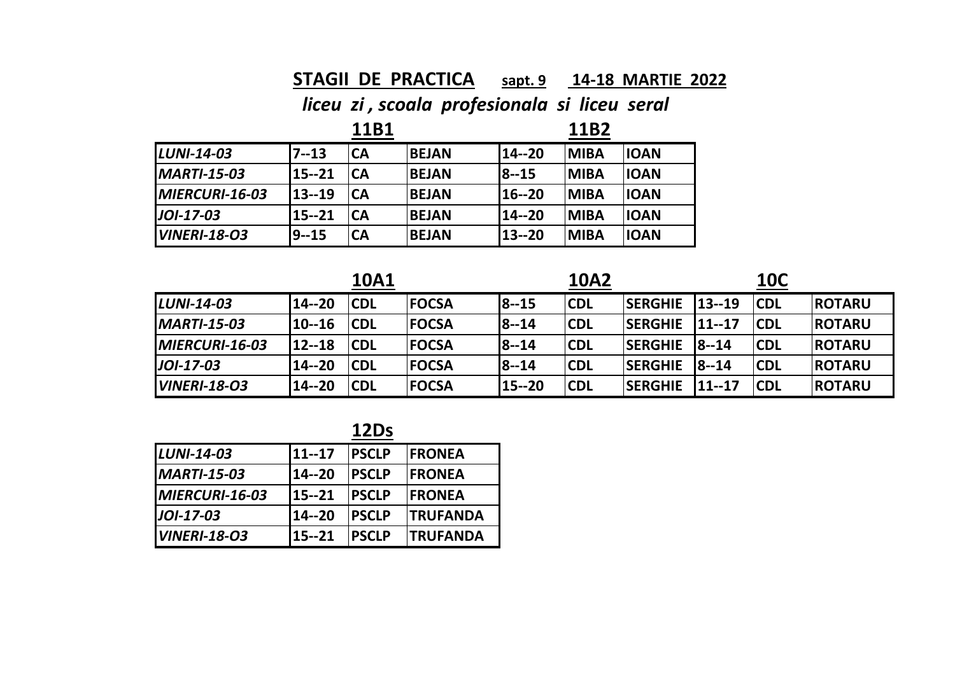### **STAGII DE PRACTICA sapt. 9 14‐18 MARTIE 2022**

|                     |           | 11B1      |              |              | 11B2        |             |
|---------------------|-----------|-----------|--------------|--------------|-------------|-------------|
| <b>LUNI-14-03</b>   | $7 - 13$  | CA        | <b>BEJAN</b> | 14--20       | <b>MIBA</b> | <b>IOAN</b> |
| <b>MARTI-15-03</b>  | $15 - 21$ | <b>CA</b> | <b>BEJAN</b> | <b>8--15</b> | <b>MIBA</b> | <b>IOAN</b> |
| MIERCURI-16-03      | 13--19    | CA        | <b>BEJAN</b> | 16--20       | <b>MIBA</b> | <b>IOAN</b> |
| JOI-17-03           | $15 - 21$ | <b>CA</b> | <b>BEJAN</b> | 114--20      | <b>MIBA</b> | <b>IOAN</b> |
| <b>VINERI-18-03</b> | 9--15     | <b>CA</b> | <b>BEJAN</b> | 13--20       | <b>MIBA</b> | <b>IOAN</b> |

|                        |           | <b>10A1</b> |               |              | <b>10A2</b> |                |              | <b>10C</b>  |               |
|------------------------|-----------|-------------|---------------|--------------|-------------|----------------|--------------|-------------|---------------|
| <b>LUNI-14-03</b>      | $14 - 20$ | <b>CDL</b>  | <b>IFOCSA</b> | 8--15        | <b>CDL</b>  | <b>SERGHIE</b> | $13 - 19$    | <b>CDL</b>  | <b>ROTARU</b> |
| <b>MARTI-15-03</b>     | $10 - 16$ | <b>CDL</b>  | <b>IFOCSA</b> | <b>8--14</b> | <b>CDL</b>  | <b>SERGHIE</b> | $11 - 17$    | <b>ICDL</b> | <b>ROTARU</b> |
| <b>IMIERCURI-16-03</b> | 12--18    | <b>CDL</b>  | <b>IFOCSA</b> | <b>8--14</b> | <b>CDL</b>  | <b>SERGHIE</b> | <b>8--14</b> | <b>CDL</b>  | <b>ROTARU</b> |
| JOI-17-03              | 14--20    | <b>CDL</b>  | <b>IFOCSA</b> | <b>8--14</b> | <b>CDL</b>  | <b>SERGHIE</b> | <b>8--14</b> | <b>CDL</b>  | <b>ROTARU</b> |
| <b>VINERI-18-03</b>    | 14 -- 20  | <b>CDL</b>  | <b>IFOCSA</b> | 15--20       | <b>ICDL</b> | <b>SERGHIE</b> | $11 - 17$    | <b>CDL</b>  | <b>ROTARU</b> |

| <b>LUNI-14-03</b>   | $11 - 17$ | <b>IPSCLP</b> | <b>IFRONEA</b>  |
|---------------------|-----------|---------------|-----------------|
| <b>MARTI-15-03</b>  | 14 -- 20  | <b>PSCLP</b>  | <b>IFRONEA</b>  |
| MIERCURI-16-03      | 15--21    | <b>IPSCLP</b> | <b>IFRONEA</b>  |
| <b>JOI-17-03</b>    | 14--20    | <b>PSCLP</b>  | <b>TRUFANDA</b> |
| <b>VINERI-18-03</b> | $15 - 21$ | <b>PSCLP</b>  | <b>TRUFANDA</b> |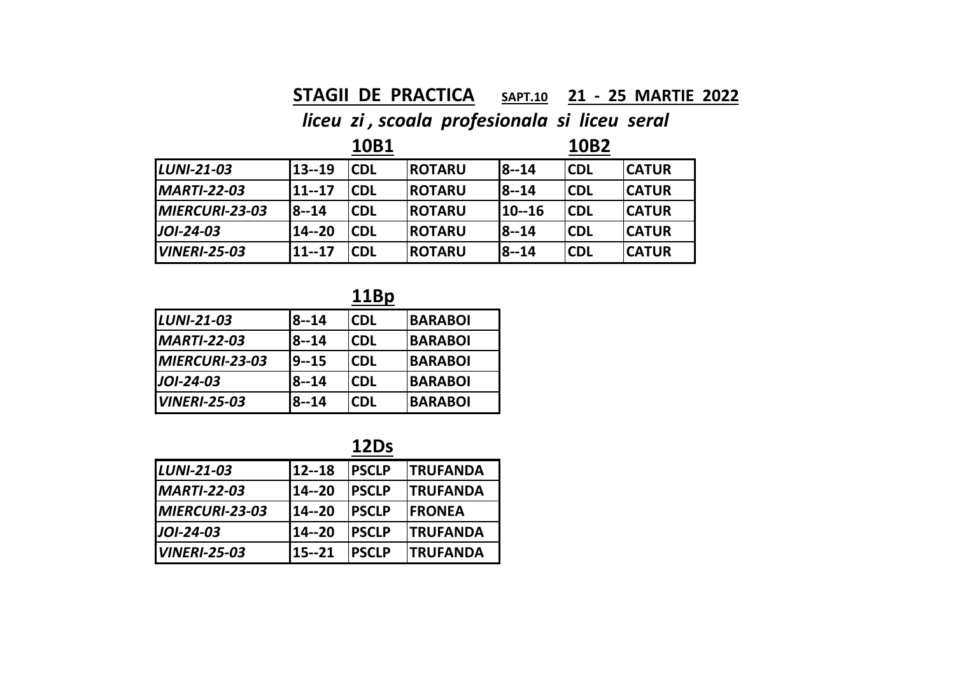### **STAGII DE PRACTICA SAPT.10 21 ‐ 25 MARTIE 2022**

*liceu zi , scoala profesionala si liceu seral*

|                     |              | 10B1       |               |           | 10B2       |               |
|---------------------|--------------|------------|---------------|-----------|------------|---------------|
| <b>LUNI-21-03</b>   | $13 - 19$    | <b>CDL</b> | <b>ROTARU</b> | $8 - 14$  | <b>CDL</b> | <b>CATUR</b>  |
| <b>MARTI-22-03</b>  | 11--17       | <b>CDL</b> | <b>ROTARU</b> | $18 - 14$ | lCDL       | <b>ICATUR</b> |
| MIERCURI-23-03      | <b>8--14</b> | <b>CDL</b> | <b>ROTARU</b> | 10--16    | <b>CDL</b> | <b>ICATUR</b> |
| $JOI-24-03$         | 14--20       | <b>CDL</b> | <b>ROTARU</b> | $18 - 14$ | lCDL       | <b>ICATUR</b> |
| <b>VINERI-25-03</b> | 11--17       | <b>CDL</b> | <b>ROTARU</b> | $18 - 14$ | <b>CDL</b> | <b>ICATUR</b> |

**11Bp**

| LUNI-21-03          | $8 - 14$     | <b>CDL</b> | <b>BARABOI</b> |
|---------------------|--------------|------------|----------------|
| <b>MARTI-22-03</b>  | $8 - 14$     | <b>CDL</b> | <b>BARABOI</b> |
| MIERCURI-23-03      | 9--15        | <b>CDL</b> | <b>BARABOI</b> |
| JOI-24-03           | 8--14        | <b>CDL</b> | <b>BARABOI</b> |
| <b>VINERI-25-03</b> | <b>8--14</b> | <b>CDL</b> | <b>BARABOI</b> |

**12Ds**

| <b>LUNI-21-03</b>   | 12--18   | <b>PSCLP</b> | <b>TRUFANDA</b>  |
|---------------------|----------|--------------|------------------|
| <b>MARTI-22-03</b>  | 14--20   | <b>PSCLP</b> | <b>TRUFANDA</b>  |
| MIERCURI-23-03      | 14 -- 20 | <b>PSCLP</b> | <b>IFRONEA</b>   |
| JOI-24-03           | 14 -- 20 | <b>PSCLP</b> | <b>ITRUFANDA</b> |
| <b>VINERI-25-03</b> | 15 -- 21 | <b>PSCLP</b> | <b>ITRUFANDA</b> |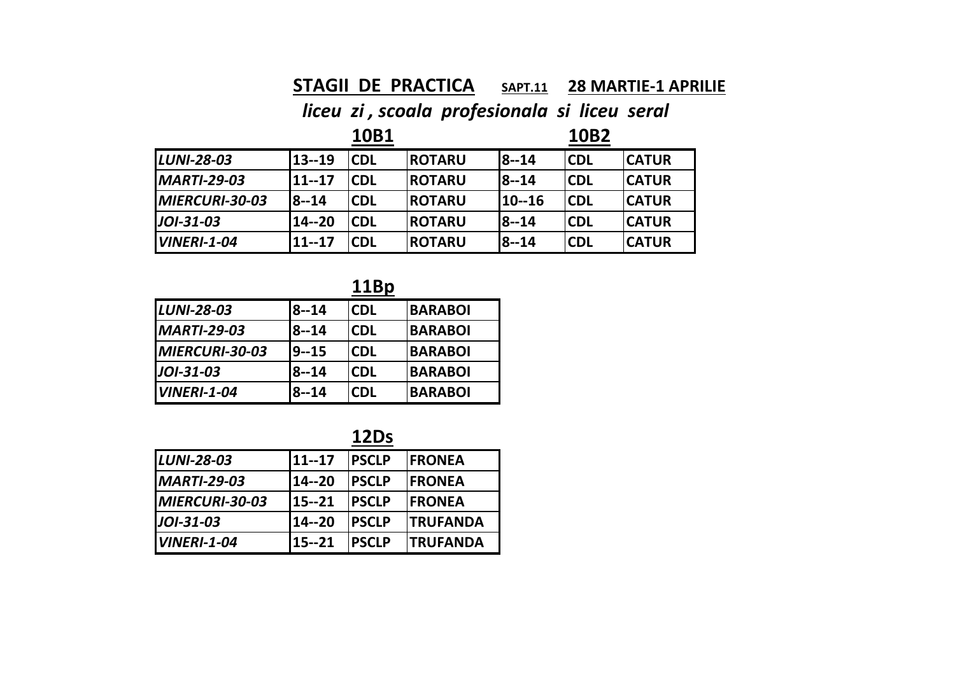### **STAGII DE PRACTICA SAPT.11 28 MARTIE‐1 APRILIE**

*liceu zi , scoala profesionala si liceu seral*

|                    |              | 10B1       |                |              | 10B2        |              |
|--------------------|--------------|------------|----------------|--------------|-------------|--------------|
| <b>LUNI-28-03</b>  | 13--19       | <b>CDL</b> | <b>ROTARU</b>  | $18 - 14$    | <b>ICDL</b> | <b>CATUR</b> |
| <b>MARTI-29-03</b> | $11 - 17$    | <b>CDL</b> | <b>IROTARU</b> | <b>8--14</b> | <b>CDL</b>  | <b>CATUR</b> |
| MIERCURI-30-03     | <b>8--14</b> | <b>CDL</b> | <b>IROTARU</b> | 10--16       | <b>CDL</b>  | <b>CATUR</b> |
| <b>JOI-31-03</b>   | 14--20       | <b>CDL</b> | <b>IROTARU</b> | <b>8--14</b> | <b>CDL</b>  | <b>CATUR</b> |
| <b>VINERI-1-04</b> | $11 - 17$    | <b>CDL</b> | <b>IROTARU</b> | <b>8--14</b> | <b>CDL</b>  | <b>CATUR</b> |

**11Bp**

| <b>LUNI-28-03</b>  | $8 - 14$     | <b>CDL</b> | <b>BARABOI</b> |
|--------------------|--------------|------------|----------------|
| <b>MARTI-29-03</b> | $8 - 14$     | <b>CDL</b> | <b>BARABOI</b> |
| MIERCURI-30-03     | 19--15       | <b>CDL</b> | <b>BARABOI</b> |
| <b>JOI-31-03</b>   | $8 - 14$     | <b>CDL</b> | <b>BARABOI</b> |
| <b>VINERI-1-04</b> | <b>8--14</b> | <b>CDL</b> | <b>BARABOI</b> |

| ٠<br>r.<br>∼ |
|--------------|

| <b>LUNI-28-03</b>  | $11 - 17$ | <b>PSCLP</b>  | <b>IFRONEA</b>   |
|--------------------|-----------|---------------|------------------|
| <b>MARTI-29-03</b> | 14 -- 20  | <b>PSCLP</b>  | <b>IFRONEA</b>   |
| MIERCURI-30-03     | $15 - 21$ | <b>IPSCLP</b> | <b>IFRONEA</b>   |
| JOI-31-03          | 14 -- 20  | <b>PSCLP</b>  | <b>ITRUFANDA</b> |
| $IVINERI-1-04$     | 15--21    | <b>PSCLP</b>  | <b>TRUFANDA</b>  |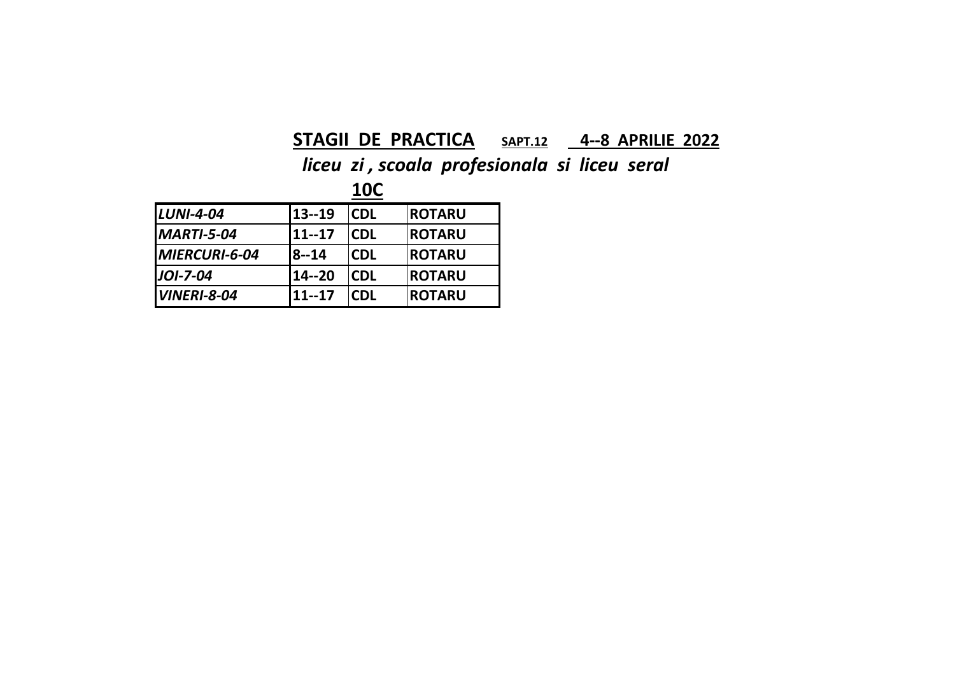### **STAGII DE PRACTICA SAPT.12 4‐‐8 APRILIE 2022**

*liceu zi , scoala profesionala si liceu seral*

**10C**

| $LUNI-4-04$        | 13--19       | <b>CDL</b> | <b>ROTARU</b>  |
|--------------------|--------------|------------|----------------|
| <b>MARTI-5-04</b>  | 11--17       | <b>CDL</b> | <b>ROTARU</b>  |
| MIERCURI-6-04      | <b>8--14</b> | <b>CDL</b> | <b>IROTARU</b> |
| JOI-7-04           | 14--20       | <b>CDL</b> | <b>ROTARU</b>  |
| <b>VINERI-8-04</b> | $11 - 17$    | <b>CDL</b> | <b>ROTARU</b>  |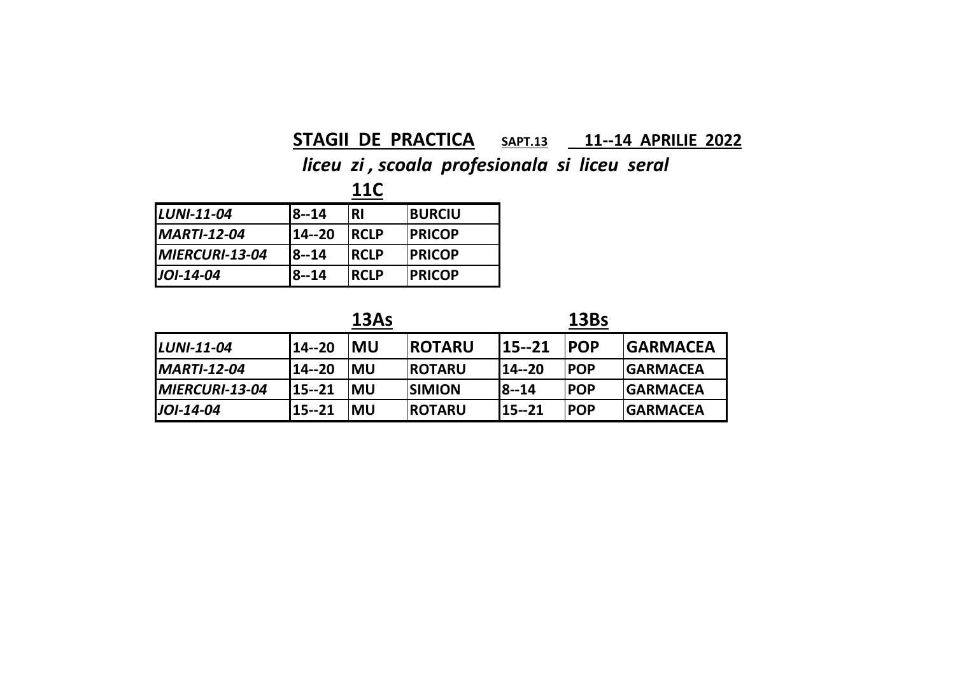### **STAGII DE PRACTICA SAPT.13 11‐‐14 APRILIE 2022**

### *liceu zi , scoala profesionala si liceu seral*

**11C**

| <b>LUNI-11-04</b>     | <b>8--14</b> | <b>RI</b>    | <b>BURCIU</b>  |
|-----------------------|--------------|--------------|----------------|
| <b>MARTI-12-04</b>    | 14 -- 20     | <b>RCLP</b>  | <b>IPRICOP</b> |
| <b>MIERCURI-13-04</b> | <b>8--14</b> | <b>IRCLP</b> | <b>IPRICOP</b> |
| $JOI-14-04$           | 8--14        | <b>RCLP</b>  | <b>IPRICOP</b> |

| × |
|---|
|---|



| <b>LUNI-11-04</b>  | 14--20 | IMU        | <b>IROTARU</b> | 15--21       | <b>IPOP</b> | <b>IGARMACEA</b> |
|--------------------|--------|------------|----------------|--------------|-------------|------------------|
| <b>MARTI-12-04</b> | 14--20 | <b>IMU</b> | <b>IROTARU</b> | 14--20       | <b>POP</b>  | <b>IGARMACEA</b> |
| MIERCURI-13-04     | 15--21 | <b>IMU</b> | <b>ISIMION</b> | <b>8--14</b> | <b>IPOP</b> | <b>IGARMACEA</b> |
| JOI-14-04          | 15--21 | <b>IMU</b> | <b>IROTARU</b> | 15--21       | <b>POP</b>  | <b>IGARMACEA</b> |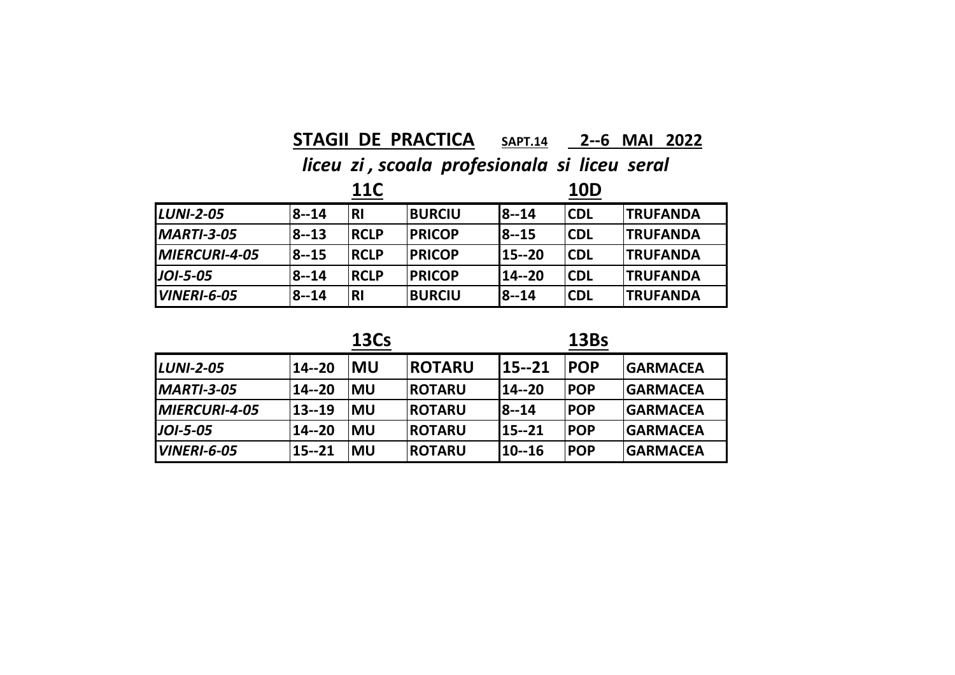### **STAGII DE PRACTICA SAPT.14 2‐‐6 MAI 2022**

*liceu zi , scoala profesionala si liceu seral*

|                      |            | <b>11C</b>  |               |           | <b>10D</b> |                        |
|----------------------|------------|-------------|---------------|-----------|------------|------------------------|
| <b>LUNI-2-05</b>     | $ 8 - 14 $ | <b>RI</b>   | <b>BURCIU</b> | $18 - 14$ | <b>CDL</b> | <b><i>TRUFANDA</i></b> |
| $IMARTI-3-05$        | $ 8 - 13 $ | <b>RCLP</b> | <b>PRICOP</b> | $18 - 15$ | <b>CDL</b> | <b>ITRUFANDA</b>       |
| <b>MIERCURI-4-05</b> | 8--15      | <b>RCLP</b> | <b>PRICOP</b> | 115--20   | <b>CDL</b> | <b><i>TRUFANDA</i></b> |
| $JOI-5-05$           | 8--14      | <b>RCLP</b> | <b>PRICOP</b> | 14--20    | <b>CDL</b> | <b>TRUFANDA</b>        |
| <b>IVINERI-6-05</b>  | 8--14      | <b>RI</b>   | <b>BURCIU</b> | $18 - 14$ | <b>CDL</b> | <b>TRUFANDA</b>        |

**13Bs**

| <b>LUNI-2-05</b>            | 14--20 | <b>MU</b>  | <b>ROTARU</b>  | 15--21       | <b>POP</b> | <b>GARMACEA</b> |
|-----------------------------|--------|------------|----------------|--------------|------------|-----------------|
| <b>MARTI-3-05</b>           | 14--20 | <b>IMU</b> | <b>IROTARU</b> | 114--20      | <b>POP</b> | <b>GARMACEA</b> |
| <i><b>MIERCURI-4-05</b></i> | 13--19 | <b>IMU</b> | <b>IROTARU</b> | <b>8--14</b> | <b>POP</b> | <b>GARMACEA</b> |
| <b>JOI-5-05</b>             | 14--20 | <b>IMU</b> | <b>ROTARU</b>  | 15--21       | <b>POP</b> | <b>GARMACEA</b> |
| <i><b>VINERI-6-05</b></i>   | 15--21 | <b>MU</b>  | <b>ROTARU</b>  | 10--16       | <b>POP</b> | <b>GARMACEA</b> |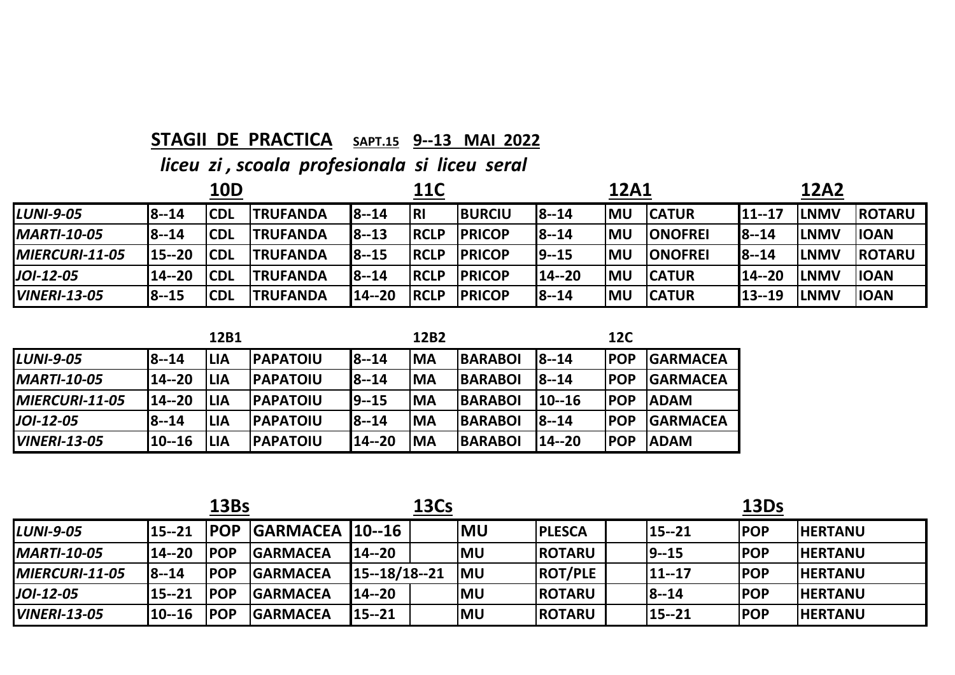### **STAGII DE PRACTICA SAPT.15 9‐‐13 MAI 2022**

| <b>10D</b>          |              |            |                 | 11C          |             |               | 12A1      |           |                 | <b>12A2</b>  |             |                |
|---------------------|--------------|------------|-----------------|--------------|-------------|---------------|-----------|-----------|-----------------|--------------|-------------|----------------|
| <b>LUNI-9-05</b>    | 8--14        | <b>CDL</b> | <b>TRUFANDA</b> | $18 - 14$    | l RI        | <b>BURCIU</b> | $18 - 14$ | lMU       | <b>ICATUR</b>   | 11--17       | lLNMV       | <b>IROTARU</b> |
| <b>MARTI-10-05</b>  | 8--14        | <b>CDL</b> | <b>TRUFANDA</b> | $ 8-13 $     | <b>RCLP</b> | <b>PRICOP</b> | 18--14    | <b>MU</b> | <b>IONOFREI</b> | $18 - 14$    | <b>LNMV</b> | <b>IOAN</b>    |
| $IMIERCURI-11-05$   | 15--20       | <b>CDL</b> | <b>TRUFANDA</b> | <b>8--15</b> | <b>RCLP</b> | <b>PRICOP</b> | $19 - 15$ | <b>MU</b> | <b>IONOFREI</b> | <b>8--14</b> | lLNMV       | <b>IROTARU</b> |
| $JOI-12-05$         | 14--20       | <b>CDL</b> | <b>TRUFANDA</b> | $18 - 14$    | <b>RCLP</b> | <b>PRICOP</b> | 14--20    | <b>MU</b> | <b>ICATUR</b>   | 14--20       | lLNMV       | <b>IOAN</b>    |
| <b>VINERI-13-05</b> | <b>8--15</b> | <b>CDL</b> | <b>TRUFANDA</b> | 114--20      | <b>RCLP</b> | <b>PRICOP</b> | $18 - 14$ | <b>MU</b> | <b>CATUR</b>    | 13--19       | <b>LNMV</b> | <b>IOAN</b>    |

|                       |              | 12B1       |                  |              | 12B2       |                | <b>12C</b>   |             |                 |
|-----------------------|--------------|------------|------------------|--------------|------------|----------------|--------------|-------------|-----------------|
| <b>LUNI-9-05</b>      | <b>8--14</b> | <b>LIA</b> | <b>PAPATOIU</b>  | <b>8--14</b> | <b>IMA</b> | <b>BARABOI</b> | $18 - 14$    | <b>IPOP</b> | <b>GARMACEA</b> |
| <b>IMARTI-10-05</b>   | 14--20       | <b>LIA</b> | <b>IPAPATOIU</b> | <b>8--14</b> | <b>IMA</b> | <b>BARABOI</b> | <b>8--14</b> | <b>IPOP</b> | <b>GARMACEA</b> |
| <b>MIERCURI-11-05</b> | 14--20       | <b>LIA</b> | <b>IPAPATOIU</b> | $ 9 - 15 $   | <b>IMA</b> | <b>BARABOI</b> | $110 - 16$   | <b>IPOP</b> | <b>ADAM</b>     |
| <b>JOI-12-05</b>      | <b>8--14</b> | <b>LIA</b> | <b>IPAPATOIU</b> | <b>8--14</b> | <b>IMA</b> | <b>BARABOI</b> | $18 - 14$    | <b>IPOP</b> | <b>GARMACEA</b> |
| <b>VINERI-13-05</b>   | $10 - 16$    | <b>LIA</b> | <b>IPAPATOIU</b> | 14--20       | <b>MA</b>  | <b>BARABOI</b> | $114 - 20$   | <b>IPOP</b> | <b>ADAM</b>     |

|                        | 13Bs          |             |                         | <b>13Cs</b>        |  |            |                | 13Ds |           |             |                |
|------------------------|---------------|-------------|-------------------------|--------------------|--|------------|----------------|------|-----------|-------------|----------------|
| <b>LUNI-9-05</b>       | $115 - 21$    | <b>IPOP</b> | <b>GARMACEA 110--16</b> |                    |  | <b>IMU</b> | <b>IPLESCA</b> |      | 15--21    | <b>IPOP</b> | <b>HERTANU</b> |
| <b>MARTI-10-05</b>     | <b>14--20</b> | <b>IPOP</b> | <b>GARMACEA</b>         | 14--20             |  | <b>MU</b>  | <b>ROTARU</b>  |      | $19 - 15$ | <b>POP</b>  | <b>HERTANU</b> |
| <b>IMIERCURI-11-05</b> | $18 - 14$     | <b>IPOP</b> | <b>GARMACEA</b>         | $115 - 18/18 - 21$ |  | <b>IMU</b> | <b>ROT/PLE</b> |      | 11--17    | <b>IPOP</b> | <b>HERTANU</b> |
| $JOI-12-05$            | 15--21        | <b>IPOP</b> | <b>GARMACEA</b>         | 14--20             |  | <b>MU</b>  | <b>IROTARU</b> |      | $ 8 - 14$ | <b>POP</b>  | <b>HERTANU</b> |
| <b>VINERI-13-05</b>    | $10 - 16$     | <b>IPOP</b> | <b>GARMACEA</b>         | 15--21             |  | <b>MU</b>  | <b>ROTARU</b>  |      | $15 - 21$ | <b>POP</b>  | <b>HERTANU</b> |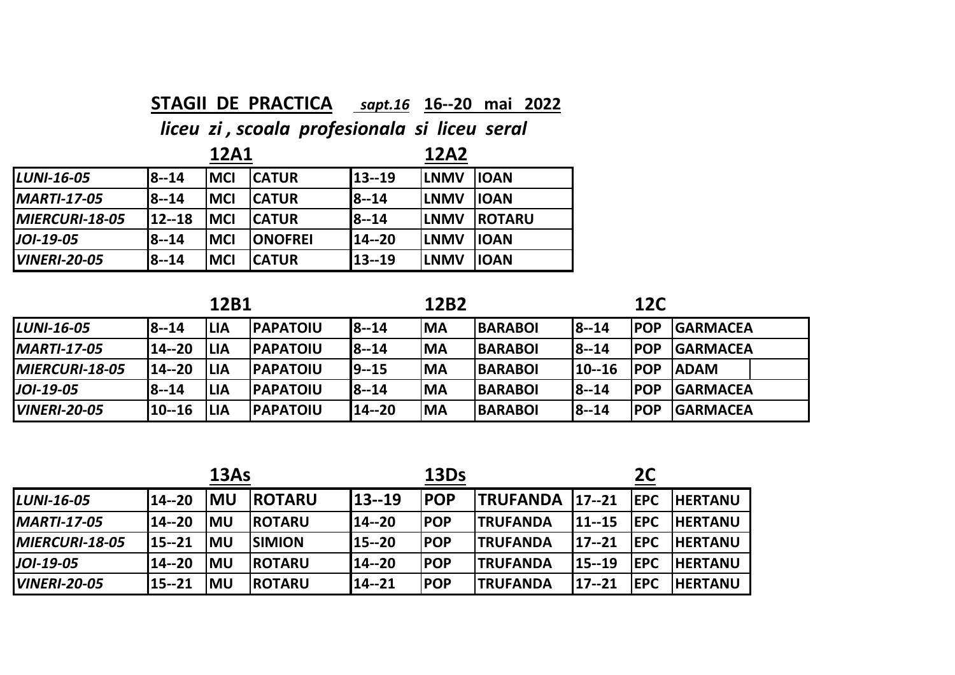### **STAGII DE PRACTICA** *sapt.16* **16‐‐20 mai 2022**

|                     |           | <b>12A1</b> |                 | <b>12A2</b>  |              |               |  |
|---------------------|-----------|-------------|-----------------|--------------|--------------|---------------|--|
| LUNI-16-05          | $18 - 14$ | <b>MCI</b>  | <b>CATUR</b>    | 113--19      | <b>ILNMV</b> | <b>IOAN</b>   |  |
| <b>MARTI-17-05</b>  | 8--14     | <b>MCI</b>  | <b>ICATUR</b>   | <b>8--14</b> | <b>ILNMV</b> | <b>IOAN</b>   |  |
| MIERCURI-18-05      | $12 - 18$ | <b>MCI</b>  | <b>CATUR</b>    | <b>8--14</b> | <b>ILNMV</b> | <b>ROTARU</b> |  |
| JOI-19-05           | 8--14     | <b>MCI</b>  | <b>IONOFREI</b> | 14--20       | <b>ILNMV</b> | <b>IOAN</b>   |  |
| <b>VINERI-20-05</b> | 8--14     | <b>MCI</b>  | <b>CATUR</b>    | 13--19       | <b>ILNMV</b> | <b>IOAN</b>   |  |

|                        | 12B1         |            |                  | <b>12C</b>   |           |                |              |             |                  |
|------------------------|--------------|------------|------------------|--------------|-----------|----------------|--------------|-------------|------------------|
| <b>LUNI-16-05</b>      | <b>8--14</b> | <b>LIA</b> | <b>IPAPATOIU</b> | 8--14        | <b>MA</b> | <b>BARABOI</b> | $8 - 14$     | <b>IPOP</b> | <b>GARMACEA</b>  |
| <b>MARTI-17-05</b>     | 14--20       | <b>LIA</b> | <b>IPAPATOIU</b> | <b>8--14</b> | <b>MA</b> | <b>BARABOI</b> | <b>8--14</b> | <b>POP</b>  | <b>IGARMACEA</b> |
| <b>IMIERCURI-18-05</b> | 114--20      | <b>LIA</b> | <b>IPAPATOIU</b> | 19--15       | <b>MA</b> | <b>BARABOI</b> | 110--16      | <b>IPOP</b> | <b>IADAM</b>     |
| $JOI-19-05$            | <b>8--14</b> | <b>LIA</b> | <b>IPAPATOIU</b> | <b>8--14</b> | <b>MA</b> | <b>BARABOI</b> | <b>8--14</b> | <b>POP</b>  | <b>GARMACEA</b>  |
| <b>VINERI-20-05</b>    | 110--16      | <b>LIA</b> | <b>PAPATOIU</b>  | 14--20       | <b>MA</b> | <b>BARABOI</b> | <b>8--14</b> | <b>POP</b>  | <b>GARMACEA</b>  |

| 13As                   |           |            |                |           | 13Ds        |                        | <b>2C</b>      |             |                |
|------------------------|-----------|------------|----------------|-----------|-------------|------------------------|----------------|-------------|----------------|
| <b>LUNI-16-05</b>      | $14 - 20$ | IMU        | <b>ROTARU</b>  | $13 - 19$ | <b>IPOP</b> | <b>TRUFANDA</b>        | $17 - 21$      | <b>IEPC</b> | <b>HERTANU</b> |
| <b>MARTI-17-05</b>     | 14--20    | <b>IMU</b> | <b>IROTARU</b> | 14--20    | <b>POP</b>  | <b><i>TRUFANDA</i></b> | $111 - 15$     | <b>IEPC</b> | <b>HERTANU</b> |
| <b>IMIERCURI-18-05</b> | $15 - 21$ | <b>IMU</b> | <b>ISIMION</b> | 115--20   | <b>POP</b>  | <b>ITRUFANDA</b>       | $117 - 21$     | <b>IEPC</b> | <b>HERTANU</b> |
| $JOI-19-05$            | 14--20    | <b>IMU</b> | <b>IROTARU</b> | 114--20   | <b>POP</b>  | <b>ITRUFANDA</b>       | <b>115--19</b> | <b>IEPC</b> | <b>HERTANU</b> |
| <b>VINERI-20-05</b>    | 15--21    | <b>IMU</b> | <b>IROTARU</b> | 14--21    | <b>POP</b>  | <b>TRUFANDA</b>        | $17 - 21$      | <b>IEPC</b> | <b>HERTANU</b> |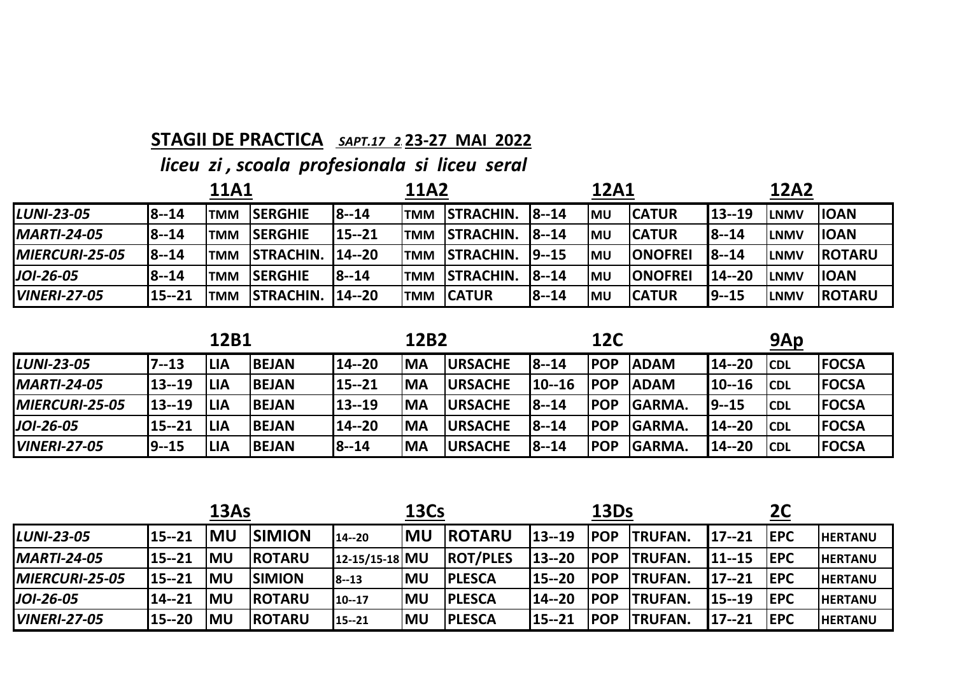### **STAGII DE PRACTICA** *SAPT.17 23***23‐27 MAI 2022**

| 11A1                |              |            |                  |               | <b>11A2</b> |                  |            | 12A1       |                |           | <b>12A2</b>  |                |
|---------------------|--------------|------------|------------------|---------------|-------------|------------------|------------|------------|----------------|-----------|--------------|----------------|
| <b>LUNI-23-05</b>   | $8 - 14$     | <b>TMM</b> | <b>ISERGHIE</b>  | <b>8--14</b>  | <b>TMM</b>  | <b>STRACHIN.</b> | $18 - 14$  | <b>IMU</b> | <b>CATUR</b>   | $13 - 19$ | <b>LNMV</b>  | <b>IOAN</b>    |
| <b>MARTI-24-05</b>  | <b>8--14</b> | <b>TMM</b> | <b>SERGHIE</b>   | 15--21        | <b>TMM</b>  | <b>STRACHIN.</b> | $18 - 14$  | <b>IMU</b> | <b>CATUR</b>   | $18 - 14$ | <b>ILNMV</b> | <b>IOAN</b>    |
| MIERCURI-25-05      | $ 8 - 14 $   | <b>TMM</b> | <b>STRACHIN.</b> | <b>14--20</b> | <b>TMM</b>  | <b>STRACHIN.</b> | $19 - 15$  | <b>MU</b>  | <b>ONOFREI</b> | $18 - 14$ | <b>LNMV</b>  | <b>IROTARU</b> |
| $JOI-26-05$         | <b>8--14</b> | <b>TMM</b> | <b>ISERGHIE</b>  | <b>8--14</b>  | <b>TMM</b>  | <b>STRACHIN.</b> | $18 - 14$  | <b>IMU</b> | <b>ONOFREI</b> | 14--20    | <b>ILNMV</b> | <b>IOAN</b>    |
| <b>VINERI-27-05</b> | 15--21       | <b>TMM</b> | <b>STRACHIN.</b> | 14--20        | <b>TMM</b>  | <b>ICATUR</b>    | $ 8 - 14 $ | <b>IMU</b> | <b>CATUR</b>   | $19 - 15$ | <b>LNMV</b>  | <b>IROTARU</b> |

| 12B1                   |        |             |              | 12B2      |            |                 | <b>12C</b>   |             |                | 9Ap      |             |              |
|------------------------|--------|-------------|--------------|-----------|------------|-----------------|--------------|-------------|----------------|----------|-------------|--------------|
| <b>LUNI-23-05</b>      | 7--13  | <b>ILIA</b> | <b>BEJAN</b> | $14 - 20$ | <b>IMA</b> | <b>URSACHE</b>  | $18 - 14$    | <b>IPOP</b> | <b>ADAM</b>    | 14--20   | <b>ICDL</b> | <b>FOCSA</b> |
| <b>MARTI-24-05</b>     | 13--19 | <b>ILIA</b> | <b>BEJAN</b> | $15 - 21$ | <b>IMA</b> | <b>URSACHE</b>  | $10 - 16$    | <b>IPOP</b> | <b>ADAM</b>    | 110--16  | <b>CDL</b>  | <b>FOCSA</b> |
| <b>IMIERCURI-25-05</b> | 13--19 | <b>ILIA</b> | <b>BEJAN</b> | 13--19    | <b>IMA</b> | <b>URSACHE</b>  | <b>8--14</b> | <b>IPOP</b> | <b>IGARMA.</b> | 19--15   | <b>CDL</b>  | <b>FOCSA</b> |
| JOI-26-05              | 15--21 | <b>ILIA</b> | <b>BEJAN</b> | 14--20    | <b>IMA</b> | <b>IURSACHE</b> | $18 - 14$    | <b>POP</b>  | <b>GARMA.</b>  | 14 -- 20 | <b>ICDL</b> | <b>FOCSA</b> |
| <b>VINERI-27-05</b>    | 9--15  | <b>LIA</b>  | <b>BEJAN</b> | 18--14    | <b>MA</b>  | <b>URSACHE</b>  | $ 8 - 14 $   | <b>POP</b>  | <b>GARMA.</b>  | 14--20   | <b>CDL</b>  | <b>FOCSA</b> |

|                       | 13As       |           |                |                | <b>13Cs</b> |                 |           | 13Ds        |                 |            |             |                 |
|-----------------------|------------|-----------|----------------|----------------|-------------|-----------------|-----------|-------------|-----------------|------------|-------------|-----------------|
| <b>LUNI-23-05</b>     | $115 - 21$ | <b>MU</b> | <b>SIMION</b>  | 14--20         | <b>MU</b>   | <b>IROTARU</b>  | $13 - 19$ | <b>IPOP</b> | <b>TRUFAN.</b>  | $117 - 21$ | <b>IEPC</b> | <b>IHERTANU</b> |
| <b>MARTI-24-05</b>    | $115 - 21$ | <b>MU</b> | <b>IROTARU</b> | 12-15/15-18 MU |             | <b>ROT/PLES</b> | 13--20    | <b>IPOP</b> | <b>ITRUFAN.</b> | $111 - 15$ | <b>IEPC</b> | <b>HERTANU</b>  |
| <b>MIERCURI-25-05</b> | 15--21     | <b>MU</b> | <b>SIMION</b>  | 8--13          | <b>IMU</b>  | <b>IPLESCA</b>  | 115--20   | <b>IPOP</b> | <b>ITRUFAN.</b> | $117 - 21$ | <b>IEPC</b> | <b>HERTANU</b>  |
| $JOI-26-05$           | 14--21     | <b>MU</b> | <b>IROTARU</b> | 10--17         | <b>IMU</b>  | <b>IPLESCA</b>  | 14--20    | <b>IPOP</b> | <b>ITRUFAN.</b> | $115 - 19$ | <b>IEPC</b> | <b>HERTANU</b>  |
| <b>VINERI-27-05</b>   | 115--20    | MU        | <b>IROTARU</b> | 15--21         | lMU         | <b>PLESCA</b>   | 115--21   | <b>IPOP</b> | <b>ITRUFAN.</b> | $117 - 21$ | <b>IEPC</b> | <b>IHERTANU</b> |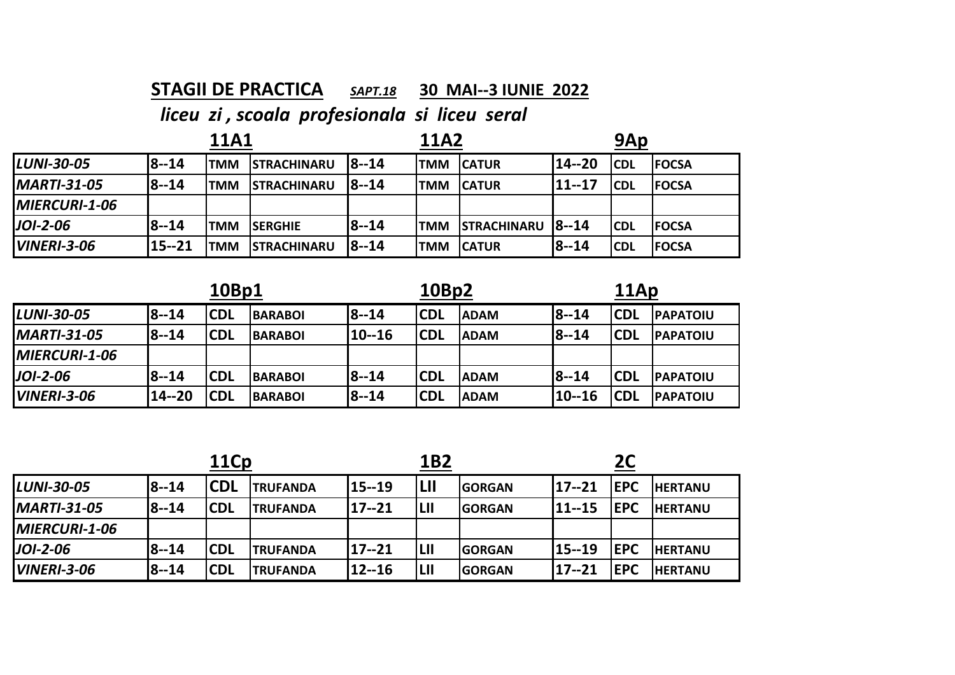### **STAGII DE PRACTICA***SAPT.18* **30 MAI‐‐3 IUNIE 2022**

|                    |           | <b>11A1</b> |                    |              | <b>11A2</b> |                          |              | 9Ap         |               |
|--------------------|-----------|-------------|--------------------|--------------|-------------|--------------------------|--------------|-------------|---------------|
| <b>LUNI-30-05</b>  | $18 - 14$ | <b>ITMM</b> | <b>STRACHINARU</b> | $18 - 14$    | <b>TMM</b>  | <b>CATUR</b>             | $14 - 20$    | <b>CDL</b>  | <b>IFOCSA</b> |
| <b>MARTI-31-05</b> | $18 - 14$ | <b>'TMM</b> | <b>STRACHINARU</b> | I8--14       | <b>TMM</b>  | <b>CATUR</b>             | $11 - 17$    | <b>ICDL</b> | <b>IFOCSA</b> |
| MIERCURI-1-06      |           |             |                    |              |             |                          |              |             |               |
| $JOI-2-06$         | $18 - 14$ | <b>TMM</b>  | <b>ISERGHIE</b>    | <b>8--14</b> | <b>ITMM</b> | <b>STRACHINARU 8--14</b> |              | <b>ICDL</b> | <b>IFOCSA</b> |
| <b>VINERI-3-06</b> | 15--21    | <b>TMM</b>  | <b>STRACHINARU</b> | <b>8--14</b> | <b>TMM</b>  | <b>CATUR</b>             | <b>8--14</b> | <b>CDL</b>  | <b>FOCSA</b>  |

|                      |              | 10Bp1       |                |            | 10Bp2       |             |              |             | 11Ap             |  |  |
|----------------------|--------------|-------------|----------------|------------|-------------|-------------|--------------|-------------|------------------|--|--|
| <b>LUNI-30-05</b>    | <b>8--14</b> | lCDL        | <b>BARABOI</b> | 8--14      | <b>ICDL</b> | <b>ADAM</b> | <b>8--14</b> | <b>ICDL</b> | <b>PAPATOIU</b>  |  |  |
| <b>MARTI-31-05</b>   | <b>8--14</b> | lCDL        | <b>BARABOI</b> | $110 - 16$ | <b>ICDL</b> | <b>ADAM</b> | $18 - 14$    | <b>ICDL</b> | <b>PAPATOIU</b>  |  |  |
| <b>MIERCURI-1-06</b> |              |             |                |            |             |             |              |             |                  |  |  |
| $JOI-2-06$           | <b>8--14</b> | <b>CDL</b>  | <b>BARABOI</b> | 8--14      | <b>CDL</b>  | <b>ADAM</b> | <b>8--14</b> | <b>ICDL</b> | <b>PAPATOIU</b>  |  |  |
| $IVINERI-3-06$       | 14--20       | <b>ICDL</b> | <b>BARABOI</b> | 8--14      | <b>CDL</b>  | <b>ADAM</b> | $110 - 16$   | <b>CDL</b>  | <b>IPAPATOIU</b> |  |  |

|                    |           | 11Cp        |                  |           | 1B2  |                |         | 2C          |                 |
|--------------------|-----------|-------------|------------------|-----------|------|----------------|---------|-------------|-----------------|
| <b>LUNI-30-05</b>  | $18 - 14$ | <b>CDL</b>  | <b>TRUFANDA</b>  | $15 - 19$ | llll | <b>GORGAN</b>  | 117--21 | <b>IEPC</b> | <b>HERTANU</b>  |
| <b>MARTI-31-05</b> | $18 - 14$ | lCDL        | <b>TRUFANDA</b>  | $17 - 21$ | LII  | <b>IGORGAN</b> | 11--15  | <b>IEPC</b> | <b>HERTANU</b>  |
| MIERCURI-1-06      |           |             |                  |           |      |                |         |             |                 |
| $JOI-2-06$         | $18 - 14$ | <b>CDL</b>  | <b>ITRUFANDA</b> | $17 - 21$ | lli  | <b>IGORGAN</b> | 15--19  | <b>IEPC</b> | <b>IHERTANU</b> |
| <b>VINERI-3-06</b> | $18 - 14$ | <b>ICDL</b> | <b>TRUFANDA</b>  | $12 - 16$ | lli  | <b>GORGAN</b>  | 17--21  | <b>IEPC</b> | <b>HERTANU</b>  |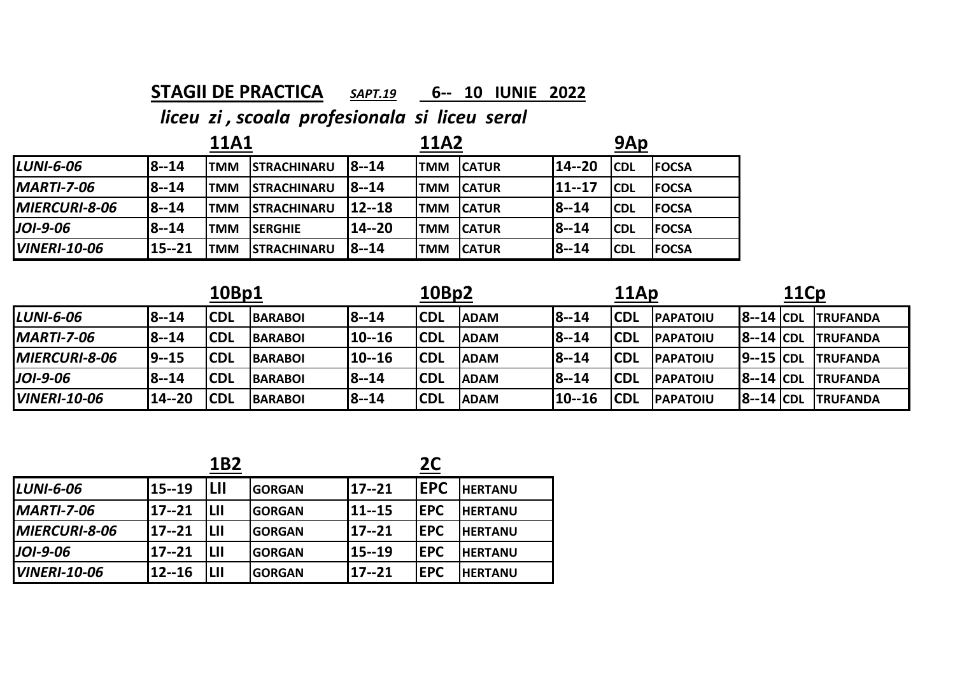## **STAGII DE PRACTICA** *SAPT.19* **6‐‐ 10 IUNIE 2022**

|                     |              | <b>11A1</b> |                    |              | <b>11A2</b> |               | 9Ap          |             |               |
|---------------------|--------------|-------------|--------------------|--------------|-------------|---------------|--------------|-------------|---------------|
| <b>LUNI-6-06</b>    | <b>8--14</b> | <b>TMM</b>  | <b>STRACHINARU</b> | $18 - 14$    | <b>ITMM</b> | <b>CATUR</b>  | 14--20       | <b>ICDL</b> | <b>IFOCSA</b> |
| $IMARTI-7-06$       | <b>8--14</b> | <b>TMM</b>  | <b>STRACHINARU</b> | <b>8--14</b> | <b>ITMM</b> | <b>ICATUR</b> | 11--17       | <b>ICDL</b> | <b>FOCSA</b>  |
| MIERCURI-8-06       | 8--14        | <b>TMM</b>  | <b>STRACHINARU</b> | 12--18       | <b>TMM</b>  | <b>CATUR</b>  | <b>8--14</b> | <b>CDL</b>  | <b>FOCSA</b>  |
| JOI-9-06            | $8 - 14$     | <b>TMM</b>  | <b>SERGHIE</b>     | 14--20       | <b>TMM</b>  | <b>CATUR</b>  | <b>8--14</b> | <b>CDL</b>  | <b>FOCSA</b>  |
| <b>VINERI-10-06</b> | 15--21       | TMM         | <b>STRACHINARU</b> | <b>8--14</b> | <b>TMM</b>  | <b>CATUR</b>  | <b>8--14</b> | <b>CDL</b>  | <b>FOCSA</b>  |

| 10Bp1                |              |            |                |           | 10Bp2      |             |              | 11Ap        |                  | 11Cp         |  |                  |
|----------------------|--------------|------------|----------------|-----------|------------|-------------|--------------|-------------|------------------|--------------|--|------------------|
| $LUNI-6-06$          | <b>8--14</b> | <b>CDL</b> | <b>BARABOI</b> | $18 - 14$ | <b>CDL</b> | <b>ADAM</b> | <b>8--14</b> | <b>ICDL</b> | <b>PAPATOIU</b>  | $ 8-14 $ CDL |  | <b>TRUFANDA</b>  |
| $MARTI-7-06$         | <b>8--14</b> | <b>CDL</b> | <b>BARABOI</b> | 10--16    | <b>CDL</b> | <b>ADAM</b> | <b>8--14</b> | <b>CDL</b>  | <b>PAPATOIU</b>  | $ 8-14 $ CDL |  | <b>TRUFANDA</b>  |
| <b>MIERCURI-8-06</b> | 19--15       | <b>CDL</b> | <b>BARABOI</b> | 10--16    | <b>CDL</b> | <b>ADAM</b> | <b>8--14</b> | <b>CDL</b>  | <b>IPAPATOIU</b> | $9-15$ CDL   |  | <b>ITRUFANDA</b> |
| $J$ OI-9-06          | 8--14        | <b>CDL</b> | <b>BARABOI</b> | $18 - 14$ | <b>CDL</b> | <b>ADAM</b> | <b>8--14</b> | <b>CDL</b>  | <b>PAPATOIU</b>  | $ 8-14 $ CDL |  | <b>ITRUFANDA</b> |
| <b>VINERI-10-06</b>  | $14 - 20$    | 'CDL       | <b>BARABOI</b> | $18 - 14$ | <b>CDL</b> | <b>ADAM</b> | 10--16       | <b>CDL</b>  | <b>IPAPATOIU</b> | $ 8-14 $ CDL |  | <b>ITRUFANDA</b> |

|                      |           | 1B2        |                |           | 2C         |                |
|----------------------|-----------|------------|----------------|-----------|------------|----------------|
| <b>LUNI-6-06</b>     | 15--19    | <b>LII</b> | <b>GORGAN</b>  | $17 - 21$ | <b>EPC</b> | <b>HERTANU</b> |
| <b>MARTI-7-06</b>    | 17--21    | lш         | <b>IGORGAN</b> | 11--15    | <b>EPC</b> | <b>HERTANU</b> |
| <b>MIERCURI-8-06</b> | $17 - 21$ | lш         | <b>IGORGAN</b> | $17 - 21$ | <b>EPC</b> | <b>HERTANU</b> |
| <b>JOI-9-06</b>      | $17 - 21$ | LII        | <b>GORGAN</b>  | 15--19    | <b>EPC</b> | <b>HERTANU</b> |
| <b>VINERI-10-06</b>  | $12 - 16$ | LII        | <b>GORGAN</b>  | 17--21    | <b>EPC</b> | <b>HERTANU</b> |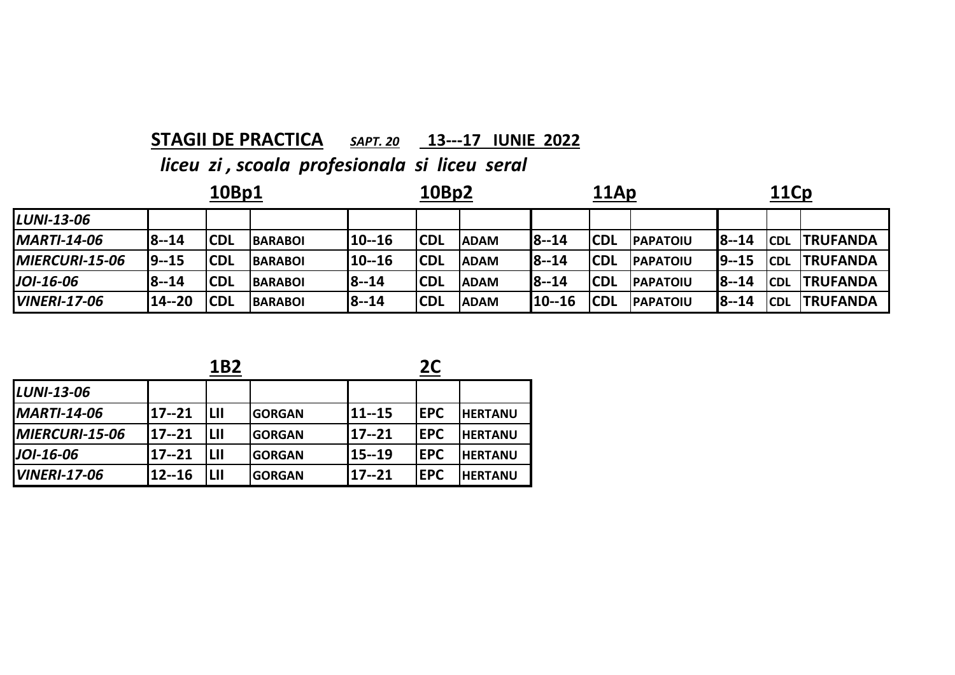### **STAGII DE PRACTICA** *SAPT. 20* **13‐‐‐17 IUNIE 2022**

*liceu zi , scoala profesionala si liceu seral*

| 10Bp1               |              |            |                |        | 10Bp2      |             |              | 11Ap       |                 |           | <b>11Cp</b> |                  |  |
|---------------------|--------------|------------|----------------|--------|------------|-------------|--------------|------------|-----------------|-----------|-------------|------------------|--|
| <b>LUNI-13-06</b>   |              |            |                |        |            |             |              |            |                 |           |             |                  |  |
| <b>MARTI-14-06</b>  | <b>8--14</b> | <b>CDL</b> | <b>BARABOI</b> | 10--16 | <b>CDL</b> | <b>ADAM</b> | <b>8--14</b> | <b>CDL</b> | <b>PAPATOIU</b> | $18 - 14$ | <b>CDL</b>  | <b>ITRUFANDA</b> |  |
| MIERCURI-15-06      | $19 - 15$    | <b>CDL</b> | <b>BARABOI</b> | 10--16 | <b>CDL</b> | <b>ADAM</b> | <b>8--14</b> | <b>CDL</b> | <b>PAPATOIU</b> | $19 - 15$ | <b>CDL</b>  | <b>ITRUFANDA</b> |  |
| JOI-16-06           | <b>8--14</b> | <b>CDL</b> | <b>BARABOI</b> | 18--14 | <b>CDL</b> | <b>ADAM</b> | <b>8--14</b> | <b>CDL</b> | <b>PAPATOIU</b> | $18 - 14$ | <b>CDL</b>  | <b>TRUFANDA</b>  |  |
| <b>VINERI-17-06</b> | 14--20       | <b>CDL</b> | <b>BARABOI</b> | 8--14  | <b>CDL</b> | <b>ADAM</b> | $10 - 16$    | <b>CDL</b> | <b>PAPATOIU</b> | $8 - 14$  | <b>CDL</b>  | <b>ITRUFANDA</b> |  |

|--|

**2C**

| <b>LUNI-13-06</b>   |           |     |                |        |            |                |
|---------------------|-----------|-----|----------------|--------|------------|----------------|
| <b>MARTI-14-06</b>  | 117--21   | LII | <b>GORGAN</b>  | 11--15 | <b>EPC</b> | <b>HERTANU</b> |
| MIERCURI-15-06      | 117--21   | LII | <b>GORGAN</b>  | 17--21 | <b>EPC</b> | <b>HERTANU</b> |
| <b>JOI-16-06</b>    | 17--21    | LII | <b>GORGAN</b>  | 15--19 | <b>EPC</b> | <b>HERTANU</b> |
| <b>VINERI-17-06</b> | $12 - 16$ | LII | <b>IGORGAN</b> | 17--21 | <b>EPC</b> | <b>HERTANU</b> |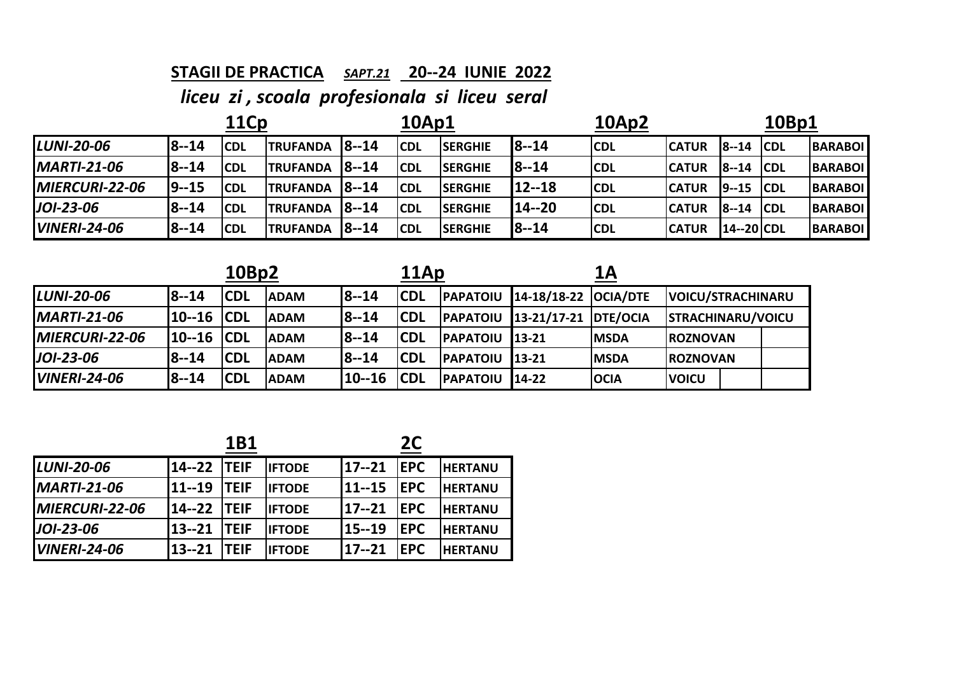### **STAGII DE PRACTICA** *SAPT.21* **20‐‐24 IUNIE 2022**

| <b>11Cp</b>         |              |             |                 |           | <b>10Ap1</b> |                 | 10Ap2        |            |              | 10Bp1         |            |                |
|---------------------|--------------|-------------|-----------------|-----------|--------------|-----------------|--------------|------------|--------------|---------------|------------|----------------|
| <b>LUNI-20-06</b>   | <b>8--14</b> | <b>ICDL</b> | <b>TRUFANDA</b> | $18 - 14$ | <b>CDL</b>   | <b>SERGHIE</b>  | $18 - 14$    | <b>CDL</b> | <b>CATUR</b> | $8 - 14$      | <b>CDL</b> | <b>BARABOI</b> |
| <b>MARTI-21-06</b>  | <b>8--14</b> | <b>CDL</b>  | <b>TRUFANDA</b> | $18 - 14$ | <b>CDL</b>   | <b>ISERGHIE</b> | <b>8--14</b> | <b>CDL</b> | <b>CATUR</b> | <b>8--14</b>  | <b>CDL</b> | <b>BARABOI</b> |
| MIERCURI-22-06      | 19--15       | <b>CDL</b>  | <b>TRUFANDA</b> | $18 - 14$ | <b>CDL</b>   | <b>SERGHIE</b>  | 112--18      | <b>CDL</b> | <b>CATUR</b> | $9 - 15$ CDL  |            | <b>BARABOI</b> |
| JOI-23-06           | 8--14        | <b>CDL</b>  | <b>TRUFANDA</b> | $18 - 14$ | <b>CDL</b>   | <b>SERGHIE</b>  | 114--20      | <b>CDL</b> | <b>CATUR</b> | $8 - 14$      | <b>CDL</b> | <b>BARABOI</b> |
| <b>VINERI-24-06</b> | <b>8--14</b> | <b>CDL</b>  | <b>TRUFANDA</b> | $18 - 14$ | <b>CDL</b>   | <b>SERGHIE</b>  | <b>8--14</b> | <b>CDL</b> | <b>CATUR</b> | $14 - 20$ CDL |            | <b>BARABOI</b> |

|                       |        | 10Bp2      |             |            | 11Ap        |                 |                      | 1A          |                          |  |
|-----------------------|--------|------------|-------------|------------|-------------|-----------------|----------------------|-------------|--------------------------|--|
| <b>LUNI-20-06</b>     | 8--14  | <b>CDL</b> | <b>ADAM</b> | $18 - 14$  | <b>ICDL</b> | <b>PAPATOIU</b> | 14-18/18-22 OCIA/DTE |             | <b>VOICU/STRACHINARU</b> |  |
| $IMARTI-21-06$        | 10--16 | <b>CDL</b> | <b>ADAM</b> | $18 - 14$  | <b>ICDL</b> | <b>PAPATOIU</b> | 13-21/17-21 DTE/OCIA |             | <b>STRACHINARU/VOICU</b> |  |
| <b>MIERCURI-22-06</b> | 10--16 | <b>CDL</b> | <b>ADAM</b> | $18 - 14$  | <b>CDL</b>  | <b>PAPATOIU</b> | $13 - 21$            | <b>MSDA</b> | <b>IROZNOVAN</b>         |  |
| $JOI-23-06$           | 8--14  | <b>CDL</b> | <b>ADAM</b> | $18 - 14$  | <b>CDL</b>  | <b>PAPATOIU</b> | $13 - 21$            | <b>MSDA</b> | <b>IROZNOVAN</b>         |  |
| <b>VINERI-24-06</b>   | l8--14 | <b>CDL</b> | <b>ADAM</b> | $110 - 16$ | <b>ICDL</b> | <b>PAPATOIU</b> | 14-22                | <b>OCIA</b> | <b>VOICU</b>             |  |

|                     | <b>1B1</b>         |              |               |            |            |                |
|---------------------|--------------------|--------------|---------------|------------|------------|----------------|
| <b>LUNI-20-06</b>   | 14--22 TEIF        |              | <b>IFTODE</b> | $17 - 21$  | <b>EPC</b> | <b>HERTANU</b> |
| <b>MARTI-21-06</b>  | <b>11--19 TEIF</b> |              | <b>IFTODE</b> | $111 - 15$ | <b>EPC</b> | <b>HERTANU</b> |
| MIERCURI-22-06      | 14--22 TEIF        |              | <b>IFTODE</b> | $17 - 21$  | <b>EPC</b> | <b>HERTANU</b> |
| $J$ OI-23-06        | 13--21             | <b>ITEIF</b> | <b>IFTODF</b> | $115 - 19$ | <b>EPC</b> | <b>HERTANU</b> |
| <b>VINERI-24-06</b> | 13--21             | <b>ITEIF</b> | <b>IFTODE</b> | 117--21    | EPC        | <b>HERTANU</b> |